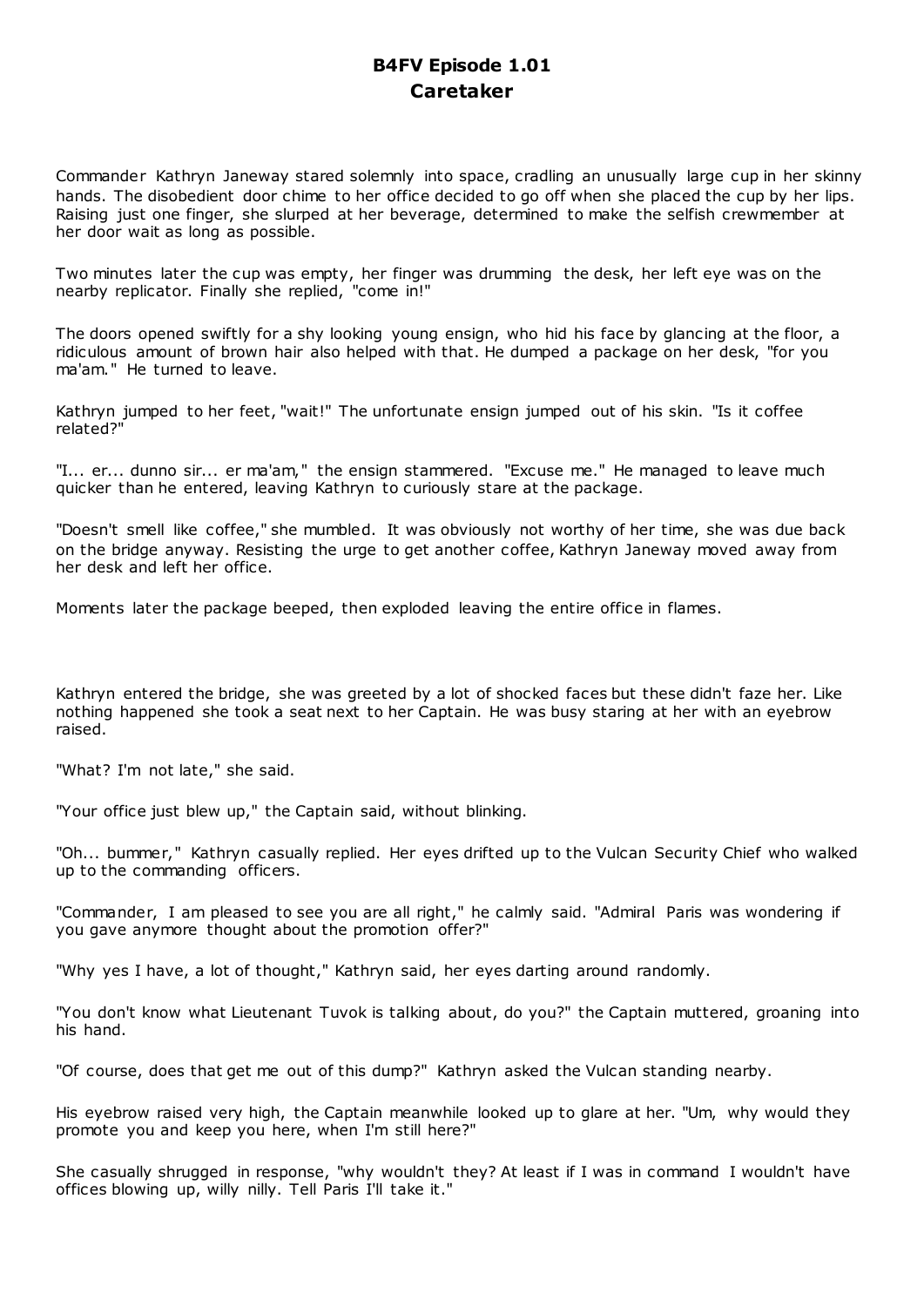# **B4FV Episode 1.01 Caretaker**

Commander Kathryn Janeway stared solemnly into space, cradling an unusually large cup in her skinny hands. The disobedient door chime to her office decided to go off when she placed the cup by her lips. Raising just one finger, she slurped at her beverage, determined to make the selfish crewmember at her door wait as long as possible.

Two minutes later the cup was empty, her finger was drumming the desk, her left eye was on the nearby replicator. Finally she replied, "come in!"

The doors opened swiftly for a shy looking young ensign, who hid his face by glancing at the floor, a ridiculous amount of brown hair also helped with that. He dumped a package on her desk, "for you ma'am." He turned to leave.

Kathryn jumped to her feet, "wait!" The unfortunate ensign jumped out of his skin. "Is it coffee related?"

"I... er... dunno sir... er ma'am," the ensign stammered. "Excuse me." He managed to leave much quicker than he entered, leaving Kathryn to curiously stare at the package.

"Doesn't smell like coffee," she mumbled. It was obviously not worthy of her time, she was due back on the bridge anyway. Resisting the urge to get another coffee, Kathryn Janeway moved away from her desk and left her office.

Moments later the package beeped, then exploded leaving the entire office in flames.

Kathryn entered the bridge, she was greeted by a lot of shocked faces but these didn't faze her. Like nothing happened she took a seat next to her Captain. He was busy staring at her with an eyebrow raised.

"What? I'm not late," she said.

"Your office just blew up," the Captain said, without blinking.

"Oh... bummer," Kathryn casually replied. Her eyes drifted up to the Vulcan Security Chief who walked up to the commanding officers.

"Commander, I am pleased to see you are all right," he calmly said. "Admiral Paris was wondering if you gave anymore thought about the promotion offer?"

"Why yes I have, a lot of thought," Kathryn said, her eyes darting around randomly.

"You don't know what Lieutenant Tuvok is talking about, do you?" the Captain muttered, groaning into his hand.

"Of course, does that get me out of this dump?" Kathryn asked the Vulcan standing nearby.

His eyebrow raised very high, the Captain meanwhile looked up to glare at her. "Um, why would they promote you and keep you here, when I'm still here?"

She casually shrugged in response, "why wouldn't they? At least if I was in command I wouldn't have offices blowing up, willy nilly. Tell Paris I'll take it."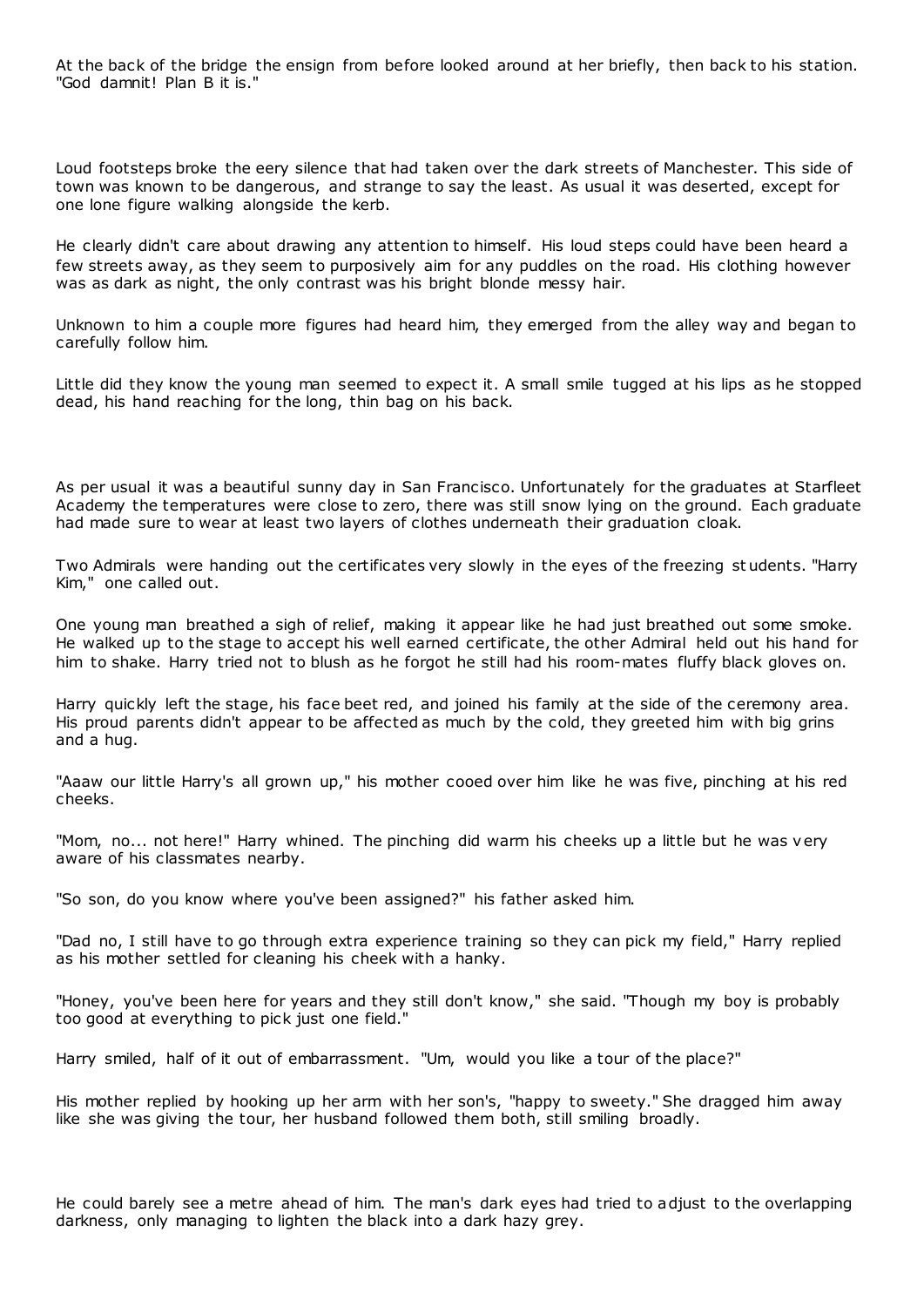At the back of the bridge the ensign from before looked around at her briefly, then back to his station. "God damnit! Plan B it is."

Loud footsteps broke the eery silence that had taken over the dark streets of Manchester. This side of town was known to be dangerous, and strange to say the least. As usual it was deserted, except for one lone figure walking alongside the kerb.

He clearly didn't care about drawing any attention to himself. His loud steps could have been heard a few streets away, as they seem to purposively aim for any puddles on the road. His clothing however was as dark as night, the only contrast was his bright blonde messy hair.

Unknown to him a couple more figures had heard him, they emerged from the alley way and began to carefully follow him.

Little did they know the young man seemed to expect it. A small smile tugged at his lips as he stopped dead, his hand reaching for the long, thin bag on his back.

As per usual it was a beautiful sunny day in San Francisco. Unfortunately for the graduates at Starfleet Academy the temperatures were close to zero, there was still snow lying on the ground. Each graduate had made sure to wear at least two layers of clothes underneath their graduation cloak.

Two Admirals were handing out the certificates very slowly in the eyes of the freezing st udents. "Harry Kim," one called out.

One young man breathed a sigh of relief, making it appear like he had just breathed out some smoke. He walked up to the stage to accept his well earned certificate, the other Admiral held out his hand for him to shake. Harry tried not to blush as he forgot he still had his room-mates fluffy black gloves on.

Harry quickly left the stage, his face beet red, and joined his family at the side of the ceremony area. His proud parents didn't appear to be affected as much by the cold, they greeted him with big grins and a hug.

"Aaaw our little Harry's all grown up," his mother cooed over him like he was five, pinching at his red cheeks.

"Mom, no... not here!" Harry whined. The pinching did warm his cheeks up a little but he was very aware of his classmates nearby.

"So son, do you know where you've been assigned?" his father asked him.

"Dad no, I still have to go through extra experience training so they can pick my field," Harry replied as his mother settled for cleaning his cheek with a hanky.

"Honey, you've been here for years and they still don't know," she said. "Though my boy is probably too good at everything to pick just one field."

Harry smiled, half of it out of embarrassment. "Um, would you like a tour of the place?"

His mother replied by hooking up her arm with her son's, "happy to sweety." She dragged him away like she was giving the tour, her husband followed them both, still smiling broadly.

He could barely see a metre ahead of him. The man's dark eyes had tried to adjust to the overlapping darkness, only managing to lighten the black into a dark hazy grey.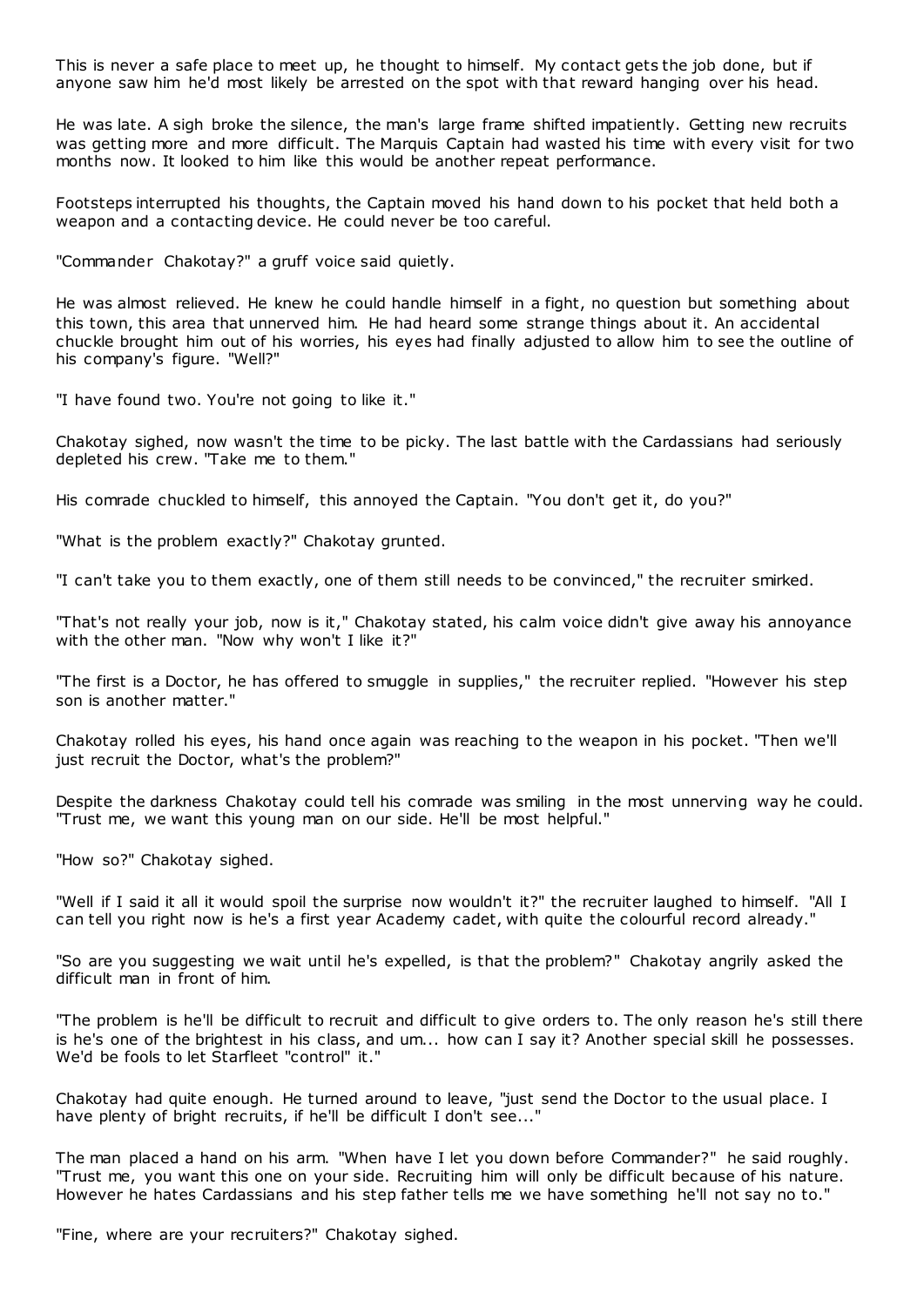This is never a safe place to meet up, he thought to himself. My contact gets the job done, but if anyone saw him he'd most likely be arrested on the spot with that reward hanging over his head.

He was late. A sigh broke the silence, the man's large frame shifted impatiently. Getting new recruits was getting more and more difficult. The Marquis Captain had wasted his time with every visit for two months now. It looked to him like this would be another repeat performance.

Footsteps interrupted his thoughts, the Captain moved his hand down to his pocket that held both a weapon and a contacting device. He could never be too careful.

"Commander Chakotay?" a gruff voice said quietly.

He was almost relieved. He knew he could handle himself in a fight, no question but something about this town, this area that unnerved him. He had heard some strange things about it. An accidental chuckle brought him out of his worries, his eyes had finally adjusted to allow him to see the outline of his company's figure. "Well?"

"I have found two. You're not going to like it."

Chakotay sighed, now wasn't the time to be picky. The last battle with the Cardassians had seriously depleted his crew. "Take me to them."

His comrade chuckled to himself, this annoyed the Captain. "You don't get it, do you?"

"What is the problem exactly?" Chakotay grunted.

"I can't take you to them exactly, one of them still needs to be convinced," the recruiter smirked.

"That's not really your job, now is it," Chakotay stated, his calm voice didn't give away his annoyance with the other man. "Now why won't I like it?"

"The first is a Doctor, he has offered to smuggle in supplies," the recruiter replied. "However his step son is another matter."

Chakotay rolled his eyes, his hand once again was reaching to the weapon in his pocket. "Then we'll just recruit the Doctor, what's the problem?"

Despite the darkness Chakotay could tell his comrade was smiling in the most unnerving way he could. "Trust me, we want this young man on our side. He'll be most helpful."

"How so?" Chakotay sighed.

"Well if I said it all it would spoil the surprise now wouldn't it?" the recruiter laughed to himself. "All I can tell you right now is he's a first year Academy cadet, with quite the colourful record already."

"So are you suggesting we wait until he's expelled, is that the problem?" Chakotay angrily asked the difficult man in front of him.

"The problem is he'll be difficult to recruit and difficult to give orders to. The only reason he's still there is he's one of the brightest in his class, and um... how can I say it? Another special skill he possesses. We'd be fools to let Starfleet "control" it."

Chakotay had quite enough. He turned around to leave, "just send the Doctor to the usual place. I have plenty of bright recruits, if he'll be difficult I don't see..."

The man placed a hand on his arm. "When have I let you down before Commander?" he said roughly. "Trust me, you want this one on your side. Recruiting him will only be difficult because of his nature. However he hates Cardassians and his step father tells me we have something he'll not say no to."

"Fine, where are your recruiters?" Chakotay sighed.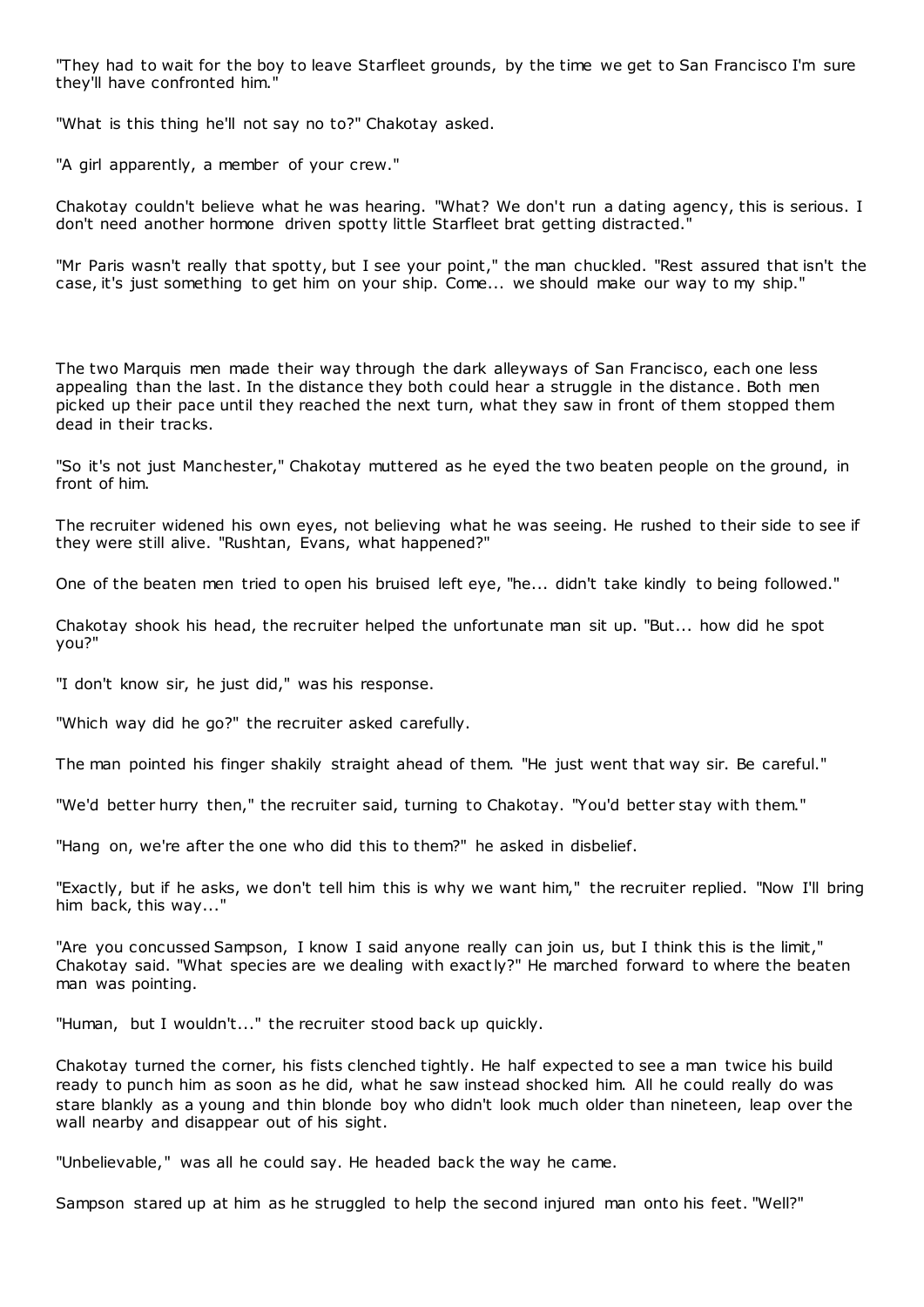"They had to wait for the boy to leave Starfleet grounds, by the time we get to San Francisco I'm sure they'll have confronted him."

"What is this thing he'll not say no to?" Chakotay asked.

"A girl apparently, a member of your crew."

Chakotay couldn't believe what he was hearing. "What? We don't run a dating agency, this is serious. I don't need another hormone driven spotty little Starfleet brat getting distracted."

"Mr Paris wasn't really that spotty, but I see your point," the man chuckled. "Rest assured that isn't the case, it's just something to get him on your ship. Come... we should make our way to my ship."

The two Marquis men made their way through the dark alleyways of San Francisco, each one less appealing than the last. In the distance they both could hear a struggle in the distance. Both men picked up their pace until they reached the next turn, what they saw in front of them stopped them dead in their tracks.

"So it's not just Manchester," Chakotay muttered as he eyed the two beaten people on the ground, in front of him.

The recruiter widened his own eyes, not believing what he was seeing. He rushed to their side to see if they were still alive. "Rushtan, Evans, what happened?"

One of the beaten men tried to open his bruised left eye, "he... didn't take kindly to being followed."

Chakotay shook his head, the recruiter helped the unfortunate man sit up. "But... how did he spot you?"

"I don't know sir, he just did," was his response.

"Which way did he go?" the recruiter asked carefully.

The man pointed his finger shakily straight ahead of them. "He just went that way sir. Be careful."

"We'd better hurry then," the recruiter said, turning to Chakotay. "You'd better stay with them."

"Hang on, we're after the one who did this to them?" he asked in disbelief.

"Exactly, but if he asks, we don't tell him this is why we want him," the recruiter replied. "Now I'll bring him back, this way..."

"Are you concussed Sampson, I know I said anyone really can join us, but I think this is the limit," Chakotay said. "What species are we dealing with exactly?" He marched forward to where the beaten man was pointing.

"Human, but I wouldn't..." the recruiter stood back up quickly.

Chakotay turned the corner, his fists clenched tightly. He half expected to see a man twice his build ready to punch him as soon as he did, what he saw instead shocked him. All he could really do was stare blankly as a young and thin blonde boy who didn't look much older than nineteen, leap over the wall nearby and disappear out of his sight.

"Unbelievable," was all he could say. He headed back the way he came.

Sampson stared up at him as he struggled to help the second injured man onto his feet. "Well?"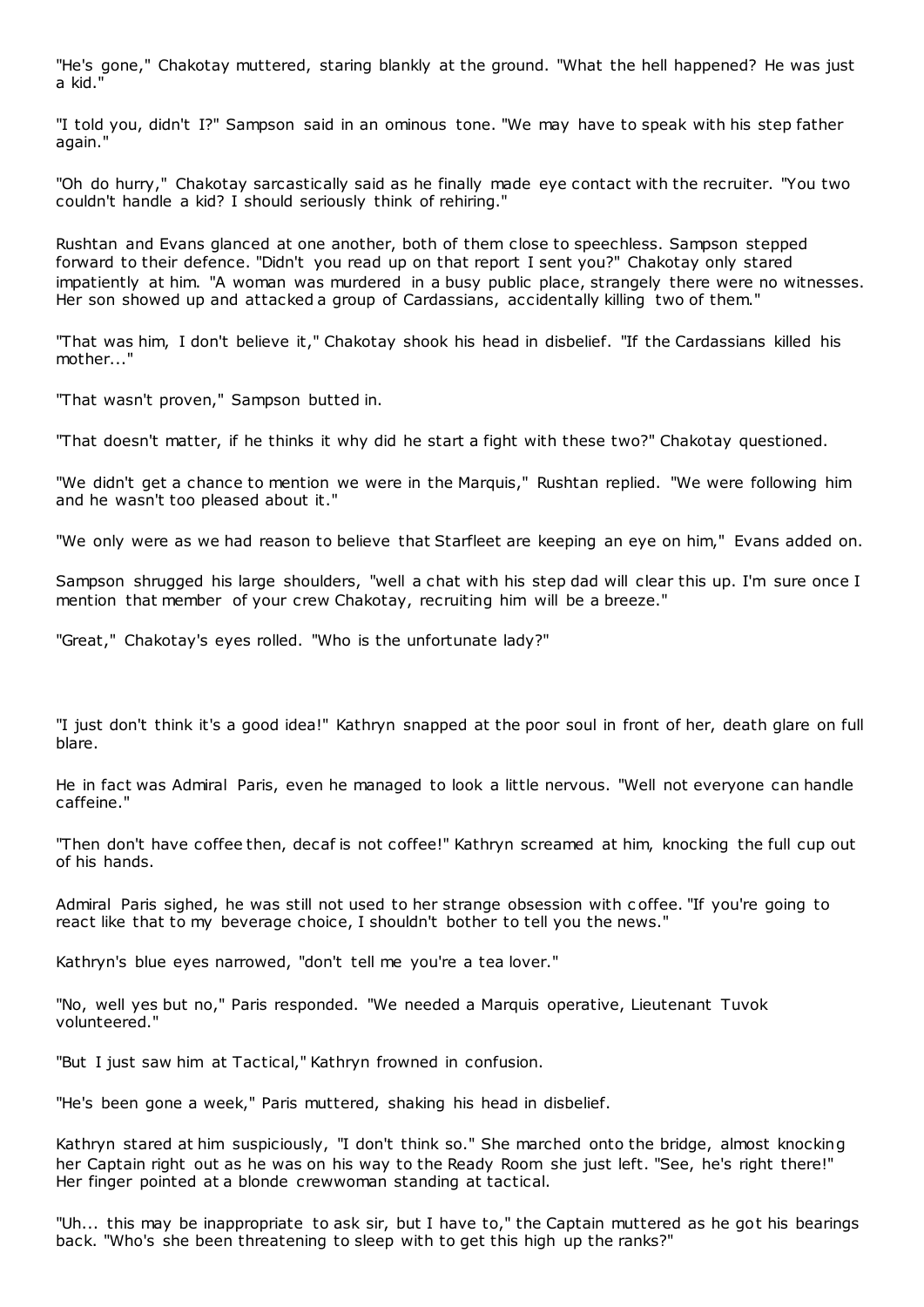"He's gone," Chakotay muttered, staring blankly at the ground. "What the hell happened? He was just a kid."

"I told you, didn't I?" Sampson said in an ominous tone. "We may have to speak with his step father again."

"Oh do hurry," Chakotay sarcastically said as he finally made eye contact with the recruiter. "You two couldn't handle a kid? I should seriously think of rehiring."

Rushtan and Evans glanced at one another, both of them close to speechless. Sampson stepped forward to their defence. "Didn't you read up on that report I sent you?" Chakotay only stared impatiently at him. "A woman was murdered in a busy public place, strangely there were no witnesses. Her son showed up and attacked a group of Cardassians, accidentally killing two of them."

"That was him, I don't believe it," Chakotay shook his head in disbelief. "If the Cardassians killed his mother..."

"That wasn't proven," Sampson butted in.

"That doesn't matter, if he thinks it why did he start a fight with these two?" Chakotay questioned.

"We didn't get a chance to mention we were in the Marquis," Rushtan replied. "We were following him and he wasn't too pleased about it."

"We only were as we had reason to believe that Starfleet are keeping an eye on him," Evans added on.

Sampson shrugged his large shoulders, "well a chat with his step dad will clear this up. I'm sure once I mention that member of your crew Chakotay, recruiting him will be a breeze."

"Great," Chakotay's eyes rolled. "Who is the unfortunate lady?"

"I just don't think it's a good idea!" Kathryn snapped at the poor soul in front of her, death glare on full blare.

He in fact was Admiral Paris, even he managed to look a little nervous. "Well not everyone can handle caffeine."

"Then don't have coffee then, decaf is not coffee!" Kathryn screamed at him, knocking the full cup out of his hands.

Admiral Paris sighed, he was still not used to her strange obsession with c offee. "If you're going to react like that to my beverage choice, I shouldn't bother to tell you the news."

Kathryn's blue eyes narrowed, "don't tell me you're a tea lover."

"No, well yes but no," Paris responded. "We needed a Marquis operative, Lieutenant Tuvok volunteered."

"But I just saw him at Tactical," Kathryn frowned in confusion.

"He's been gone a week," Paris muttered, shaking his head in disbelief.

Kathryn stared at him suspiciously, "I don't think so." She marched onto the bridge, almost knocking her Captain right out as he was on his way to the Ready Room she just left. "See, he's right there!" Her finger pointed at a blonde crewwoman standing at tactical.

"Uh... this may be inappropriate to ask sir, but I have to," the Captain muttered as he got his bearings back. "Who's she been threatening to sleep with to get this high up the ranks?"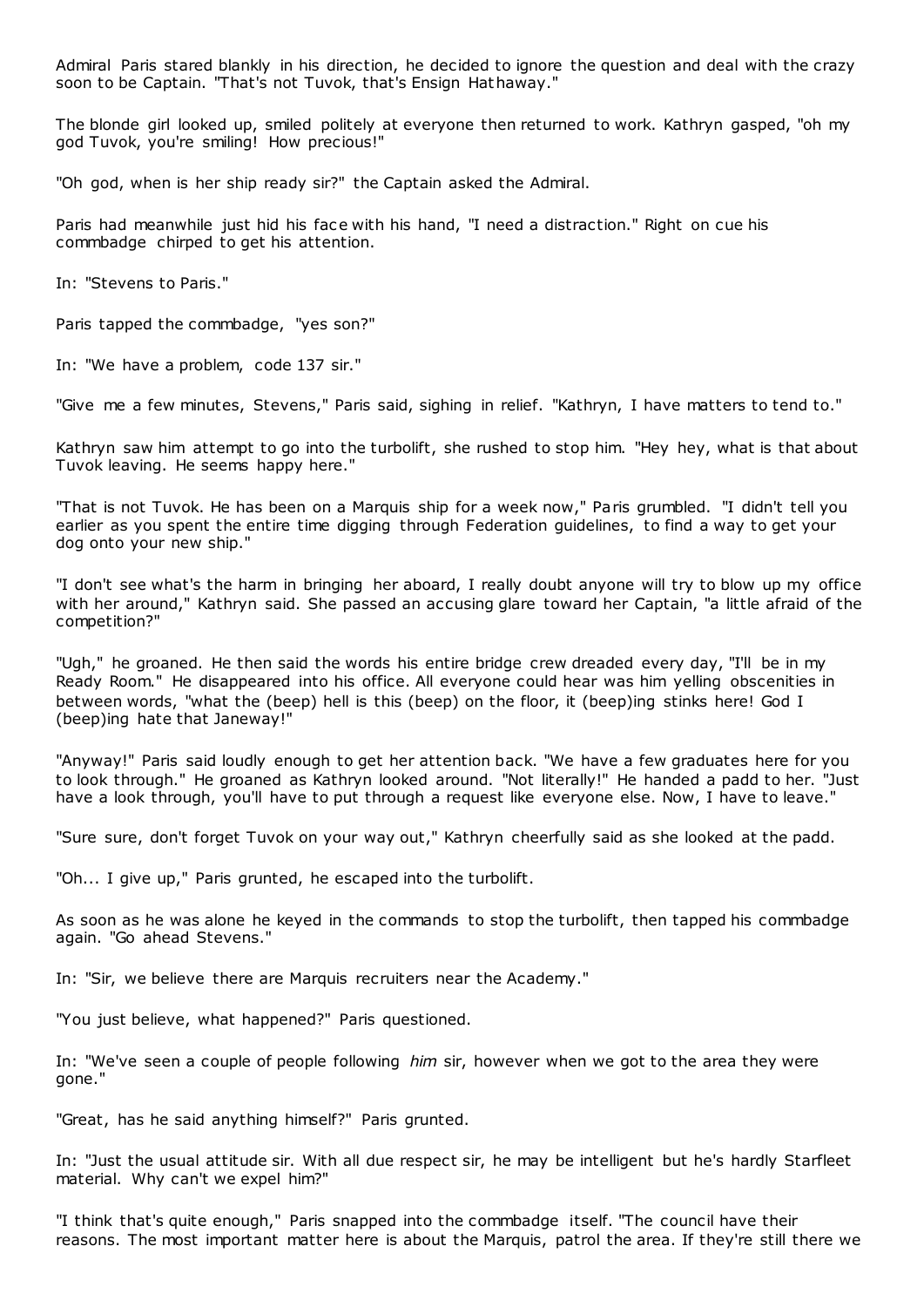Admiral Paris stared blankly in his direction, he decided to ignore the question and deal with the crazy soon to be Captain. "That's not Tuvok, that's Ensign Hathaway."

The blonde girl looked up, smiled politely at everyone then returned to work. Kathryn gasped, "oh my god Tuvok, you're smiling! How precious!"

"Oh god, when is her ship ready sir?" the Captain asked the Admiral.

Paris had meanwhile just hid his face with his hand, "I need a distraction." Right on cue his commbadge chirped to get his attention.

In: "Stevens to Paris."

Paris tapped the commbadge, "yes son?"

In: "We have a problem, code 137 sir."

"Give me a few minutes, Stevens," Paris said, sighing in relief. "Kathryn, I have matters to tend to."

Kathryn saw him attempt to go into the turbolift, she rushed to stop him. "Hey hey, what is that about Tuvok leaving. He seems happy here."

"That is not Tuvok. He has been on a Marquis ship for a week now," Paris grumbled. "I didn't tell you earlier as you spent the entire time digging through Federation guidelines, to find a way to get your dog onto your new ship."

"I don't see what's the harm in bringing her aboard, I really doubt anyone will try to blow up my office with her around," Kathryn said. She passed an accusing glare toward her Captain, "a little afraid of the competition?"

"Ugh," he groaned. He then said the words his entire bridge crew dreaded every day, "I'll be in my Ready Room." He disappeared into his office. All everyone could hear was him yelling obscenities in between words, "what the (beep) hell is this (beep) on the floor, it (beep)ing stinks here! God I (beep)ing hate that Janeway!"

"Anyway!" Paris said loudly enough to get her attention back. "We have a few graduates here for you to look through." He groaned as Kathryn looked around. "Not literally!" He handed a padd to her. "Just have a look through, you'll have to put through a request like everyone else. Now, I have to leave."

"Sure sure, don't forget Tuvok on your way out," Kathryn cheerfully said as she looked at the padd.

"Oh... I give up," Paris grunted, he escaped into the turbolift.

As soon as he was alone he keyed in the commands to stop the turbolift, then tapped his commbadge again. "Go ahead Stevens."

In: "Sir, we believe there are Marquis recruiters near the Academy."

"You just believe, what happened?" Paris questioned.

In: "We've seen a couple of people following *him* sir, however when we got to the area they were gone."

"Great, has he said anything himself?" Paris grunted.

In: "Just the usual attitude sir. With all due respect sir, he may be intelligent but he's hardly Starfleet material. Why can't we expel him?"

"I think that's quite enough," Paris snapped into the commbadge itself. "The council have their reasons. The most important matter here is about the Marquis, patrol the area. If they're still there we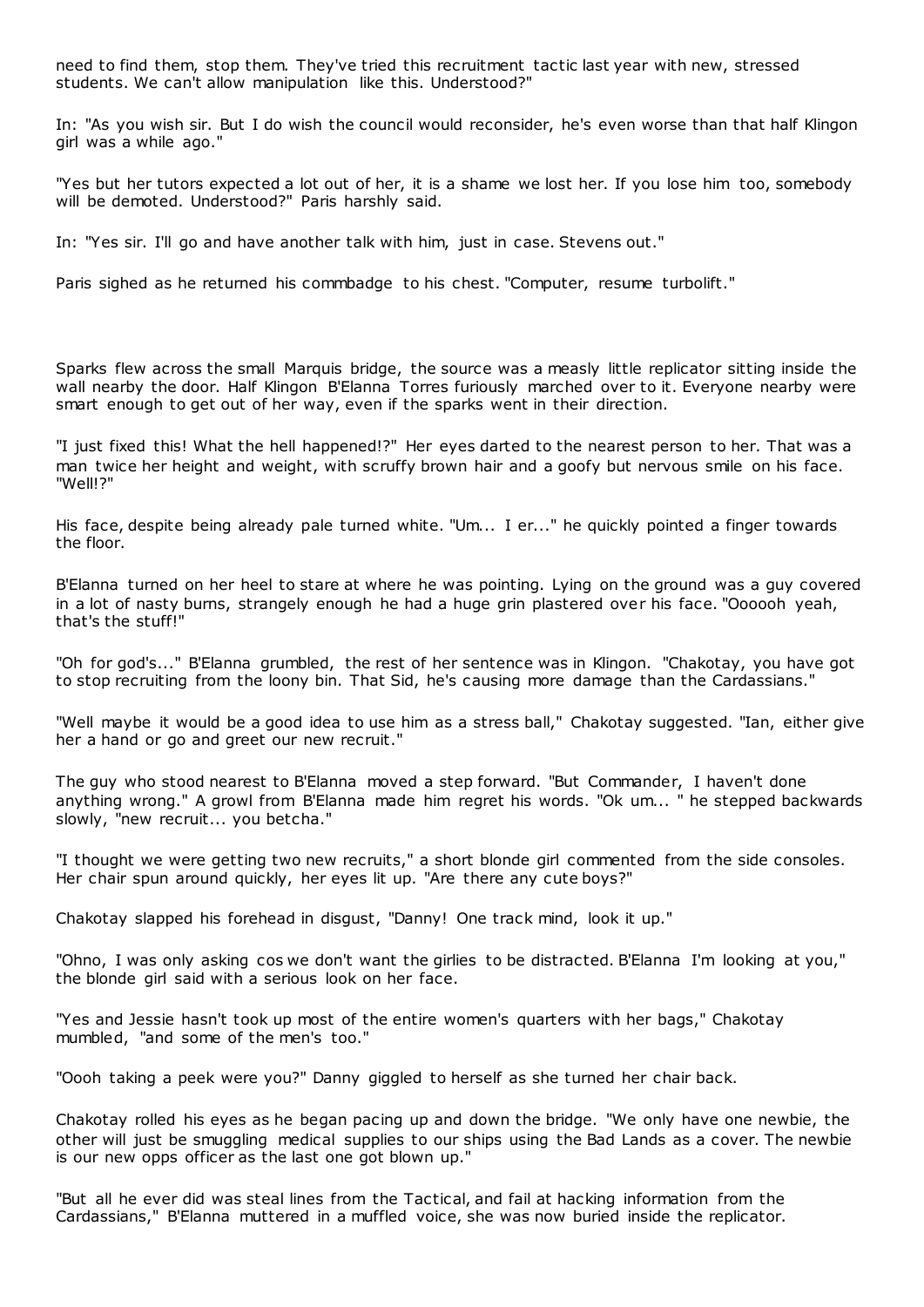need to find them, stop them. They've tried this recruitment tactic last year with new, stressed students. We can't allow manipulation like this. Understood?"

In: "As you wish sir. But I do wish the council would reconsider, he's even worse than that half Klingon girl was a while ago."

"Yes but her tutors expected a lot out of her, it is a shame we lost her. If you lose him too, somebody will be demoted. Understood?" Paris harshly said.

In: "Yes sir. I'll go and have another talk with him, just in case. Stevens out."

Paris sighed as he returned his commbadge to his chest. "Computer, resume turbolift."

Sparks flew across the small Marquis bridge, the source was a measly little replicator sitting inside the wall nearby the door. Half Klingon B'Elanna Torres furiously marched over to it. Everyone nearby were smart enough to get out of her way, even if the sparks went in their direction.

"I just fixed this! What the hell happened!?" Her eyes darted to the nearest person to her. That was a man twice her height and weight, with scruffy brown hair and a goofy but nervous smile on his face. "Well!?"

His face, despite being already pale turned white. "Um... I er..." he quickly pointed a finger towards the floor.

B'Elanna turned on her heel to stare at where he was pointing. Lying on the ground was a guy covered in a lot of nasty burns, strangely enough he had a huge grin plastered over his face. "Oooooh yeah, that's the stuff!"

"Oh for god's..." B'Elanna grumbled, the rest of her sentence was in Klingon. "Chakotay, you have got to stop recruiting from the loony bin. That Sid, he's causing more damage than the Cardassians."

"Well maybe it would be a good idea to use him as a stress ball," Chakotay suggested. "Ian, either give her a hand or go and greet our new recruit."

The guy who stood nearest to B'Elanna moved a step forward. "But Commander, I haven't done anything wrong." A growl from B'Elanna made him regret his words. "Ok um... " he stepped backwards slowly, "new recruit... you betcha."

"I thought we were getting two new recruits," a short blonde girl commented from the side consoles. Her chair spun around quickly, her eyes lit up. "Are there any cute boys?"

Chakotay slapped his forehead in disgust, "Danny! One track mind, look it up."

"Ohno, I was only asking cos we don't want the girlies to be distracted. B'Elanna I'm looking at you," the blonde girl said with a serious look on her face.

"Yes and Jessie hasn't took up most of the entire women's quarters with her bags," Chakotay mumbled, "and some of the men's too."

"Oooh taking a peek were you?" Danny giggled to herself as she turned her chair back.

Chakotay rolled his eyes as he began pacing up and down the bridge. "We only have one newbie, the other will just be smuggling medical supplies to our ships using the Bad Lands as a cover. The newbie is our new opps officer as the last one got blown up."

"But all he ever did was steal lines from the Tactical, and fail at hacking information from the Cardassians," B'Elanna muttered in a muffled voice, she was now buried inside the replicator.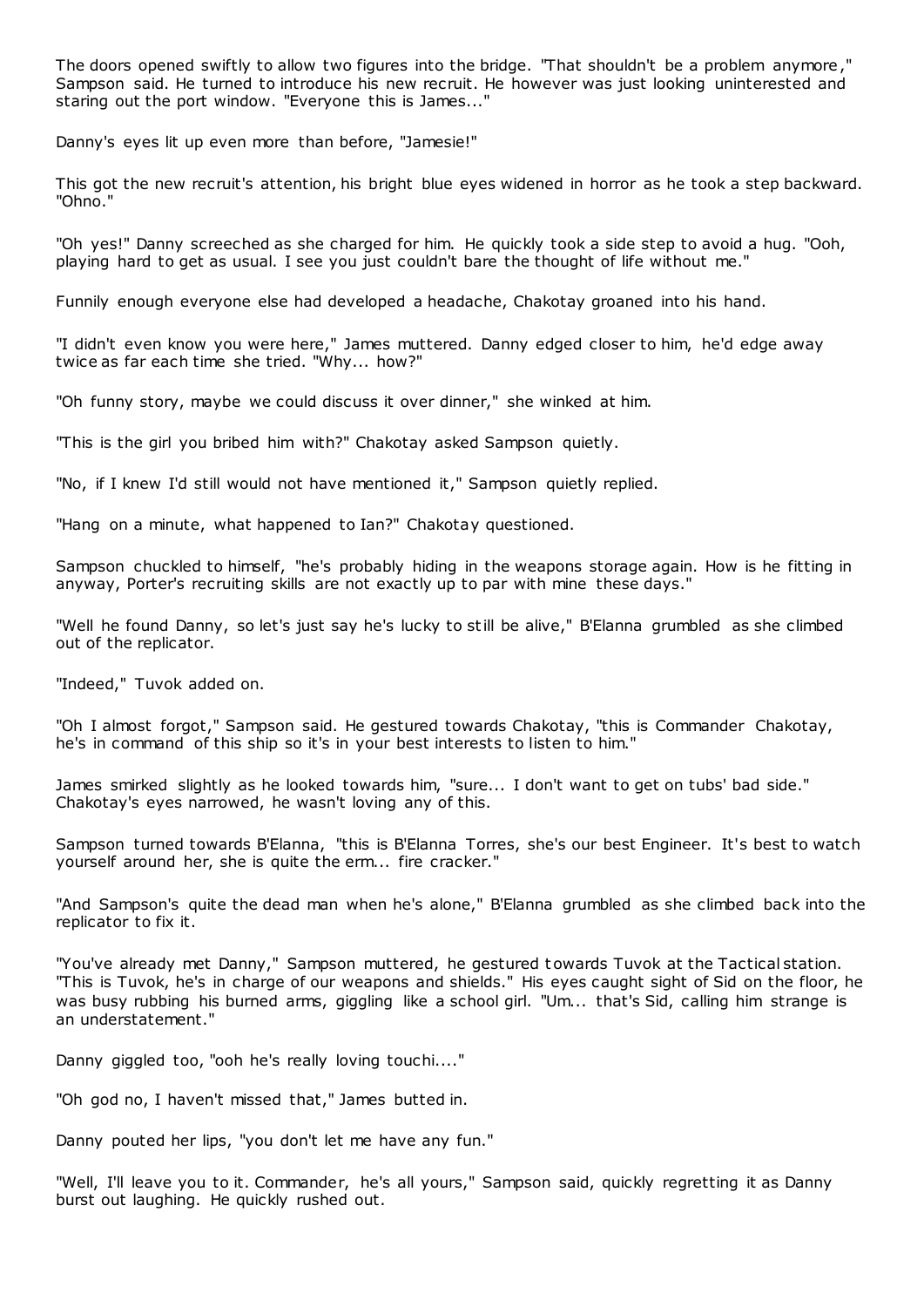The doors opened swiftly to allow two figures into the bridge. "That shouldn't be a problem anymore," Sampson said. He turned to introduce his new recruit. He however was just looking uninterested and staring out the port window. "Everyone this is James..."

Danny's eyes lit up even more than before, "Jamesie!"

This got the new recruit's attention, his bright blue eyes widened in horror as he took a step backward. "Ohno."

"Oh yes!" Danny screeched as she charged for him. He quickly took a side step to avoid a hug. "Ooh, playing hard to get as usual. I see you just couldn't bare the thought of life without me."

Funnily enough everyone else had developed a headache, Chakotay groaned into his hand.

"I didn't even know you were here," James muttered. Danny edged closer to him, he'd edge away twice as far each time she tried. "Why... how?"

"Oh funny story, maybe we could discuss it over dinner," she winked at him.

"This is the girl you bribed him with?" Chakotay asked Sampson quietly.

"No, if I knew I'd still would not have mentioned it," Sampson quietly replied.

"Hang on a minute, what happened to Ian?" Chakotay questioned.

Sampson chuckled to himself, "he's probably hiding in the weapons storage again. How is he fitting in anyway, Porter's recruiting skills are not exactly up to par with mine these days."

"Well he found Danny, so let's just say he's lucky to still be alive," B'Elanna grumbled as she climbed out of the replicator.

"Indeed," Tuvok added on.

"Oh I almost forgot," Sampson said. He gestured towards Chakotay, "this is Commander Chakotay, he's in command of this ship so it's in your best interests to listen to him."

James smirked slightly as he looked towards him, "sure... I don't want to get on tubs' bad side." Chakotay's eyes narrowed, he wasn't loving any of this.

Sampson turned towards B'Elanna, "this is B'Elanna Torres, she's our best Engineer. It's best to watch yourself around her, she is quite the erm... fire cracker."

"And Sampson's quite the dead man when he's alone," B'Elanna grumbled as she climbed back into the replicator to fix it.

"You've already met Danny," Sampson muttered, he gestured towards Tuvok at the Tactical station. "This is Tuvok, he's in charge of our weapons and shields." His eyes caught sight of Sid on the floor, he was busy rubbing his burned arms, giggling like a school girl. "Um... that's Sid, calling him strange is an understatement."

Danny giggled too, "ooh he's really loving touchi...."

"Oh god no, I haven't missed that," James butted in.

Danny pouted her lips, "you don't let me have any fun."

"Well, I'll leave you to it. Commander, he's all yours," Sampson said, quickly regretting it as Danny burst out laughing. He quickly rushed out.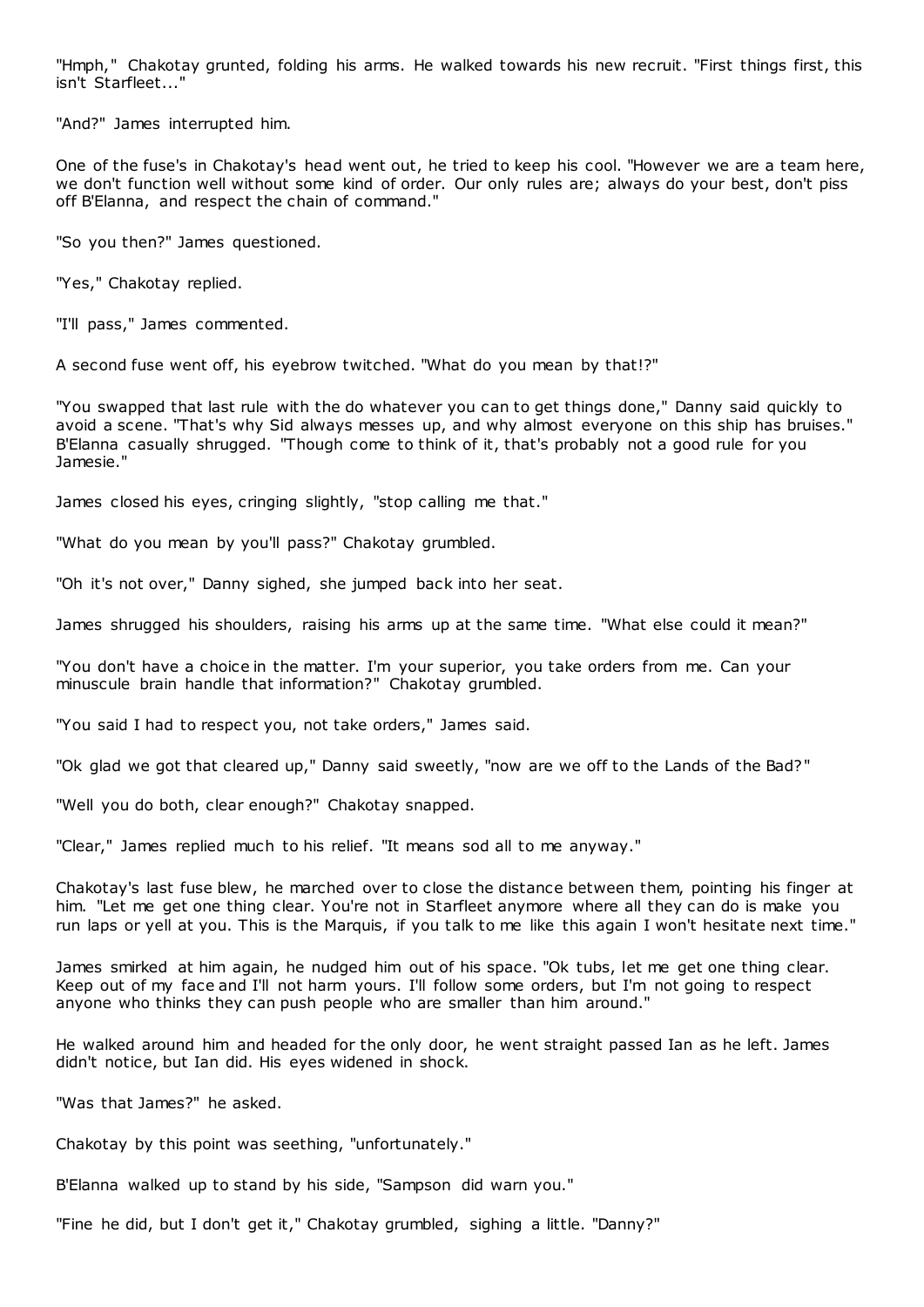"Hmph," Chakotay grunted, folding his arms. He walked towards his new recruit. "First things first, this isn't Starfleet...'

"And?" James interrupted him.

One of the fuse's in Chakotay's head went out, he tried to keep his cool. "However we are a team here, we don't function well without some kind of order. Our only rules are; always do your best, don't piss off B'Elanna, and respect the chain of command."

"So you then?" James questioned.

"Yes," Chakotay replied.

"I'll pass," James commented.

A second fuse went off, his eyebrow twitched. "What do you mean by that!?"

"You swapped that last rule with the do whatever you can to get things done," Danny said quickly to avoid a scene. "That's why Sid always messes up, and why almost everyone on this ship has bruises." B'Elanna casually shrugged. "Though come to think of it, that's probably not a good rule for you Jamesie."

James closed his eyes, cringing slightly, "stop calling me that."

"What do you mean by you'll pass?" Chakotay grumbled.

"Oh it's not over," Danny sighed, she jumped back into her seat.

James shrugged his shoulders, raising his arms up at the same time. "What else could it mean?"

"You don't have a choice in the matter. I'm your superior, you take orders from me. Can your minuscule brain handle that information?" Chakotay grumbled.

"You said I had to respect you, not take orders," James said.

"Ok glad we got that cleared up," Danny said sweetly, "now are we off to the Lands of the Bad?"

"Well you do both, clear enough?" Chakotay snapped.

"Clear," James replied much to his relief. "It means sod all to me anyway."

Chakotay's last fuse blew, he marched over to close the distance between them, pointing his finger at him. "Let me get one thing clear. You're not in Starfleet anymore where all they can do is make you run laps or yell at you. This is the Marquis, if you talk to me like this again I won't hesitate next time."

James smirked at him again, he nudged him out of his space. "Ok tubs, let me get one thing clear. Keep out of my face and I'll not harm yours. I'll follow some orders, but I'm not going to respect anyone who thinks they can push people who are smaller than him around."

He walked around him and headed for the only door, he went straight passed Ian as he left. James didn't notice, but Ian did. His eyes widened in shock.

"Was that James?" he asked.

Chakotay by this point was seething, "unfortunately."

B'Elanna walked up to stand by his side, "Sampson did warn you."

"Fine he did, but I don't get it," Chakotay grumbled, sighing a little. "Danny?"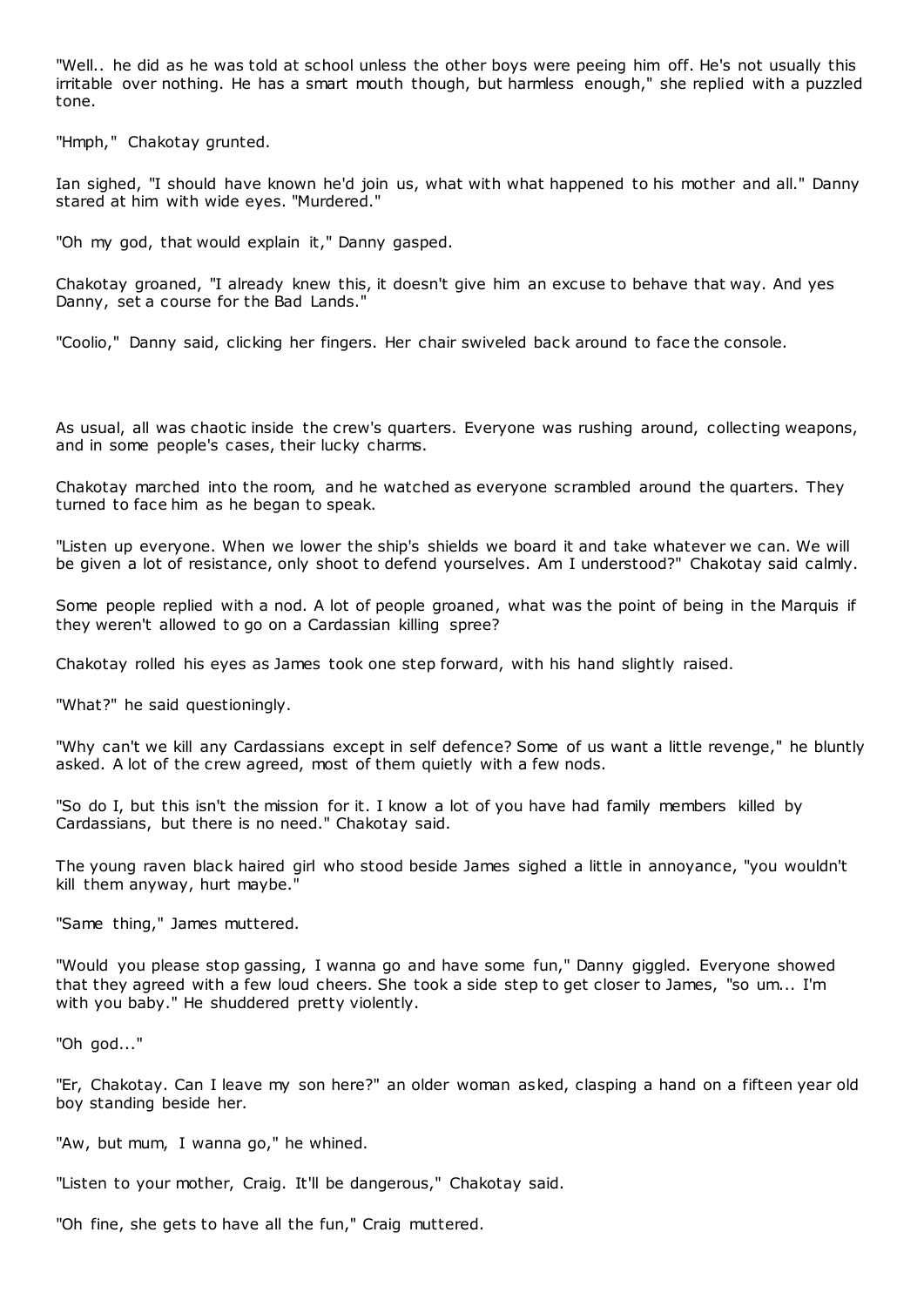"Well.. he did as he was told at school unless the other boys were peeing him off. He's not usually this irritable over nothing. He has a smart mouth though, but harmless enough," she replied with a puzzled tone.

"Hmph," Chakotay grunted.

Ian sighed, "I should have known he'd join us, what with what happened to his mother and all." Danny stared at him with wide eyes. "Murdered."

"Oh my god, that would explain it," Danny gasped.

Chakotay groaned, "I already knew this, it doesn't give him an excuse to behave that way. And yes Danny, set a course for the Bad Lands."

"Coolio," Danny said, clicking her fingers. Her chair swiveled back around to face the console.

As usual, all was chaotic inside the crew's quarters. Everyone was rushing around, collecting weapons, and in some people's cases, their lucky charms.

Chakotay marched into the room, and he watched as everyone scrambled around the quarters. They turned to face him as he began to speak.

"Listen up everyone. When we lower the ship's shields we board it and take whatever we can. We will be given a lot of resistance, only shoot to defend yourselves. Am I understood?" Chakotay said calmly.

Some people replied with a nod. A lot of people groaned, what was the point of being in the Marquis if they weren't allowed to go on a Cardassian killing spree?

Chakotay rolled his eyes as James took one step forward, with his hand slightly raised.

"What?" he said questioningly.

"Why can't we kill any Cardassians except in self defence? Some of us want a little revenge," he bluntly asked. A lot of the crew agreed, most of them quietly with a few nods.

"So do I, but this isn't the mission for it. I know a lot of you have had family members killed by Cardassians, but there is no need." Chakotay said.

The young raven black haired girl who stood beside James sighed a little in annoyance, "you wouldn't kill them anyway, hurt maybe."

"Same thing," James muttered.

"Would you please stop gassing, I wanna go and have some fun," Danny giggled. Everyone showed that they agreed with a few loud cheers. She took a side step to get closer to James, "so um... I'm with you baby." He shuddered pretty violently.

"Oh god..."

"Er, Chakotay. Can I leave my son here?" an older woman asked, clasping a hand on a fifteen year old boy standing beside her.

"Aw, but mum, I wanna go," he whined.

"Listen to your mother, Craig. It'll be dangerous," Chakotay said.

"Oh fine, she gets to have all the fun," Craig muttered.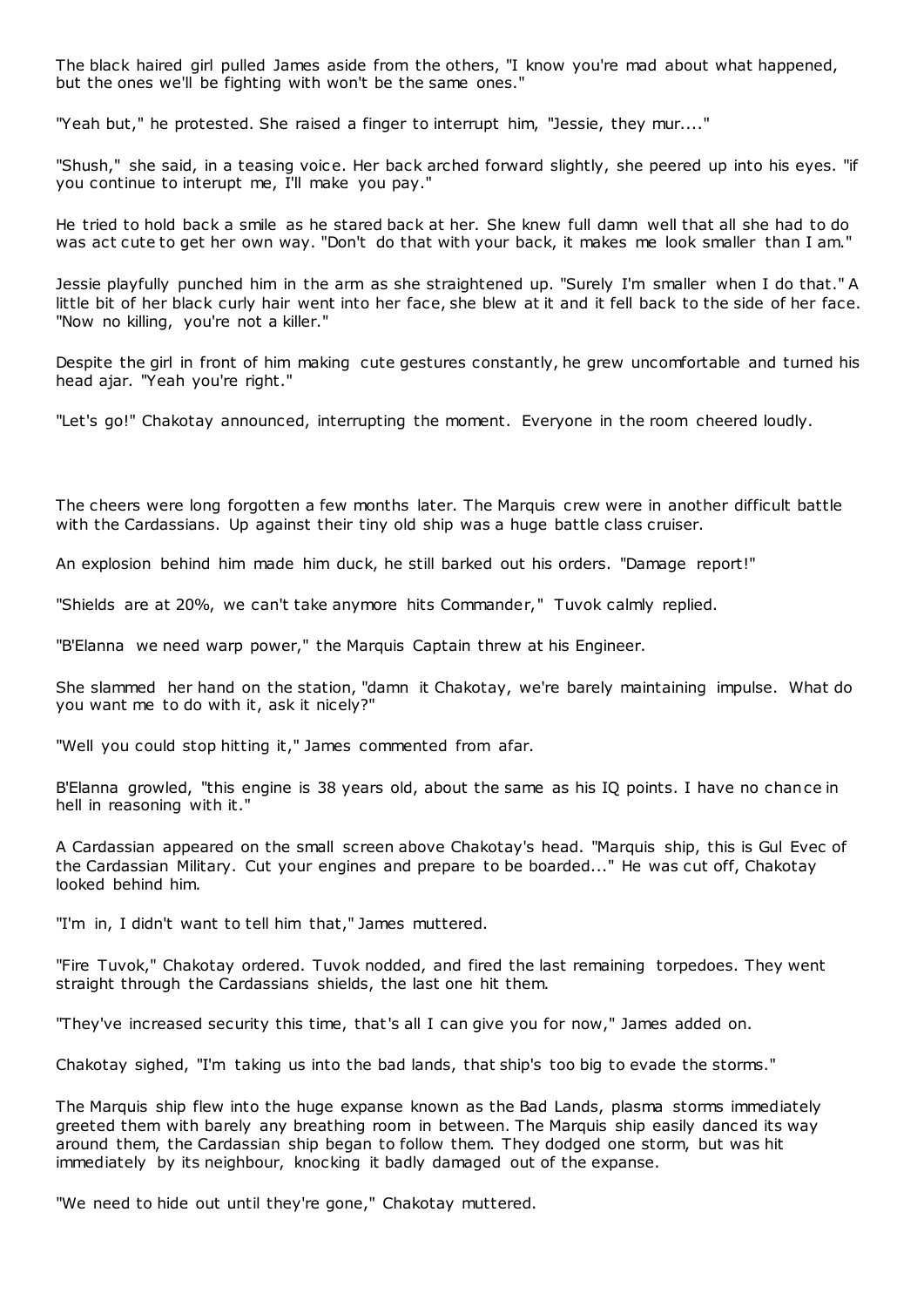The black haired girl pulled James aside from the others, "I know you're mad about what happened, but the ones we'll be fighting with won't be the same ones."

"Yeah but," he protested. She raised a finger to interrupt him, "Jessie, they mur...."

"Shush," she said, in a teasing voice. Her back arched forward slightly, she peered up into his eyes. "if you continue to interupt me, I'll make you pay."

He tried to hold back a smile as he stared back at her. She knew full damn well that all she had to do was act cute to get her own way. "Don't do that with your back, it makes me look smaller than I am."

Jessie playfully punched him in the arm as she straightened up. "Surely I'm smaller when I do that." A little bit of her black curly hair went into her face, she blew at it and it fell back to the side of her face. "Now no killing, you're not a killer."

Despite the girl in front of him making cute gestures constantly, he grew uncomfortable and turned his head ajar. "Yeah you're right."

"Let's go!" Chakotay announced, interrupting the moment. Everyone in the room cheered loudly.

The cheers were long forgotten a few months later. The Marquis crew were in another difficult battle with the Cardassians. Up against their tiny old ship was a huge battle class cruiser.

An explosion behind him made him duck, he still barked out his orders. "Damage report!"

"Shields are at 20%, we can't take anymore hits Commander," Tuvok calmly replied.

"B'Elanna we need warp power," the Marquis Captain threw at his Engineer.

She slammed her hand on the station, "damn it Chakotay, we're barely maintaining impulse. What do you want me to do with it, ask it nicely?"

"Well you could stop hitting it," James commented from afar.

B'Elanna growled, "this engine is 38 years old, about the same as his IQ points. I have no chance in hell in reasoning with it."

A Cardassian appeared on the small screen above Chakotay's head. "Marquis ship, this is Gul Evec of the Cardassian Military. Cut your engines and prepare to be boarded..." He was cut off, Chakotay looked behind him.

"I'm in, I didn't want to tell him that," James muttered.

"Fire Tuvok," Chakotay ordered. Tuvok nodded, and fired the last remaining torpedoes. They went straight through the Cardassians shields, the last one hit them.

"They've increased security this time, that's all I can give you for now," James added on.

Chakotay sighed, "I'm taking us into the bad lands, that ship's too big to evade the storms."

The Marquis ship flew into the huge expanse known as the Bad Lands, plasma storms immediately greeted them with barely any breathing room in between. The Marquis ship easily danced its way around them, the Cardassian ship began to follow them. They dodged one storm, but was hit immediately by its neighbour, knocking it badly damaged out of the expanse.

"We need to hide out until they're gone," Chakotay muttered.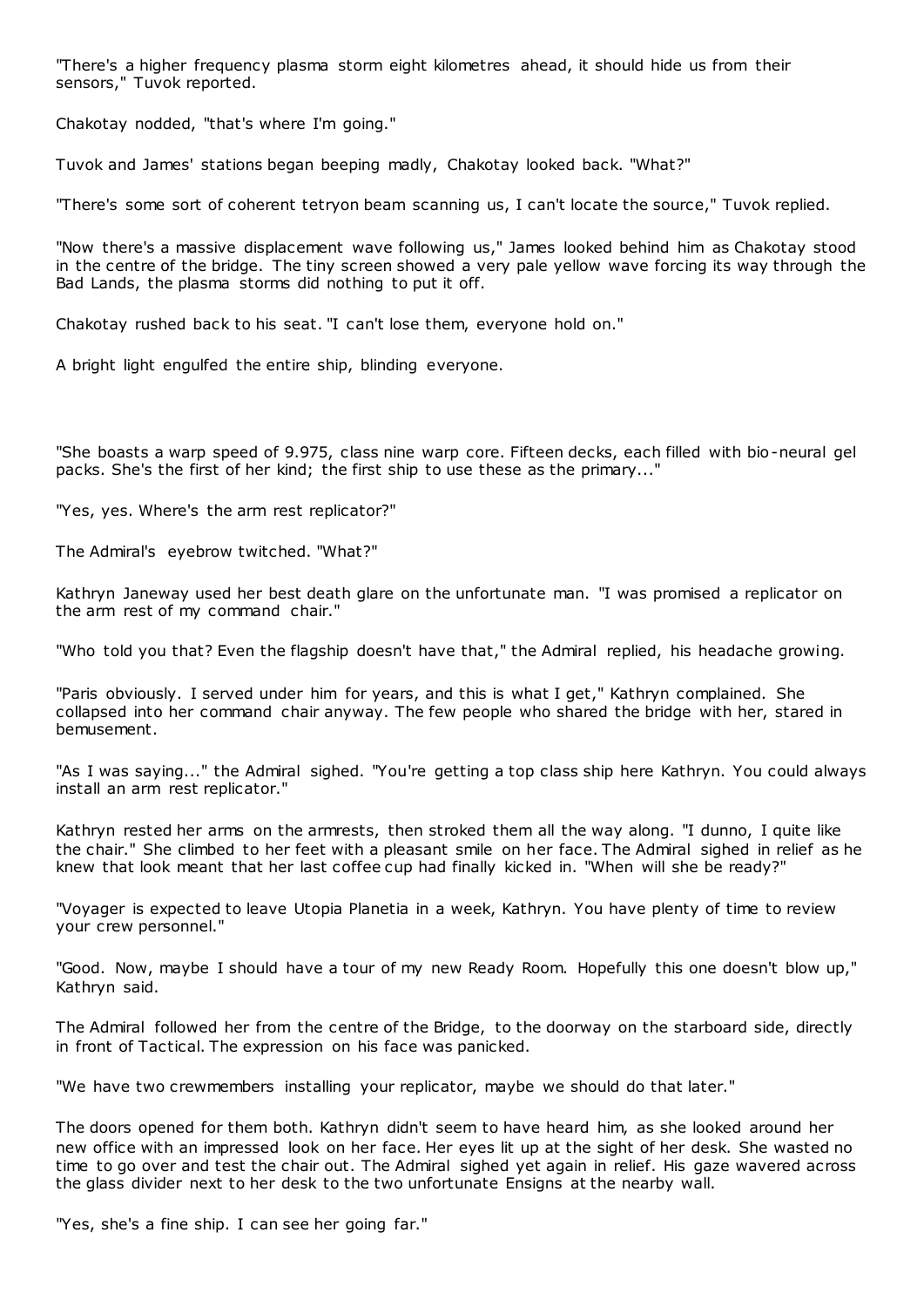"There's a higher frequency plasma storm eight kilometres ahead, it should hide us from their sensors," Tuvok reported.

Chakotay nodded, "that's where I'm going."

Tuvok and James' stations began beeping madly, Chakotay looked back. "What?"

"There's some sort of coherent tetryon beam scanning us, I can't locate the source," Tuvok replied.

"Now there's a massive displacement wave following us," James looked behind him as Chakotay stood in the centre of the bridge. The tiny screen showed a very pale yellow wave forcing its way through the Bad Lands, the plasma storms did nothing to put it off.

Chakotay rushed back to his seat. "I can't lose them, everyone hold on."

A bright light engulfed the entire ship, blinding everyone.

"She boasts a warp speed of 9.975, class nine warp core. Fifteen decks, each filled with bio-neural gel packs. She's the first of her kind; the first ship to use these as the primary..."

"Yes, yes. Where's the arm rest replicator?"

The Admiral's eyebrow twitched. "What?"

Kathryn Janeway used her best death glare on the unfortunate man. "I was promised a replicator on the arm rest of my command chair."

"Who told you that? Even the flagship doesn't have that," the Admiral replied, his headache growing.

"Paris obviously. I served under him for years, and this is what I get," Kathryn complained. She collapsed into her command chair anyway. The few people who shared the bridge with her, stared in bemusement.

"As I was saying..." the Admiral sighed. "You're getting a top class ship here Kathryn. You could always install an arm rest replicator."

Kathryn rested her arms on the armrests, then stroked them all the way along. "I dunno, I quite like the chair." She climbed to her feet with a pleasant smile on her face. The Admiral sighed in relief as he knew that look meant that her last coffee cup had finally kicked in. "When will she be ready?"

"Voyager is expected to leave Utopia Planetia in a week, Kathryn. You have plenty of time to review your crew personnel."

"Good. Now, maybe I should have a tour of my new Ready Room. Hopefully this one doesn't blow up," Kathryn said.

The Admiral followed her from the centre of the Bridge, to the doorway on the starboard side, directly in front of Tactical. The expression on his face was panicked.

"We have two crewmembers installing your replicator, maybe we should do that later."

The doors opened for them both. Kathryn didn't seem to have heard him, as she looked around her new office with an impressed look on her face. Her eyes lit up at the sight of her desk. She wasted no time to go over and test the chair out. The Admiral sighed yet again in relief. His gaze wavered across the glass divider next to her desk to the two unfortunate Ensigns at the nearby wall.

"Yes, she's a fine ship. I can see her going far."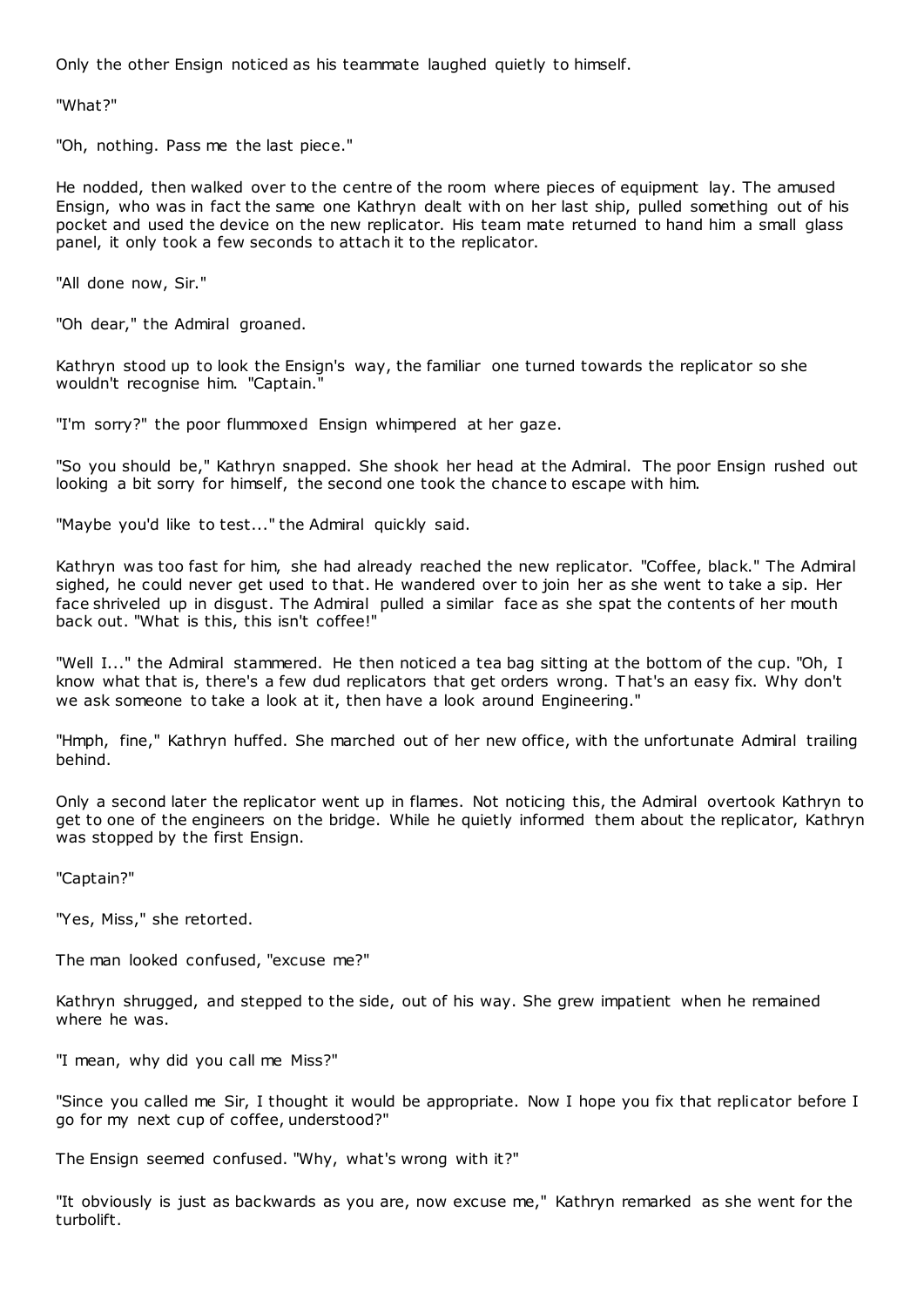Only the other Ensign noticed as his teammate laughed quietly to himself.

"What?"

"Oh, nothing. Pass me the last piece."

He nodded, then walked over to the centre of the room where pieces of equipment lay. The amused Ensign, who was in fact the same one Kathryn dealt with on her last ship, pulled something out of his pocket and used the device on the new replicator. His team mate returned to hand him a small glass panel, it only took a few seconds to attach it to the replicator.

"All done now, Sir."

"Oh dear," the Admiral groaned.

Kathryn stood up to look the Ensign's way, the familiar one turned towards the replicator so she wouldn't recognise him. "Captain."

"I'm sorry?" the poor flummoxed Ensign whimpered at her gaze.

"So you should be," Kathryn snapped. She shook her head at the Admiral. The poor Ensign rushed out looking a bit sorry for himself, the second one took the chance to escape with him.

"Maybe you'd like to test..." the Admiral quickly said.

Kathryn was too fast for him, she had already reached the new replicator. "Coffee, black." The Admiral sighed, he could never get used to that. He wandered over to join her as she went to take a sip. Her face shriveled up in disgust. The Admiral pulled a similar face as she spat the contents of her mouth back out. "What is this, this isn't coffee!"

"Well I..." the Admiral stammered. He then noticed a tea bag sitting at the bottom of the cup. "Oh, I know what that is, there's a few dud replicators that get orders wrong. T hat's an easy fix. Why don't we ask someone to take a look at it, then have a look around Engineering."

"Hmph, fine," Kathryn huffed. She marched out of her new office, with the unfortunate Admiral trailing behind.

Only a second later the replicator went up in flames. Not noticing this, the Admiral overtook Kathryn to get to one of the engineers on the bridge. While he quietly informed them about the replicator, Kathryn was stopped by the first Ensign.

"Captain?"

"Yes, Miss," she retorted.

The man looked confused, "excuse me?"

Kathryn shrugged, and stepped to the side, out of his way. She grew impatient when he remained where he was.

"I mean, why did you call me Miss?"

"Since you called me Sir, I thought it would be appropriate. Now I hope you fix that replicator before I go for my next cup of coffee, understood?"

The Ensign seemed confused. "Why, what's wrong with it?"

"It obviously is just as backwards as you are, now excuse me," Kathryn remarked as she went for the turbolift.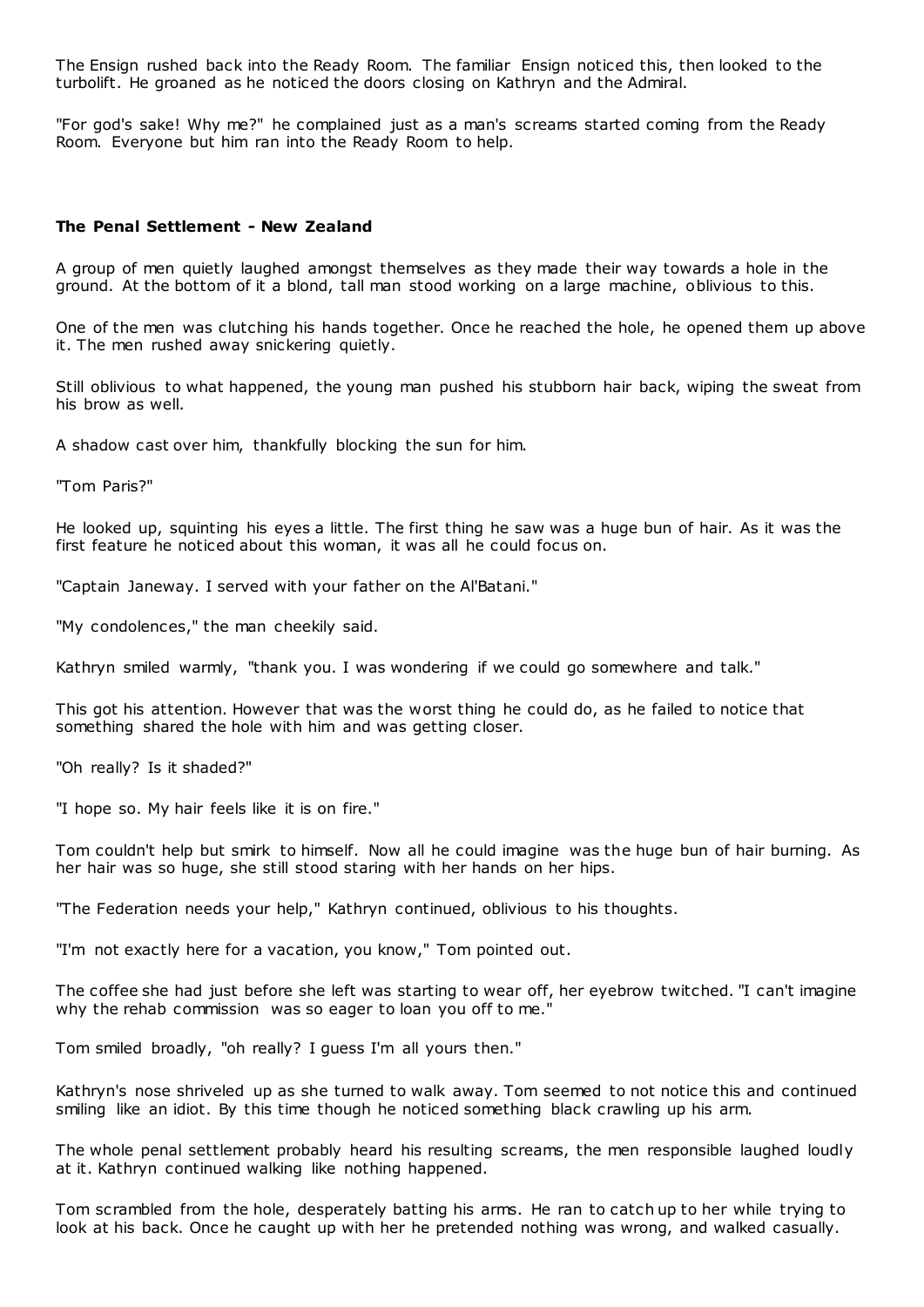The Ensign rushed back into the Ready Room. The familiar Ensign noticed this, then looked to the turbolift. He groaned as he noticed the doors closing on Kathryn and the Admiral.

"For god's sake! Why me?" he complained just as a man's screams started coming from the Ready Room. Everyone but him ran into the Ready Room to help.

## **The Penal Settlement - New Zealand**

A group of men quietly laughed amongst themselves as they made their way towards a hole in the ground. At the bottom of it a blond, tall man stood working on a large machine, oblivious to this.

One of the men was clutching his hands together. Once he reached the hole, he opened them up above it. The men rushed away snickering quietly.

Still oblivious to what happened, the young man pushed his stubborn hair back, wiping the sweat from his brow as well.

A shadow cast over him, thankfully blocking the sun for him.

"Tom Paris?"

He looked up, squinting his eyes a little. The first thing he saw was a huge bun of hair. As it was the first feature he noticed about this woman, it was all he could focus on.

"Captain Janeway. I served with your father on the Al'Batani."

"My condolences," the man cheekily said.

Kathryn smiled warmly, "thank you. I was wondering if we could go somewhere and talk."

This got his attention. However that was the worst thing he could do, as he failed to notice that something shared the hole with him and was getting closer.

"Oh really? Is it shaded?"

"I hope so. My hair feels like it is on fire."

Tom couldn't help but smirk to himself. Now all he could imagine was the huge bun of hair burning. As her hair was so huge, she still stood staring with her hands on her hips.

"The Federation needs your help," Kathryn continued, oblivious to his thoughts.

"I'm not exactly here for a vacation, you know," Tom pointed out.

The coffee she had just before she left was starting to wear off, her eyebrow twitched. "I can't imagine why the rehab commission was so eager to loan you off to me."

Tom smiled broadly, "oh really? I guess I'm all yours then."

Kathryn's nose shriveled up as she turned to walk away. Tom seemed to not notice this and continued smiling like an idiot. By this time though he noticed something black crawling up his arm.

The whole penal settlement probably heard his resulting screams, the men responsible laughed loudly at it. Kathryn continued walking like nothing happened.

Tom scrambled from the hole, desperately batting his arms. He ran to catch up to her while trying to look at his back. Once he caught up with her he pretended nothing was wrong, and walked casually.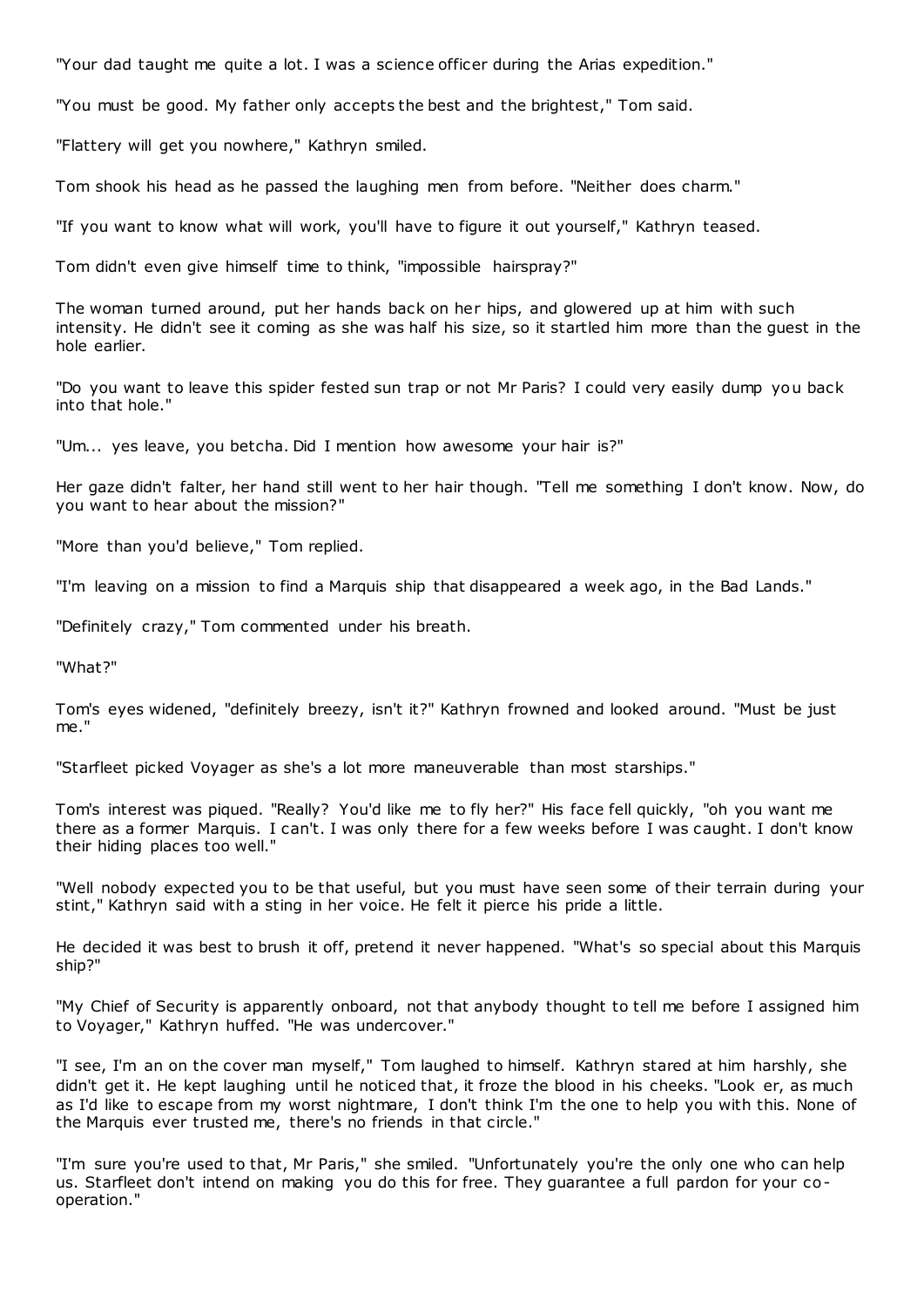"Your dad taught me quite a lot. I was a science officer during the Arias expedition."

"You must be good. My father only accepts the best and the brightest," Tom said.

"Flattery will get you nowhere," Kathryn smiled.

Tom shook his head as he passed the laughing men from before. "Neither does charm."

"If you want to know what will work, you'll have to figure it out yourself," Kathryn teased.

Tom didn't even give himself time to think, "impossible hairspray?"

The woman turned around, put her hands back on her hips, and glowered up at him with such intensity. He didn't see it coming as she was half his size, so it startled him more than the guest in the hole earlier.

"Do you want to leave this spider fested sun trap or not Mr Paris? I could very easily dump you back into that hole."

"Um... yes leave, you betcha. Did I mention how awesome your hair is?"

Her gaze didn't falter, her hand still went to her hair though. "Tell me something I don't know. Now, do you want to hear about the mission?"

"More than you'd believe," Tom replied.

"I'm leaving on a mission to find a Marquis ship that disappeared a week ago, in the Bad Lands."

"Definitely crazy," Tom commented under his breath.

"What?"

Tom's eyes widened, "definitely breezy, isn't it?" Kathryn frowned and looked around. "Must be just me."

"Starfleet picked Voyager as she's a lot more maneuverable than most starships."

Tom's interest was piqued. "Really? You'd like me to fly her?" His face fell quickly, "oh you want me there as a former Marquis. I can't. I was only there for a few weeks before I was caught. I don't know their hiding places too well."

"Well nobody expected you to be that useful, but you must have seen some of their terrain during your stint," Kathryn said with a sting in her voice. He felt it pierce his pride a little.

He decided it was best to brush it off, pretend it never happened. "What's so special about this Marquis ship?"

"My Chief of Security is apparently onboard, not that anybody thought to tell me before I assigned him to Voyager," Kathryn huffed. "He was undercover."

"I see, I'm an on the cover man myself," Tom laughed to himself. Kathryn stared at him harshly, she didn't get it. He kept laughing until he noticed that, it froze the blood in his cheeks. "Look er, as much as I'd like to escape from my worst nightmare, I don't think I'm the one to help you with this. None of the Marquis ever trusted me, there's no friends in that circle."

"I'm sure you're used to that, Mr Paris," she smiled. "Unfortunately you're the only one who can help us. Starfleet don't intend on making you do this for free. They guarantee a full pardon for your cooperation."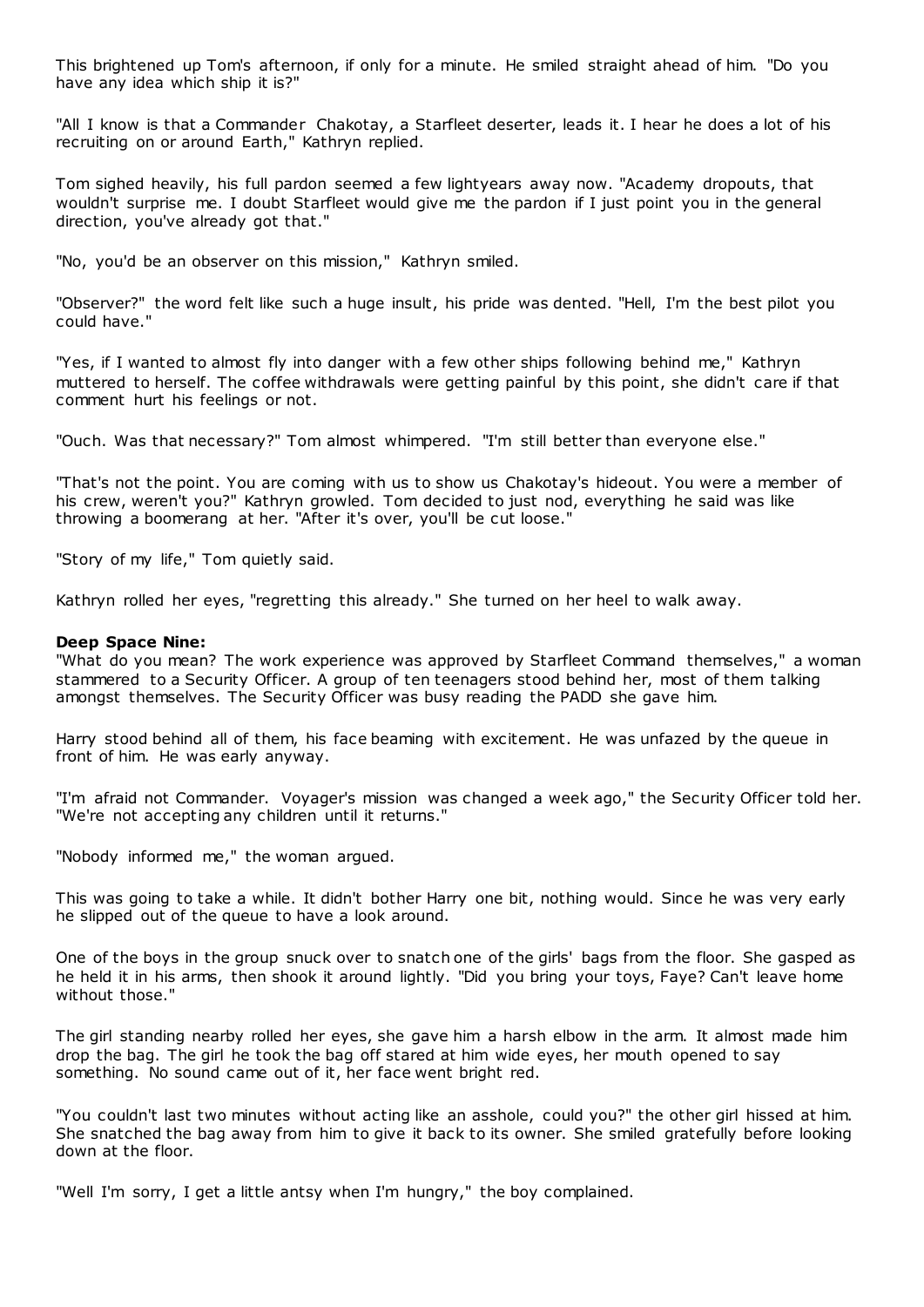This brightened up Tom's afternoon, if only for a minute. He smiled straight ahead of him. "Do you have any idea which ship it is?"

"All I know is that a Commander Chakotay, a Starfleet deserter, leads it. I hear he does a lot of his recruiting on or around Earth," Kathryn replied.

Tom sighed heavily, his full pardon seemed a few lightyears away now. "Academy dropouts, that wouldn't surprise me. I doubt Starfleet would give me the pardon if I just point you in the general direction, you've already got that."

"No, you'd be an observer on this mission," Kathryn smiled.

"Observer?" the word felt like such a huge insult, his pride was dented. "Hell, I'm the best pilot you could have."

"Yes, if I wanted to almost fly into danger with a few other ships following behind me," Kathryn muttered to herself. The coffee withdrawals were getting painful by this point, she didn't care if that comment hurt his feelings or not.

"Ouch. Was that necessary?" Tom almost whimpered. "I'm still better than everyone else."

"That's not the point. You are coming with us to show us Chakotay's hideout. You were a member of his crew, weren't you?" Kathryn growled. Tom decided to just nod, everything he said was like throwing a boomerang at her. "After it's over, you'll be cut loose."

"Story of my life," Tom quietly said.

Kathryn rolled her eyes, "regretting this already." She turned on her heel to walk away.

## **Deep Space Nine:**

"What do you mean? The work experience was approved by Starfleet Command themselves," a woman stammered to a Security Officer. A group of ten teenagers stood behind her, most of them talking amongst themselves. The Security Officer was busy reading the PADD she gave him.

Harry stood behind all of them, his face beaming with excitement. He was unfazed by the queue in front of him. He was early anyway.

"I'm afraid not Commander. Voyager's mission was changed a week ago," the Security Officer told her. "We're not accepting any children until it returns."

"Nobody informed me," the woman argued.

This was going to take a while. It didn't bother Harry one bit, nothing would. Since he was very early he slipped out of the queue to have a look around.

One of the boys in the group snuck over to snatch one of the girls' bags from the floor. She gasped as he held it in his arms, then shook it around lightly. "Did you bring your toys, Faye? Can't leave home without those."

The girl standing nearby rolled her eyes, she gave him a harsh elbow in the arm. It almost made him drop the bag. The girl he took the bag off stared at him wide eyes, her mouth opened to say something. No sound came out of it, her face went bright red.

"You couldn't last two minutes without acting like an asshole, could you?" the other girl hissed at him. She snatched the bag away from him to give it back to its owner. She smiled gratefully before looking down at the floor.

"Well I'm sorry, I get a little antsy when I'm hungry," the boy complained.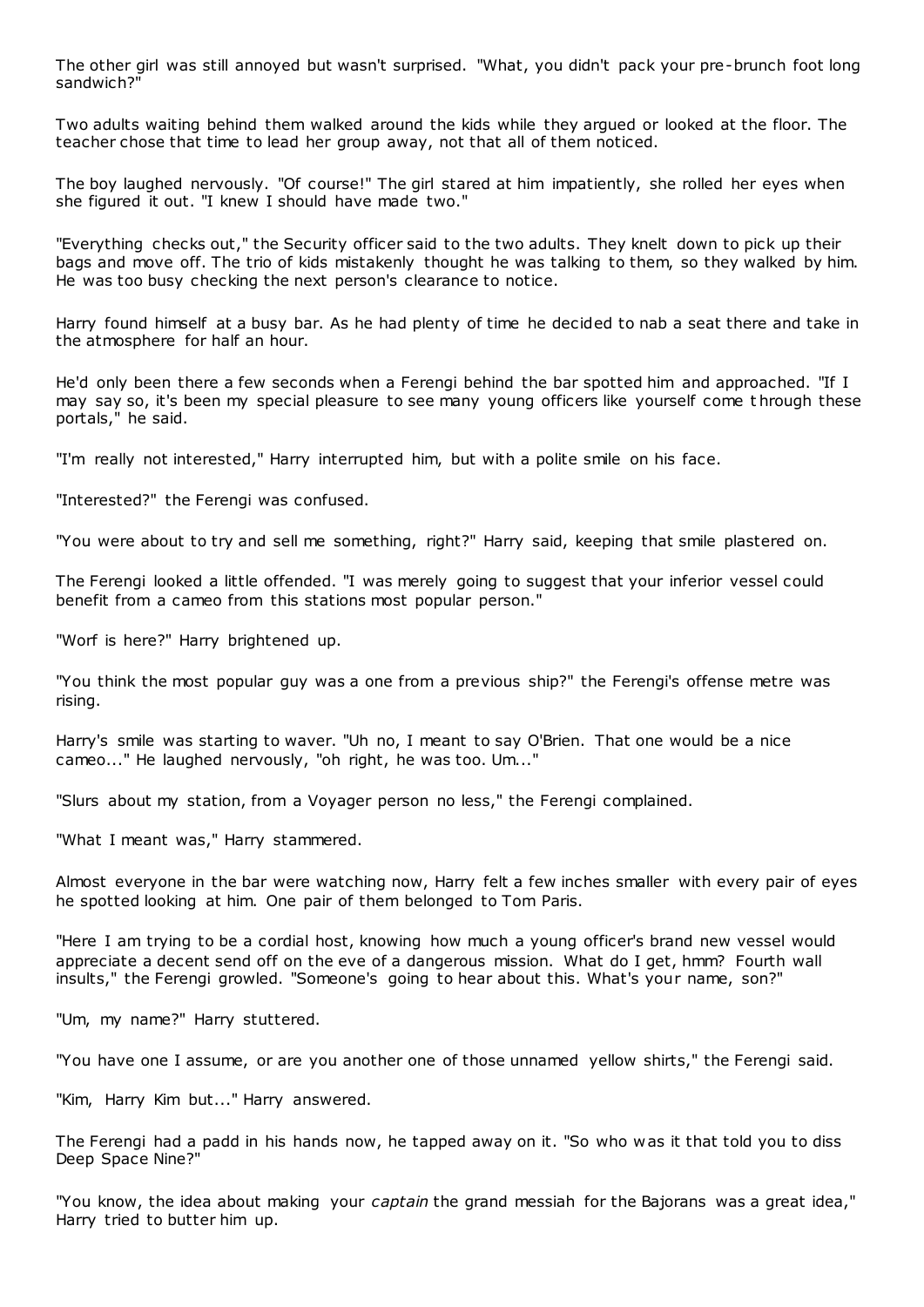The other girl was still annoyed but wasn't surprised. "What, you didn't pack your pre-brunch foot long sandwich?"

Two adults waiting behind them walked around the kids while they argued or looked at the floor. The teacher chose that time to lead her group away, not that all of them noticed.

The boy laughed nervously. "Of course!" The girl stared at him impatiently, she rolled her eyes when she figured it out. "I knew I should have made two."

"Everything checks out," the Security officer said to the two adults. They knelt down to pick up their bags and move off. The trio of kids mistakenly thought he was talking to them, so they walked by him. He was too busy checking the next person's clearance to notice.

Harry found himself at a busy bar. As he had plenty of time he decided to nab a seat there and take in the atmosphere for half an hour.

He'd only been there a few seconds when a Ferengi behind the bar spotted him and approached. "If I may say so, it's been my special pleasure to see many young officers like yourself come t hrough these portals," he said.

"I'm really not interested," Harry interrupted him, but with a polite smile on his face.

"Interested?" the Ferengi was confused.

"You were about to try and sell me something, right?" Harry said, keeping that smile plastered on.

The Ferengi looked a little offended. "I was merely going to suggest that your inferior vessel could benefit from a cameo from this stations most popular person."

"Worf is here?" Harry brightened up.

"You think the most popular guy was a one from a previous ship?" the Ferengi's offense metre was rising.

Harry's smile was starting to waver. "Uh no, I meant to say O'Brien. That one would be a nice cameo..." He laughed nervously, "oh right, he was too. Um..."

"Slurs about my station, from a Voyager person no less," the Ferengi complained.

"What I meant was," Harry stammered.

Almost everyone in the bar were watching now, Harry felt a few inches smaller with every pair of eyes he spotted looking at him. One pair of them belonged to Tom Paris.

"Here I am trying to be a cordial host, knowing how much a young officer's brand new vessel would appreciate a decent send off on the eve of a dangerous mission. What do I get, hmm? Fourth wall insults," the Ferengi growled. "Someone's going to hear about this. What's your name, son?"

"Um, my name?" Harry stuttered.

"You have one I assume, or are you another one of those unnamed yellow shirts," the Ferengi said.

"Kim, Harry Kim but..." Harry answered.

The Ferengi had a padd in his hands now, he tapped away on it. "So who was it that told you to diss Deep Space Nine?"

"You know, the idea about making your *captain* the grand messiah for the Bajorans was a great idea," Harry tried to butter him up.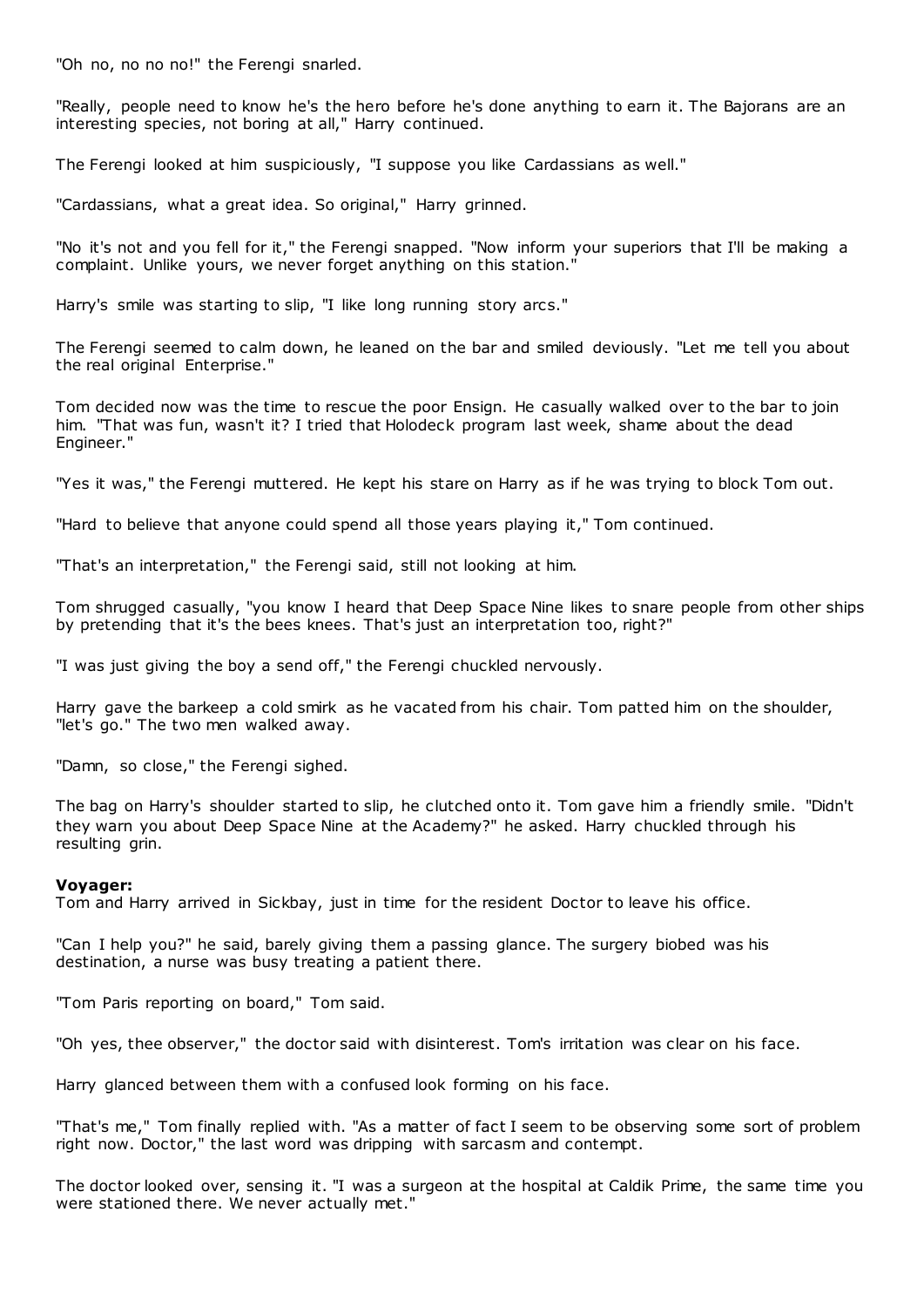"Oh no, no no no!" the Ferengi snarled.

"Really, people need to know he's the hero before he's done anything to earn it. The Bajorans are an interesting species, not boring at all," Harry continued.

The Ferengi looked at him suspiciously, "I suppose you like Cardassians as well."

"Cardassians, what a great idea. So original," Harry grinned.

"No it's not and you fell for it," the Ferengi snapped. "Now inform your superiors that I'll be making a complaint. Unlike yours, we never forget anything on this station."

Harry's smile was starting to slip, "I like long running story arcs."

The Ferengi seemed to calm down, he leaned on the bar and smiled deviously. "Let me tell you about the real original Enterprise."

Tom decided now was the time to rescue the poor Ensign. He casually walked over to the bar to join him. "That was fun, wasn't it? I tried that Holodeck program last week, shame about the dead Engineer."

"Yes it was," the Ferengi muttered. He kept his stare on Harry as if he was trying to block Tom out.

"Hard to believe that anyone could spend all those years playing it," Tom continued.

"That's an interpretation," the Ferengi said, still not looking at him.

Tom shrugged casually, "you know I heard that Deep Space Nine likes to snare people from other ships by pretending that it's the bees knees. That's just an interpretation too, right?"

"I was just giving the boy a send off," the Ferengi chuckled nervously.

Harry gave the barkeep a cold smirk as he vacated from his chair. Tom patted him on the shoulder, "let's go." The two men walked away.

"Damn, so close," the Ferengi sighed.

The bag on Harry's shoulder started to slip, he clutched onto it. Tom gave him a friendly smile. "Didn't they warn you about Deep Space Nine at the Academy?" he asked. Harry chuckled through his resulting grin.

## **Voyager:**

Tom and Harry arrived in Sickbay, just in time for the resident Doctor to leave his office.

"Can I help you?" he said, barely giving them a passing glance. The surgery biobed was his destination, a nurse was busy treating a patient there.

"Tom Paris reporting on board," Tom said.

"Oh yes, thee observer," the doctor said with disinterest. Tom's irritation was clear on his face.

Harry glanced between them with a confused look forming on his face.

"That's me," Tom finally replied with. "As a matter of fact I seem to be observing some sort of problem right now. Doctor," the last word was dripping with sarcasm and contempt.

The doctor looked over, sensing it. "I was a surgeon at the hospital at Caldik Prime, the same time you were stationed there. We never actually met."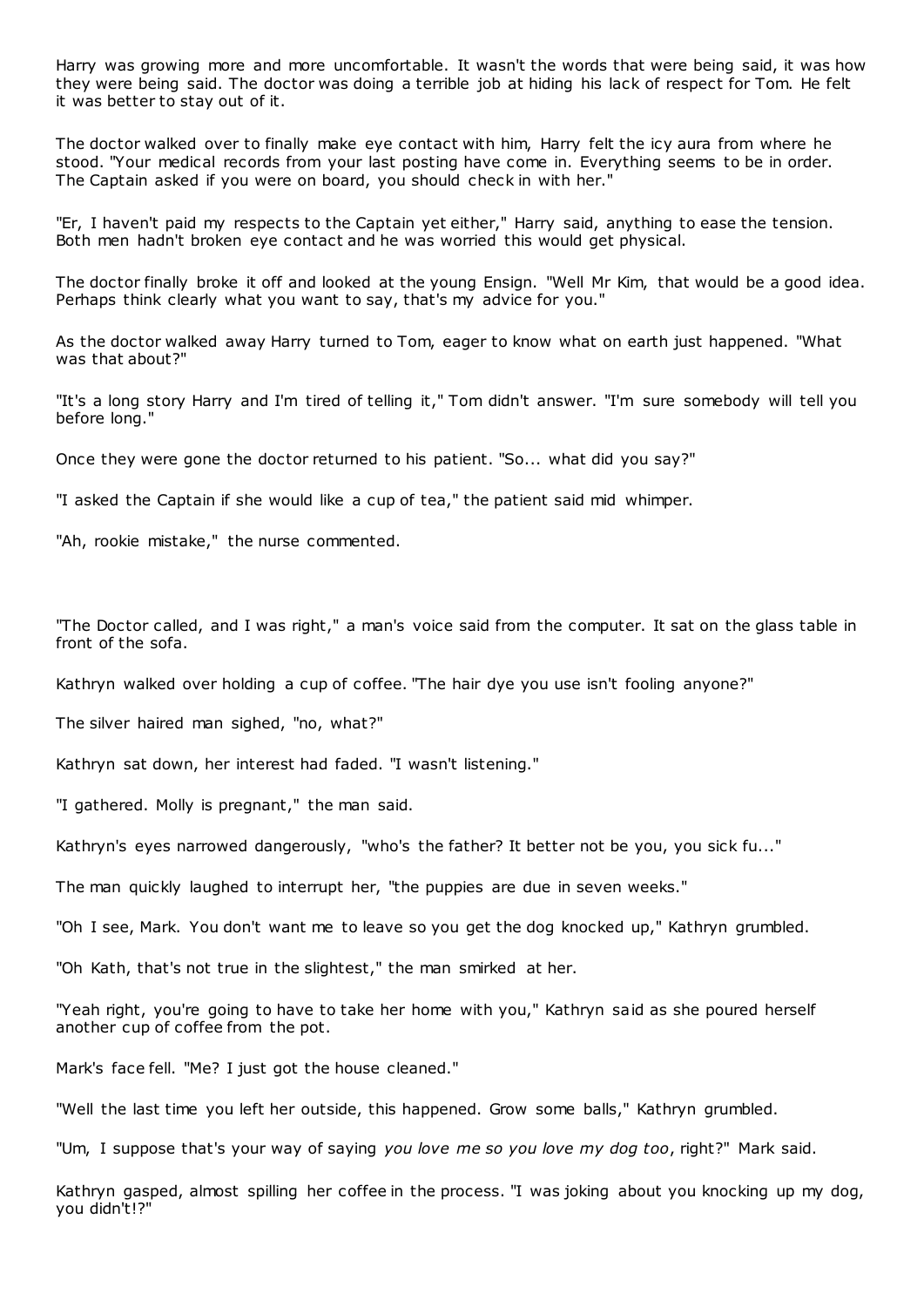Harry was growing more and more uncomfortable. It wasn't the words that were being said, it was how they were being said. The doctor was doing a terrible job at hiding his lack of respect for Tom. He felt it was better to stay out of it.

The doctor walked over to finally make eye contact with him, Harry felt the icy aura from where he stood. "Your medical records from your last posting have come in. Everything seems to be in order. The Captain asked if you were on board, you should check in with her."

"Er, I haven't paid my respects to the Captain yet either," Harry said, anything to ease the tension. Both men hadn't broken eye contact and he was worried this would get physical.

The doctor finally broke it off and looked at the young Ensign. "Well Mr Kim, that would be a good idea. Perhaps think clearly what you want to say, that's my advice for you."

As the doctor walked away Harry turned to Tom, eager to know what on earth just happened. "What was that about?"

"It's a long story Harry and I'm tired of telling it," Tom didn't answer. "I'm sure somebody will tell you before long."

Once they were gone the doctor returned to his patient. "So... what did you say?"

"I asked the Captain if she would like a cup of tea," the patient said mid whimper.

"Ah, rookie mistake," the nurse commented.

"The Doctor called, and I was right," a man's voice said from the computer. It sat on the glass table in front of the sofa.

Kathryn walked over holding a cup of coffee. "The hair dye you use isn't fooling anyone?"

The silver haired man sighed, "no, what?"

Kathryn sat down, her interest had faded. "I wasn't listening."

"I gathered. Molly is pregnant," the man said.

Kathryn's eyes narrowed dangerously, "who's the father? It better not be you, you sick fu..."

The man quickly laughed to interrupt her, "the puppies are due in seven weeks."

"Oh I see, Mark. You don't want me to leave so you get the dog knocked up," Kathryn grumbled.

"Oh Kath, that's not true in the slightest," the man smirked at her.

"Yeah right, you're going to have to take her home with you," Kathryn said as she poured herself another cup of coffee from the pot.

Mark's face fell. "Me? I just got the house cleaned."

"Well the last time you left her outside, this happened. Grow some balls," Kathryn grumbled.

"Um, I suppose that's your way of saying *you love me so you love my dog too*, right?" Mark said.

Kathryn gasped, almost spilling her coffee in the process. "I was joking about you knocking up my dog, you didn't!?"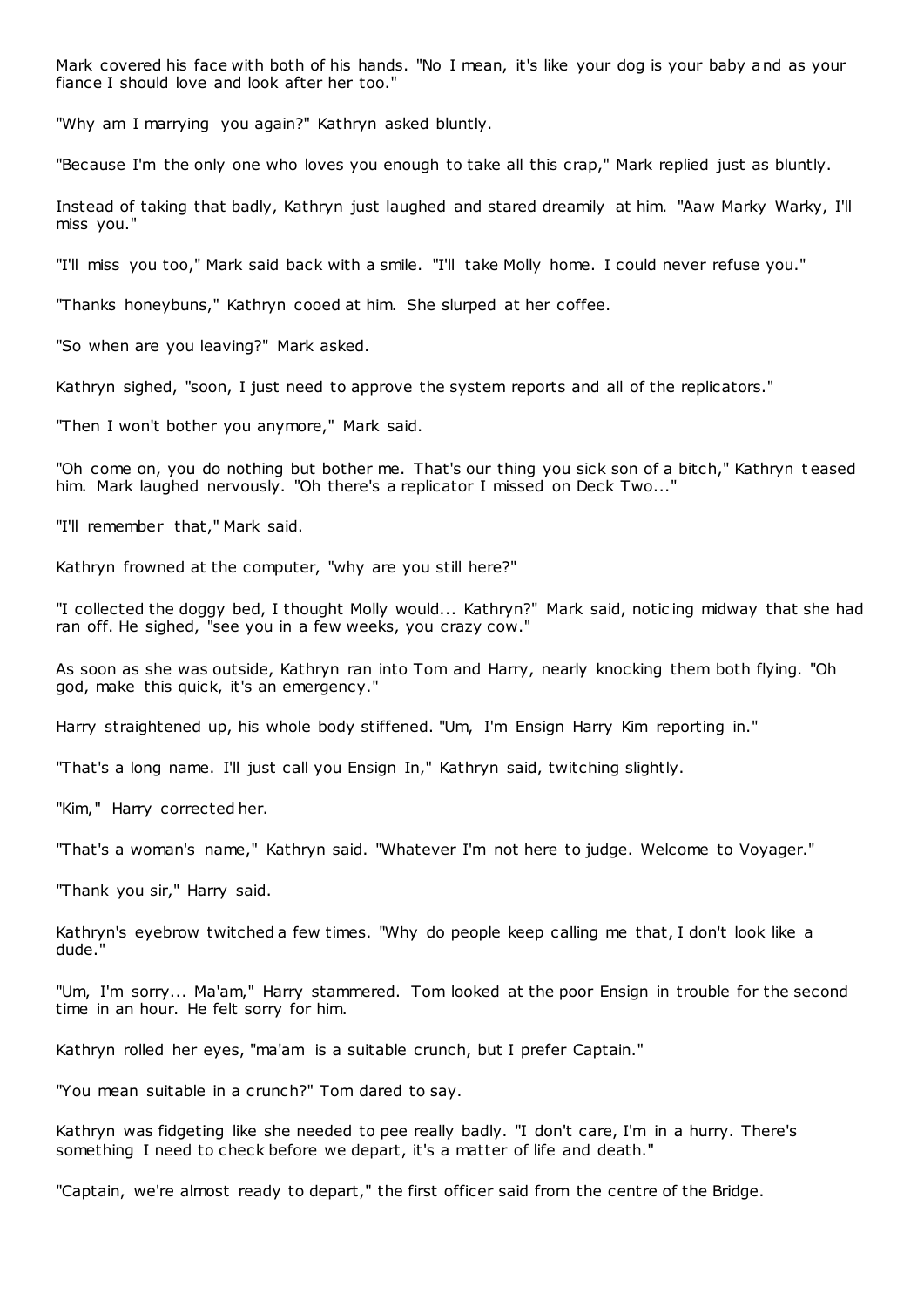Mark covered his face with both of his hands. "No I mean, it's like your dog is your baby and as your fiance I should love and look after her too."

"Why am I marrying you again?" Kathryn asked bluntly.

"Because I'm the only one who loves you enough to take all this crap," Mark replied just as bluntly.

Instead of taking that badly, Kathryn just laughed and stared dreamily at him. "Aaw Marky Warky, I'll miss you."

"I'll miss you too," Mark said back with a smile. "I'll take Molly home. I could never refuse you."

"Thanks honeybuns," Kathryn cooed at him. She slurped at her coffee.

"So when are you leaving?" Mark asked.

Kathryn sighed, "soon, I just need to approve the system reports and all of the replicators."

"Then I won't bother you anymore," Mark said.

"Oh come on, you do nothing but bother me. That's our thing you sick son of a bitch," Kathryn t eased him. Mark laughed nervously. "Oh there's a replicator I missed on Deck Two..."

"I'll remember that," Mark said.

Kathryn frowned at the computer, "why are you still here?"

"I collected the doggy bed, I thought Molly would... Kathryn?" Mark said, notic ing midway that she had ran off. He sighed, "see you in a few weeks, you crazy cow."

As soon as she was outside, Kathryn ran into Tom and Harry, nearly knocking them both flying. "Oh god, make this quick, it's an emergency."

Harry straightened up, his whole body stiffened. "Um, I'm Ensign Harry Kim reporting in."

"That's a long name. I'll just call you Ensign In," Kathryn said, twitching slightly.

"Kim," Harry corrected her.

"That's a woman's name," Kathryn said. "Whatever I'm not here to judge. Welcome to Voyager."

"Thank you sir," Harry said.

Kathryn's eyebrow twitched a few times. "Why do people keep calling me that, I don't look like a dude."

"Um, I'm sorry... Ma'am," Harry stammered. Tom looked at the poor Ensign in trouble for the second time in an hour. He felt sorry for him.

Kathryn rolled her eyes, "ma'am is a suitable crunch, but I prefer Captain."

"You mean suitable in a crunch?" Tom dared to say.

Kathryn was fidgeting like she needed to pee really badly. "I don't care, I'm in a hurry. There's something I need to check before we depart, it's a matter of life and death."

"Captain, we're almost ready to depart," the first officer said from the centre of the Bridge.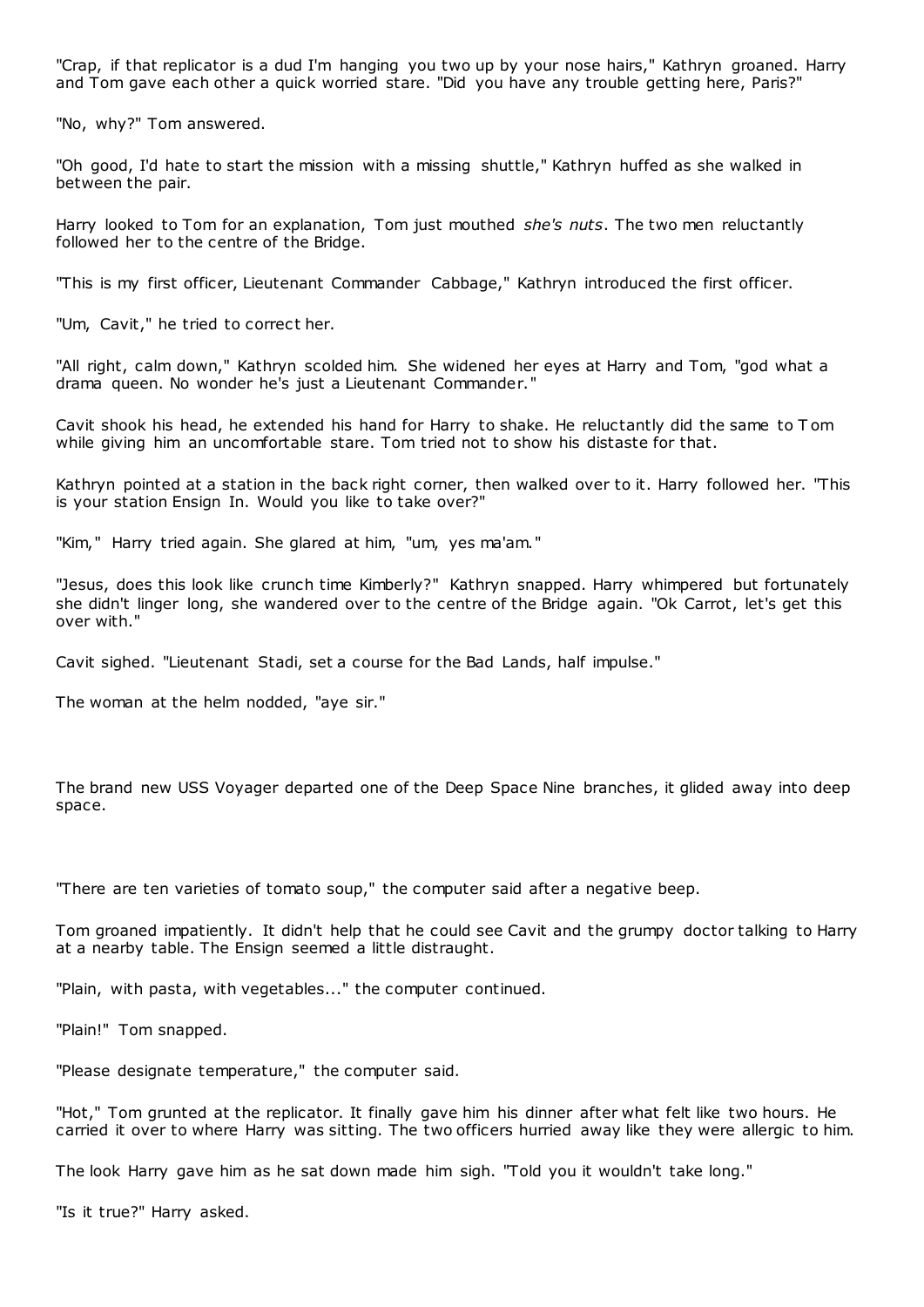"Crap, if that replicator is a dud I'm hanging you two up by your nose hairs," Kathryn groaned. Harry and Tom gave each other a quick worried stare. "Did you have any trouble getting here, Paris?"

"No, why?" Tom answered.

"Oh good, I'd hate to start the mission with a missing shuttle," Kathryn huffed as she walked in between the pair.

Harry looked to Tom for an explanation, Tom just mouthed *she's nuts*. The two men reluctantly followed her to the centre of the Bridge.

"This is my first officer, Lieutenant Commander Cabbage," Kathryn introduced the first officer.

"Um, Cavit," he tried to correct her.

"All right, calm down," Kathryn scolded him. She widened her eyes at Harry and Tom, "god what a drama queen. No wonder he's just a Lieutenant Commander."

Cavit shook his head, he extended his hand for Harry to shake. He reluctantly did the same to T om while giving him an uncomfortable stare. Tom tried not to show his distaste for that.

Kathryn pointed at a station in the back right corner, then walked over to it. Harry followed her. "This is your station Ensign In. Would you like to take over?"

"Kim," Harry tried again. She glared at him, "um, yes ma'am."

"Jesus, does this look like crunch time Kimberly?" Kathryn snapped. Harry whimpered but fortunately she didn't linger long, she wandered over to the centre of the Bridge again. "Ok Carrot, let's get this over with."

Cavit sighed. "Lieutenant Stadi, set a course for the Bad Lands, half impulse."

The woman at the helm nodded, "aye sir."

The brand new USS Voyager departed one of the Deep Space Nine branches, it glided away into deep space.

"There are ten varieties of tomato soup," the computer said after a negative beep.

Tom groaned impatiently. It didn't help that he could see Cavit and the grumpy doctor talking to Harry at a nearby table. The Ensign seemed a little distraught.

"Plain, with pasta, with vegetables..." the computer continued.

"Plain!" Tom snapped.

"Please designate temperature," the computer said.

"Hot," Tom grunted at the replicator. It finally gave him his dinner after what felt like two hours. He carried it over to where Harry was sitting. The two officers hurried away like they were allergic to him.

The look Harry gave him as he sat down made him sigh. "Told you it wouldn't take long."

"Is it true?" Harry asked.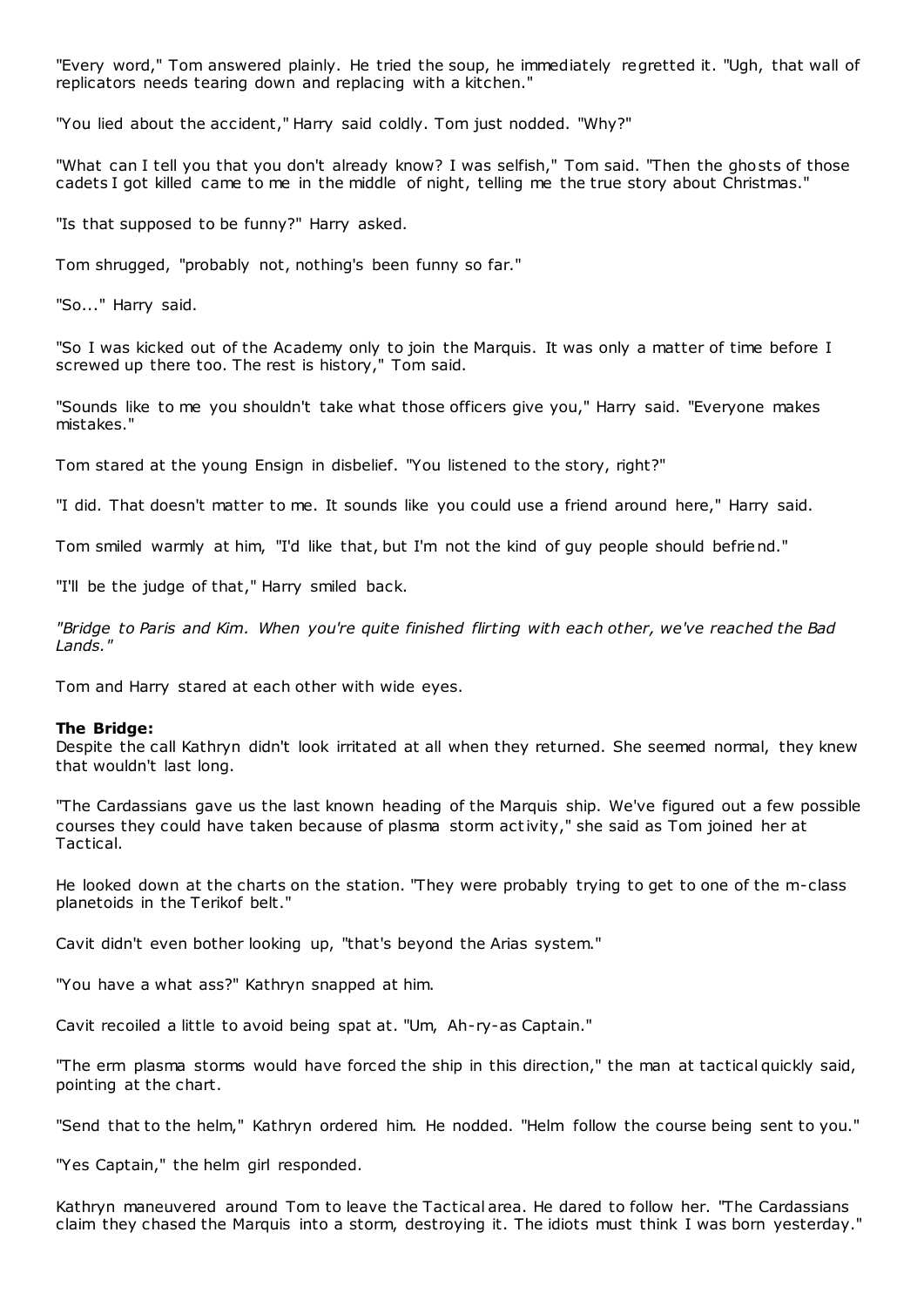"Every word," Tom answered plainly. He tried the soup, he immediately regretted it. "Ugh, that wall of replicators needs tearing down and replacing with a kitchen."

"You lied about the accident," Harry said coldly. Tom just nodded. "Why?"

"What can I tell you that you don't already know? I was selfish," Tom said. "Then the ghosts of those cadets I got killed came to me in the middle of night, telling me the true story about Christmas."

"Is that supposed to be funny?" Harry asked.

Tom shrugged, "probably not, nothing's been funny so far."

"So..." Harry said.

"So I was kicked out of the Academy only to join the Marquis. It was only a matter of time before I screwed up there too. The rest is history," Tom said.

"Sounds like to me you shouldn't take what those officers give you," Harry said. "Everyone makes mistakes."

Tom stared at the young Ensign in disbelief. "You listened to the story, right?"

"I did. That doesn't matter to me. It sounds like you could use a friend around here," Harry said.

Tom smiled warmly at him, "I'd like that, but I'm not the kind of guy people should befriend."

"I'll be the judge of that," Harry smiled back.

*"Bridge to Paris and Kim. When you're quite finished flirting with each other, we've reached the Bad Lands."*

Tom and Harry stared at each other with wide eyes.

## **The Bridge:**

Despite the call Kathryn didn't look irritated at all when they returned. She seemed normal, they knew that wouldn't last long.

"The Cardassians gave us the last known heading of the Marquis ship. We've figured out a few possible courses they could have taken because of plasma storm activity," she said as Tom joined her at Tactical.

He looked down at the charts on the station. "They were probably trying to get to one of the m-class planetoids in the Terikof belt."

Cavit didn't even bother looking up, "that's beyond the Arias system."

"You have a what ass?" Kathryn snapped at him.

Cavit recoiled a little to avoid being spat at. "Um, Ah-ry-as Captain."

"The erm plasma storms would have forced the ship in this direction," the man at tactical quickly said, pointing at the chart.

"Send that to the helm," Kathryn ordered him. He nodded. "Helm follow the course being sent to you."

"Yes Captain," the helm girl responded.

Kathryn maneuvered around Tom to leave the Tactical area. He dared to follow her. "The Cardassians claim they chased the Marquis into a storm, destroying it. The idiots must think I was born yesterday."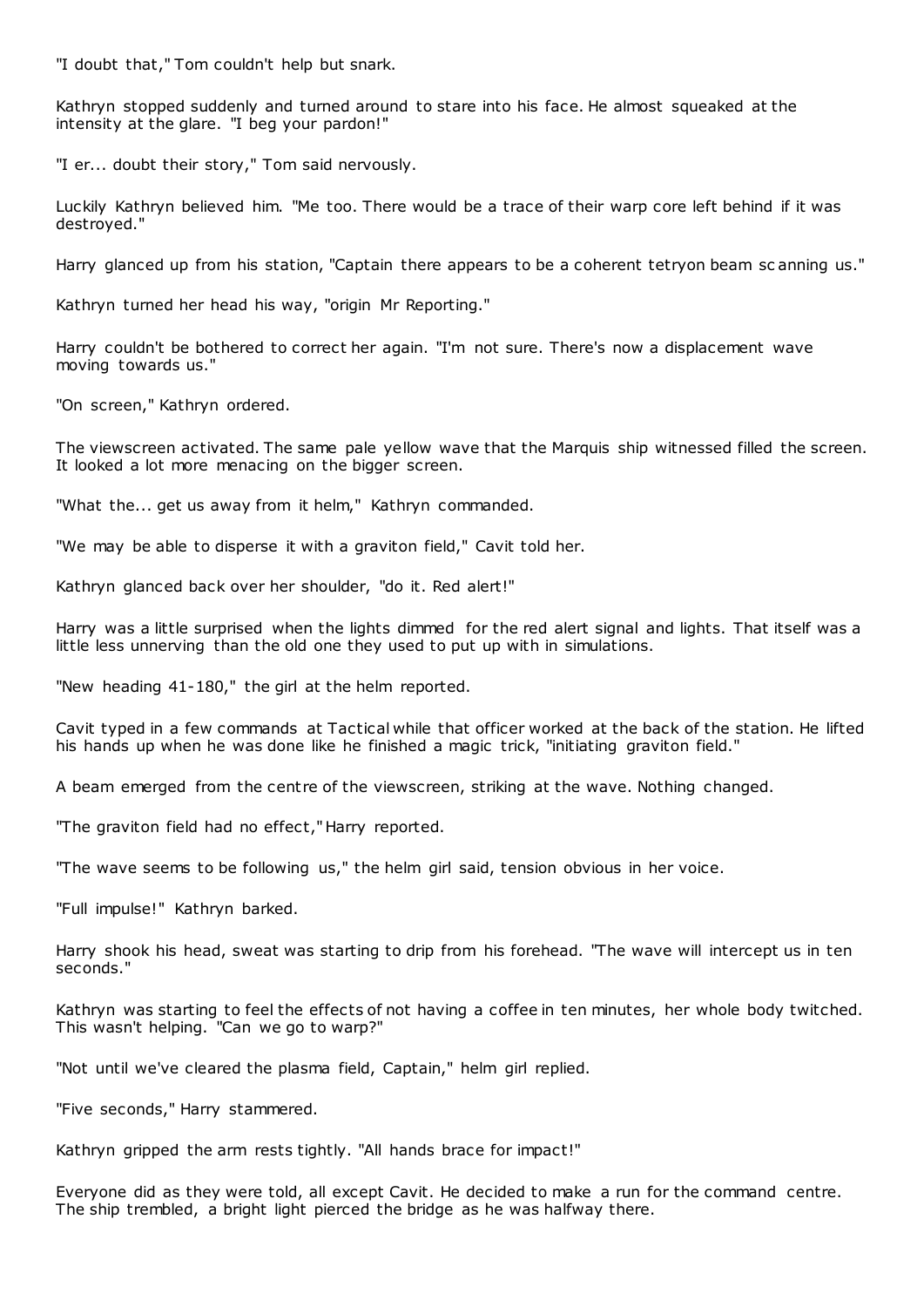"I doubt that," Tom couldn't help but snark.

Kathryn stopped suddenly and turned around to stare into his face. He almost squeaked at the intensity at the glare. "I beg your pardon!"

"I er... doubt their story," Tom said nervously.

Luckily Kathryn believed him. "Me too. There would be a trace of their warp core left behind if it was destroyed."

Harry glanced up from his station, "Captain there appears to be a coherent tetryon beam sc anning us."

Kathryn turned her head his way, "origin Mr Reporting."

Harry couldn't be bothered to correct her again. "I'm not sure. There's now a displacement wave moving towards us."

"On screen," Kathryn ordered.

The viewscreen activated. The same pale yellow wave that the Marquis ship witnessed filled the screen. It looked a lot more menacing on the bigger screen.

"What the... get us away from it helm," Kathryn commanded.

"We may be able to disperse it with a graviton field," Cavit told her.

Kathryn glanced back over her shoulder, "do it. Red alert!"

Harry was a little surprised when the lights dimmed for the red alert signal and lights. That itself was a little less unnerving than the old one they used to put up with in simulations.

"New heading 41-180," the girl at the helm reported.

Cavit typed in a few commands at Tactical while that officer worked at the back of the station. He lifted his hands up when he was done like he finished a magic trick, "initiating graviton field."

A beam emerged from the centre of the viewscreen, striking at the wave. Nothing changed.

"The graviton field had no effect," Harry reported.

"The wave seems to be following us," the helm girl said, tension obvious in her voice.

"Full impulse!" Kathryn barked.

Harry shook his head, sweat was starting to drip from his forehead. "The wave will intercept us in ten seconds."

Kathryn was starting to feel the effects of not having a coffee in ten minutes, her whole body twitched. This wasn't helping. "Can we go to warp?"

"Not until we've cleared the plasma field, Captain," helm girl replied.

"Five seconds," Harry stammered.

Kathryn gripped the arm rests tightly. "All hands brace for impact!"

Everyone did as they were told, all except Cavit. He decided to make a run for the command centre. The ship trembled, a bright light pierced the bridge as he was halfway there.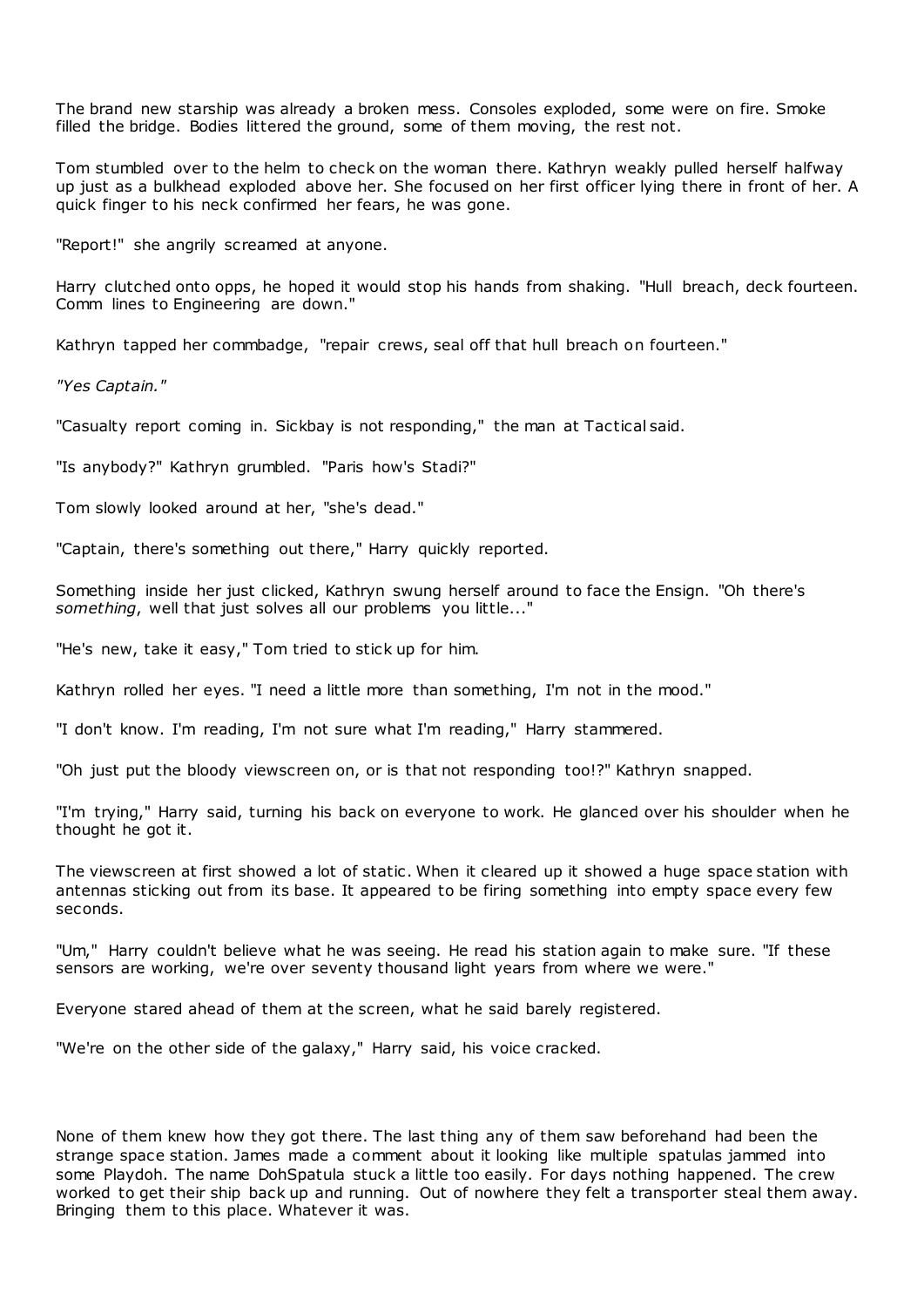The brand new starship was already a broken mess. Consoles exploded, some were on fire. Smoke filled the bridge. Bodies littered the ground, some of them moving, the rest not.

Tom stumbled over to the helm to check on the woman there. Kathryn weakly pulled herself halfway up just as a bulkhead exploded above her. She focused on her first officer lying there in front of her. A quick finger to his neck confirmed her fears, he was gone.

"Report!" she angrily screamed at anyone.

Harry clutched onto opps, he hoped it would stop his hands from shaking. "Hull breach, deck fourteen. Comm lines to Engineering are down."

Kathryn tapped her commbadge, "repair crews, seal off that hull breach on fourteen."

*"Yes Captain."*

"Casualty report coming in. Sickbay is not responding," the man at Tactical said.

"Is anybody?" Kathryn grumbled. "Paris how's Stadi?"

Tom slowly looked around at her, "she's dead."

"Captain, there's something out there," Harry quickly reported.

Something inside her just clicked, Kathryn swung herself around to face the Ensign. "Oh there's *something*, well that just solves all our problems you little..."

"He's new, take it easy," Tom tried to stick up for him.

Kathryn rolled her eyes. "I need a little more than something, I'm not in the mood."

"I don't know. I'm reading, I'm not sure what I'm reading," Harry stammered.

"Oh just put the bloody viewscreen on, or is that not responding too!?" Kathryn snapped.

"I'm trying," Harry said, turning his back on everyone to work. He glanced over his shoulder when he thought he got it.

The viewscreen at first showed a lot of static . When it cleared up it showed a huge space station with antennas sticking out from its base. It appeared to be firing something into empty space every few seconds.

"Um," Harry couldn't believe what he was seeing. He read his station again to make sure. "If these sensors are working, we're over seventy thousand light years from where we were."

Everyone stared ahead of them at the screen, what he said barely registered.

"We're on the other side of the galaxy," Harry said, his voice cracked.

None of them knew how they got there. The last thing any of them saw beforehand had been the strange space station. James made a comment about it looking like multiple spatulas jammed into some Playdoh. The name DohSpatula stuck a little too easily. For days nothing happened. The crew worked to get their ship back up and running. Out of nowhere they felt a transporter steal them away. Bringing them to this place. Whatever it was.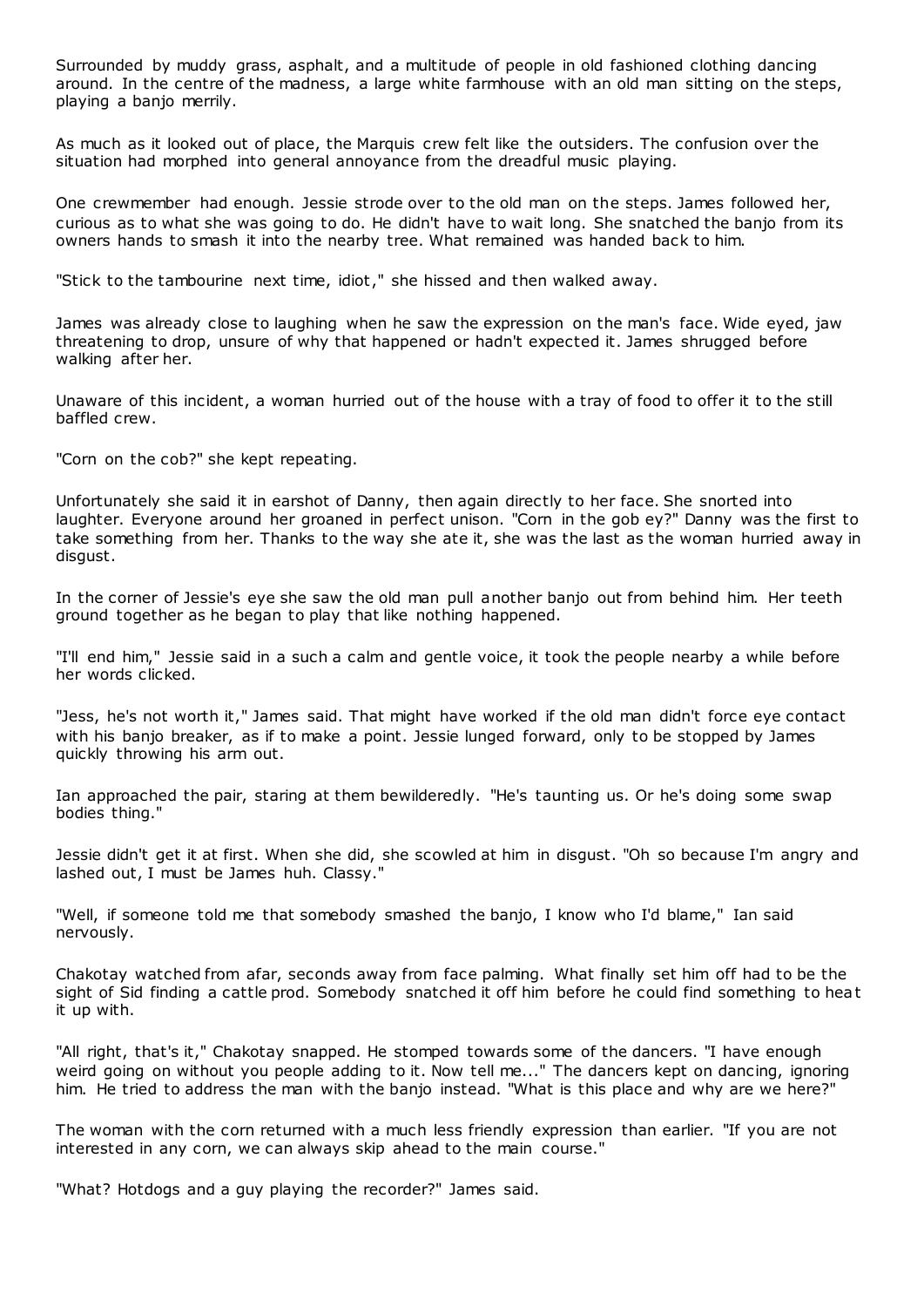Surrounded by muddy grass, asphalt, and a multitude of people in old fashioned clothing dancing around. In the centre of the madness, a large white farmhouse with an old man sitting on the steps, playing a banjo merrily.

As much as it looked out of place, the Marquis crew felt like the outsiders. The confusion over the situation had morphed into general annoyance from the dreadful music playing.

One crewmember had enough. Jessie strode over to the old man on the steps. James followed her, curious as to what she was going to do. He didn't have to wait long. She snatched the banjo from its owners hands to smash it into the nearby tree. What remained was handed back to him.

"Stick to the tambourine next time, idiot," she hissed and then walked away.

James was already close to laughing when he saw the expression on the man's face. Wide eyed, jaw threatening to drop, unsure of why that happened or hadn't expected it. James shrugged before walking after her.

Unaware of this incident, a woman hurried out of the house with a tray of food to offer it to the still baffled crew.

"Corn on the cob?" she kept repeating.

Unfortunately she said it in earshot of Danny, then again directly to her face. She snorted into laughter. Everyone around her groaned in perfect unison. "Corn in the gob ey?" Danny was the first to take something from her. Thanks to the way she ate it, she was the last as the woman hurried away in disgust.

In the corner of Jessie's eye she saw the old man pull another banjo out from behind him. Her teeth ground together as he began to play that like nothing happened.

"I'll end him," Jessie said in a such a calm and gentle voice, it took the people nearby a while before her words clicked.

"Jess, he's not worth it," James said. That might have worked if the old man didn't force eye contact with his banjo breaker, as if to make a point. Jessie lunged forward, only to be stopped by James quickly throwing his arm out.

Ian approached the pair, staring at them bewilderedly. "He's taunting us. Or he's doing some swap bodies thing."

Jessie didn't get it at first. When she did, she scowled at him in disgust. "Oh so because I'm angry and lashed out, I must be James huh. Classy."

"Well, if someone told me that somebody smashed the banjo, I know who I'd blame," Ian said nervously.

Chakotay watched from afar, seconds away from face palming. What finally set him off had to be the sight of Sid finding a cattle prod. Somebody snatched it off him before he could find something to heat it up with.

"All right, that's it," Chakotay snapped. He stomped towards some of the dancers. "I have enough weird going on without you people adding to it. Now tell me..." The dancers kept on dancing, ignoring him. He tried to address the man with the banjo instead. "What is this place and why are we here?"

The woman with the corn returned with a much less friendly expression than earlier. "If you are not interested in any corn, we can always skip ahead to the main course."

"What? Hotdogs and a guy playing the recorder?" James said.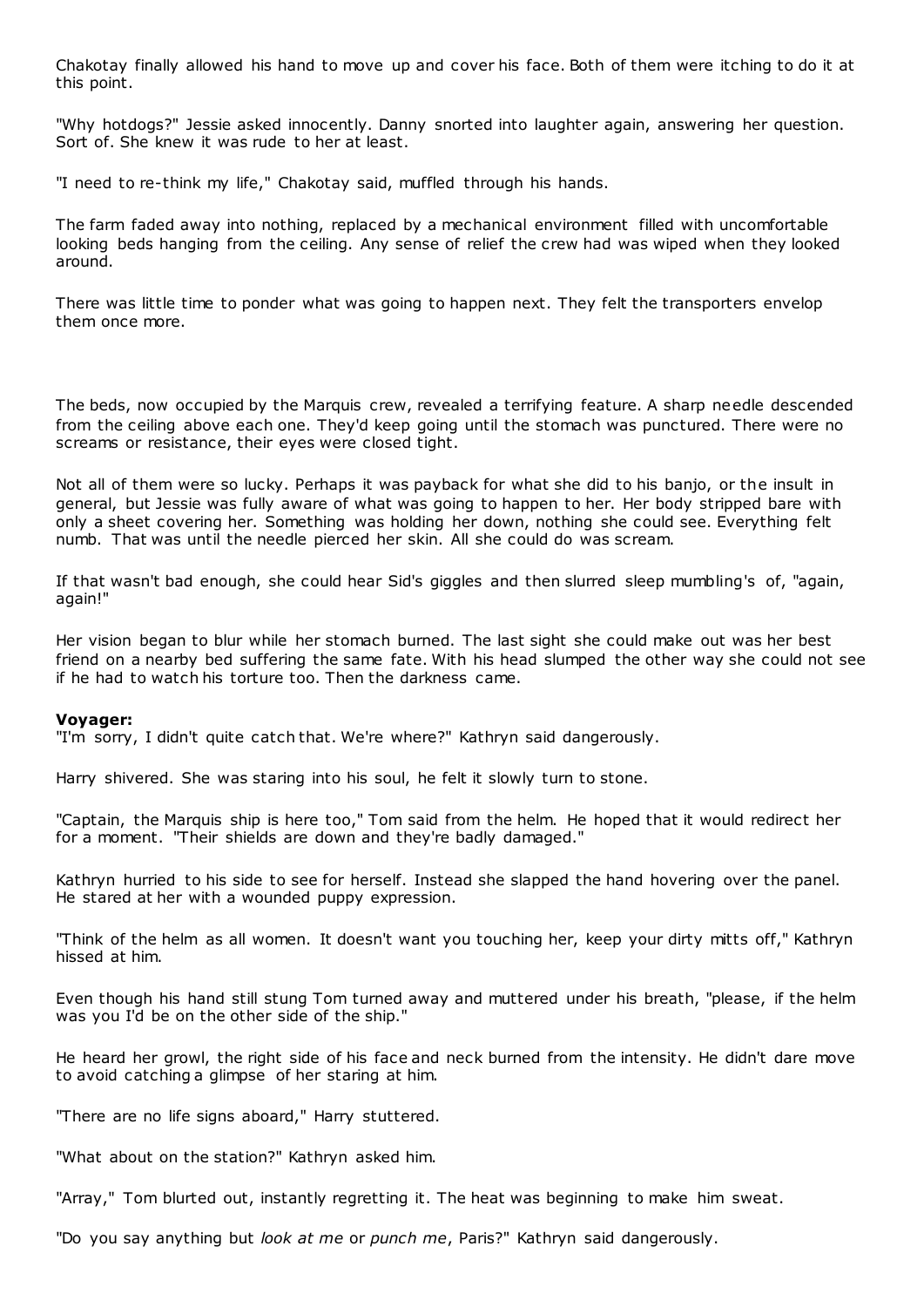Chakotay finally allowed his hand to move up and cover his face. Both of them were itching to do it at this point.

"Why hotdogs?" Jessie asked innocently. Danny snorted into laughter again, answering her question. Sort of. She knew it was rude to her at least.

"I need to re-think my life," Chakotay said, muffled through his hands.

The farm faded away into nothing, replaced by a mechanical environment filled with uncomfortable looking beds hanging from the ceiling. Any sense of relief the crew had was wiped when they looked around.

There was little time to ponder what was going to happen next. They felt the transporters envelop them once more.

The beds, now occupied by the Marquis crew, revealed a terrifying feature. A sharp needle descended from the ceiling above each one. They'd keep going until the stomach was punctured. There were no screams or resistance, their eyes were closed tight.

Not all of them were so lucky. Perhaps it was payback for what she did to his banjo, or the insult in general, but Jessie was fully aware of what was going to happen to her. Her body stripped bare with only a sheet covering her. Something was holding her down, nothing she could see. Everything felt numb. That was until the needle pierced her skin. All she could do was scream.

If that wasn't bad enough, she could hear Sid's giggles and then slurred sleep mumbling's of, "again, again!"

Her vision began to blur while her stomach burned. The last sight she could make out was her best friend on a nearby bed suffering the same fate. With his head slumped the other way she could not see if he had to watch his torture too. Then the darkness came.

## **Voyager:**

"I'm sorry, I didn't quite catch that. We're where?" Kathryn said dangerously.

Harry shivered. She was staring into his soul, he felt it slowly turn to stone.

"Captain, the Marquis ship is here too," Tom said from the helm. He hoped that it would redirect her for a moment. "Their shields are down and they're badly damaged."

Kathryn hurried to his side to see for herself. Instead she slapped the hand hovering over the panel. He stared at her with a wounded puppy expression.

"Think of the helm as all women. It doesn't want you touching her, keep your dirty mitts off," Kathryn hissed at him.

Even though his hand still stung Tom turned away and muttered under his breath, "please, if the helm was you I'd be on the other side of the ship."

He heard her growl, the right side of his face and neck burned from the intensity. He didn't dare move to avoid catching a glimpse of her staring at him.

"There are no life signs aboard," Harry stuttered.

"What about on the station?" Kathryn asked him.

"Array," Tom blurted out, instantly regretting it. The heat was beginning to make him sweat.

"Do you say anything but *look at me* or *punch me*, Paris?" Kathryn said dangerously.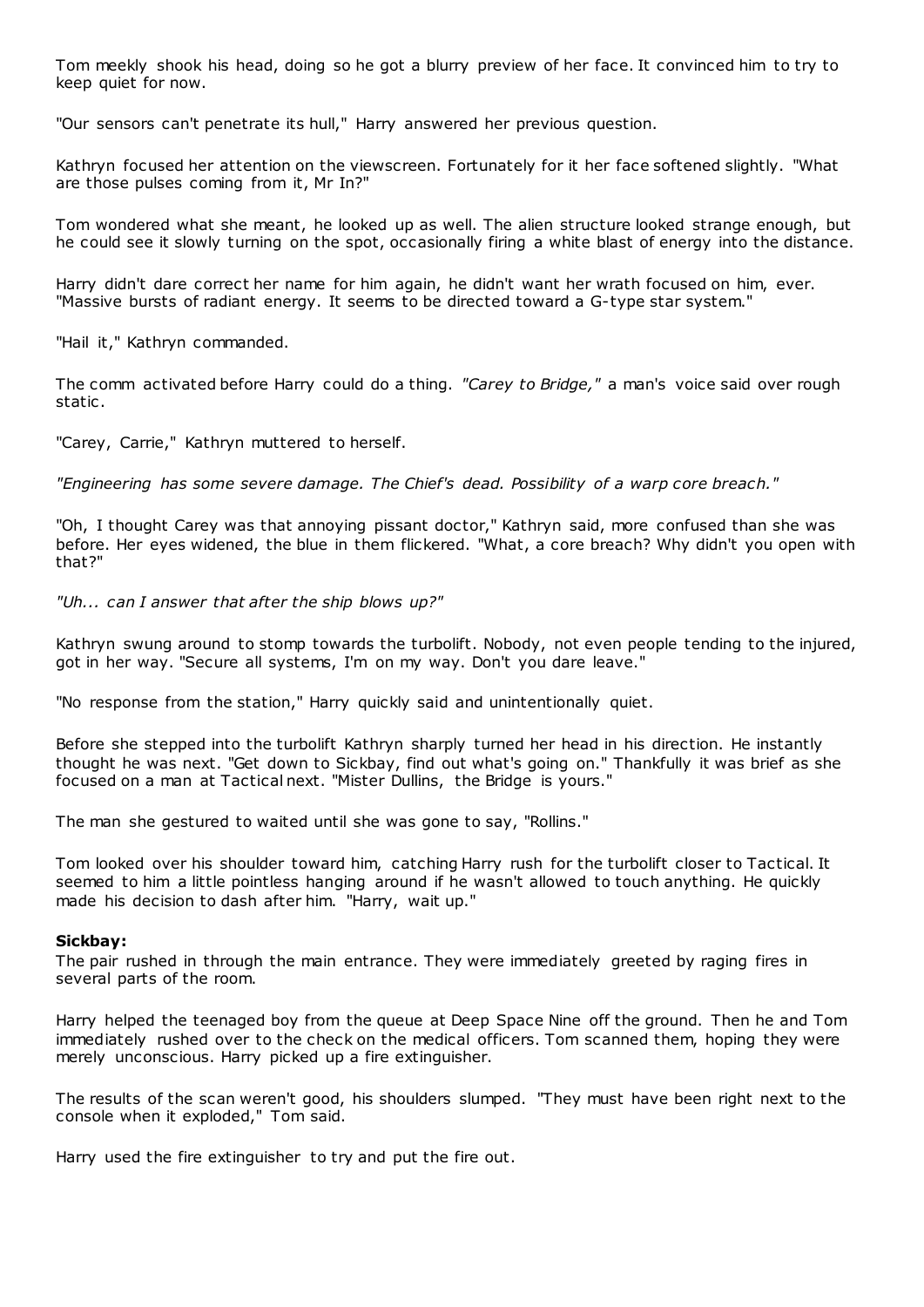Tom meekly shook his head, doing so he got a blurry preview of her face. It convinced him to try to keep quiet for now.

"Our sensors can't penetrate its hull," Harry answered her previous question.

Kathryn focused her attention on the viewscreen. Fortunately for it her face softened slightly. "What are those pulses coming from it, Mr In?"

Tom wondered what she meant, he looked up as well. The alien structure looked strange enough, but he could see it slowly turning on the spot, occasionally firing a white blast of energy into the distance.

Harry didn't dare correct her name for him again, he didn't want her wrath focused on him, ever. "Massive bursts of radiant energy. It seems to be directed toward a G-type star system."

"Hail it," Kathryn commanded.

The comm activated before Harry could do a thing. *"Carey to Bridge,"* a man's voice said over rough static .

"Carey, Carrie," Kathryn muttered to herself.

*"Engineering has some severe damage. The Chief's dead. Possibility of a warp core breach."*

"Oh, I thought Carey was that annoying pissant doctor," Kathryn said, more confused than she was before. Her eyes widened, the blue in them flickered. "What, a core breach? Why didn't you open with that?"

*"Uh... can I answer that after the ship blows up?"*

Kathryn swung around to stomp towards the turbolift. Nobody, not even people tending to the injured, got in her way. "Secure all systems, I'm on my way. Don't you dare leave."

"No response from the station," Harry quickly said and unintentionally quiet.

Before she stepped into the turbolift Kathryn sharply turned her head in his direction. He instantly thought he was next. "Get down to Sickbay, find out what's going on." Thankfully it was brief as she focused on a man at Tactical next. "Mister Dullins, the Bridge is yours."

The man she gestured to waited until she was gone to say, "Rollins."

Tom looked over his shoulder toward him, catching Harry rush for the turbolift closer to Tactical. It seemed to him a little pointless hanging around if he wasn't allowed to touch anything. He quickly made his decision to dash after him. "Harry, wait up."

#### **Sickbay:**

The pair rushed in through the main entrance. They were immediately greeted by raging fires in several parts of the room.

Harry helped the teenaged boy from the queue at Deep Space Nine off the ground. Then he and Tom immediately rushed over to the check on the medical officers. Tom scanned them, hoping they were merely unconscious. Harry picked up a fire extinguisher.

The results of the scan weren't good, his shoulders slumped. "They must have been right next to the console when it exploded," Tom said.

Harry used the fire extinguisher to try and put the fire out.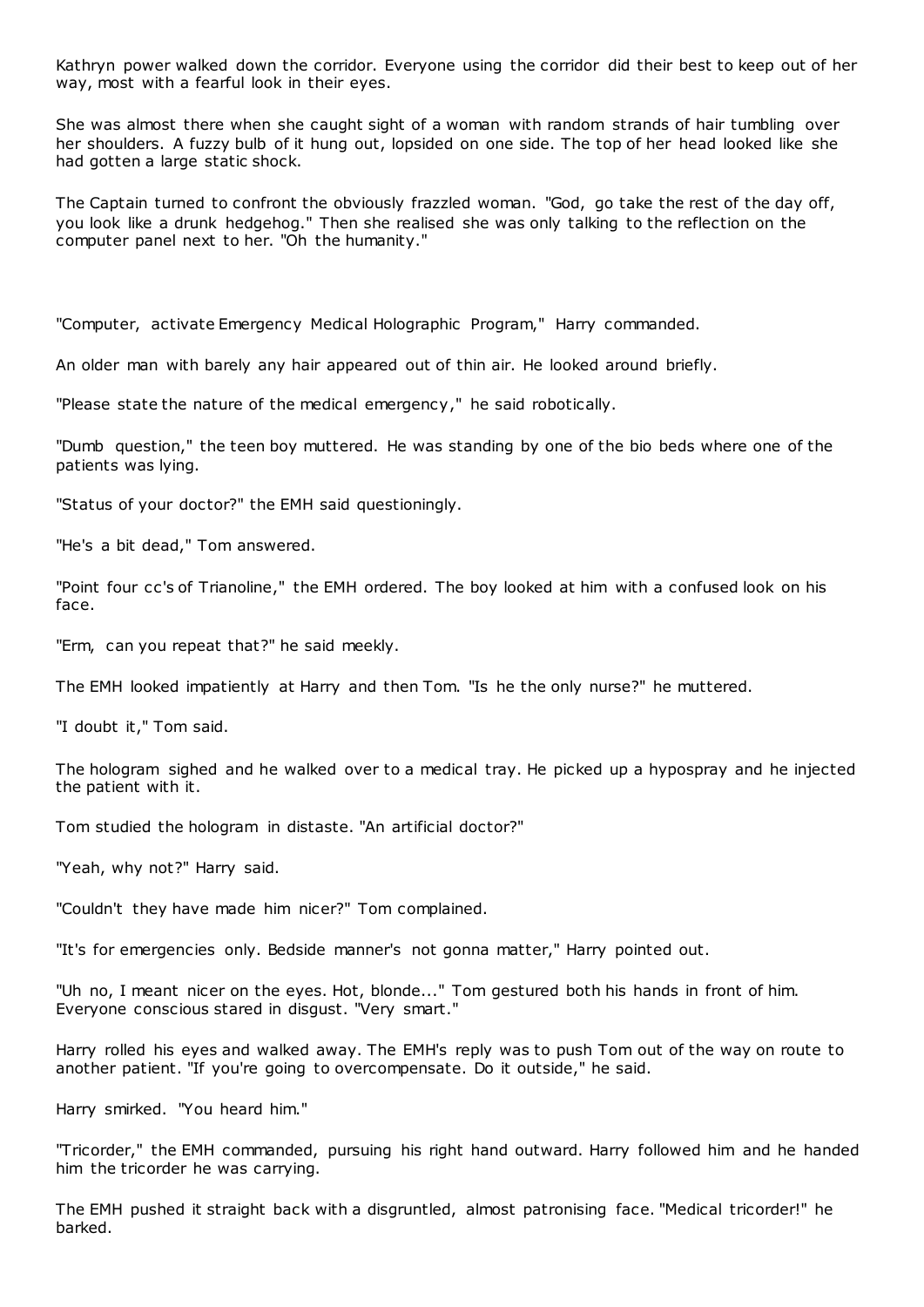Kathryn power walked down the corridor. Everyone using the corridor did their best to keep out of her way, most with a fearful look in their eyes.

She was almost there when she caught sight of a woman with random strands of hair tumbling over her shoulders. A fuzzy bulb of it hung out, lopsided on one side. The top of her head looked like she had gotten a large static shock.

The Captain turned to confront the obviously frazzled woman. "God, go take the rest of the day off, you look like a drunk hedgehog." Then she realised she was only talking to the reflection on the computer panel next to her. "Oh the humanity."

"Computer, activate Emergency Medical Holographic Program," Harry commanded.

An older man with barely any hair appeared out of thin air. He looked around briefly.

"Please state the nature of the medical emergency," he said robotically.

"Dumb question," the teen boy muttered. He was standing by one of the bio beds where one of the patients was lying.

"Status of your doctor?" the EMH said questioningly.

"He's a bit dead," Tom answered.

"Point four cc's of Trianoline," the EMH ordered. The boy looked at him with a confused look on his face.

"Erm, can you repeat that?" he said meekly.

The EMH looked impatiently at Harry and then Tom. "Is he the only nurse?" he muttered.

"I doubt it," Tom said.

The hologram sighed and he walked over to a medical tray. He picked up a hypospray and he injected the patient with it.

Tom studied the hologram in distaste. "An artificial doctor?"

"Yeah, why not?" Harry said.

"Couldn't they have made him nicer?" Tom complained.

"It's for emergencies only. Bedside manner's not gonna matter," Harry pointed out.

"Uh no, I meant nicer on the eyes. Hot, blonde..." Tom gestured both his hands in front of him. Everyone conscious stared in disgust. "Very smart."

Harry rolled his eyes and walked away. The EMH's reply was to push Tom out of the way on route to another patient. "If you're going to overcompensate. Do it outside," he said.

Harry smirked. "You heard him."

"Tricorder," the EMH commanded, pursuing his right hand outward. Harry followed him and he handed him the tricorder he was carrying.

The EMH pushed it straight back with a disgruntled, almost patronising face. "Medical tricorder!" he barked.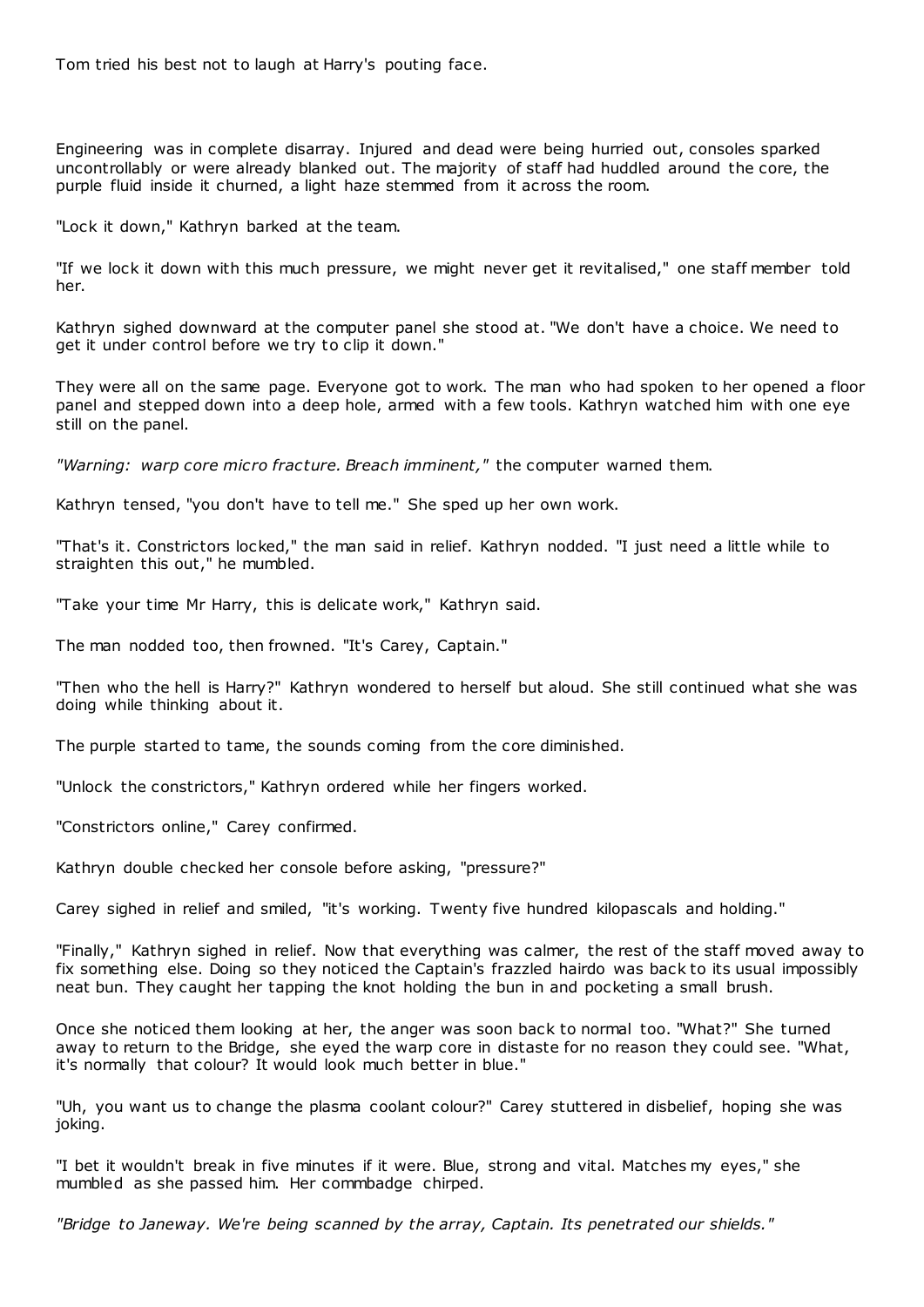Tom tried his best not to laugh at Harry's pouting face.

Engineering was in complete disarray. Injured and dead were being hurried out, consoles sparked uncontrollably or were already blanked out. The majority of staff had huddled around the core, the purple fluid inside it churned, a light haze stemmed from it across the room.

"Lock it down," Kathryn barked at the team.

"If we lock it down with this much pressure, we might never get it revitalised," one staff member told her.

Kathryn sighed downward at the computer panel she stood at. "We don't have a choice. We need to get it under control before we try to clip it down."

They were all on the same page. Everyone got to work. The man who had spoken to her opened a floor panel and stepped down into a deep hole, armed with a few tools. Kathryn watched him with one eye still on the panel.

*"Warning: warp core micro fracture. Breach imminent,"* the computer warned them.

Kathryn tensed, "you don't have to tell me." She sped up her own work.

"That's it. Constrictors locked," the man said in relief. Kathryn nodded. "I just need a little while to straighten this out," he mumbled.

"Take your time Mr Harry, this is delicate work," Kathryn said.

The man nodded too, then frowned. "It's Carey, Captain."

"Then who the hell is Harry?" Kathryn wondered to herself but aloud. She still continued what she was doing while thinking about it.

The purple started to tame, the sounds coming from the core diminished.

"Unlock the constrictors," Kathryn ordered while her fingers worked.

"Constrictors online," Carey confirmed.

Kathryn double checked her console before asking, "pressure?"

Carey sighed in relief and smiled, "it's working. Twenty five hundred kilopascals and holding."

"Finally," Kathryn sighed in relief. Now that everything was calmer, the rest of the staff moved away to fix something else. Doing so they noticed the Captain's frazzled hairdo was back to its usual impossibly neat bun. They caught her tapping the knot holding the bun in and pocketing a small brush.

Once she noticed them looking at her, the anger was soon back to normal too. "What?" She turned away to return to the Bridge, she eyed the warp core in distaste for no reason they could see. "What, it's normally that colour? It would look much better in blue."

"Uh, you want us to change the plasma coolant colour?" Carey stuttered in disbelief, hoping she was joking.

"I bet it wouldn't break in five minutes if it were. Blue, strong and vital. Matches my eyes," she mumbled as she passed him. Her commbadge chirped.

*"Bridge to Janeway. We're being scanned by the array, Captain. Its penetrated our shields."*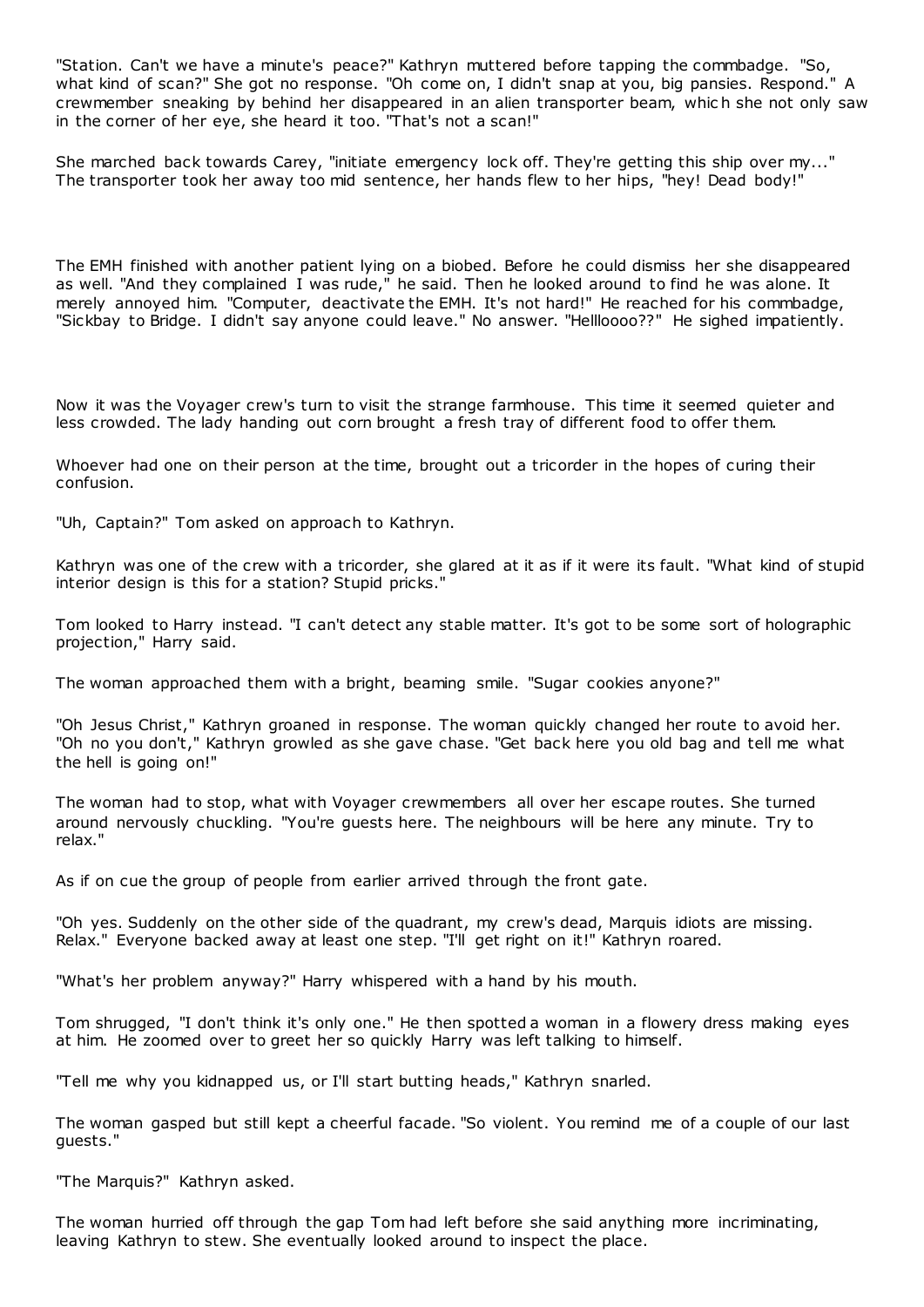"Station. Can't we have a minute's peace?" Kathryn muttered before tapping the commbadge. "So, what kind of scan?" She got no response. "Oh come on, I didn't snap at you, big pansies. Respond." A crewmember sneaking by behind her disappeared in an alien transporter beam, whic h she not only saw in the corner of her eye, she heard it too. "That's not a scan!"

She marched back towards Carey, "initiate emergency lock off. They're getting this ship over my..." The transporter took her away too mid sentence, her hands flew to her hips, "hey! Dead body!"

The EMH finished with another patient lying on a biobed. Before he could dismiss her she disappeared as well. "And they complained I was rude," he said. Then he looked around to find he was alone. It merely annoyed him. "Computer, deactivate the EMH. It's not hard!" He reached for his commbadge, "Sickbay to Bridge. I didn't say anyone could leave." No answer. "Hellloooo??" He sighed impatiently.

Now it was the Voyager crew's turn to visit the strange farmhouse. This time it seemed quieter and less crowded. The lady handing out corn brought a fresh tray of different food to offer them.

Whoever had one on their person at the time, brought out a tricorder in the hopes of curing their confusion.

"Uh, Captain?" Tom asked on approach to Kathryn.

Kathryn was one of the crew with a tricorder, she glared at it as if it were its fault. "What kind of stupid interior design is this for a station? Stupid pricks."

Tom looked to Harry instead. "I can't detect any stable matter. It's got to be some sort of holographic projection," Harry said.

The woman approached them with a bright, beaming smile. "Sugar cookies anyone?"

"Oh Jesus Christ," Kathryn groaned in response. The woman quickly changed her route to avoid her. "Oh no you don't," Kathryn growled as she gave chase. "Get back here you old bag and tell me what the hell is going on!"

The woman had to stop, what with Voyager crewmembers all over her escape routes. She turned around nervously chuckling. "You're guests here. The neighbours will be here any minute. Try to relax."

As if on cue the group of people from earlier arrived through the front gate.

"Oh yes. Suddenly on the other side of the quadrant, my crew's dead, Marquis idiots are missing. Relax." Everyone backed away at least one step. "I'll get right on it!" Kathryn roared.

"What's her problem anyway?" Harry whispered with a hand by his mouth.

Tom shrugged, "I don't think it's only one." He then spotted a woman in a flowery dress making eyes at him. He zoomed over to greet her so quickly Harry was left talking to himself.

"Tell me why you kidnapped us, or I'll start butting heads," Kathryn snarled.

The woman gasped but still kept a cheerful facade. "So violent. You remind me of a couple of our last guests."

"The Marquis?" Kathryn asked.

The woman hurried off through the gap Tom had left before she said anything more incriminating, leaving Kathryn to stew. She eventually looked around to inspect the place.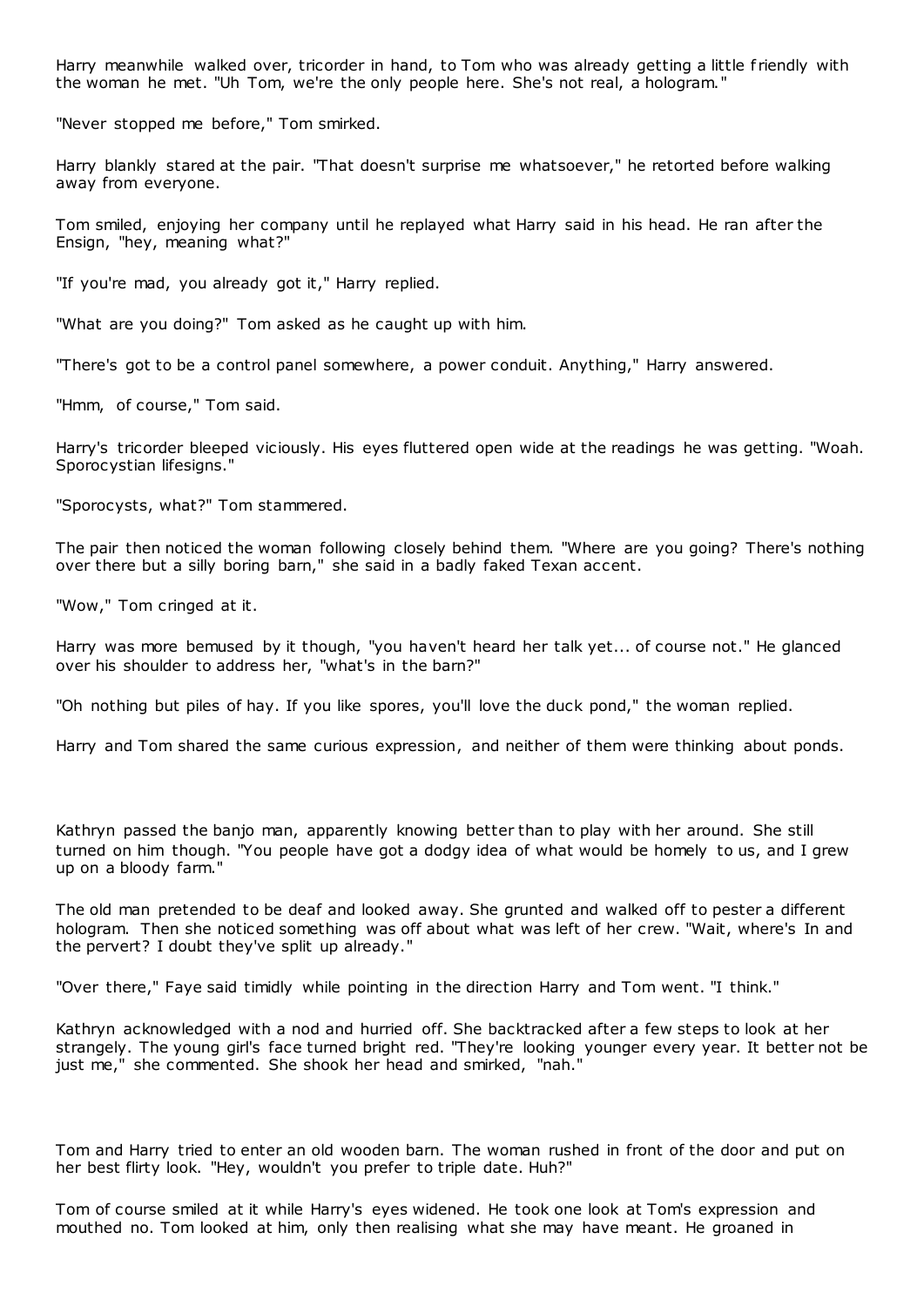Harry meanwhile walked over, tricorder in hand, to Tom who was already getting a little f riendly with the woman he met. "Uh Tom, we're the only people here. She's not real, a hologram."

"Never stopped me before," Tom smirked.

Harry blankly stared at the pair. "That doesn't surprise me whatsoever," he retorted before walking away from everyone.

Tom smiled, enjoying her company until he replayed what Harry said in his head. He ran after the Ensign, "hey, meaning what?"

"If you're mad, you already got it," Harry replied.

"What are you doing?" Tom asked as he caught up with him.

"There's got to be a control panel somewhere, a power conduit. Anything," Harry answered.

"Hmm, of course," Tom said.

Harry's tricorder bleeped viciously. His eyes fluttered open wide at the readings he was getting. "Woah. Sporocystian lifesigns."

"Sporocysts, what?" Tom stammered.

The pair then noticed the woman following closely behind them. "Where are you going? There's nothing over there but a silly boring barn," she said in a badly faked Texan accent.

"Wow," Tom cringed at it.

Harry was more bemused by it though, "you haven't heard her talk yet... of course not." He glanced over his shoulder to address her, "what's in the barn?"

"Oh nothing but piles of hay. If you like spores, you'll love the duck pond," the woman replied.

Harry and Tom shared the same curious expression, and neither of them were thinking about ponds.

Kathryn passed the banjo man, apparently knowing better than to play with her around. She still turned on him though. "You people have got a dodgy idea of what would be homely to us, and I grew up on a bloody farm."

The old man pretended to be deaf and looked away. She grunted and walked off to pester a different hologram. Then she noticed something was off about what was left of her crew. "Wait, where's In and the pervert? I doubt they've split up already."

"Over there," Faye said timidly while pointing in the direction Harry and Tom went. "I think."

Kathryn acknowledged with a nod and hurried off. She backtracked after a few steps to look at her strangely. The young girl's face turned bright red. "They're looking younger every year. It better not be just me," she commented. She shook her head and smirked, "nah."

Tom and Harry tried to enter an old wooden barn. The woman rushed in front of the door and put on her best flirty look. "Hey, wouldn't you prefer to triple date. Huh?"

Tom of course smiled at it while Harry's eyes widened. He took one look at Tom's expression and mouthed no. Tom looked at him, only then realising what she may have meant. He groaned in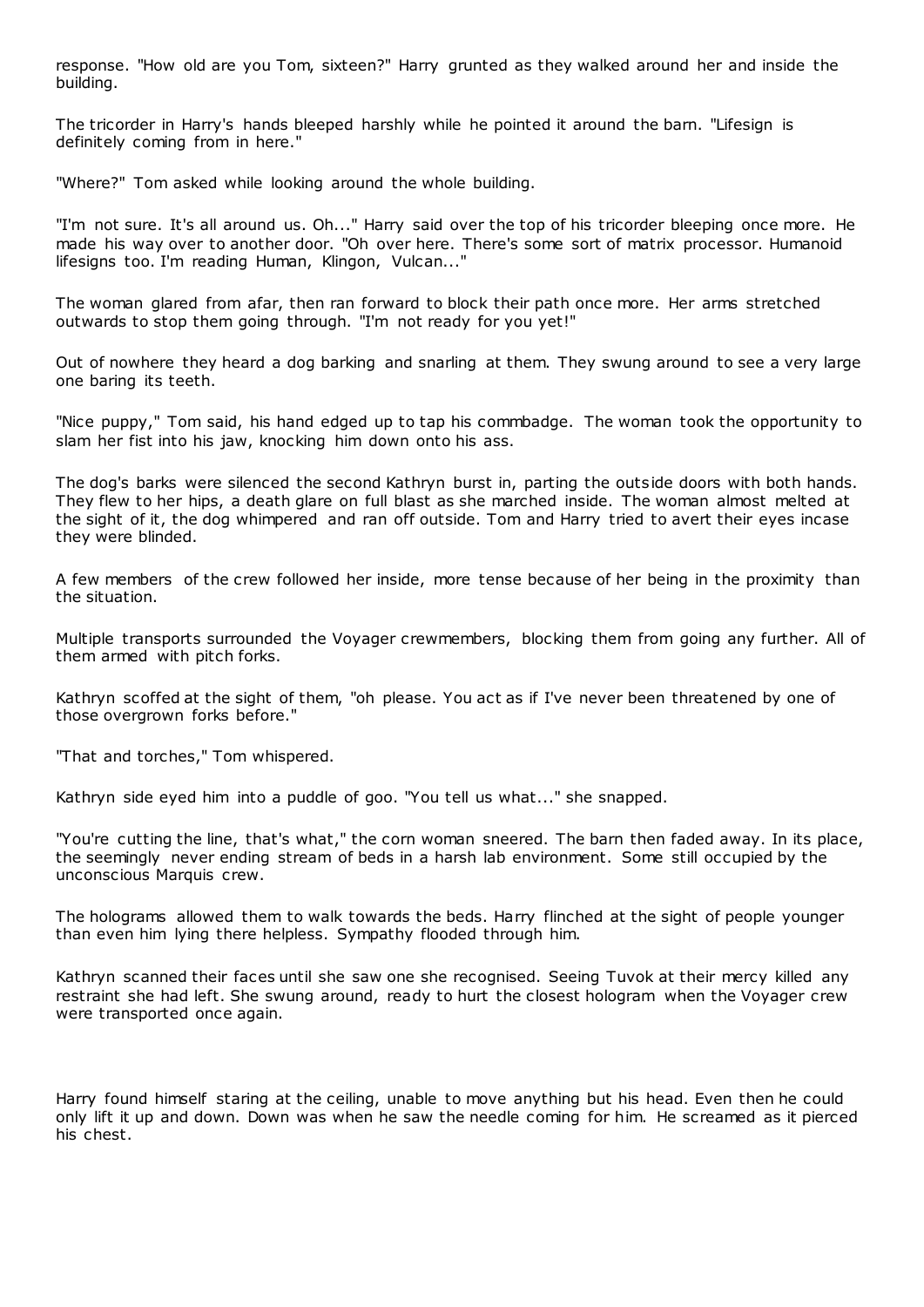response. "How old are you Tom, sixteen?" Harry grunted as they walked around her and inside the building.

The tricorder in Harry's hands bleeped harshly while he pointed it around the barn. "Lifesign is definitely coming from in here."

"Where?" Tom asked while looking around the whole building.

"I'm not sure. It's all around us. Oh..." Harry said over the top of his tricorder bleeping once more. He made his way over to another door. "Oh over here. There's some sort of matrix processor. Humanoid lifesigns too. I'm reading Human, Klingon, Vulcan...'

The woman glared from afar, then ran forward to block their path once more. Her arms stretched outwards to stop them going through. "I'm not ready for you yet!"

Out of nowhere they heard a dog barking and snarling at them. They swung around to see a very large one baring its teeth.

"Nice puppy," Tom said, his hand edged up to tap his commbadge. The woman took the opportunity to slam her fist into his jaw, knocking him down onto his ass.

The dog's barks were silenced the second Kathryn burst in, parting the outside doors with both hands. They flew to her hips, a death glare on full blast as she marched inside. The woman almost melted at the sight of it, the dog whimpered and ran off outside. Tom and Harry tried to avert their eyes incase they were blinded.

A few members of the crew followed her inside, more tense because of her being in the proximity than the situation.

Multiple transports surrounded the Voyager crewmembers, blocking them from going any further. All of them armed with pitch forks.

Kathryn scoffed at the sight of them, "oh please. You act as if I've never been threatened by one of those overgrown forks before."

"That and torches," Tom whispered.

Kathryn side eyed him into a puddle of goo. "You tell us what..." she snapped.

"You're cutting the line, that's what," the corn woman sneered. The barn then faded away. In its place, the seemingly never ending stream of beds in a harsh lab environment. Some still occupied by the unconscious Marquis crew.

The holograms allowed them to walk towards the beds. Harry flinched at the sight of people younger than even him lying there helpless. Sympathy flooded through him.

Kathryn scanned their faces until she saw one she recognised. Seeing Tuvok at their mercy killed any restraint she had left. She swung around, ready to hurt the closest hologram when the Voyager crew were transported once again.

Harry found himself staring at the ceiling, unable to move anything but his head. Even then he could only lift it up and down. Down was when he saw the needle coming for him. He screamed as it pierced his chest.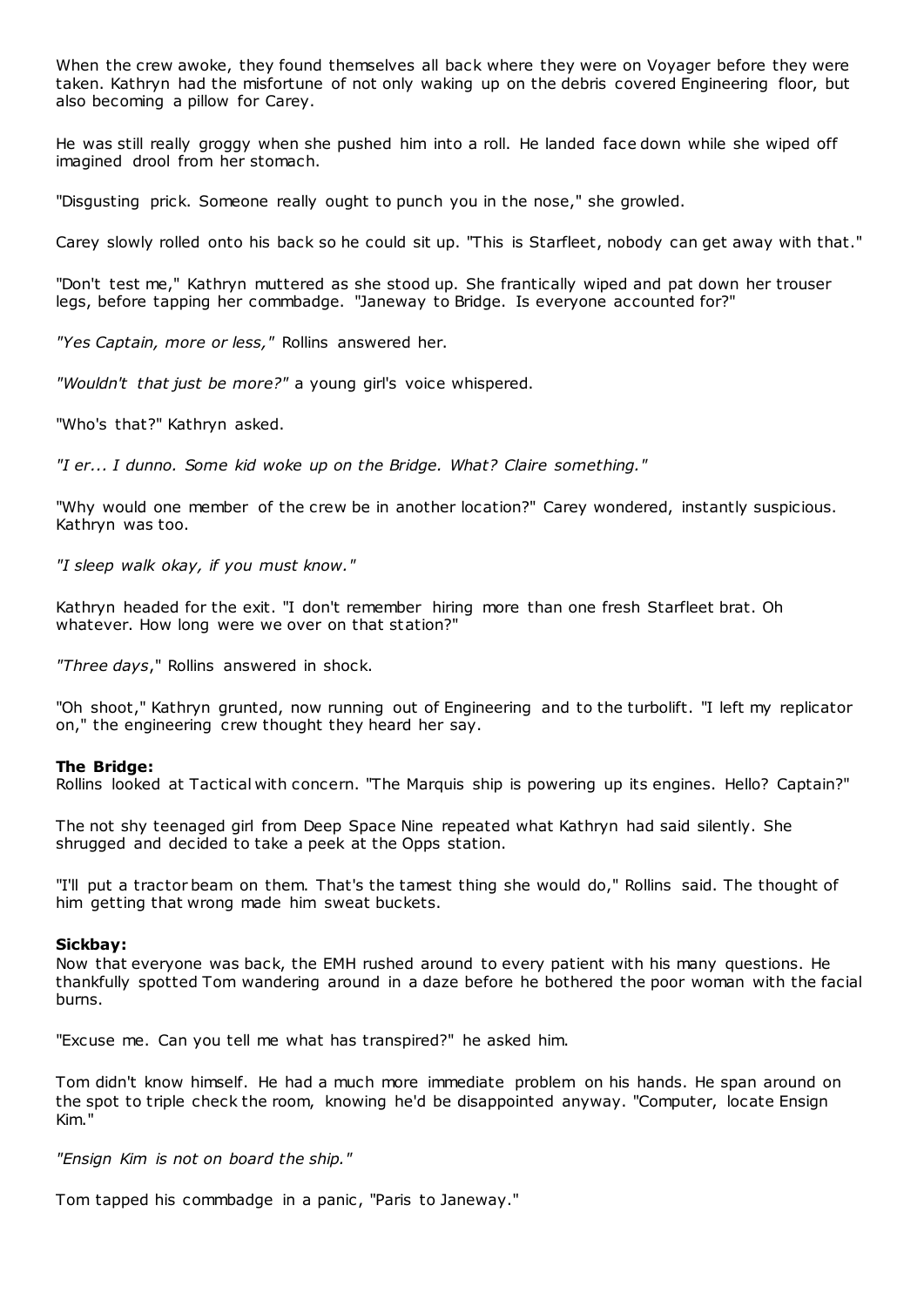When the crew awoke, they found themselves all back where they were on Voyager before they were taken. Kathryn had the misfortune of not only waking up on the debris covered Engineering floor, but also becoming a pillow for Carey.

He was still really groggy when she pushed him into a roll. He landed face down while she wiped off imagined drool from her stomach.

"Disgusting prick. Someone really ought to punch you in the nose," she growled.

Carey slowly rolled onto his back so he could sit up. "This is Starfleet, nobody can get away with that."

"Don't test me," Kathryn muttered as she stood up. She frantically wiped and pat down her trouser legs, before tapping her commbadge. "Janeway to Bridge. Is everyone accounted for?"

*"Yes Captain, more or less,"* Rollins answered her.

*"Wouldn't that just be more?"* a young girl's voice whispered.

"Who's that?" Kathryn asked.

*"I er... I dunno. Some kid woke up on the Bridge. What? Claire something."*

"Why would one member of the crew be in another location?" Carey wondered, instantly suspicious. Kathryn was too.

*"I sleep walk okay, if you must know."*

Kathryn headed for the exit. "I don't remember hiring more than one fresh Starfleet brat. Oh whatever. How long were we over on that station?"

*"Three days*," Rollins answered in shock.

"Oh shoot," Kathryn grunted, now running out of Engineering and to the turbolift. "I left my replicator on," the engineering crew thought they heard her say.

#### **The Bridge:**

Rollins looked at Tactical with concern. "The Marquis ship is powering up its engines. Hello? Captain?"

The not shy teenaged girl from Deep Space Nine repeated what Kathryn had said silently. She shrugged and decided to take a peek at the Opps station.

"I'll put a tractor beam on them. That's the tamest thing she would do," Rollins said. The thought of him getting that wrong made him sweat buckets.

#### **Sickbay:**

Now that everyone was back, the EMH rushed around to every patient with his many questions. He thankfully spotted Tom wandering around in a daze before he bothered the poor woman with the facial burns.

"Excuse me. Can you tell me what has transpired?" he asked him.

Tom didn't know himself. He had a much more immediate problem on his hands. He span around on the spot to triple check the room, knowing he'd be disappointed anyway. "Computer, locate Ensign Kim."

*"Ensign Kim is not on board the ship."*

Tom tapped his commbadge in a panic, "Paris to Janeway."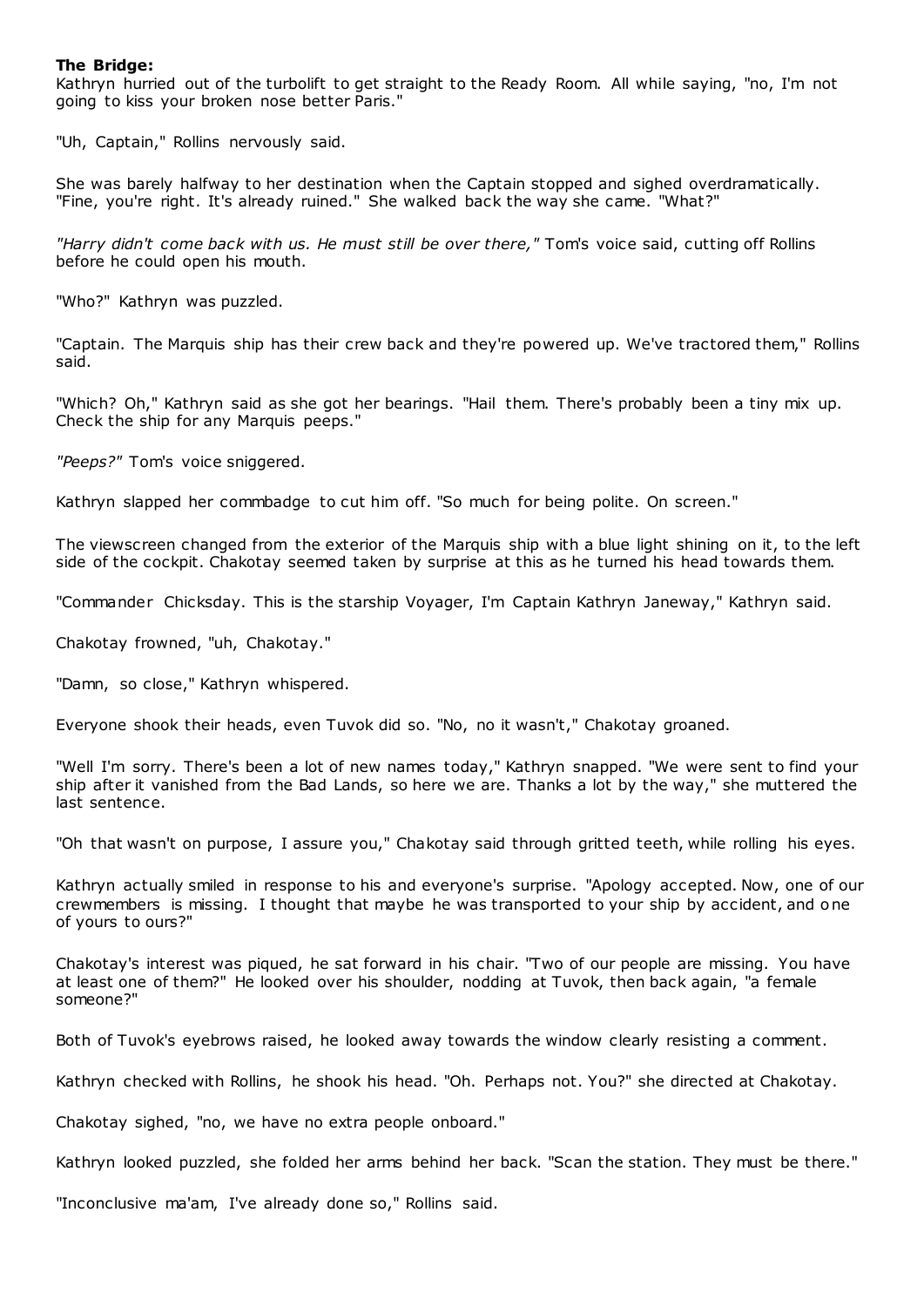## **The Bridge:**

Kathryn hurried out of the turbolift to get straight to the Ready Room. All while saying, "no, I'm not going to kiss your broken nose better Paris."

"Uh, Captain," Rollins nervously said.

She was barely halfway to her destination when the Captain stopped and sighed overdramatically. "Fine, you're right. It's already ruined." She walked back the way she came. "What?"

*"Harry didn't come back with us. He must still be over there,"* Tom's voice said, cutting off Rollins before he could open his mouth.

"Who?" Kathryn was puzzled.

"Captain. The Marquis ship has their crew back and they're powered up. We've tractored them," Rollins said.

"Which? Oh," Kathryn said as she got her bearings. "Hail them. There's probably been a tiny mix up. Check the ship for any Marquis peeps."

*"Peeps?"* Tom's voice sniggered.

Kathryn slapped her commbadge to cut him off. "So much for being polite. On screen."

The viewscreen changed from the exterior of the Marquis ship with a blue light shining on it, to the left side of the cockpit. Chakotay seemed taken by surprise at this as he turned his head towards them.

"Commander Chicksday. This is the starship Voyager, I'm Captain Kathryn Janeway," Kathryn said.

Chakotay frowned, "uh, Chakotay."

"Damn, so close," Kathryn whispered.

Everyone shook their heads, even Tuvok did so. "No, no it wasn't," Chakotay groaned.

"Well I'm sorry. There's been a lot of new names today," Kathryn snapped. "We were sent to find your ship after it vanished from the Bad Lands, so here we are. Thanks a lot by the way," she muttered the last sentence.

"Oh that wasn't on purpose, I assure you," Chakotay said through gritted teeth, while rolling his eyes.

Kathryn actually smiled in response to his and everyone's surprise. "Apology accepted. Now, one of our crewmembers is missing. I thought that maybe he was transported to your ship by accident, and one of yours to ours?"

Chakotay's interest was piqued, he sat forward in his chair. "Two of our people are missing. You have at least one of them?" He looked over his shoulder, nodding at Tuvok, then back again, "a female someone?"

Both of Tuvok's eyebrows raised, he looked away towards the window clearly resisting a comment.

Kathryn checked with Rollins, he shook his head. "Oh. Perhaps not. You?" she directed at Chakotay.

Chakotay sighed, "no, we have no extra people onboard."

Kathryn looked puzzled, she folded her arms behind her back. "Scan the station. They must be there."

"Inconclusive ma'am, I've already done so," Rollins said.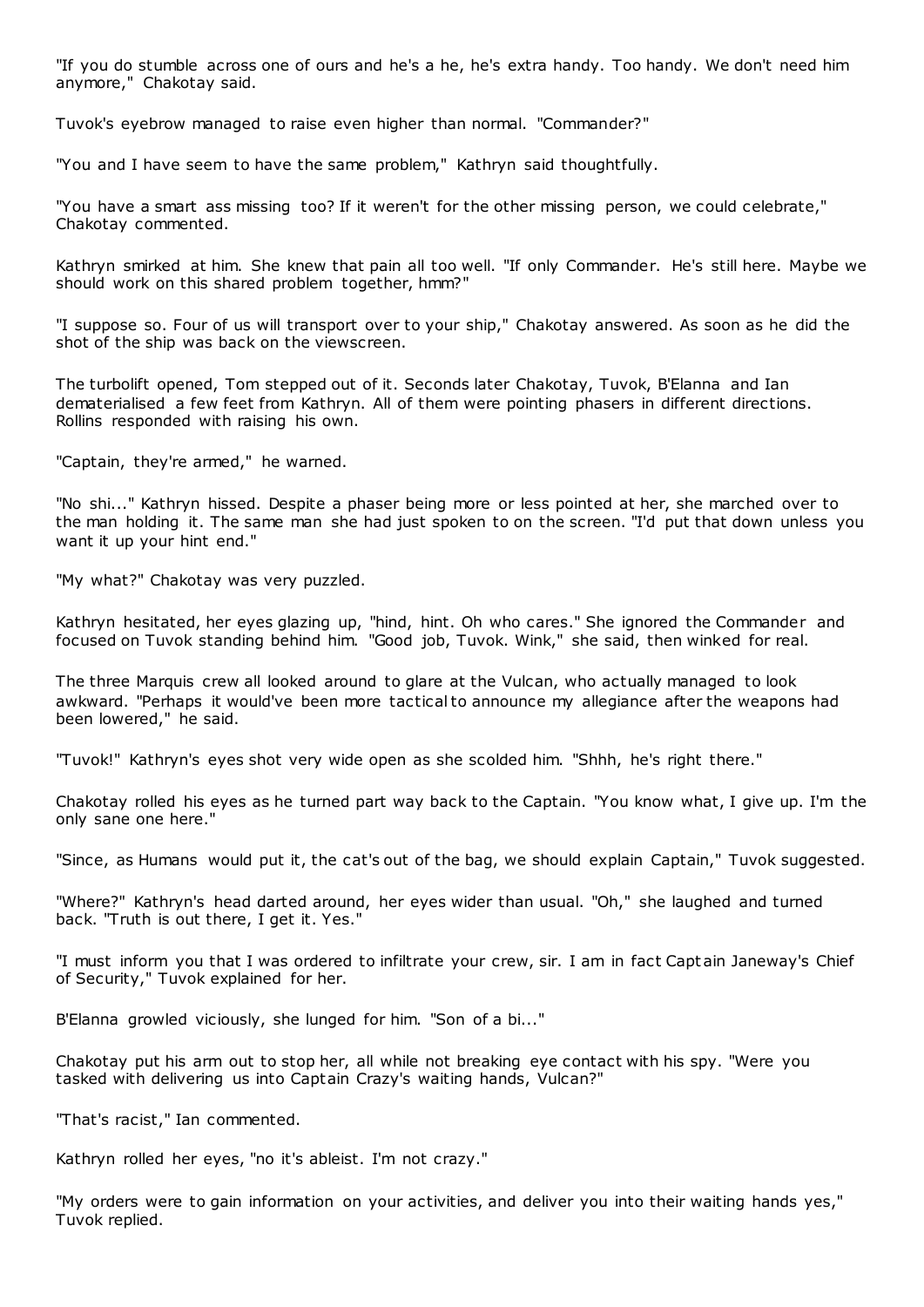"If you do stumble across one of ours and he's a he, he's extra handy. Too handy. We don't need him anymore," Chakotay said.

Tuvok's eyebrow managed to raise even higher than normal. "Commander?"

"You and I have seem to have the same problem," Kathryn said thoughtfully.

"You have a smart ass missing too? If it weren't for the other missing person, we could celebrate," Chakotay commented.

Kathryn smirked at him. She knew that pain all too well. "If only Commander. He's still here. Maybe we should work on this shared problem together, hmm?"

"I suppose so. Four of us will transport over to your ship," Chakotay answered. As soon as he did the shot of the ship was back on the viewscreen.

The turbolift opened, Tom stepped out of it. Seconds later Chakotay, Tuvok, B'Elanna and Ian dematerialised a few feet from Kathryn. All of them were pointing phasers in different directions. Rollins responded with raising his own.

"Captain, they're armed," he warned.

"No shi..." Kathryn hissed. Despite a phaser being more or less pointed at her, she marched over to the man holding it. The same man she had just spoken to on the screen. "I'd put that down unless you want it up your hint end."

"My what?" Chakotay was very puzzled.

Kathryn hesitated, her eyes glazing up, "hind, hint. Oh who cares." She ignored the Commander and focused on Tuvok standing behind him. "Good job, Tuvok. Wink," she said, then winked for real.

The three Marquis crew all looked around to glare at the Vulcan, who actually managed to look awkward. "Perhaps it would've been more tactical to announce my allegiance after the weapons had been lowered," he said.

"Tuvok!" Kathryn's eyes shot very wide open as she scolded him. "Shhh, he's right there."

Chakotay rolled his eyes as he turned part way back to the Captain. "You know what, I give up. I'm the only sane one here."

"Since, as Humans would put it, the cat's out of the bag, we should explain Captain," Tuvok suggested.

"Where?" Kathryn's head darted around, her eyes wider than usual. "Oh," she laughed and turned back. "Truth is out there, I get it. Yes."

"I must inform you that I was ordered to infiltrate your crew, sir. I am in fact Capt ain Janeway's Chief of Security," Tuvok explained for her.

B'Elanna growled viciously, she lunged for him. "Son of a bi..."

Chakotay put his arm out to stop her, all while not breaking eye contact with his spy. "Were you tasked with delivering us into Captain Crazy's waiting hands, Vulcan?"

"That's racist," Ian commented.

Kathryn rolled her eyes, "no it's ableist. I'm not crazy."

"My orders were to gain information on your activities, and deliver you into their waiting hands yes," Tuvok replied.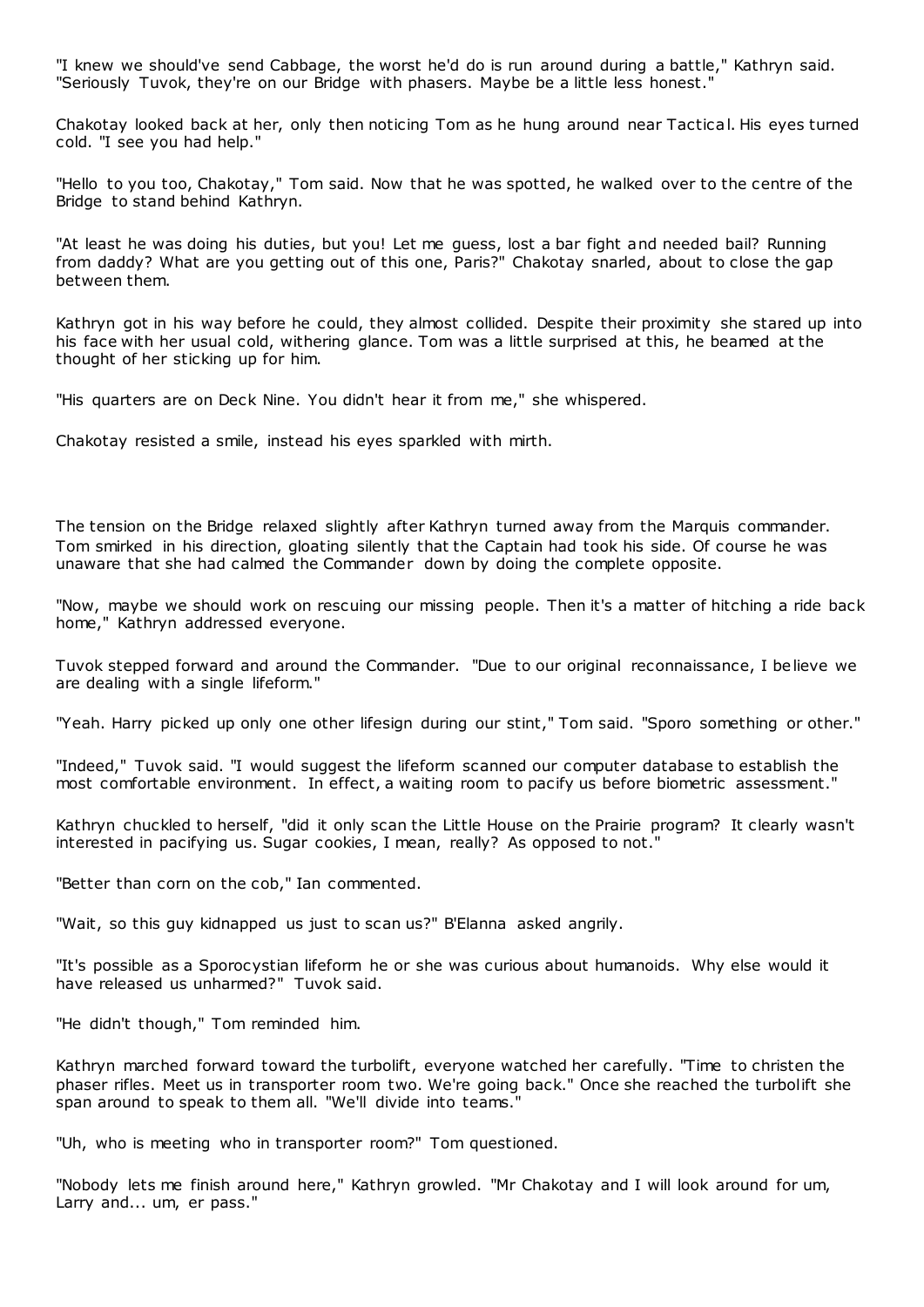"I knew we should've send Cabbage, the worst he'd do is run around during a battle," Kathryn said. "Seriously Tuvok, they're on our Bridge with phasers. Maybe be a little less honest."

Chakotay looked back at her, only then noticing Tom as he hung around near Tactical. His eyes turned cold. "I see you had help."

"Hello to you too, Chakotay," Tom said. Now that he was spotted, he walked over to the centre of the Bridge to stand behind Kathryn.

"At least he was doing his duties, but you! Let me guess, lost a bar fight and needed bail? Running from daddy? What are you getting out of this one, Paris?" Chakotay snarled, about to close the gap between them.

Kathryn got in his way before he could, they almost collided. Despite their proximity she stared up into his face with her usual cold, withering glance. Tom was a little surprised at this, he beamed at the thought of her sticking up for him.

"His quarters are on Deck Nine. You didn't hear it from me," she whispered.

Chakotay resisted a smile, instead his eyes sparkled with mirth.

The tension on the Bridge relaxed slightly after Kathryn turned away from the Marquis commander. Tom smirked in his direction, gloating silently that the Captain had took his side. Of course he was unaware that she had calmed the Commander down by doing the complete opposite.

"Now, maybe we should work on rescuing our missing people. Then it's a matter of hitching a ride back home," Kathryn addressed everyone.

Tuvok stepped forward and around the Commander. "Due to our original reconnaissance, I believe we are dealing with a single lifeform."

"Yeah. Harry picked up only one other lifesign during our stint," Tom said. "Sporo something or other."

"Indeed," Tuvok said. "I would suggest the lifeform scanned our computer database to establish the most comfortable environment. In effect, a waiting room to pacify us before biometric assessment."

Kathryn chuckled to herself, "did it only scan the Little House on the Prairie program? It clearly wasn't interested in pacifying us. Sugar cookies, I mean, really? As opposed to not."

"Better than corn on the cob," Ian commented.

"Wait, so this guy kidnapped us just to scan us?" B'Elanna asked angrily.

"It's possible as a Sporocystian lifeform he or she was curious about humanoids. Why else would it have released us unharmed?" Tuvok said.

"He didn't though," Tom reminded him.

Kathryn marched forward toward the turbolift, everyone watched her carefully. "Time to christen the phaser rifles. Meet us in transporter room two. We're going back." Once she reached the turbolift she span around to speak to them all. "We'll divide into teams."

"Uh, who is meeting who in transporter room?" Tom questioned.

"Nobody lets me finish around here," Kathryn growled. "Mr Chakotay and I will look around for um, Larry and... um, er pass."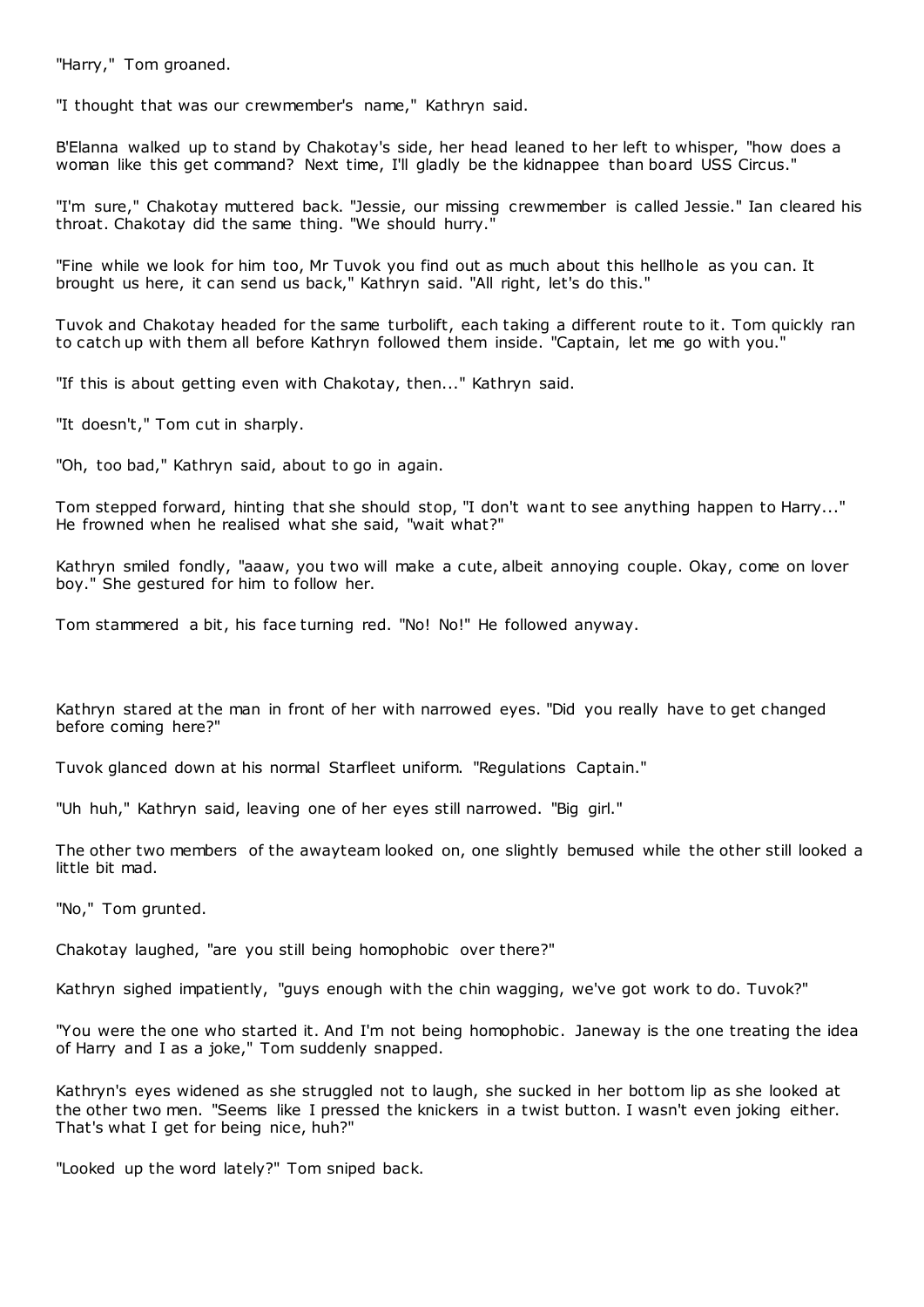"Harry," Tom groaned.

"I thought that was our crewmember's name," Kathryn said.

B'Elanna walked up to stand by Chakotay's side, her head leaned to her left to whisper, "how does a woman like this get command? Next time, I'll gladly be the kidnappee than board USS Circus."

"I'm sure," Chakotay muttered back. "Jessie, our missing crewmember is called Jessie." Ian cleared his throat. Chakotay did the same thing. "We should hurry.

"Fine while we look for him too, Mr Tuvok you find out as much about this hellhole as you can. It brought us here, it can send us back," Kathryn said. "All right, let's do this."

Tuvok and Chakotay headed for the same turbolift, each taking a different route to it. Tom quickly ran to catch up with them all before Kathryn followed them inside. "Captain, let me go with you."

"If this is about getting even with Chakotay, then..." Kathryn said.

"It doesn't," Tom cut in sharply.

"Oh, too bad," Kathryn said, about to go in again.

Tom stepped forward, hinting that she should stop, "I don't want to see anything happen to Harry..." He frowned when he realised what she said, "wait what?"

Kathryn smiled fondly, "aaaw, you two will make a cute, albeit annoying couple. Okay, come on lover boy." She gestured for him to follow her.

Tom stammered a bit, his face turning red. "No! No!" He followed anyway.

Kathryn stared at the man in front of her with narrowed eyes. "Did you really have to get changed before coming here?"

Tuvok glanced down at his normal Starfleet uniform. "Regulations Captain."

"Uh huh," Kathryn said, leaving one of her eyes still narrowed. "Big girl."

The other two members of the awayteam looked on, one slightly bemused while the other still looked a little bit mad.

"No," Tom grunted.

Chakotay laughed, "are you still being homophobic over there?"

Kathryn sighed impatiently, "guys enough with the chin wagging, we've got work to do. Tuvok?"

"You were the one who started it. And I'm not being homophobic . Janeway is the one treating the idea of Harry and I as a joke," Tom suddenly snapped.

Kathryn's eyes widened as she struggled not to laugh, she sucked in her bottom lip as she looked at the other two men. "Seems like I pressed the knickers in a twist button. I wasn't even joking either. That's what I get for being nice, huh?"

"Looked up the word lately?" Tom sniped back.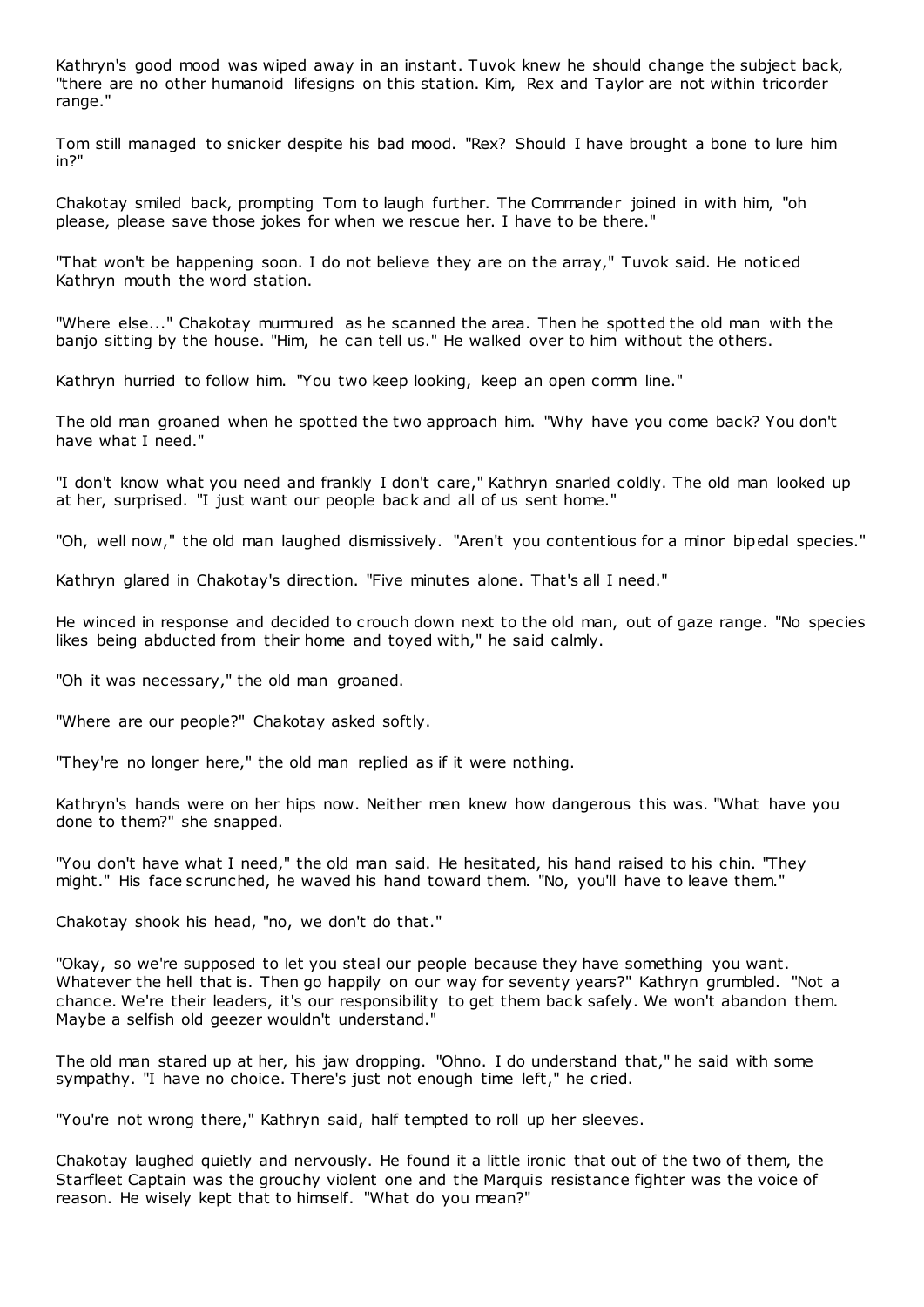Kathryn's good mood was wiped away in an instant. Tuvok knew he should change the subject back, "there are no other humanoid lifesigns on this station. Kim, Rex and Taylor are not within tricorder range."

Tom still managed to snicker despite his bad mood. "Rex? Should I have brought a bone to lure him in?"

Chakotay smiled back, prompting Tom to laugh further. The Commander joined in with him, "oh please, please save those jokes for when we rescue her. I have to be there."

"That won't be happening soon. I do not believe they are on the array," Tuvok said. He noticed Kathryn mouth the word station.

"Where else..." Chakotay murmured as he scanned the area. Then he spotted the old man with the banjo sitting by the house. "Him, he can tell us." He walked over to him without the others.

Kathryn hurried to follow him. "You two keep looking, keep an open comm line."

The old man groaned when he spotted the two approach him. "Why have you come back? You don't have what I need."

"I don't know what you need and frankly I don't care," Kathryn snarled coldly. The old man looked up at her, surprised. "I just want our people back and all of us sent home."

"Oh, well now," the old man laughed dismissively. "Aren't you contentious for a minor bipedal species."

Kathryn glared in Chakotay's direction. "Five minutes alone. That's all I need."

He winced in response and decided to crouch down next to the old man, out of gaze range. "No species likes being abducted from their home and toyed with," he said calmly.

"Oh it was necessary," the old man groaned.

"Where are our people?" Chakotay asked softly.

"They're no longer here," the old man replied as if it were nothing.

Kathryn's hands were on her hips now. Neither men knew how dangerous this was. "What have you done to them?" she snapped.

"You don't have what I need," the old man said. He hesitated, his hand raised to his chin. "They might." His face scrunched, he waved his hand toward them. "No, you'll have to leave them."

Chakotay shook his head, "no, we don't do that."

"Okay, so we're supposed to let you steal our people because they have something you want. Whatever the hell that is. Then go happily on our way for seventy years?" Kathryn grumbled. "Not a chance. We're their leaders, it's our responsibility to get them back safely. We won't abandon them. Maybe a selfish old geezer wouldn't understand."

The old man stared up at her, his jaw dropping. "Ohno. I do understand that," he said with some sympathy. "I have no choice. There's just not enough time left," he cried.

"You're not wrong there," Kathryn said, half tempted to roll up her sleeves.

Chakotay laughed quietly and nervously. He found it a little ironic that out of the two of them, the Starfleet Captain was the grouchy violent one and the Marquis resistance fighter was the voice of reason. He wisely kept that to himself. "What do you mean?"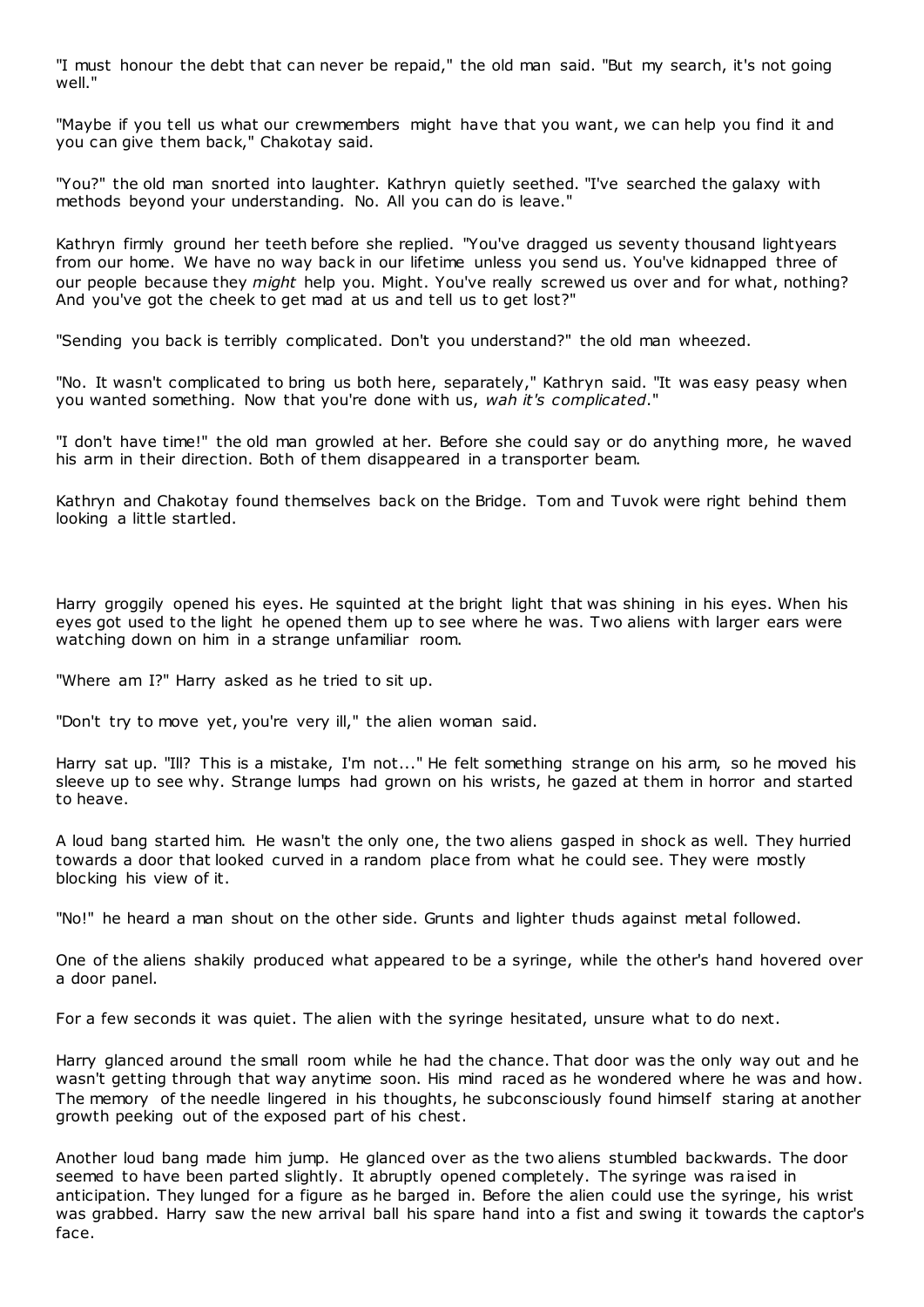"I must honour the debt that can never be repaid," the old man said. "But my search, it's not going well."

"Maybe if you tell us what our crewmembers might have that you want, we can help you find it and you can give them back," Chakotay said.

"You?" the old man snorted into laughter. Kathryn quietly seethed. "I've searched the galaxy with methods beyond your understanding. No. All you can do is leave."

Kathryn firmly ground her teeth before she replied. "You've dragged us seventy thousand lightyears from our home. We have no way back in our lifetime unless you send us. You've kidnapped three of our people because they *might* help you. Might. You've really screwed us over and for what, nothing? And you've got the cheek to get mad at us and tell us to get lost?"

"Sending you back is terribly complicated. Don't you understand?" the old man wheezed.

"No. It wasn't complicated to bring us both here, separately," Kathryn said. "It was easy peasy when you wanted something. Now that you're done with us, *wah it's complicated*."

"I don't have time!" the old man growled at her. Before she could say or do anything more, he waved his arm in their direction. Both of them disappeared in a transporter beam.

Kathryn and Chakotay found themselves back on the Bridge. Tom and Tuvok were right behind them looking a little startled.

Harry groggily opened his eyes. He squinted at the bright light that was shining in his eyes. When his eyes got used to the light he opened them up to see where he was. Two aliens with larger ears were watching down on him in a strange unfamiliar room.

"Where am I?" Harry asked as he tried to sit up.

"Don't try to move yet, you're very ill," the alien woman said.

Harry sat up. "Ill? This is a mistake, I'm not..." He felt something strange on his arm, so he moved his sleeve up to see why. Strange lumps had grown on his wrists, he gazed at them in horror and started to heave.

A loud bang started him. He wasn't the only one, the two aliens gasped in shock as well. They hurried towards a door that looked curved in a random place from what he could see. They were mostly blocking his view of it.

"No!" he heard a man shout on the other side. Grunts and lighter thuds against metal followed.

One of the aliens shakily produced what appeared to be a syringe, while the other's hand hovered over a door panel.

For a few seconds it was quiet. The alien with the syringe hesitated, unsure what to do next.

Harry glanced around the small room while he had the chance. That door was the only way out and he wasn't getting through that way anytime soon. His mind raced as he wondered where he was and how. The memory of the needle lingered in his thoughts, he subconsciously found himself staring at another growth peeking out of the exposed part of his chest.

Another loud bang made him jump. He glanced over as the two aliens stumbled backwards. The door seemed to have been parted slightly. It abruptly opened completely. The syringe was raised in anticipation. They lunged for a figure as he barged in. Before the alien could use the syringe, his wrist was grabbed. Harry saw the new arrival ball his spare hand into a fist and swing it towards the captor's face.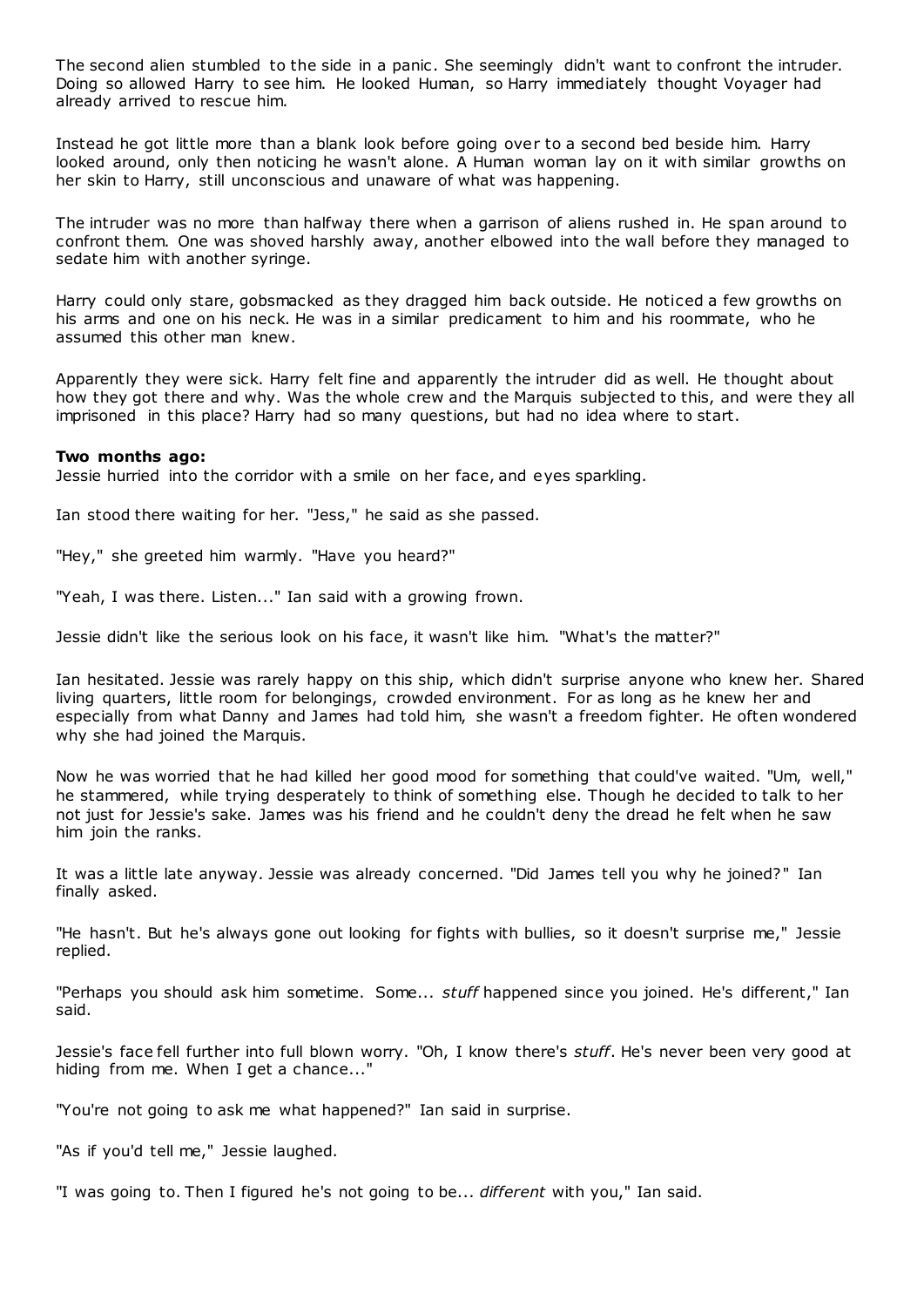The second alien stumbled to the side in a panic. She seemingly didn't want to confront the intruder. Doing so allowed Harry to see him. He looked Human, so Harry immediately thought Voyager had already arrived to rescue him.

Instead he got little more than a blank look before going over to a second bed beside him. Harry looked around, only then noticing he wasn't alone. A Human woman lay on it with similar growths on her skin to Harry, still unconscious and unaware of what was happening.

The intruder was no more than halfway there when a garrison of aliens rushed in. He span around to confront them. One was shoved harshly away, another elbowed into the wall before they managed to sedate him with another syringe.

Harry could only stare, gobsmacked as they dragged him back outside. He noticed a few growths on his arms and one on his neck. He was in a similar predicament to him and his roommate, who he assumed this other man knew.

Apparently they were sick. Harry felt fine and apparently the intruder did as well. He thought about how they got there and why. Was the whole crew and the Marquis subjected to this, and were they all imprisoned in this place? Harry had so many questions, but had no idea where to start.

## **Two months ago:**

Jessie hurried into the corridor with a smile on her face, and eyes sparkling.

Ian stood there waiting for her. "Jess," he said as she passed.

"Hey," she greeted him warmly. "Have you heard?"

"Yeah, I was there. Listen..." Ian said with a growing frown.

Jessie didn't like the serious look on his face, it wasn't like him. "What's the matter?"

Ian hesitated. Jessie was rarely happy on this ship, which didn't surprise anyone who knew her. Shared living quarters, little room for belongings, crowded environment. For as long as he knew her and especially from what Danny and James had told him, she wasn't a freedom fighter. He often wondered why she had joined the Marquis.

Now he was worried that he had killed her good mood for something that could've waited. "Um, well," he stammered, while trying desperately to think of something else. Though he decided to talk to her not just for Jessie's sake. James was his friend and he couldn't deny the dread he felt when he saw him join the ranks.

It was a little late anyway. Jessie was already concerned. "Did James tell you why he joined?" Ian finally asked.

"He hasn't. But he's always gone out looking for fights with bullies, so it doesn't surprise me," Jessie replied.

"Perhaps you should ask him sometime. Some... *stuff* happened since you joined. He's different," Ian said.

Jessie's face fell further into full blown worry. "Oh, I know there's *stuff*. He's never been very good at hiding from me. When I get a chance..."

"You're not going to ask me what happened?" Ian said in surprise.

"As if you'd tell me," Jessie laughed.

"I was going to. Then I figured he's not going to be... *different* with you," Ian said.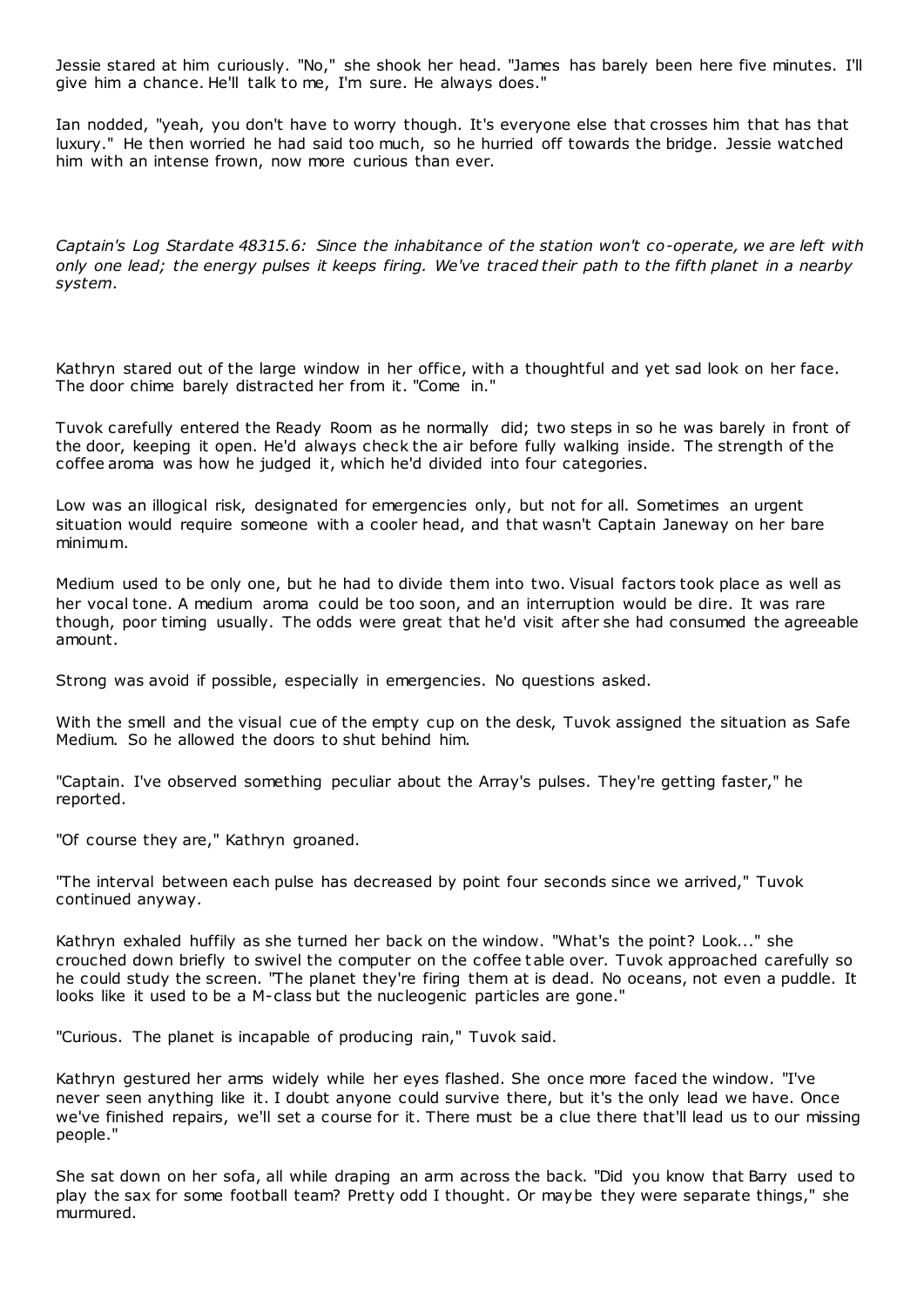Jessie stared at him curiously. "No," she shook her head. "James has barely been here five minutes. I'll give him a chance. He'll talk to me, I'm sure. He always does."

Ian nodded, "yeah, you don't have to worry though. It's everyone else that crosses him that has that luxury." He then worried he had said too much, so he hurried off towards the bridge. Jessie watched him with an intense frown, now more curious than ever.

*Captain's Log Stardate 48315.6: Since the inhabitance of the station won't co-operate, we are left with only one lead; the energy pulses it keeps firing. We've traced their path to the fifth planet in a nearby system.*

Kathryn stared out of the large window in her office, with a thoughtful and yet sad look on her face. The door chime barely distracted her from it. "Come in."

Tuvok carefully entered the Ready Room as he normally did; two steps in so he was barely in front of the door, keeping it open. He'd always check the air before fully walking inside. The strength of the coffee aroma was how he judged it, which he'd divided into four categories.

Low was an illogical risk, designated for emergencies only, but not for all. Sometimes an urgent situation would require someone with a cooler head, and that wasn't Captain Janeway on her bare minimum.

Medium used to be only one, but he had to divide them into two. Visual factors took place as well as her vocal tone. A medium aroma could be too soon, and an interruption would be dire. It was rare though, poor timing usually. The odds were great that he'd visit after she had consumed the agreeable amount.

Strong was avoid if possible, especially in emergencies. No questions asked.

With the smell and the visual cue of the empty cup on the desk, Tuvok assigned the situation as Safe Medium. So he allowed the doors to shut behind him.

"Captain. I've observed something peculiar about the Array's pulses. They're getting faster," he reported.

"Of course they are," Kathryn groaned.

"The interval between each pulse has decreased by point four seconds since we arrived," Tuvok continued anyway.

Kathryn exhaled huffily as she turned her back on the window. "What's the point? Look..." she crouched down briefly to swivel the computer on the coffee table over. Tuvok approached carefully so he could study the screen. "The planet they're firing them at is dead. No oceans, not even a puddle. It looks like it used to be a M-class but the nucleogenic particles are gone."

"Curious. The planet is incapable of producing rain," Tuvok said.

Kathryn gestured her arms widely while her eyes flashed. She once more faced the window. "I've never seen anything like it. I doubt anyone could survive there, but it's the only lead we have. Once we've finished repairs, we'll set a course for it. There must be a clue there that'll lead us to our missing people."

She sat down on her sofa, all while draping an arm across the back. "Did you know that Barry used to play the sax for some football team? Pretty odd I thought. Or maybe they were separate things," she murmured.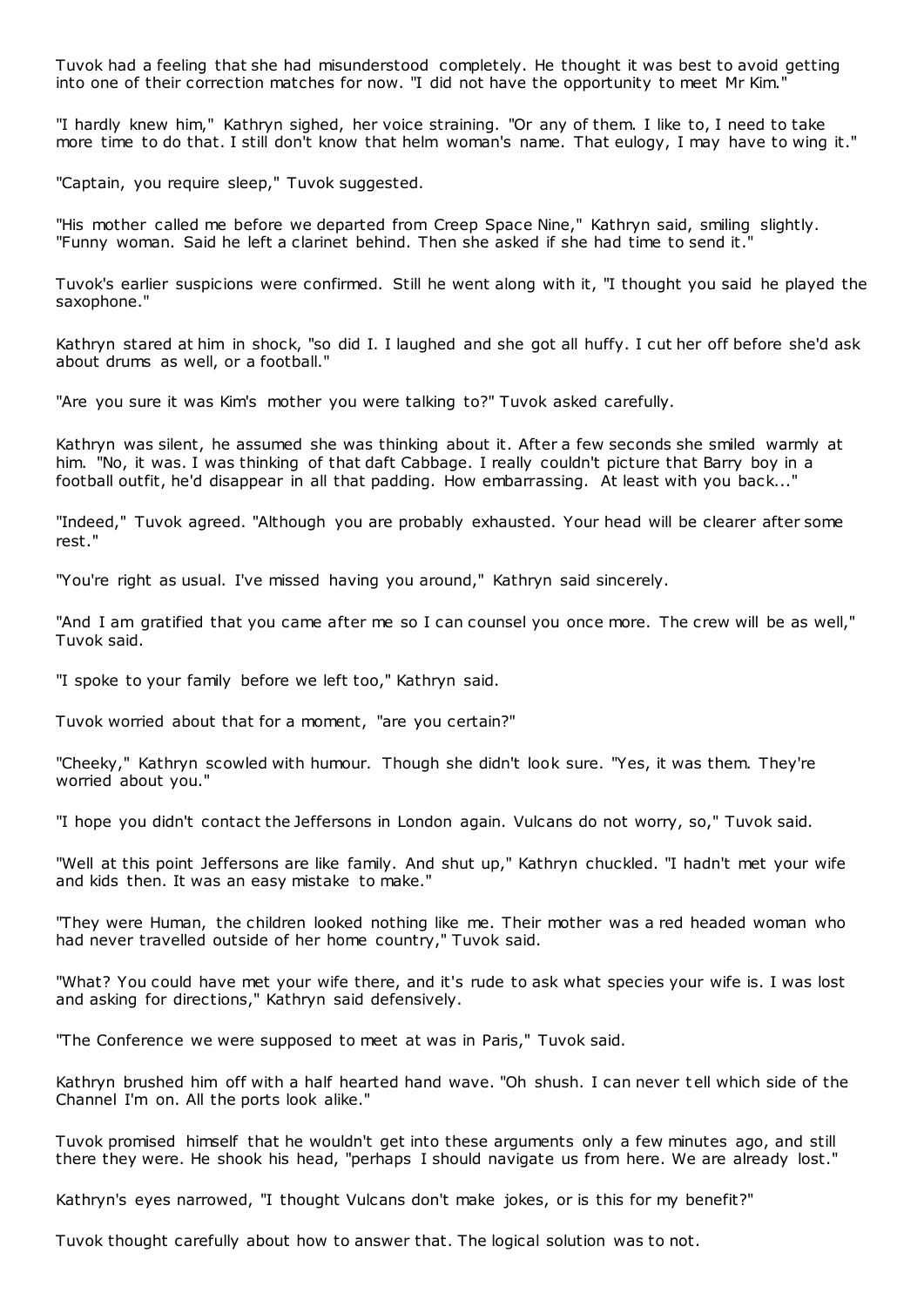Tuvok had a feeling that she had misunderstood completely. He thought it was best to avoid getting into one of their correction matches for now. "I did not have the opportunity to meet Mr Kim."

"I hardly knew him," Kathryn sighed, her voice straining. "Or any of them. I like to, I need to take more time to do that. I still don't know that helm woman's name. That eulogy, I may have to wing it."

"Captain, you require sleep," Tuvok suggested.

"His mother called me before we departed from Creep Space Nine," Kathryn said, smiling slightly. "Funny woman. Said he left a clarinet behind. Then she asked if she had time to send it."

Tuvok's earlier suspicions were confirmed. Still he went along with it, "I thought you said he played the saxophone."

Kathryn stared at him in shock, "so did I. I laughed and she got all huffy. I cut her off before she'd ask about drums as well, or a football."

"Are you sure it was Kim's mother you were talking to?" Tuvok asked carefully.

Kathryn was silent, he assumed she was thinking about it. After a few seconds she smiled warmly at him. "No, it was. I was thinking of that daft Cabbage. I really couldn't picture that Barry boy in a football outfit, he'd disappear in all that padding. How embarrassing. At least with you back..."

"Indeed," Tuvok agreed. "Although you are probably exhausted. Your head will be clearer after some rest."

"You're right as usual. I've missed having you around," Kathryn said sincerely.

"And I am gratified that you came after me so I can counsel you once more. The crew will be as well," Tuvok said.

"I spoke to your family before we left too," Kathryn said.

Tuvok worried about that for a moment, "are you certain?"

"Cheeky," Kathryn scowled with humour. Though she didn't look sure. "Yes, it was them. They're worried about you."

"I hope you didn't contact the Jeffersons in London again. Vulcans do not worry, so," Tuvok said.

"Well at this point Jeffersons are like family. And shut up," Kathryn chuckled. "I hadn't met your wife and kids then. It was an easy mistake to make."

"They were Human, the children looked nothing like me. Their mother was a red headed woman who had never travelled outside of her home country," Tuvok said.

"What? You could have met your wife there, and it's rude to ask what species your wife is. I was lost and asking for directions," Kathryn said defensively.

"The Conference we were supposed to meet at was in Paris," Tuvok said.

Kathryn brushed him off with a half hearted hand wave. "Oh shush. I can never tell which side of the Channel I'm on. All the ports look alike."

Tuvok promised himself that he wouldn't get into these arguments only a few minutes ago, and still there they were. He shook his head, "perhaps I should navigate us from here. We are already lost."

Kathryn's eyes narrowed, "I thought Vulcans don't make jokes, or is this for my benefit?"

Tuvok thought carefully about how to answer that. The logical solution was to not.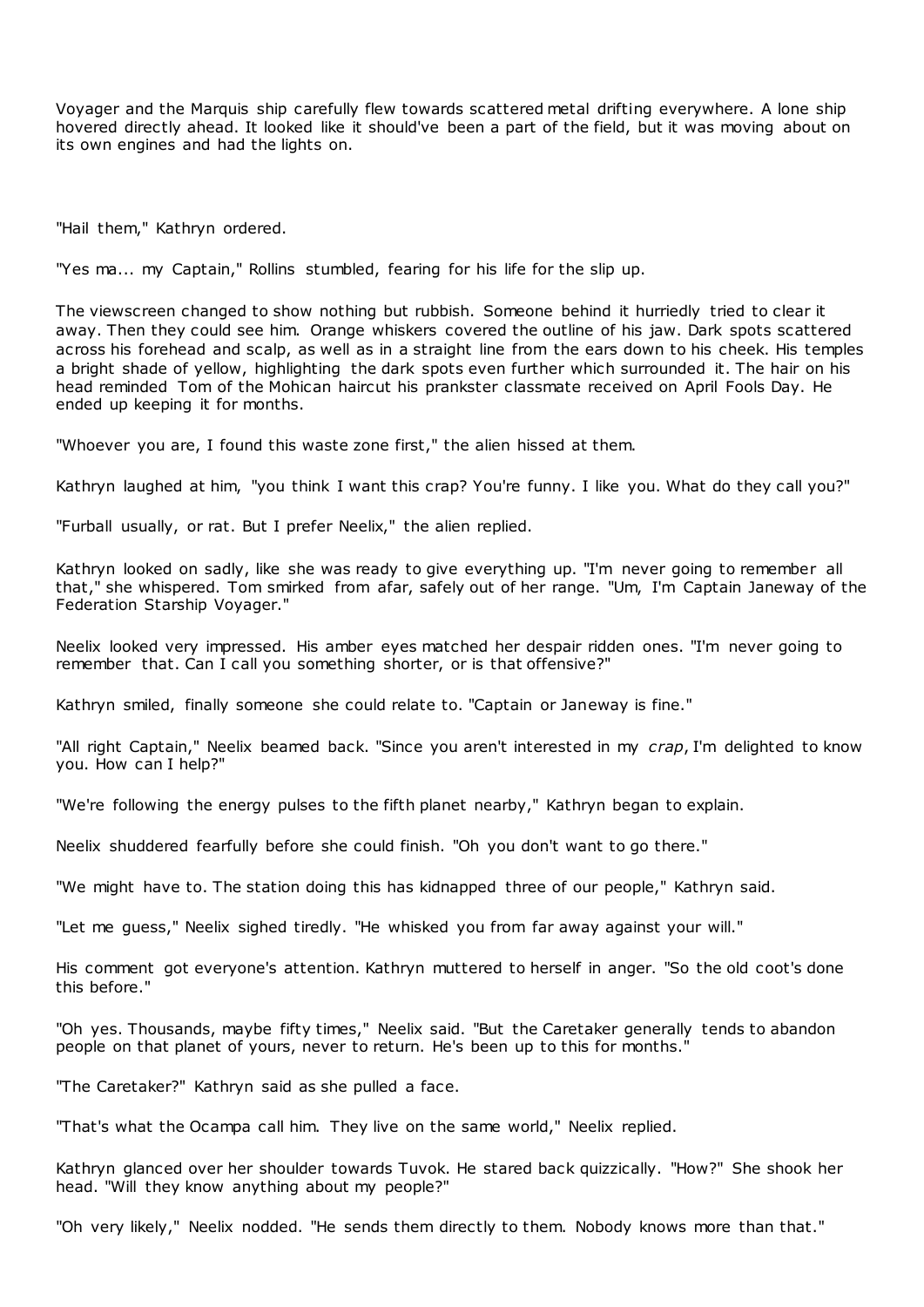Voyager and the Marquis ship carefully flew towards scattered metal drifting everywhere. A lone ship hovered directly ahead. It looked like it should've been a part of the field, but it was moving about on its own engines and had the lights on.

"Hail them," Kathryn ordered.

"Yes ma... my Captain," Rollins stumbled, fearing for his life for the slip up.

The viewscreen changed to show nothing but rubbish. Someone behind it hurriedly tried to clear it away. Then they could see him. Orange whiskers covered the outline of his jaw. Dark spots scattered across his forehead and scalp, as well as in a straight line from the ears down to his cheek. His temples a bright shade of yellow, highlighting the dark spots even further which surrounded it. The hair on his head reminded Tom of the Mohican haircut his prankster classmate received on April Fools Day. He ended up keeping it for months.

"Whoever you are, I found this waste zone first," the alien hissed at them.

Kathryn laughed at him, "you think I want this crap? You're funny. I like you. What do they call you?"

"Furball usually, or rat. But I prefer Neelix," the alien replied.

Kathryn looked on sadly, like she was ready to give everything up. "I'm never going to remember all that," she whispered. Tom smirked from afar, safely out of her range. "Um, I'm Captain Janeway of the Federation Starship Voyager."

Neelix looked very impressed. His amber eyes matched her despair ridden ones. "I'm never going to remember that. Can I call you something shorter, or is that offensive?"

Kathryn smiled, finally someone she could relate to. "Captain or Janeway is fine."

"All right Captain," Neelix beamed back. "Since you aren't interested in my *crap*, I'm delighted to know you. How can I help?"

"We're following the energy pulses to the fifth planet nearby," Kathryn began to explain.

Neelix shuddered fearfully before she could finish. "Oh you don't want to go there."

"We might have to. The station doing this has kidnapped three of our people," Kathryn said.

"Let me guess," Neelix sighed tiredly. "He whisked you from far away against your will."

His comment got everyone's attention. Kathryn muttered to herself in anger. "So the old coot's done this before."

"Oh yes. Thousands, maybe fifty times," Neelix said. "But the Caretaker generally tends to abandon people on that planet of yours, never to return. He's been up to this for months."

"The Caretaker?" Kathryn said as she pulled a face.

"That's what the Ocampa call him. They live on the same world," Neelix replied.

Kathryn glanced over her shoulder towards Tuvok. He stared back quizzically. "How?" She shook her head. "Will they know anything about my people?"

"Oh very likely," Neelix nodded. "He sends them directly to them. Nobody knows more than that."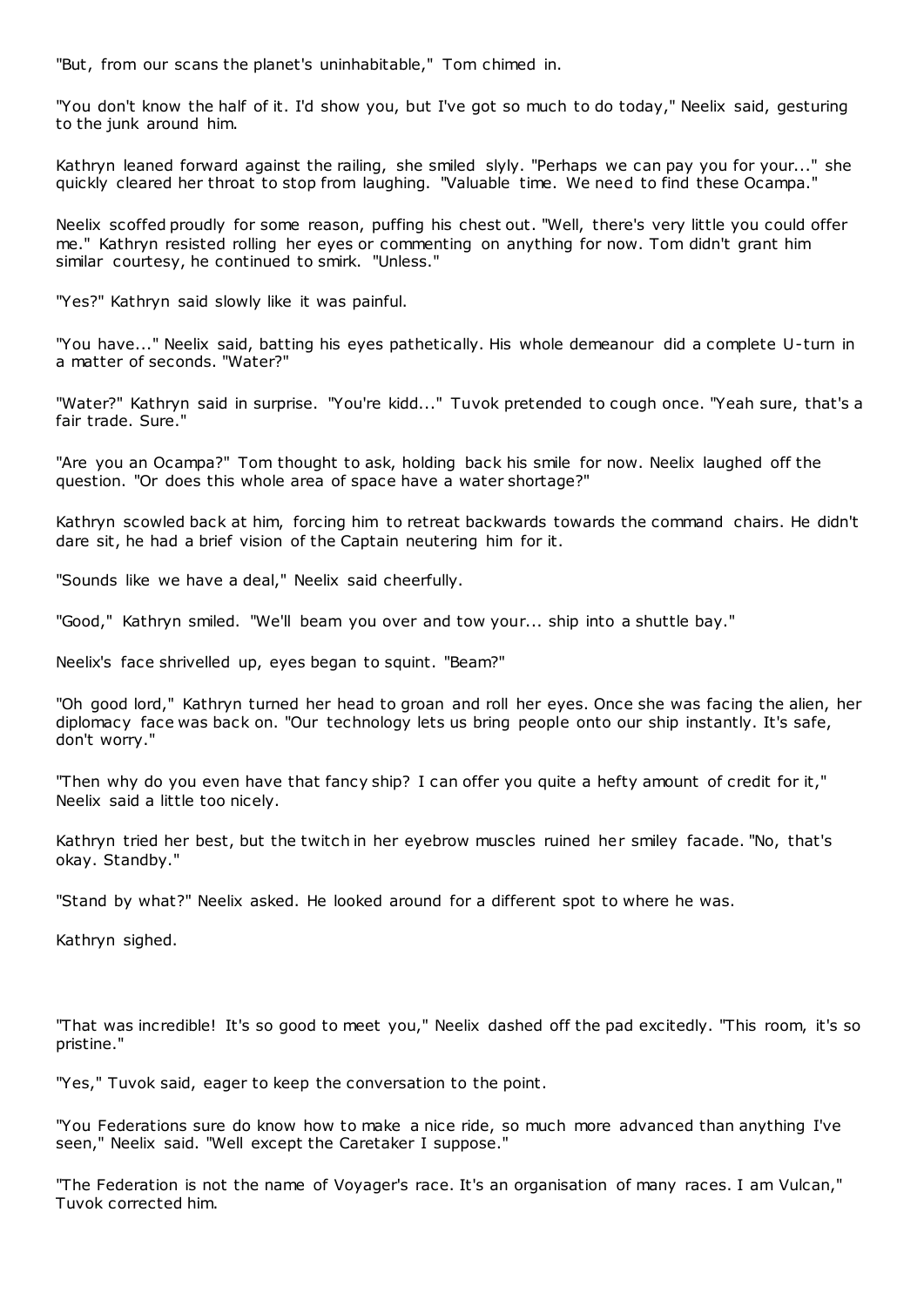"But, from our scans the planet's uninhabitable," Tom chimed in.

"You don't know the half of it. I'd show you, but I've got so much to do today," Neelix said, gesturing to the junk around him.

Kathryn leaned forward against the railing, she smiled slyly. "Perhaps we can pay you for your..." she quickly cleared her throat to stop from laughing. "Valuable time. We need to find these Ocampa."

Neelix scoffed proudly for some reason, puffing his chest out. "Well, there's very little you could offer me." Kathryn resisted rolling her eyes or commenting on anything for now. Tom didn't grant him similar courtesy, he continued to smirk. "Unless."

"Yes?" Kathryn said slowly like it was painful.

"You have..." Neelix said, batting his eyes pathetically. His whole demeanour did a complete U-turn in a matter of seconds. "Water?"

"Water?" Kathryn said in surprise. "You're kidd..." Tuvok pretended to cough once. "Yeah sure, that's a fair trade. Sure."

"Are you an Ocampa?" Tom thought to ask, holding back his smile for now. Neelix laughed off the question. "Or does this whole area of space have a water shortage?"

Kathryn scowled back at him, forcing him to retreat backwards towards the command chairs. He didn't dare sit, he had a brief vision of the Captain neutering him for it.

"Sounds like we have a deal," Neelix said cheerfully.

"Good," Kathryn smiled. "We'll beam you over and tow your... ship into a shuttle bay."

Neelix's face shrivelled up, eyes began to squint. "Beam?"

"Oh good lord," Kathryn turned her head to groan and roll her eyes. Once she was facing the alien, her diplomacy face was back on. "Our technology lets us bring people onto our ship instantly. It's safe, don't worry."

"Then why do you even have that fancy ship? I can offer you quite a hefty amount of credit for it," Neelix said a little too nicely.

Kathryn tried her best, but the twitch in her eyebrow muscles ruined her smiley facade. "No, that's okay. Standby."

"Stand by what?" Neelix asked. He looked around for a different spot to where he was.

Kathryn sighed.

"That was incredible! It's so good to meet you," Neelix dashed off the pad excitedly. "This room, it's so pristine."

"Yes," Tuvok said, eager to keep the conversation to the point.

"You Federations sure do know how to make a nice ride, so much more advanced than anything I've seen," Neelix said. "Well except the Caretaker I suppose."

"The Federation is not the name of Voyager's race. It's an organisation of many races. I am Vulcan," Tuvok corrected him.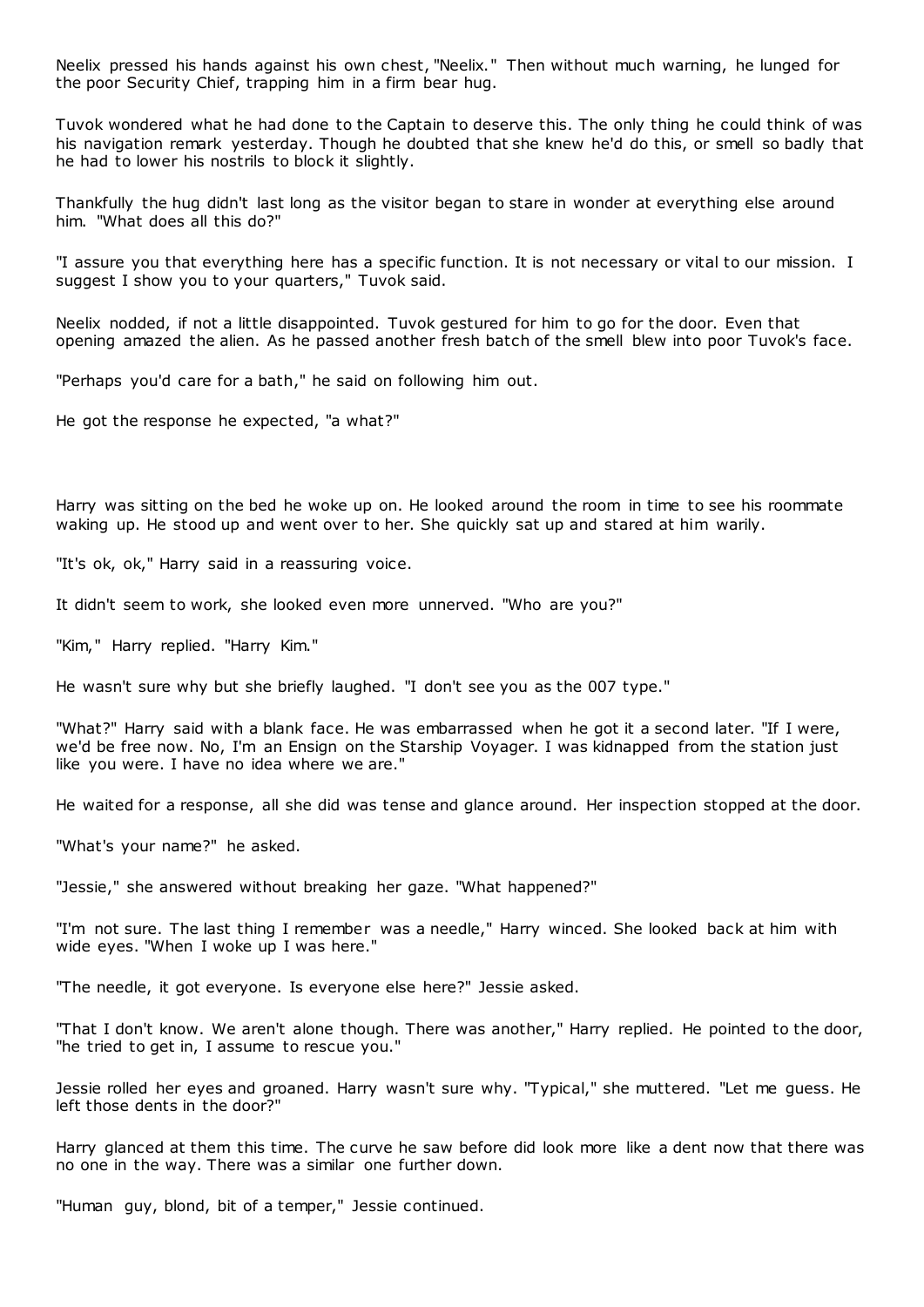Neelix pressed his hands against his own chest, "Neelix." Then without much warning, he lunged for the poor Security Chief, trapping him in a firm bear hug.

Tuvok wondered what he had done to the Captain to deserve this. The only thing he could think of was his navigation remark yesterday. Though he doubted that she knew he'd do this, or smell so badly that he had to lower his nostrils to block it slightly.

Thankfully the hug didn't last long as the visitor began to stare in wonder at everything else around him. "What does all this do?"

"I assure you that everything here has a specific function. It is not necessary or vital to our mission. I suggest I show you to your quarters," Tuvok said.

Neelix nodded, if not a little disappointed. Tuvok gestured for him to go for the door. Even that opening amazed the alien. As he passed another fresh batch of the smell blew into poor Tuvok's face.

"Perhaps you'd care for a bath," he said on following him out.

He got the response he expected, "a what?"

Harry was sitting on the bed he woke up on. He looked around the room in time to see his roommate waking up. He stood up and went over to her. She quickly sat up and stared at him warily.

"It's ok, ok," Harry said in a reassuring voice.

It didn't seem to work, she looked even more unnerved. "Who are you?"

"Kim," Harry replied. "Harry Kim."

He wasn't sure why but she briefly laughed. "I don't see you as the 007 type."

"What?" Harry said with a blank face. He was embarrassed when he got it a second later. "If I were, we'd be free now. No, I'm an Ensign on the Starship Voyager. I was kidnapped from the station just like you were. I have no idea where we are."

He waited for a response, all she did was tense and glance around. Her inspection stopped at the door.

"What's your name?" he asked.

"Jessie," she answered without breaking her gaze. "What happened?"

"I'm not sure. The last thing I remember was a needle," Harry winced. She looked back at him with wide eyes. "When I woke up I was here."

"The needle, it got everyone. Is everyone else here?" Jessie asked.

"That I don't know. We aren't alone though. There was another," Harry replied. He pointed to the door, "he tried to get in, I assume to rescue you."

Jessie rolled her eyes and groaned. Harry wasn't sure why. "Typical," she muttered. "Let me guess. He left those dents in the door?"

Harry glanced at them this time. The curve he saw before did look more like a dent now that there was no one in the way. There was a similar one further down.

"Human guy, blond, bit of a temper," Jessie continued.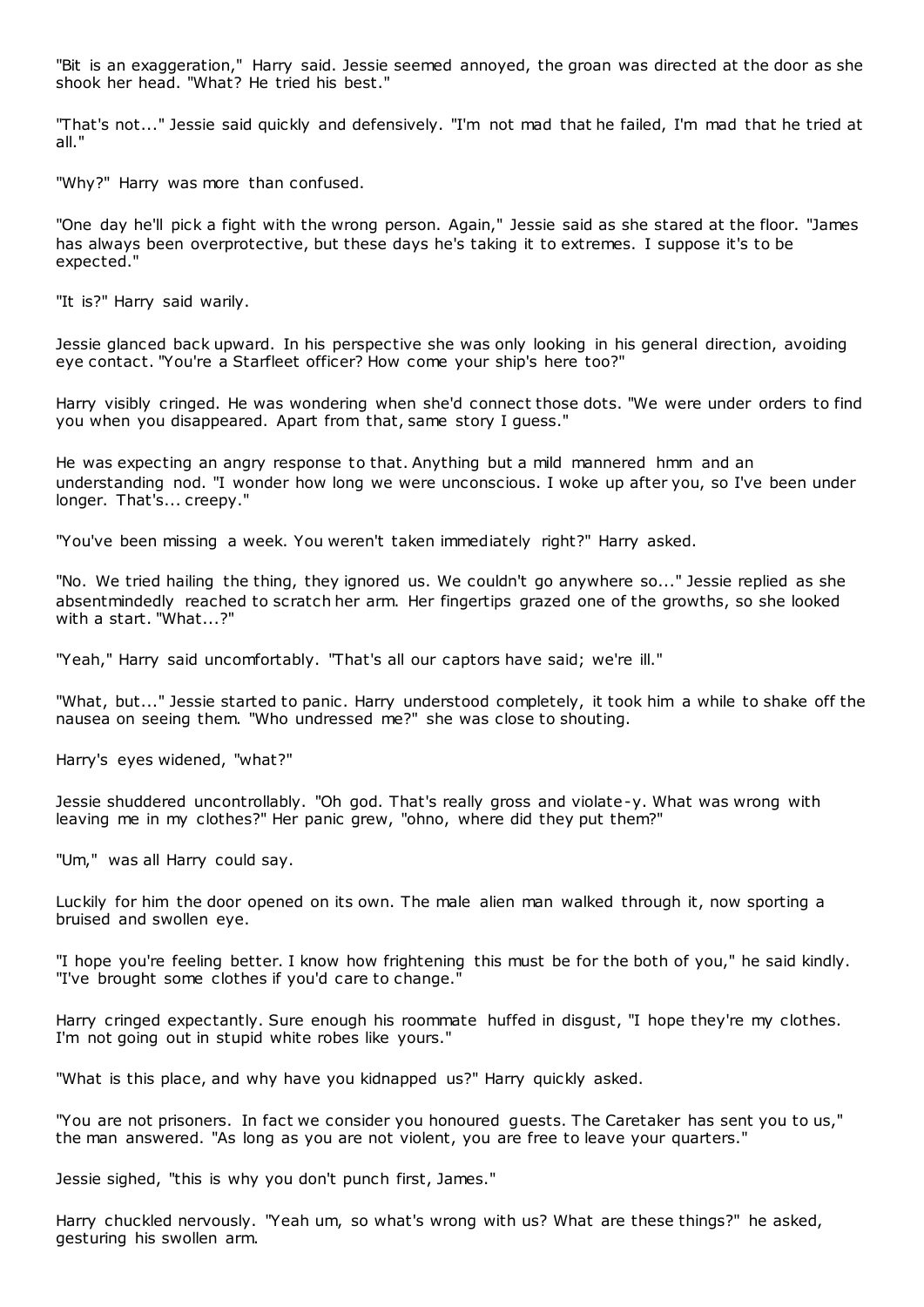"Bit is an exaggeration," Harry said. Jessie seemed annoyed, the groan was directed at the door as she shook her head. "What? He tried his best."

"That's not..." Jessie said quickly and defensively. "I'm not mad that he failed, I'm mad that he tried at all."

"Why?" Harry was more than confused.

"One day he'll pick a fight with the wrong person. Again," Jessie said as she stared at the floor. "James has always been overprotective, but these days he's taking it to extremes. I suppose it's to be expected."

"It is?" Harry said warily.

Jessie glanced back upward. In his perspective she was only looking in his general direction, avoiding eye contact. "You're a Starfleet officer? How come your ship's here too?"

Harry visibly cringed. He was wondering when she'd connect those dots. "We were under orders to find you when you disappeared. Apart from that, same story I guess."

He was expecting an angry response to that. Anything but a mild mannered hmm and an understanding nod. "I wonder how long we were unconscious. I woke up after you, so I've been under longer. That's... creepy."

"You've been missing a week. You weren't taken immediately right?" Harry asked.

"No. We tried hailing the thing, they ignored us. We couldn't go anywhere so..." Jessie replied as she absentmindedly reached to scratch her arm. Her fingertips grazed one of the growths, so she looked with a start. "What...?"

"Yeah," Harry said uncomfortably. "That's all our captors have said; we're ill."

"What, but..." Jessie started to panic . Harry understood completely, it took him a while to shake off the nausea on seeing them. "Who undressed me?" she was close to shouting.

Harry's eyes widened, "what?"

Jessie shuddered uncontrollably. "Oh god. That's really gross and violate-y. What was wrong with leaving me in my clothes?" Her panic grew, "ohno, where did they put them?"

"Um," was all Harry could say.

Luckily for him the door opened on its own. The male alien man walked through it, now sporting a bruised and swollen eye.

"I hope you're feeling better. I know how frightening this must be for the both of you," he said kindly. "I've brought some clothes if you'd care to change."

Harry cringed expectantly. Sure enough his roommate huffed in disgust, "I hope they're my clothes. I'm not going out in stupid white robes like yours."

"What is this place, and why have you kidnapped us?" Harry quickly asked.

"You are not prisoners. In fact we consider you honoured guests. The Caretaker has sent you to us," the man answered. "As long as you are not violent, you are free to leave your quarters."

Jessie sighed, "this is why you don't punch first, James."

Harry chuckled nervously. "Yeah um, so what's wrong with us? What are these things?" he asked, gesturing his swollen arm.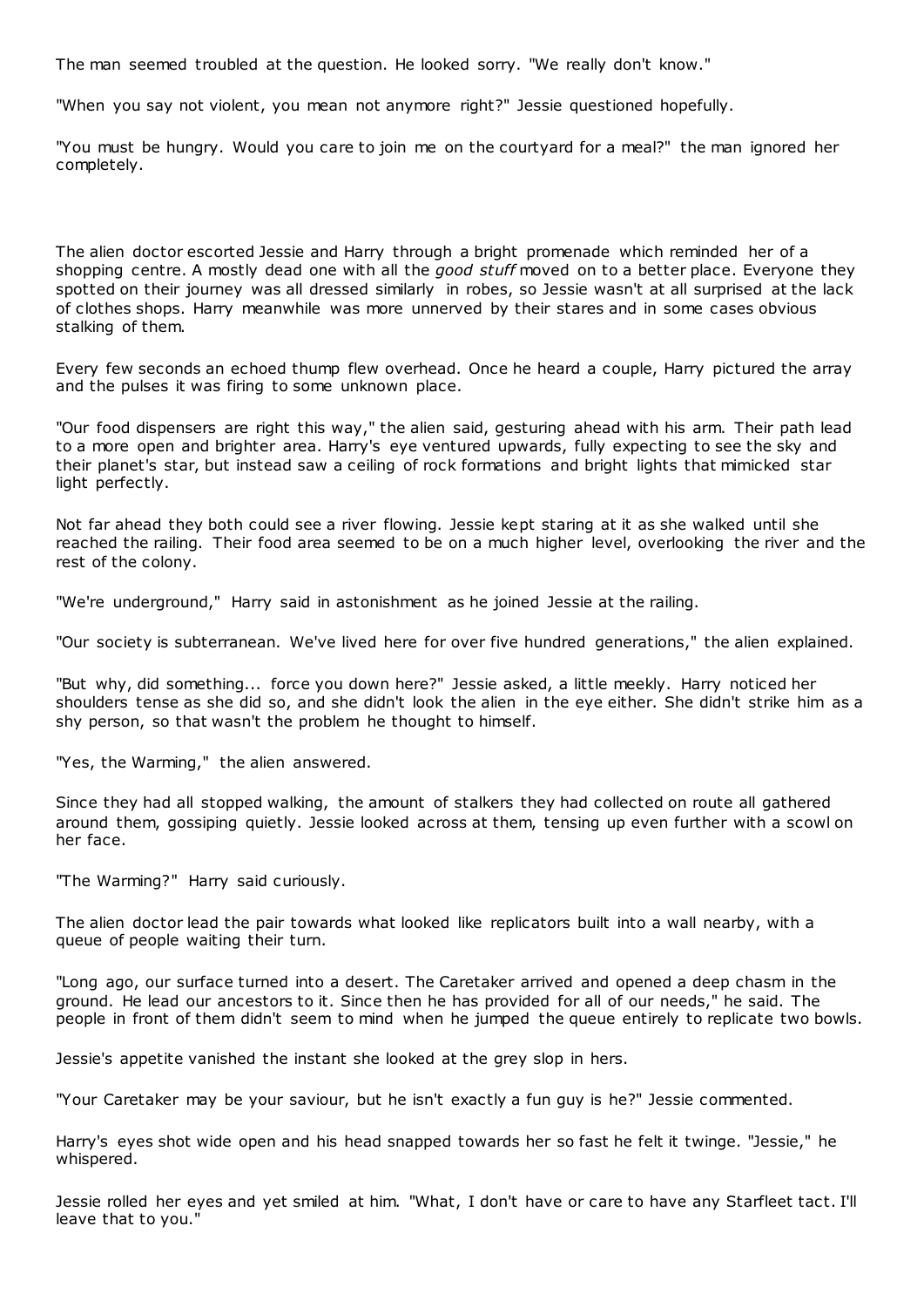The man seemed troubled at the question. He looked sorry. "We really don't know."

"When you say not violent, you mean not anymore right?" Jessie questioned hopefully.

"You must be hungry. Would you care to join me on the courtyard for a meal?" the man ignored her completely.

The alien doctor escorted Jessie and Harry through a bright promenade which reminded her of a shopping centre. A mostly dead one with all the *good stuff* moved on to a better place. Everyone they spotted on their journey was all dressed similarly in robes, so Jessie wasn't at all surprised at the lack of clothes shops. Harry meanwhile was more unnerved by their stares and in some cases obvious stalking of them.

Every few seconds an echoed thump flew overhead. Once he heard a couple, Harry pictured the array and the pulses it was firing to some unknown place.

"Our food dispensers are right this way," the alien said, gesturing ahead with his arm. Their path lead to a more open and brighter area. Harry's eye ventured upwards, fully expecting to see the sky and their planet's star, but instead saw a ceiling of rock formations and bright lights that mimicked star light perfectly.

Not far ahead they both could see a river flowing. Jessie kept staring at it as she walked until she reached the railing. Their food area seemed to be on a much higher level, overlooking the river and the rest of the colony.

"We're underground," Harry said in astonishment as he joined Jessie at the railing.

"Our society is subterranean. We've lived here for over five hundred generations," the alien explained.

"But why, did something... force you down here?" Jessie asked, a little meekly. Harry noticed her shoulders tense as she did so, and she didn't look the alien in the eye either. She didn't strike him as a shy person, so that wasn't the problem he thought to himself.

"Yes, the Warming," the alien answered.

Since they had all stopped walking, the amount of stalkers they had collected on route all gathered around them, gossiping quietly. Jessie looked across at them, tensing up even further with a scowl on her face.

"The Warming?" Harry said curiously.

The alien doctor lead the pair towards what looked like replicators built into a wall nearby, with a queue of people waiting their turn.

"Long ago, our surface turned into a desert. The Caretaker arrived and opened a deep chasm in the ground. He lead our ancestors to it. Since then he has provided for all of our needs," he said. The people in front of them didn't seem to mind when he jumped the queue entirely to replicate two bowls.

Jessie's appetite vanished the instant she looked at the grey slop in hers.

"Your Caretaker may be your saviour, but he isn't exactly a fun guy is he?" Jessie commented.

Harry's eyes shot wide open and his head snapped towards her so fast he felt it twinge. "Jessie," he whispered.

Jessie rolled her eyes and yet smiled at him. "What, I don't have or care to have any Starfleet tact. I'll leave that to you."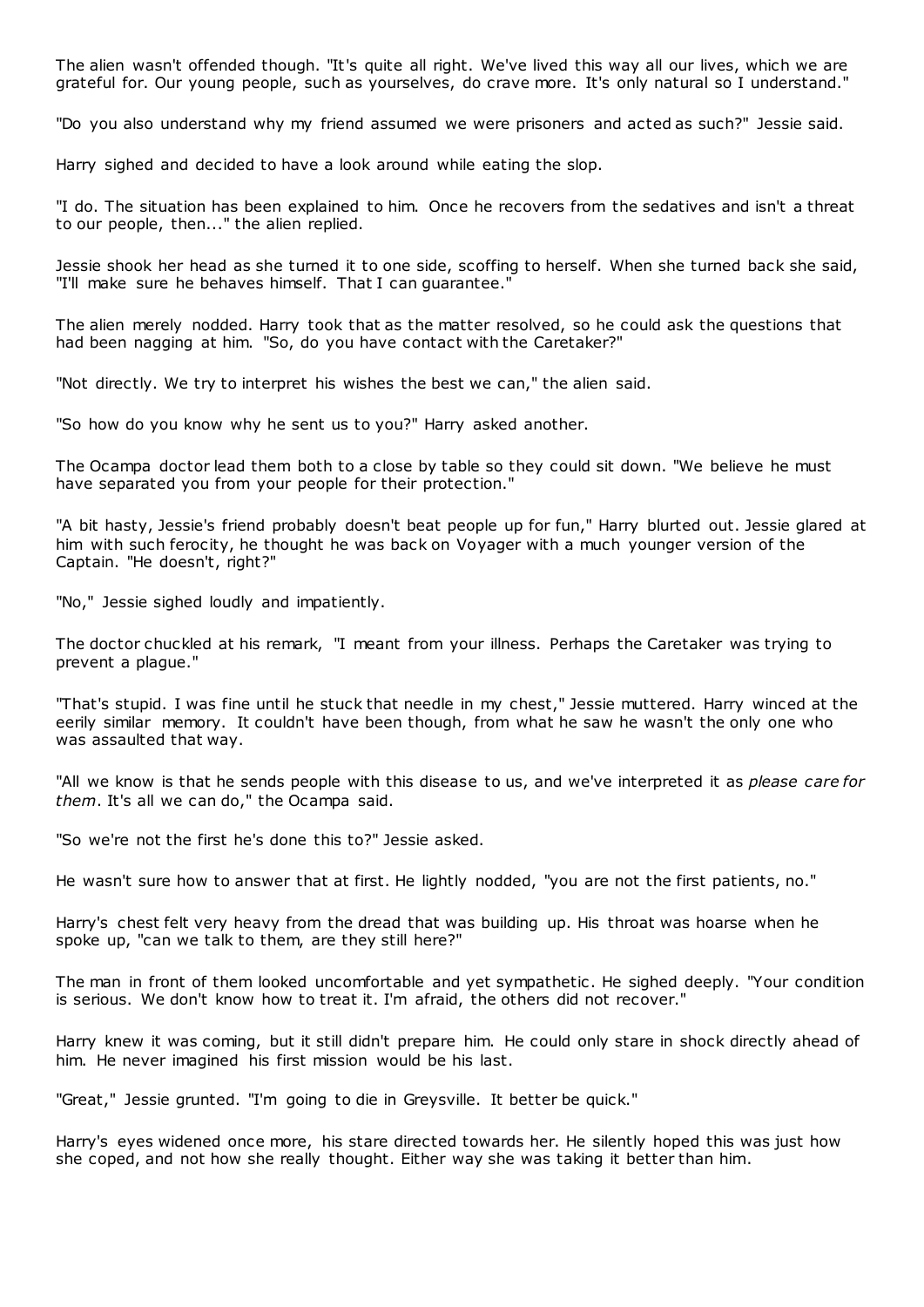The alien wasn't offended though. "It's quite all right. We've lived this way all our lives, which we are grateful for. Our young people, such as yourselves, do crave more. It's only natural so I understand."

"Do you also understand why my friend assumed we were prisoners and acted as such?" Jessie said.

Harry sighed and decided to have a look around while eating the slop.

"I do. The situation has been explained to him. Once he recovers from the sedatives and isn't a threat to our people, then..." the alien replied.

Jessie shook her head as she turned it to one side, scoffing to herself. When she turned back she said, "I'll make sure he behaves himself. That I can guarantee."

The alien merely nodded. Harry took that as the matter resolved, so he could ask the questions that had been nagging at him. "So, do you have contact with the Caretaker?"

"Not directly. We try to interpret his wishes the best we can," the alien said.

"So how do you know why he sent us to you?" Harry asked another.

The Ocampa doctor lead them both to a close by table so they could sit down. "We believe he must have separated you from your people for their protection."

"A bit hasty, Jessie's friend probably doesn't beat people up for fun," Harry blurted out. Jessie glared at him with such ferocity, he thought he was back on Voyager with a much younger version of the Captain. "He doesn't, right?"

"No," Jessie sighed loudly and impatiently.

The doctor chuckled at his remark, "I meant from your illness. Perhaps the Caretaker was trying to prevent a plague."

"That's stupid. I was fine until he stuck that needle in my chest," Jessie muttered. Harry winced at the eerily similar memory. It couldn't have been though, from what he saw he wasn't the only one who was assaulted that way.

"All we know is that he sends people with this disease to us, and we've interpreted it as *please care for them*. It's all we can do," the Ocampa said.

"So we're not the first he's done this to?" Jessie asked.

He wasn't sure how to answer that at first. He lightly nodded, "you are not the first patients, no."

Harry's chest felt very heavy from the dread that was building up. His throat was hoarse when he spoke up, "can we talk to them, are they still here?"

The man in front of them looked uncomfortable and yet sympathetic . He sighed deeply. "Your condition is serious. We don't know how to treat it. I'm afraid, the others did not recover."

Harry knew it was coming, but it still didn't prepare him. He could only stare in shock directly ahead of him. He never imagined his first mission would be his last.

"Great," Jessie grunted. "I'm going to die in Greysville. It better be quick."

Harry's eyes widened once more, his stare directed towards her. He silently hoped this was just how she coped, and not how she really thought. Either way she was taking it better than him.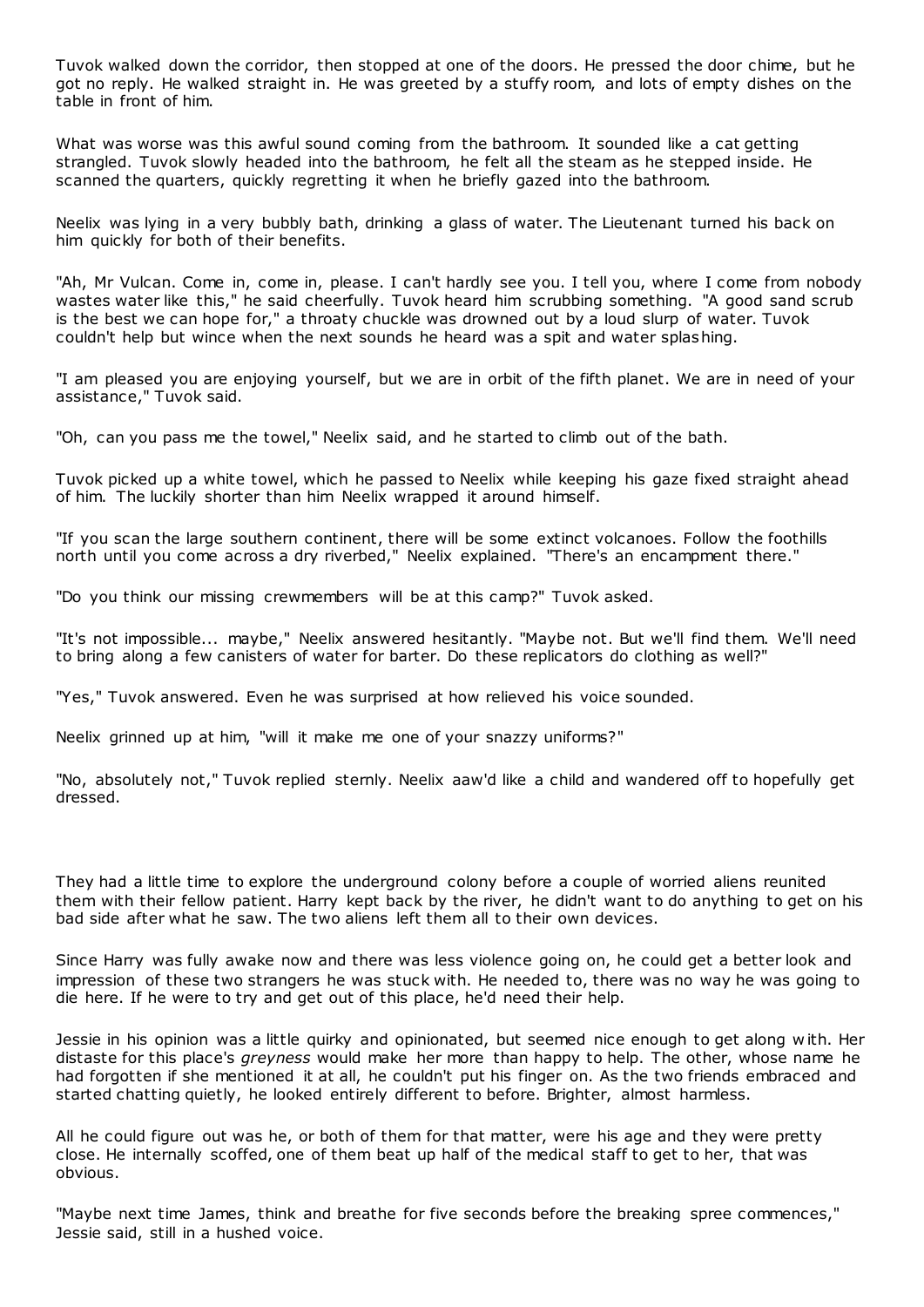Tuvok walked down the corridor, then stopped at one of the doors. He pressed the door chime, but he got no reply. He walked straight in. He was greeted by a stuffy room, and lots of empty dishes on the table in front of him.

What was worse was this awful sound coming from the bathroom. It sounded like a cat getting strangled. Tuvok slowly headed into the bathroom, he felt all the steam as he stepped inside. He scanned the quarters, quickly regretting it when he briefly gazed into the bathroom.

Neelix was lying in a very bubbly bath, drinking a glass of water. The Lieutenant turned his back on him quickly for both of their benefits.

"Ah, Mr Vulcan. Come in, come in, please. I can't hardly see you. I tell you, where I come from nobody wastes water like this," he said cheerfully. Tuvok heard him scrubbing something. "A good sand scrub is the best we can hope for," a throaty chuckle was drowned out by a loud slurp of water. Tuvok couldn't help but wince when the next sounds he heard was a spit and water splashing.

"I am pleased you are enjoying yourself, but we are in orbit of the fifth planet. We are in need of your assistance," Tuvok said.

"Oh, can you pass me the towel," Neelix said, and he started to climb out of the bath.

Tuvok picked up a white towel, which he passed to Neelix while keeping his gaze fixed straight ahead of him. The luckily shorter than him Neelix wrapped it around himself.

"If you scan the large southern continent, there will be some extinct volcanoes. Follow the foothills north until you come across a dry riverbed," Neelix explained. "There's an encampment there."

"Do you think our missing crewmembers will be at this camp?" Tuvok asked.

"It's not impossible... maybe," Neelix answered hesitantly. "Maybe not. But we'll find them. We'll need to bring along a few canisters of water for barter. Do these replicators do clothing as well?"

"Yes," Tuvok answered. Even he was surprised at how relieved his voice sounded.

Neelix grinned up at him, "will it make me one of your snazzy uniforms?"

"No, absolutely not," Tuvok replied sternly. Neelix aaw'd like a child and wandered off to hopefully get dressed.

They had a little time to explore the underground colony before a couple of worried aliens reunited them with their fellow patient. Harry kept back by the river, he didn't want to do anything to get on his bad side after what he saw. The two aliens left them all to their own devices.

Since Harry was fully awake now and there was less violence going on, he could get a better look and impression of these two strangers he was stuck with. He needed to, there was no way he was going to die here. If he were to try and get out of this place, he'd need their help.

Jessie in his opinion was a little quirky and opinionated, but seemed nice enough to get along w ith. Her distaste for this place's *greyness* would make her more than happy to help. The other, whose name he had forgotten if she mentioned it at all, he couldn't put his finger on. As the two friends embraced and started chatting quietly, he looked entirely different to before. Brighter, almost harmless.

All he could figure out was he, or both of them for that matter, were his age and they were pretty close. He internally scoffed, one of them beat up half of the medical staff to get to her, that was obvious.

"Maybe next time James, think and breathe for five seconds before the breaking spree commences," Jessie said, still in a hushed voice.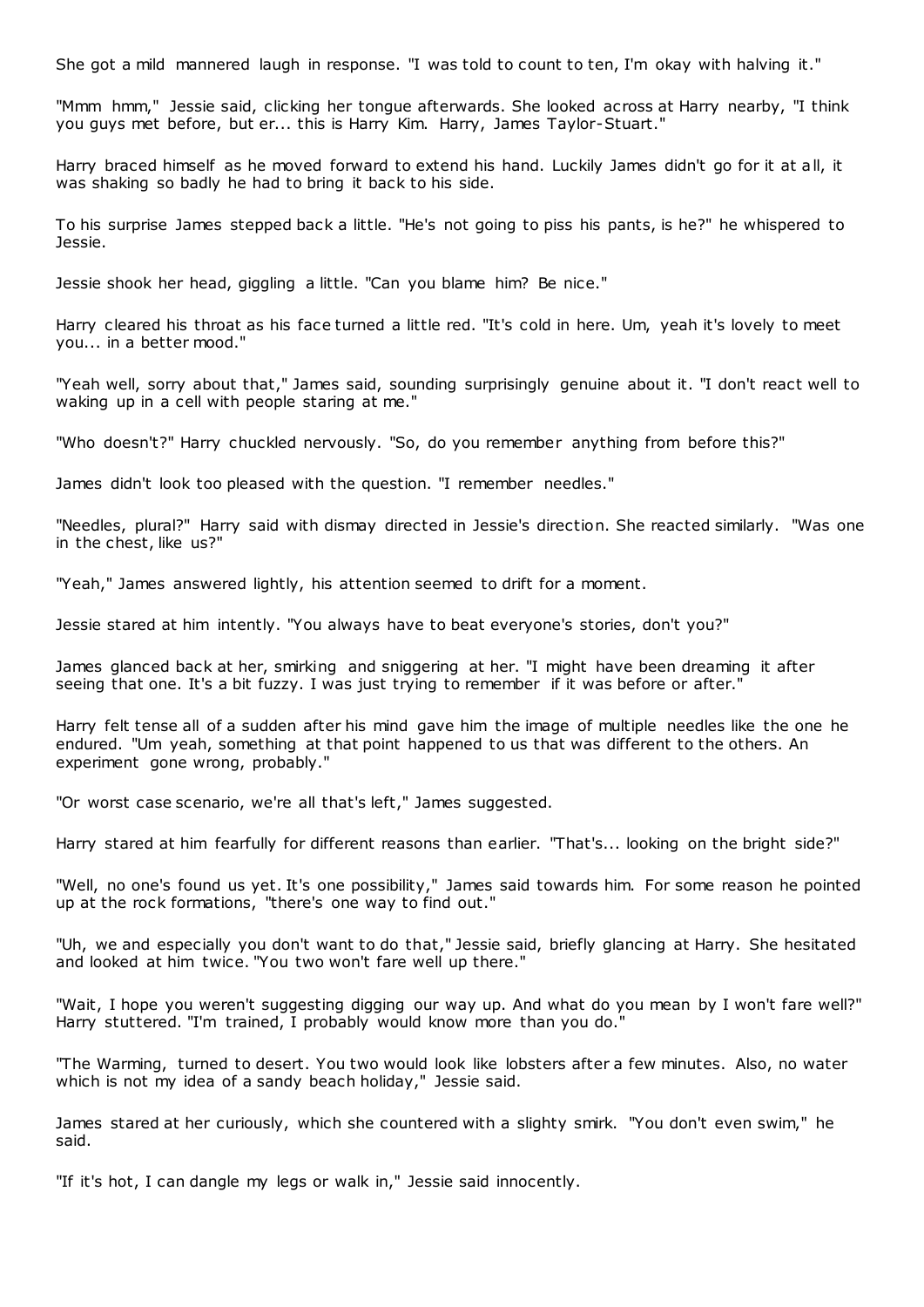She got a mild mannered laugh in response. "I was told to count to ten, I'm okay with halving it."

"Mmm hmm," Jessie said, clicking her tongue afterwards. She looked across at Harry nearby, "I think you guys met before, but er... this is Harry Kim. Harry, James Taylor-Stuart."

Harry braced himself as he moved forward to extend his hand. Luckily James didn't go for it at all, it was shaking so badly he had to bring it back to his side.

To his surprise James stepped back a little. "He's not going to piss his pants, is he?" he whispered to Jessie.

Jessie shook her head, giggling a little. "Can you blame him? Be nice."

Harry cleared his throat as his face turned a little red. "It's cold in here. Um, yeah it's lovely to meet you... in a better mood."

"Yeah well, sorry about that," James said, sounding surprisingly genuine about it. "I don't react well to waking up in a cell with people staring at me."

"Who doesn't?" Harry chuckled nervously. "So, do you remember anything from before this?"

James didn't look too pleased with the question. "I remember needles."

"Needles, plural?" Harry said with dismay directed in Jessie's direction. She reacted similarly. "Was one in the chest, like us?"

"Yeah," James answered lightly, his attention seemed to drift for a moment.

Jessie stared at him intently. "You always have to beat everyone's stories, don't you?"

James glanced back at her, smirking and sniggering at her. "I might have been dreaming it after seeing that one. It's a bit fuzzy. I was just trying to remember if it was before or after."

Harry felt tense all of a sudden after his mind gave him the image of multiple needles like the one he endured. "Um yeah, something at that point happened to us that was different to the others. An experiment gone wrong, probably."

"Or worst case scenario, we're all that's left," James suggested.

Harry stared at him fearfully for different reasons than earlier. "That's... looking on the bright side?"

"Well, no one's found us yet. It's one possibility," James said towards him. For some reason he pointed up at the rock formations, "there's one way to find out."

"Uh, we and especially you don't want to do that," Jessie said, briefly glancing at Harry. She hesitated and looked at him twice. "You two won't fare well up there."

"Wait, I hope you weren't suggesting digging our way up. And what do you mean by I won't fare well?" Harry stuttered. "I'm trained, I probably would know more than you do."

"The Warming, turned to desert. You two would look like lobsters after a few minutes. Also, no water which is not my idea of a sandy beach holiday," Jessie said.

James stared at her curiously, which she countered with a slighty smirk. "You don't even swim," he said.

"If it's hot, I can dangle my legs or walk in," Jessie said innocently.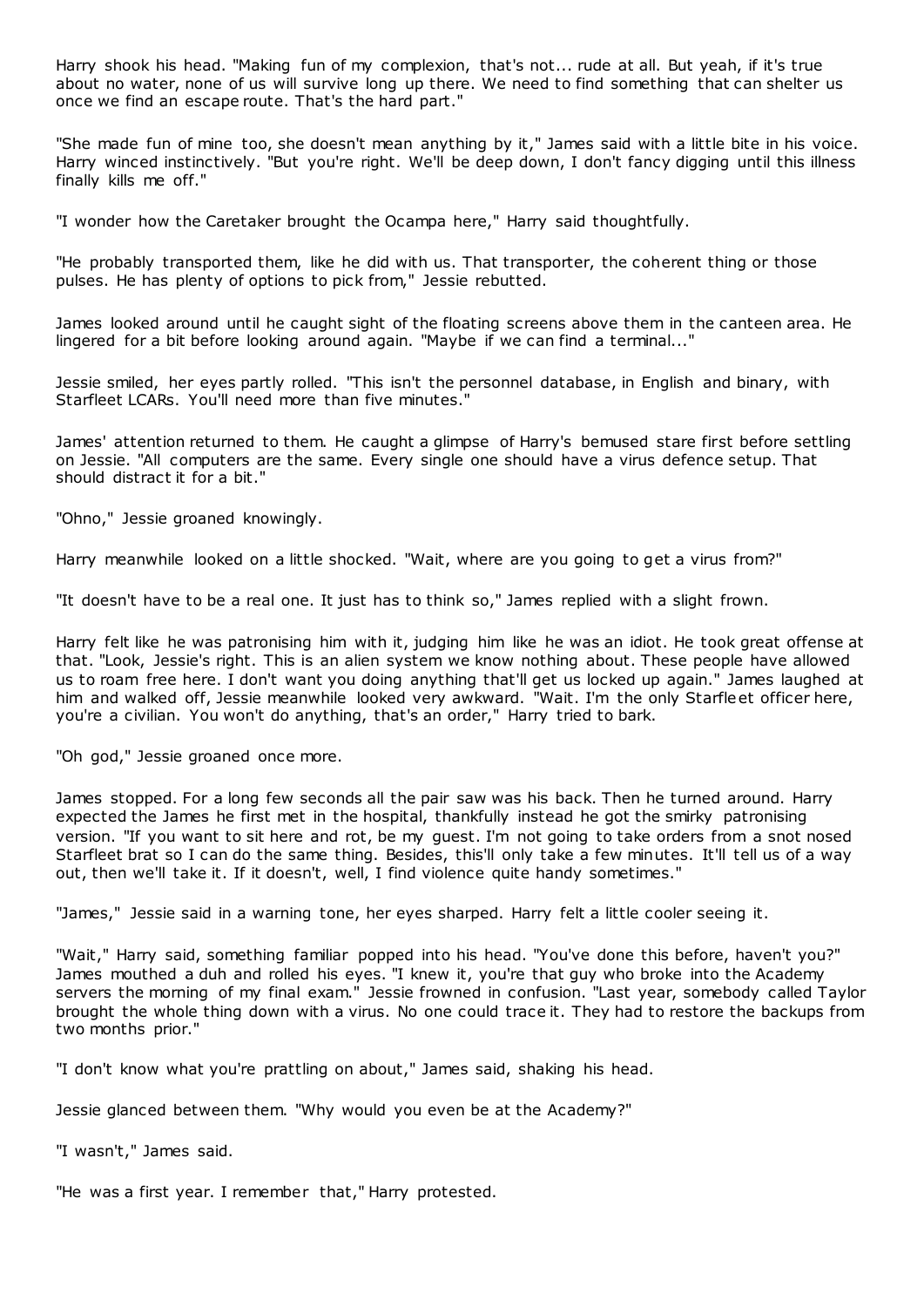Harry shook his head. "Making fun of my complexion, that's not... rude at all. But yeah, if it's true about no water, none of us will survive long up there. We need to find something that can shelter us once we find an escape route. That's the hard part."

"She made fun of mine too, she doesn't mean anything by it," James said with a little bite in his voice. Harry winced instinctively. "But you're right. We'll be deep down, I don't fancy digging until this illness finally kills me off."

"I wonder how the Caretaker brought the Ocampa here," Harry said thoughtfully.

"He probably transported them, like he did with us. That transporter, the coherent thing or those pulses. He has plenty of options to pick from," Jessie rebutted.

James looked around until he caught sight of the floating screens above them in the canteen area. He lingered for a bit before looking around again. "Maybe if we can find a terminal..."

Jessie smiled, her eyes partly rolled. "This isn't the personnel database, in English and binary, with Starfleet LCARs. You'll need more than five minutes."

James' attention returned to them. He caught a glimpse of Harry's bemused stare first before settling on Jessie. "All computers are the same. Every single one should have a virus defence setup. That should distract it for a bit."

"Ohno," Jessie groaned knowingly.

Harry meanwhile looked on a little shocked. "Wait, where are you going to get a virus from?"

"It doesn't have to be a real one. It just has to think so," James replied with a slight frown.

Harry felt like he was patronising him with it, judging him like he was an idiot. He took great offense at that. "Look, Jessie's right. This is an alien system we know nothing about. These people have allowed us to roam free here. I don't want you doing anything that'll get us locked up again." James laughed at him and walked off, Jessie meanwhile looked very awkward. "Wait. I'm the only Starfleet officer here, you're a civilian. You won't do anything, that's an order," Harry tried to bark.

"Oh god," Jessie groaned once more.

James stopped. For a long few seconds all the pair saw was his back. Then he turned around. Harry expected the James he first met in the hospital, thankfully instead he got the smirky patronising version. "If you want to sit here and rot, be my guest. I'm not going to take orders from a snot nosed Starfleet brat so I can do the same thing. Besides, this'll only take a few minutes. It'll tell us of a way out, then we'll take it. If it doesn't, well, I find violence quite handy sometimes."

"James," Jessie said in a warning tone, her eyes sharped. Harry felt a little cooler seeing it.

"Wait," Harry said, something familiar popped into his head. "You've done this before, haven't you?" James mouthed a duh and rolled his eyes. "I knew it, you're that guy who broke into the Academy servers the morning of my final exam." Jessie frowned in confusion. "Last year, somebody called Taylor brought the whole thing down with a virus. No one could trace it. They had to restore the backups from two months prior."

"I don't know what you're prattling on about," James said, shaking his head.

Jessie glanced between them. "Why would you even be at the Academy?"

"I wasn't," James said.

"He was a first year. I remember that," Harry protested.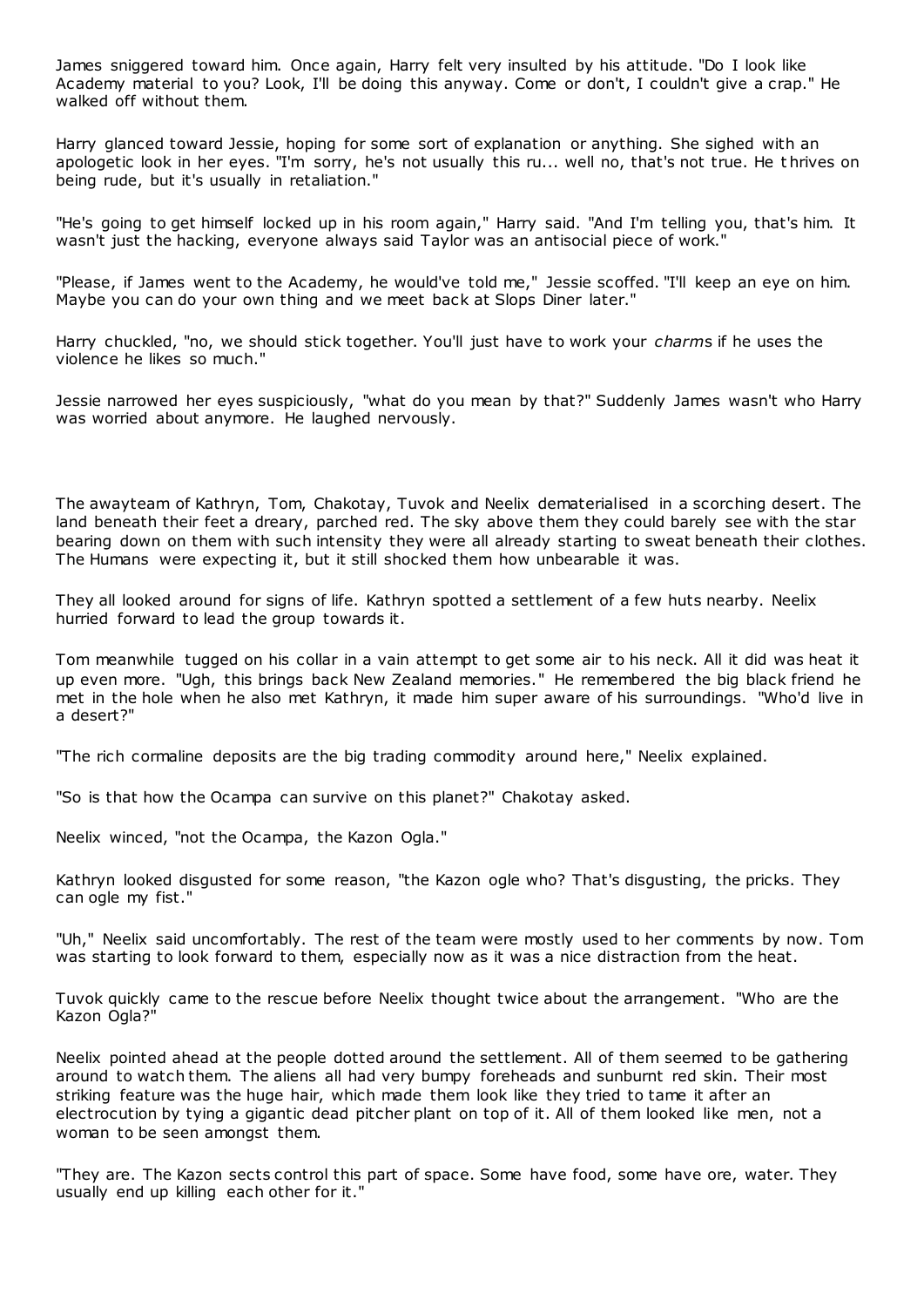James sniggered toward him. Once again, Harry felt very insulted by his attitude. "Do I look like Academy material to you? Look, I'll be doing this anyway. Come or don't, I couldn't give a crap." He walked off without them.

Harry glanced toward Jessie, hoping for some sort of explanation or anything. She sighed with an apologetic look in her eyes. "I'm sorry, he's not usually this ru... well no, that's not true. He t hrives on being rude, but it's usually in retaliation."

"He's going to get himself locked up in his room again," Harry said. "And I'm telling you, that's him. It wasn't just the hacking, everyone always said Taylor was an antisocial piece of work."

"Please, if James went to the Academy, he would've told me," Jessie scoffed. "I'll keep an eye on him. Maybe you can do your own thing and we meet back at Slops Diner later."

Harry chuckled, "no, we should stick together. You'll just have to work your *charm*s if he uses the violence he likes so much."

Jessie narrowed her eyes suspiciously, "what do you mean by that?" Suddenly James wasn't who Harry was worried about anymore. He laughed nervously.

The awayteam of Kathryn, Tom, Chakotay, Tuvok and Neelix dematerialised in a scorching desert. The land beneath their feet a dreary, parched red. The sky above them they could barely see with the star bearing down on them with such intensity they were all already starting to sweat beneath their clothes. The Humans were expecting it, but it still shocked them how unbearable it was.

They all looked around for signs of life. Kathryn spotted a settlement of a few huts nearby. Neelix hurried forward to lead the group towards it.

Tom meanwhile tugged on his collar in a vain attempt to get some air to his neck. All it did was heat it up even more. "Ugh, this brings back New Zealand memories." He remembered the big black friend he met in the hole when he also met Kathryn, it made him super aware of his surroundings. "Who'd live in a desert?"

"The rich cormaline deposits are the big trading commodity around here," Neelix explained.

"So is that how the Ocampa can survive on this planet?" Chakotay asked.

Neelix winced, "not the Ocampa, the Kazon Ogla."

Kathryn looked disgusted for some reason, "the Kazon ogle who? That's disgusting, the pricks. They can ogle my fist."

"Uh," Neelix said uncomfortably. The rest of the team were mostly used to her comments by now. Tom was starting to look forward to them, especially now as it was a nice distraction from the heat.

Tuvok quickly came to the rescue before Neelix thought twice about the arrangement. "Who are the Kazon Ogla?"

Neelix pointed ahead at the people dotted around the settlement. All of them seemed to be gathering around to watch them. The aliens all had very bumpy foreheads and sunburnt red skin. Their most striking feature was the huge hair, which made them look like they tried to tame it after an electrocution by tying a gigantic dead pitcher plant on top of it. All of them looked like men, not a woman to be seen amongst them.

"They are. The Kazon sects control this part of space. Some have food, some have ore, water. They usually end up killing each other for it."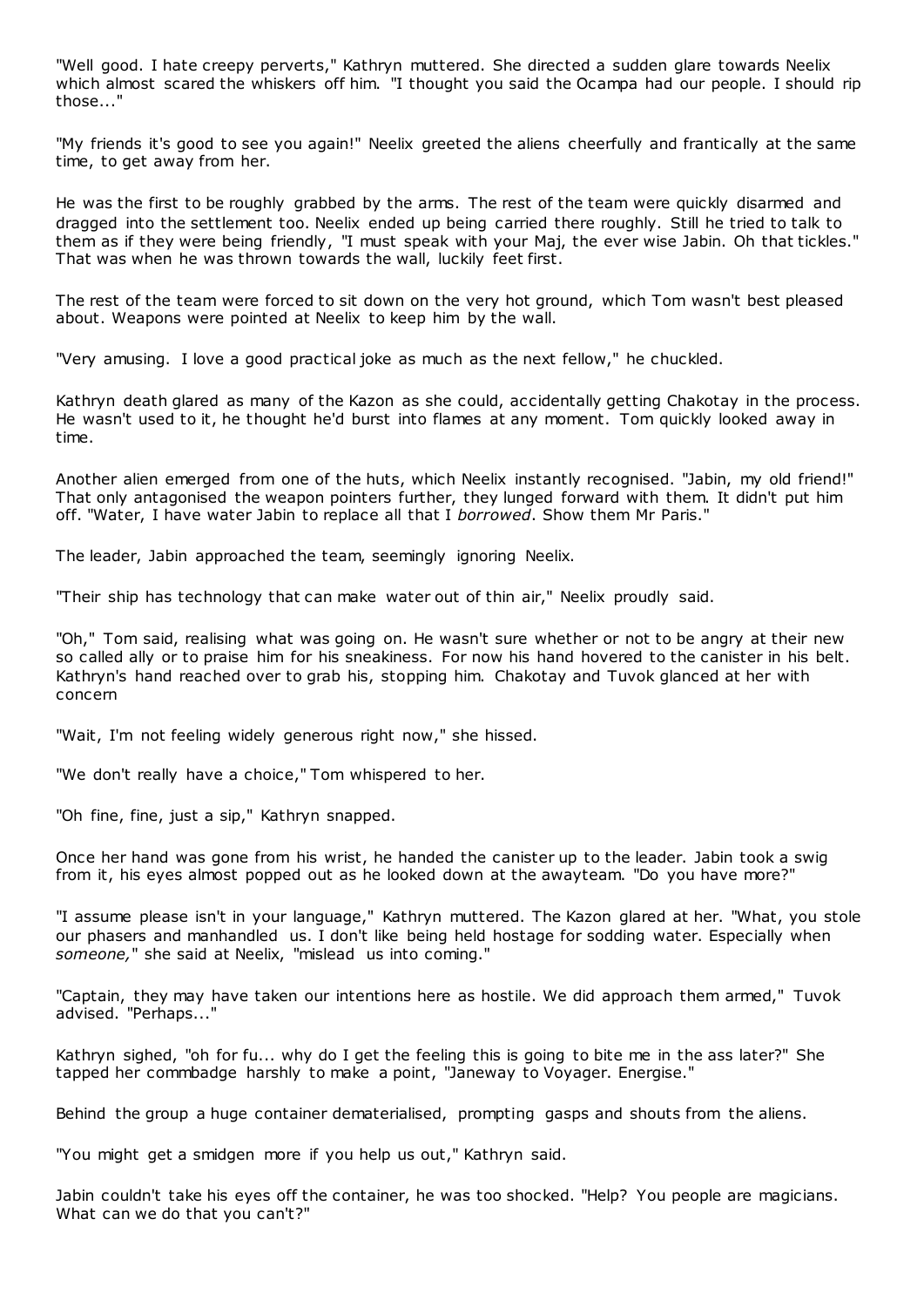"Well good. I hate creepy perverts," Kathryn muttered. She directed a sudden glare towards Neelix which almost scared the whiskers off him. "I thought you said the Ocampa had our people. I should rip those..."

"My friends it's good to see you again!" Neelix greeted the aliens cheerfully and frantically at the same time, to get away from her.

He was the first to be roughly grabbed by the arms. The rest of the team were quickly disarmed and dragged into the settlement too. Neelix ended up being carried there roughly. Still he tried to talk to them as if they were being friendly, "I must speak with your Maj, the ever wise Jabin. Oh that tickles." That was when he was thrown towards the wall, luckily feet first.

The rest of the team were forced to sit down on the very hot ground, which Tom wasn't best pleased about. Weapons were pointed at Neelix to keep him by the wall.

"Very amusing. I love a good practical joke as much as the next fellow," he chuckled.

Kathryn death glared as many of the Kazon as she could, accidentally getting Chakotay in the process. He wasn't used to it, he thought he'd burst into flames at any moment. Tom quickly looked away in time.

Another alien emerged from one of the huts, which Neelix instantly recognised. "Jabin, my old friend!" That only antagonised the weapon pointers further, they lunged forward with them. It didn't put him off. "Water, I have water Jabin to replace all that I *borrowed*. Show them Mr Paris."

The leader, Jabin approached the team, seemingly ignoring Neelix.

"Their ship has technology that can make water out of thin air," Neelix proudly said.

"Oh," Tom said, realising what was going on. He wasn't sure whether or not to be angry at their new so called ally or to praise him for his sneakiness. For now his hand hovered to the canister in his belt. Kathryn's hand reached over to grab his, stopping him. Chakotay and Tuvok glanced at her with concern

"Wait, I'm not feeling widely generous right now," she hissed.

"We don't really have a choice," Tom whispered to her.

"Oh fine, fine, just a sip," Kathryn snapped.

Once her hand was gone from his wrist, he handed the canister up to the leader. Jabin took a swig from it, his eyes almost popped out as he looked down at the awayteam. "Do you have more?"

"I assume please isn't in your language," Kathryn muttered. The Kazon glared at her. "What, you stole our phasers and manhandled us. I don't like being held hostage for sodding water. Especially when *someone,*" she said at Neelix, "mislead us into coming."

"Captain, they may have taken our intentions here as hostile. We did approach them armed," Tuvok advised. "Perhaps..."

Kathryn sighed, "oh for fu... why do I get the feeling this is going to bite me in the ass later?" She tapped her commbadge harshly to make a point, "Janeway to Voyager. Energise."

Behind the group a huge container dematerialised, prompting gasps and shouts from the aliens.

"You might get a smidgen more if you help us out," Kathryn said.

Jabin couldn't take his eyes off the container, he was too shocked. "Help? You people are magicians. What can we do that you can't?"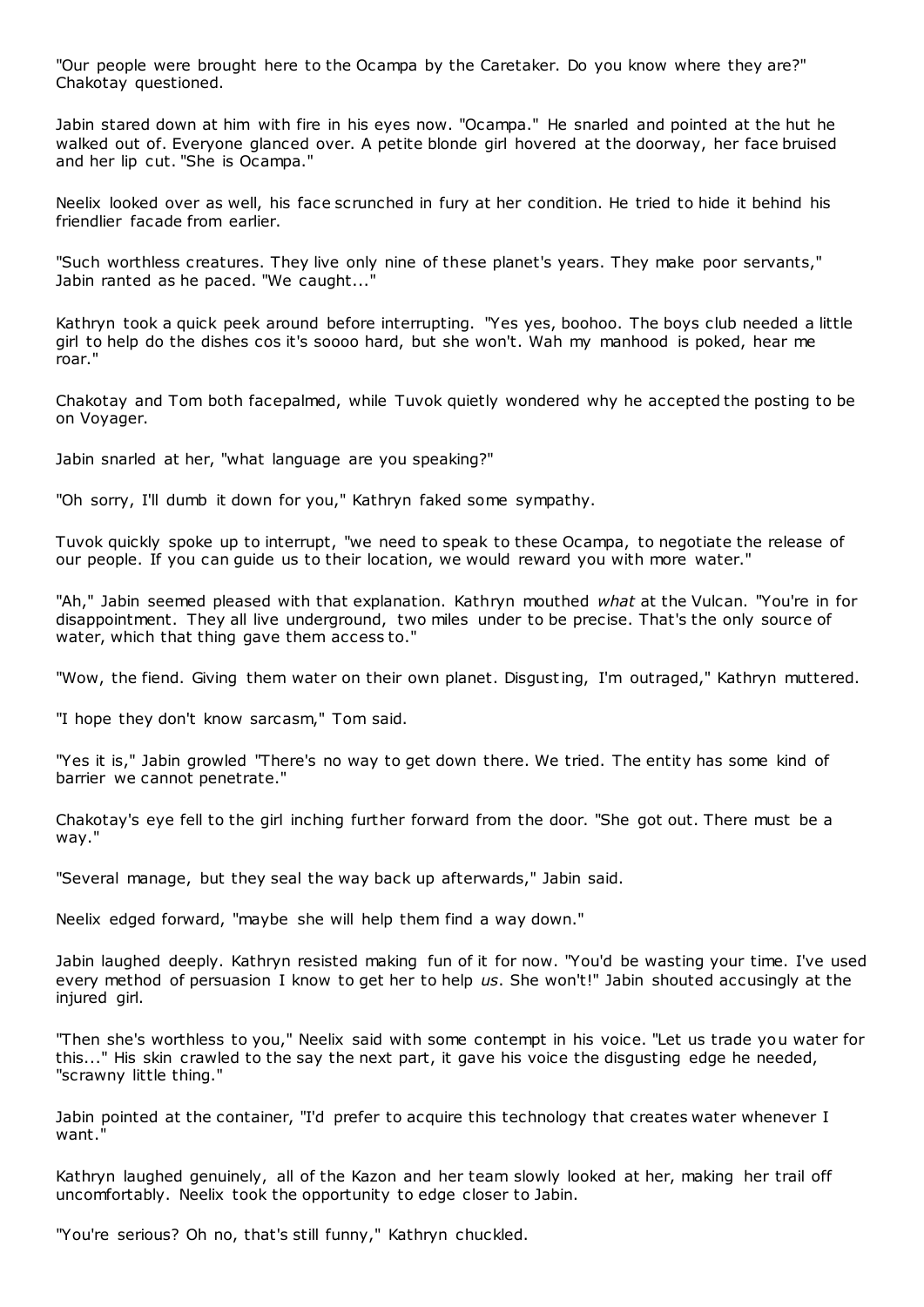"Our people were brought here to the Ocampa by the Caretaker. Do you know where they are?" Chakotay questioned.

Jabin stared down at him with fire in his eyes now. "Ocampa." He snarled and pointed at the hut he walked out of. Everyone glanced over. A petite blonde girl hovered at the doorway, her face bruised and her lip cut. "She is Ocampa."

Neelix looked over as well, his face scrunched in fury at her condition. He tried to hide it behind his friendlier facade from earlier.

"Such worthless creatures. They live only nine of these planet's years. They make poor servants," Jabin ranted as he paced. "We caught..."

Kathryn took a quick peek around before interrupting. "Yes yes, boohoo. The boys club needed a little girl to help do the dishes cos it's soooo hard, but she won't. Wah my manhood is poked, hear me roar."

Chakotay and Tom both facepalmed, while Tuvok quietly wondered why he accepted the posting to be on Voyager.

Jabin snarled at her, "what language are you speaking?"

"Oh sorry, I'll dumb it down for you," Kathryn faked some sympathy.

Tuvok quickly spoke up to interrupt, "we need to speak to these Ocampa, to negotiate the release of our people. If you can guide us to their location, we would reward you with more water."

"Ah," Jabin seemed pleased with that explanation. Kathryn mouthed *what* at the Vulcan. "You're in for disappointment. They all live underground, two miles under to be precise. That's the only source of water, which that thing gave them access to."

"Wow, the fiend. Giving them water on their own planet. Disgusting, I'm outraged," Kathryn muttered.

"I hope they don't know sarcasm," Tom said.

"Yes it is," Jabin growled "There's no way to get down there. We tried. The entity has some kind of barrier we cannot penetrate."

Chakotay's eye fell to the girl inching further forward from the door. "She got out. There must be a way."

"Several manage, but they seal the way back up afterwards," Jabin said.

Neelix edged forward, "maybe she will help them find a way down."

Jabin laughed deeply. Kathryn resisted making fun of it for now. "You'd be wasting your time. I've used every method of persuasion I know to get her to help *us*. She won't!" Jabin shouted accusingly at the injured girl.

"Then she's worthless to you," Neelix said with some contempt in his voice. "Let us trade you water for this..." His skin crawled to the say the next part, it gave his voice the disgusting edge he needed, "scrawny little thing."

Jabin pointed at the container, "I'd prefer to acquire this technology that creates water whenever I want."

Kathryn laughed genuinely, all of the Kazon and her team slowly looked at her, making her trail off uncomfortably. Neelix took the opportunity to edge closer to Jabin.

"You're serious? Oh no, that's still funny," Kathryn chuckled.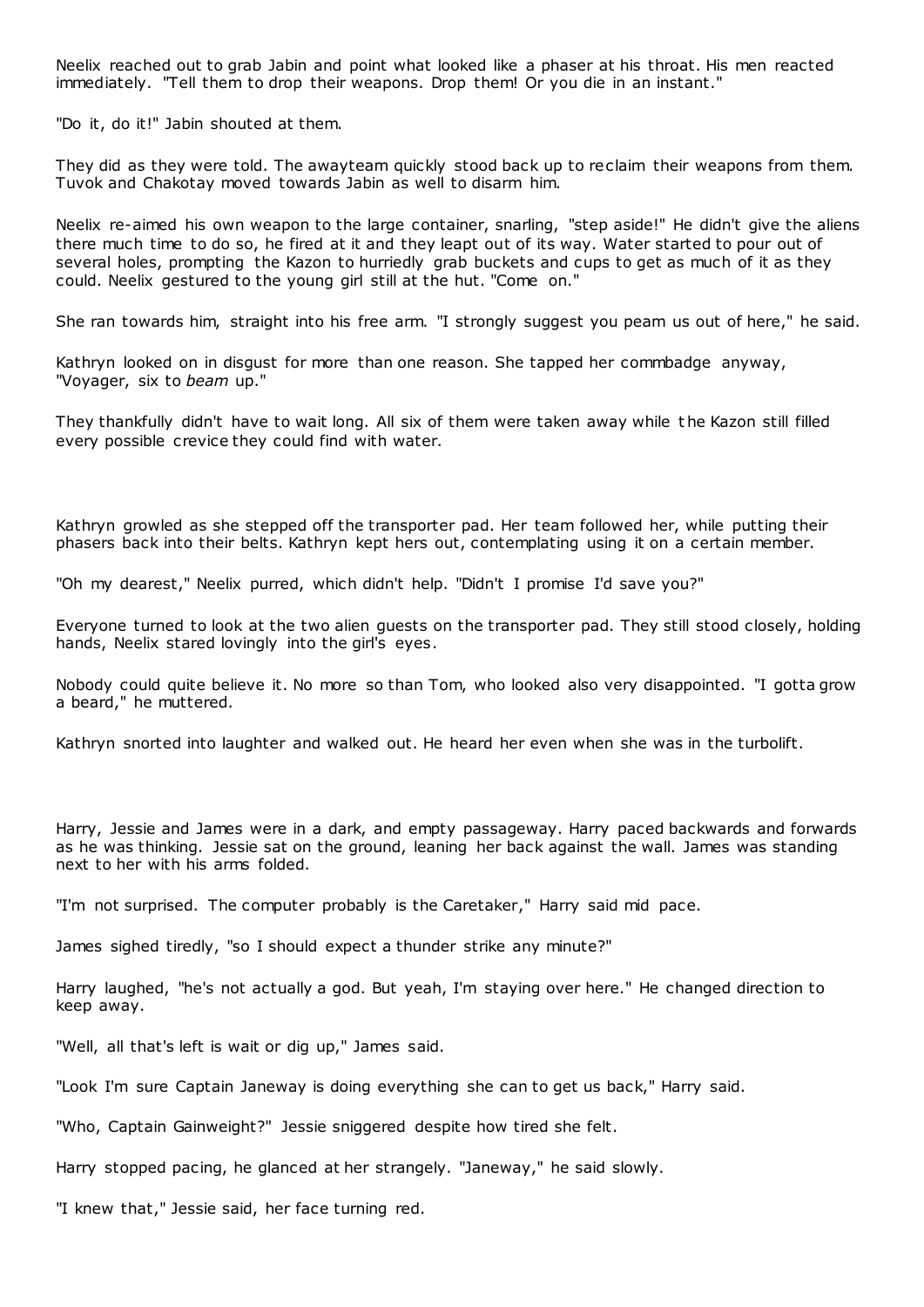Neelix reached out to grab Jabin and point what looked like a phaser at his throat. His men reacted immediately. "Tell them to drop their weapons. Drop them! Or you die in an instant."

"Do it, do it!" Jabin shouted at them.

They did as they were told. The awayteam quickly stood back up to reclaim their weapons from them. Tuvok and Chakotay moved towards Jabin as well to disarm him.

Neelix re-aimed his own weapon to the large container, snarling, "step aside!" He didn't give the aliens there much time to do so, he fired at it and they leapt out of its way. Water started to pour out of several holes, prompting the Kazon to hurriedly grab buckets and cups to get as much of it as they could. Neelix gestured to the young girl still at the hut. "Come on."

She ran towards him, straight into his free arm. "I strongly suggest you peam us out of here," he said.

Kathryn looked on in disgust for more than one reason. She tapped her commbadge anyway, "Voyager, six to *beam* up."

They thankfully didn't have to wait long. All six of them were taken away while t he Kazon still filled every possible crevice they could find with water.

Kathryn growled as she stepped off the transporter pad. Her team followed her, while putting their phasers back into their belts. Kathryn kept hers out, contemplating using it on a certain member.

"Oh my dearest," Neelix purred, which didn't help. "Didn't I promise I'd save you?"

Everyone turned to look at the two alien guests on the transporter pad. They still stood closely, holding hands, Neelix stared lovingly into the girl's eyes.

Nobody could quite believe it. No more so than Tom, who looked also very disappointed. "I gotta grow a beard," he muttered.

Kathryn snorted into laughter and walked out. He heard her even when she was in the turbolift.

Harry, Jessie and James were in a dark, and empty passageway. Harry paced backwards and forwards as he was thinking. Jessie sat on the ground, leaning her back against the wall. James was standing next to her with his arms folded.

"I'm not surprised. The computer probably is the Caretaker," Harry said mid pace.

James sighed tiredly, "so I should expect a thunder strike any minute?"

Harry laughed, "he's not actually a god. But yeah, I'm staying over here." He changed direction to keep away.

"Well, all that's left is wait or dig up," James said.

"Look I'm sure Captain Janeway is doing everything she can to get us back," Harry said.

"Who, Captain Gainweight?" Jessie sniggered despite how tired she felt.

Harry stopped pacing, he glanced at her strangely. "Janeway," he said slowly.

"I knew that," Jessie said, her face turning red.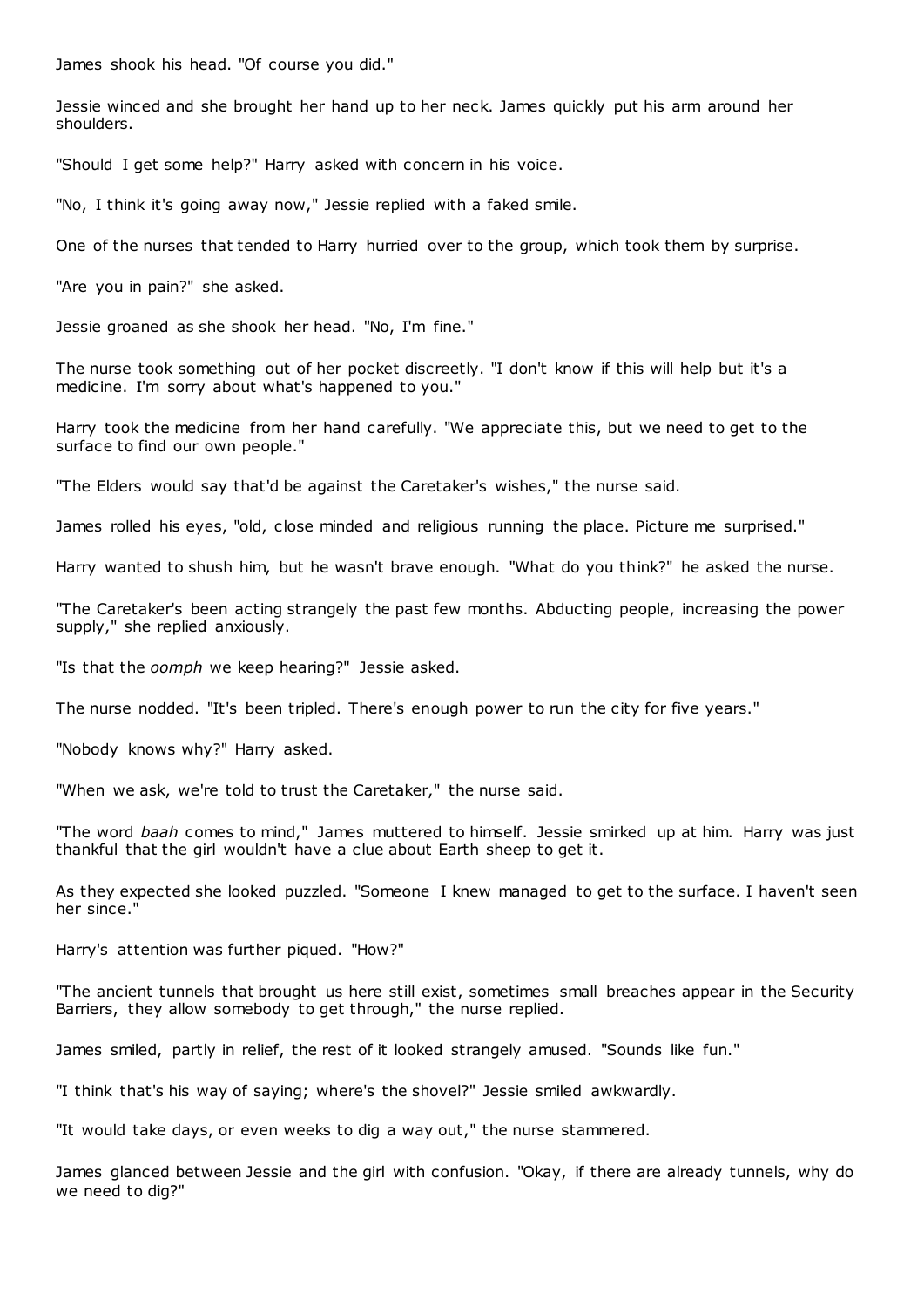James shook his head. "Of course you did."

Jessie winced and she brought her hand up to her neck. James quickly put his arm around her shoulders.

"Should I get some help?" Harry asked with concern in his voice.

"No, I think it's going away now," Jessie replied with a faked smile.

One of the nurses that tended to Harry hurried over to the group, which took them by surprise.

"Are you in pain?" she asked.

Jessie groaned as she shook her head. "No, I'm fine."

The nurse took something out of her pocket discreetly. "I don't know if this will help but it's a medicine. I'm sorry about what's happened to you."

Harry took the medicine from her hand carefully. "We appreciate this, but we need to get to the surface to find our own people."

"The Elders would say that'd be against the Caretaker's wishes," the nurse said.

James rolled his eyes, "old, close minded and religious running the place. Picture me surprised."

Harry wanted to shush him, but he wasn't brave enough. "What do you think?" he asked the nurse.

"The Caretaker's been acting strangely the past few months. Abducting people, increasing the power supply," she replied anxiously.

"Is that the *oomph* we keep hearing?" Jessie asked.

The nurse nodded. "It's been tripled. There's enough power to run the city for five years."

"Nobody knows why?" Harry asked.

"When we ask, we're told to trust the Caretaker," the nurse said.

"The word *baah* comes to mind," James muttered to himself. Jessie smirked up at him. Harry was just thankful that the girl wouldn't have a clue about Earth sheep to get it.

As they expected she looked puzzled. "Someone I knew managed to get to the surface. I haven't seen her since."

Harry's attention was further piqued. "How?"

"The ancient tunnels that brought us here still exist, sometimes small breaches appear in the Security Barriers, they allow somebody to get through," the nurse replied.

James smiled, partly in relief, the rest of it looked strangely amused. "Sounds like fun."

"I think that's his way of saying; where's the shovel?" Jessie smiled awkwardly.

"It would take days, or even weeks to dig a way out," the nurse stammered.

James glanced between Jessie and the girl with confusion. "Okay, if there are already tunnels, why do we need to dig?"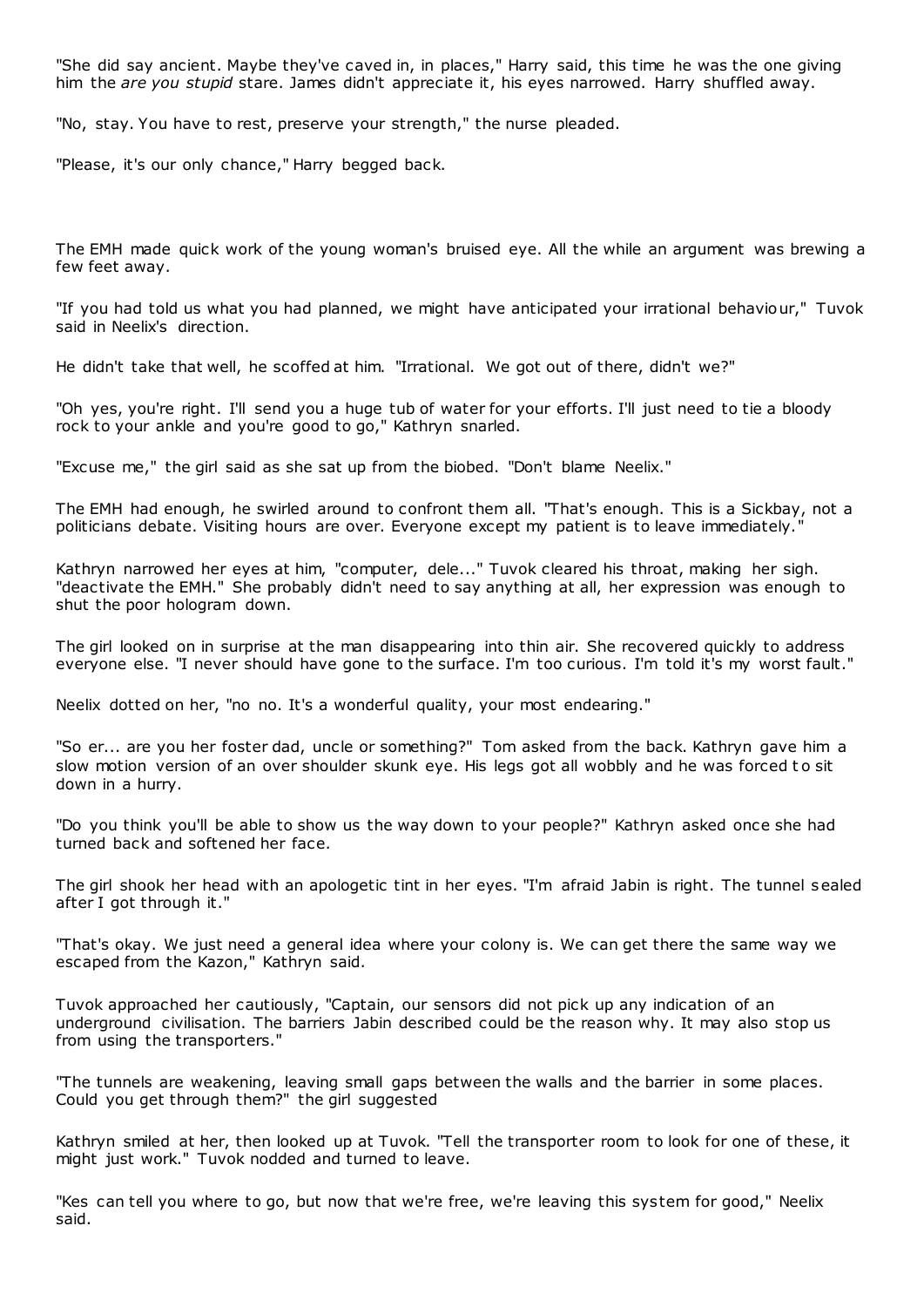"She did say ancient. Maybe they've caved in, in places," Harry said, this time he was the one giving him the *are you stupid* stare. James didn't appreciate it, his eyes narrowed. Harry shuffled away.

"No, stay. You have to rest, preserve your strength," the nurse pleaded.

"Please, it's our only chance," Harry begged back.

The EMH made quick work of the young woman's bruised eye. All the while an argument was brewing a few feet away.

"If you had told us what you had planned, we might have anticipated your irrational behaviour," Tuvok said in Neelix's direction.

He didn't take that well, he scoffed at him. "Irrational. We got out of there, didn't we?"

"Oh yes, you're right. I'll send you a huge tub of water for your efforts. I'll just need to tie a bloody rock to your ankle and you're good to go," Kathryn snarled.

"Excuse me," the girl said as she sat up from the biobed. "Don't blame Neelix."

The EMH had enough, he swirled around to confront them all. "That's enough. This is a Sickbay, not a politicians debate. Visiting hours are over. Everyone except my patient is to leave immediately."

Kathryn narrowed her eyes at him, "computer, dele..." Tuvok cleared his throat, making her sigh. "deactivate the EMH." She probably didn't need to say anything at all, her expression was enough to shut the poor hologram down.

The girl looked on in surprise at the man disappearing into thin air. She recovered quickly to address everyone else. "I never should have gone to the surface. I'm too curious. I'm told it's my worst fault."

Neelix dotted on her, "no no. It's a wonderful quality, your most endearing."

"So er... are you her foster dad, uncle or something?" Tom asked from the back. Kathryn gave him a slow motion version of an over shoulder skunk eye. His legs got all wobbly and he was forced to sit down in a hurry.

"Do you think you'll be able to show us the way down to your people?" Kathryn asked once she had turned back and softened her face.

The girl shook her head with an apologetic tint in her eyes. "I'm afraid Jabin is right. The tunnel sealed after I got through it."

"That's okay. We just need a general idea where your colony is. We can get there the same way we escaped from the Kazon," Kathryn said.

Tuvok approached her cautiously, "Captain, our sensors did not pick up any indication of an underground civilisation. The barriers Jabin described could be the reason why. It may also stop us from using the transporters."

"The tunnels are weakening, leaving small gaps between the walls and the barrier in some places. Could you get through them?" the girl suggested

Kathryn smiled at her, then looked up at Tuvok. "Tell the transporter room to look for one of these, it might just work." Tuvok nodded and turned to leave.

"Kes can tell you where to go, but now that we're free, we're leaving this system for good," Neelix said.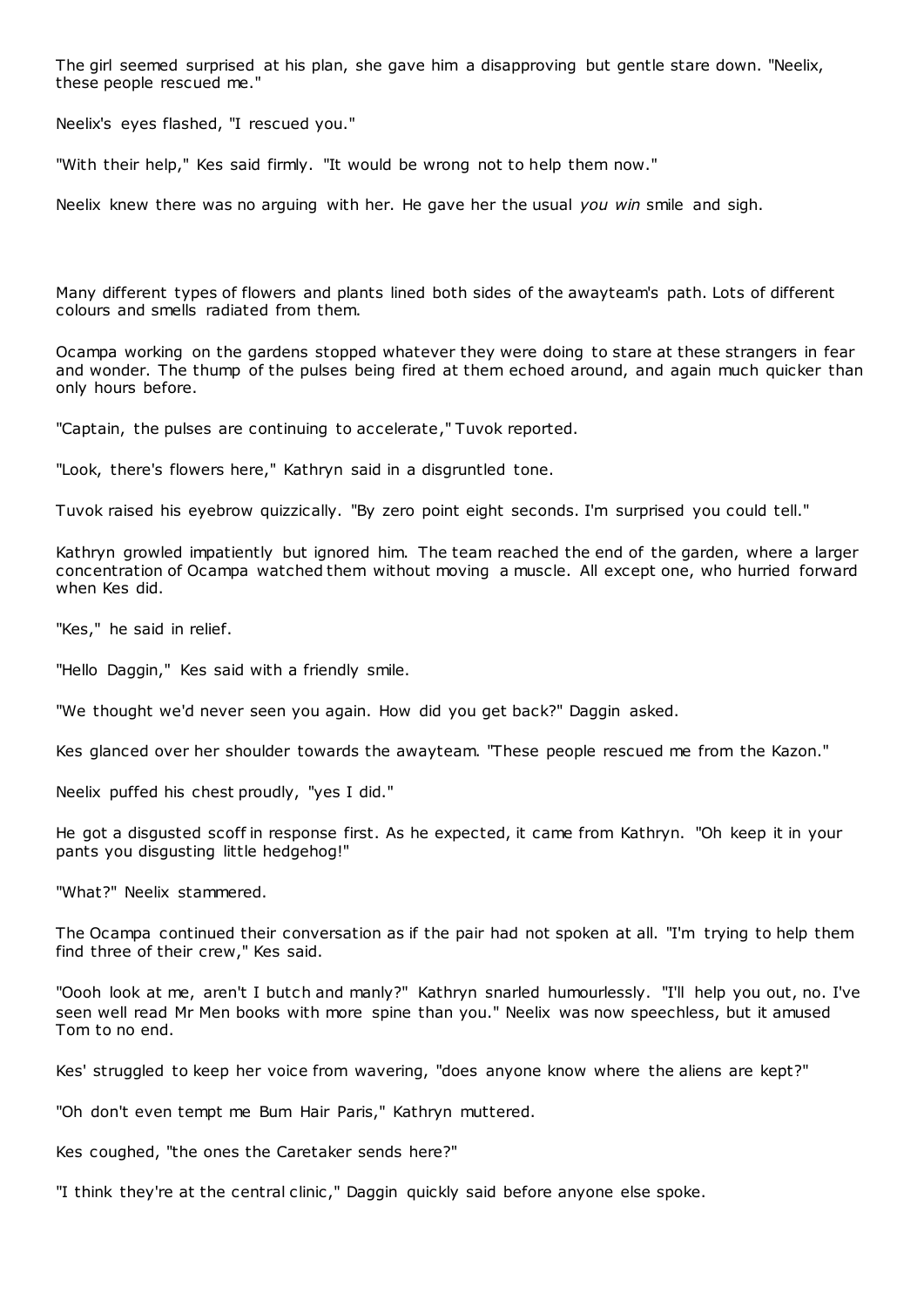The girl seemed surprised at his plan, she gave him a disapproving but gentle stare down. "Neelix, these people rescued me."

Neelix's eyes flashed, "I rescued you."

"With their help," Kes said firmly. "It would be wrong not to help them now."

Neelix knew there was no arguing with her. He gave her the usual *you win* smile and sigh.

Many different types of flowers and plants lined both sides of the awayteam's path. Lots of different colours and smells radiated from them.

Ocampa working on the gardens stopped whatever they were doing to stare at these strangers in fear and wonder. The thump of the pulses being fired at them echoed around, and again much quicker than only hours before.

"Captain, the pulses are continuing to accelerate," Tuvok reported.

"Look, there's flowers here," Kathryn said in a disgruntled tone.

Tuvok raised his eyebrow quizzically. "By zero point eight seconds. I'm surprised you could tell."

Kathryn growled impatiently but ignored him. The team reached the end of the garden, where a larger concentration of Ocampa watched them without moving a muscle. All except one, who hurried forward when Kes did.

"Kes," he said in relief.

"Hello Daggin," Kes said with a friendly smile.

"We thought we'd never seen you again. How did you get back?" Daggin asked.

Kes glanced over her shoulder towards the awayteam. "These people rescued me from the Kazon."

Neelix puffed his chest proudly, "yes I did."

He got a disgusted scoff in response first. As he expected, it came from Kathryn. "Oh keep it in your pants you disgusting little hedgehog!"

"What?" Neelix stammered.

The Ocampa continued their conversation as if the pair had not spoken at all. "I'm trying to help them find three of their crew," Kes said.

"Oooh look at me, aren't I butch and manly?" Kathryn snarled humourlessly. "I'll help you out, no. I've seen well read Mr Men books with more spine than you." Neelix was now speechless, but it amused Tom to no end.

Kes' struggled to keep her voice from wavering, "does anyone know where the aliens are kept?"

"Oh don't even tempt me Bum Hair Paris," Kathryn muttered.

Kes coughed, "the ones the Caretaker sends here?"

"I think they're at the central clinic ," Daggin quickly said before anyone else spoke.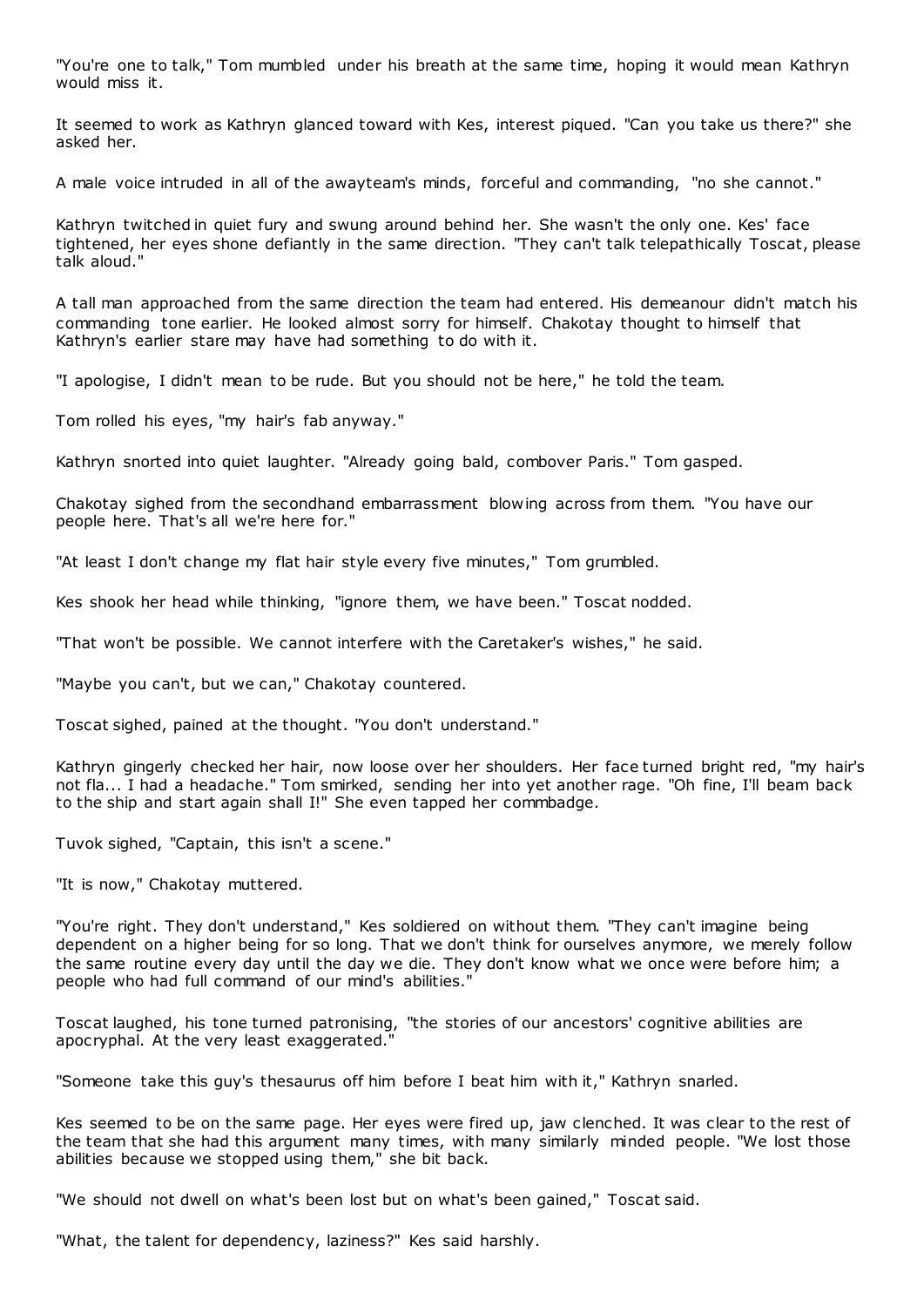"You're one to talk," Tom mumbled under his breath at the same time, hoping it would mean Kathryn would miss it.

It seemed to work as Kathryn glanced toward with Kes, interest piqued. "Can you take us there?" she asked her.

A male voice intruded in all of the awayteam's minds, forceful and commanding, "no she cannot."

Kathryn twitched in quiet fury and swung around behind her. She wasn't the only one. Kes' face tightened, her eyes shone defiantly in the same direction. "They can't talk telepathically Toscat, please talk aloud."

A tall man approached from the same direction the team had entered. His demeanour didn't match his commanding tone earlier. He looked almost sorry for himself. Chakotay thought to himself that Kathryn's earlier stare may have had something to do with it.

"I apologise, I didn't mean to be rude. But you should not be here," he told the team.

Tom rolled his eyes, "my hair's fab anyway."

Kathryn snorted into quiet laughter. "Already going bald, combover Paris." Tom gasped.

Chakotay sighed from the secondhand embarrassment blowing across from them. "You have our people here. That's all we're here for."

"At least I don't change my flat hair style every five minutes," Tom grumbled.

Kes shook her head while thinking, "ignore them, we have been." Toscat nodded.

"That won't be possible. We cannot interfere with the Caretaker's wishes," he said.

"Maybe you can't, but we can," Chakotay countered.

Toscat sighed, pained at the thought. "You don't understand."

Kathryn gingerly checked her hair, now loose over her shoulders. Her face turned bright red, "my hair's not fla... I had a headache." Tom smirked, sending her into yet another rage. "Oh fine, I'll beam back to the ship and start again shall I!" She even tapped her commbadge.

Tuvok sighed, "Captain, this isn't a scene."

"It is now," Chakotay muttered.

"You're right. They don't understand," Kes soldiered on without them. "They can't imagine being dependent on a higher being for so long. That we don't think for ourselves anymore, we merely follow the same routine every day until the day we die. They don't know what we once were before him; a people who had full command of our mind's abilities."

Toscat laughed, his tone turned patronising, "the stories of our ancestors' cognitive abilities are apocryphal. At the very least exaggerated."

"Someone take this guy's thesaurus off him before I beat him with it," Kathryn snarled.

Kes seemed to be on the same page. Her eyes were fired up, jaw clenched. It was clear to the rest of the team that she had this argument many times, with many similarly minded people. "We lost those abilities because we stopped using them," she bit back.

"We should not dwell on what's been lost but on what's been gained," Toscat said.

"What, the talent for dependency, laziness?" Kes said harshly.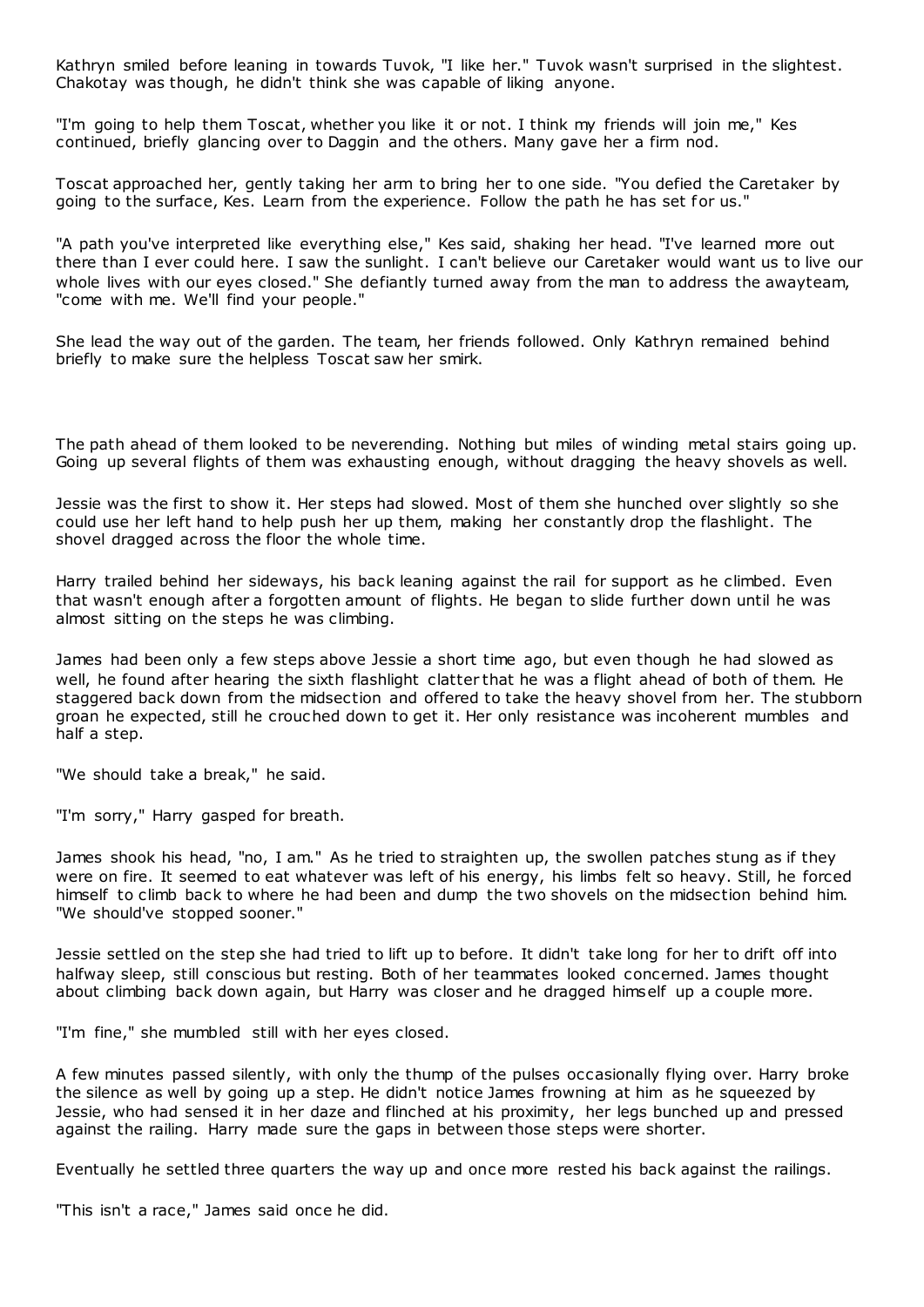Kathryn smiled before leaning in towards Tuvok, "I like her." Tuvok wasn't surprised in the slightest. Chakotay was though, he didn't think she was capable of liking anyone.

"I'm going to help them Toscat, whether you like it or not. I think my friends will join me," Kes continued, briefly glancing over to Daggin and the others. Many gave her a firm nod.

Toscat approached her, gently taking her arm to bring her to one side. "You defied the Caretaker by going to the surface, Kes. Learn from the experience. Follow the path he has set for us."

"A path you've interpreted like everything else," Kes said, shaking her head. "I've learned more out there than I ever could here. I saw the sunlight. I can't believe our Caretaker would want us to live our whole lives with our eyes closed." She defiantly turned away from the man to address the awayteam, "come with me. We'll find your people."

She lead the way out of the garden. The team, her friends followed. Only Kathryn remained behind briefly to make sure the helpless Toscat saw her smirk.

The path ahead of them looked to be neverending. Nothing but miles of winding metal stairs going up. Going up several flights of them was exhausting enough, without dragging the heavy shovels as well.

Jessie was the first to show it. Her steps had slowed. Most of them she hunched over slightly so she could use her left hand to help push her up them, making her constantly drop the flashlight. The shovel dragged across the floor the whole time.

Harry trailed behind her sideways, his back leaning against the rail for support as he climbed. Even that wasn't enough after a forgotten amount of flights. He began to slide further down until he was almost sitting on the steps he was climbing.

James had been only a few steps above Jessie a short time ago, but even though he had slowed as well, he found after hearing the sixth flashlight clatter that he was a flight ahead of both of them. He staggered back down from the midsection and offered to take the heavy shovel from her. The stubborn groan he expected, still he crouched down to get it. Her only resistance was incoherent mumbles and half a step.

"We should take a break," he said.

"I'm sorry," Harry gasped for breath.

James shook his head, "no, I am." As he tried to straighten up, the swollen patches stung as if they were on fire. It seemed to eat whatever was left of his energy, his limbs felt so heavy. Still, he forced himself to climb back to where he had been and dump the two shovels on the midsection behind him. "We should've stopped sooner."

Jessie settled on the step she had tried to lift up to before. It didn't take long for her to drift off into halfway sleep, still conscious but resting. Both of her teammates looked concerned. James thought about climbing back down again, but Harry was closer and he dragged himself up a couple more.

"I'm fine," she mumbled still with her eyes closed.

A few minutes passed silently, with only the thump of the pulses occasionally flying over. Harry broke the silence as well by going up a step. He didn't notice James frowning at him as he squeezed by Jessie, who had sensed it in her daze and flinched at his proximity, her legs bunched up and pressed against the railing. Harry made sure the gaps in between those steps were shorter.

Eventually he settled three quarters the way up and once more rested his back against the railings.

"This isn't a race," James said once he did.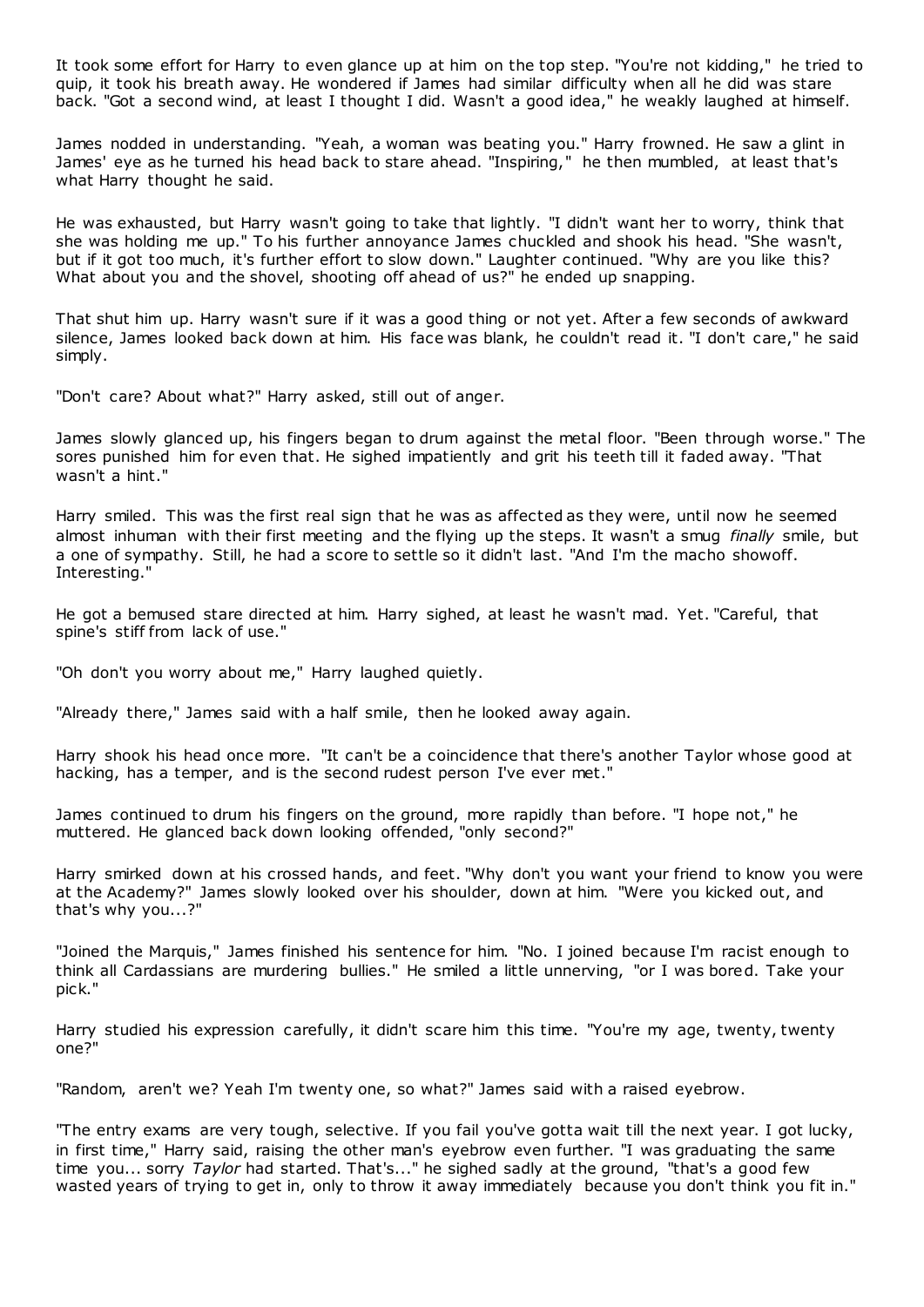It took some effort for Harry to even glance up at him on the top step. "You're not kidding," he tried to quip, it took his breath away. He wondered if James had similar difficulty when all he did was stare back. "Got a second wind, at least I thought I did. Wasn't a good idea," he weakly laughed at himself.

James nodded in understanding. "Yeah, a woman was beating you." Harry frowned. He saw a glint in James' eye as he turned his head back to stare ahead. "Inspiring," he then mumbled, at least that's what Harry thought he said.

He was exhausted, but Harry wasn't going to take that lightly. "I didn't want her to worry, think that she was holding me up." To his further annoyance James chuckled and shook his head. "She wasn't, but if it got too much, it's further effort to slow down." Laughter continued. "Why are you like this? What about you and the shovel, shooting off ahead of us?" he ended up snapping.

That shut him up. Harry wasn't sure if it was a good thing or not yet. After a few seconds of awkward silence, James looked back down at him. His face was blank, he couldn't read it. "I don't care," he said simply.

"Don't care? About what?" Harry asked, still out of anger.

James slowly glanced up, his fingers began to drum against the metal floor. "Been through worse." The sores punished him for even that. He sighed impatiently and grit his teeth till it faded away. "That wasn't a hint."

Harry smiled. This was the first real sign that he was as affected as they were, until now he seemed almost inhuman with their first meeting and the flying up the steps. It wasn't a smug *finally* smile, but a one of sympathy. Still, he had a score to settle so it didn't last. "And I'm the macho showoff. Interesting."

He got a bemused stare directed at him. Harry sighed, at least he wasn't mad. Yet. "Careful, that spine's stiff from lack of use."

"Oh don't you worry about me," Harry laughed quietly.

"Already there," James said with a half smile, then he looked away again.

Harry shook his head once more. "It can't be a coincidence that there's another Taylor whose good at hacking, has a temper, and is the second rudest person I've ever met."

James continued to drum his fingers on the ground, more rapidly than before. "I hope not," he muttered. He glanced back down looking offended, "only second?"

Harry smirked down at his crossed hands, and feet. "Why don't you want your friend to know you were at the Academy?" James slowly looked over his shoulder, down at him. "Were you kicked out, and that's why you...?"

"Joined the Marquis," James finished his sentence for him. "No. I joined because I'm racist enough to think all Cardassians are murdering bullies." He smiled a little unnerving, "or I was bored. Take your pick."

Harry studied his expression carefully, it didn't scare him this time. "You're my age, twenty, twenty one?"

"Random, aren't we? Yeah I'm twenty one, so what?" James said with a raised eyebrow.

"The entry exams are very tough, selective. If you fail you've gotta wait till the next year. I got lucky, in first time," Harry said, raising the other man's eyebrow even further. "I was graduating the same time you... sorry *Taylor* had started. That's..." he sighed sadly at the ground, "that's a good few wasted years of trying to get in, only to throw it away immediately because you don't think you fit in."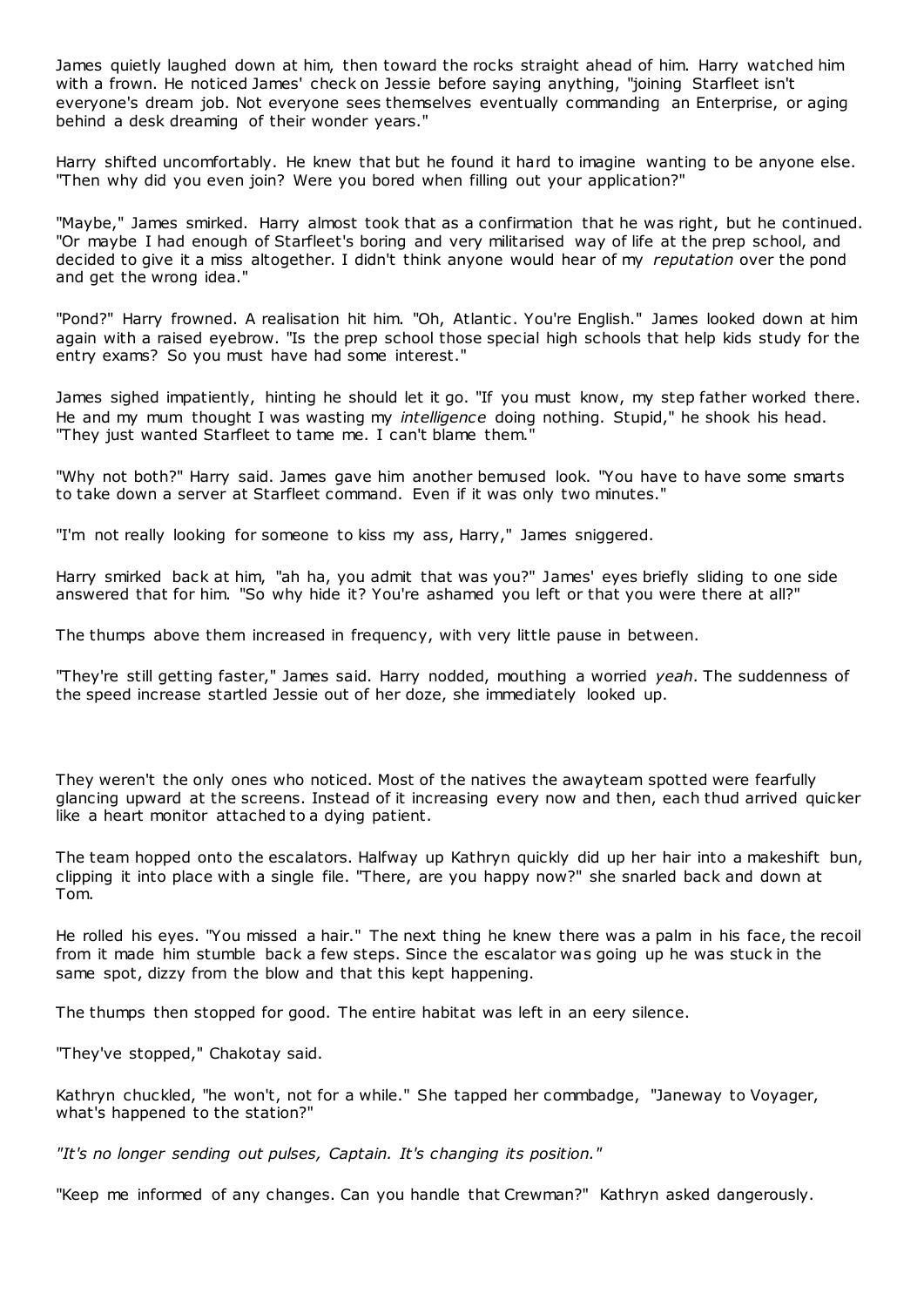James quietly laughed down at him, then toward the rocks straight ahead of him. Harry watched him with a frown. He noticed James' check on Jessie before saying anything, "joining Starfleet isn't everyone's dream job. Not everyone sees themselves eventually commanding an Enterprise, or aging behind a desk dreaming of their wonder years."

Harry shifted uncomfortably. He knew that but he found it hard to imagine wanting to be anyone else. "Then why did you even join? Were you bored when filling out your application?"

"Maybe," James smirked. Harry almost took that as a confirmation that he was right, but he continued. "Or maybe I had enough of Starfleet's boring and very militarised way of life at the prep school, and decided to give it a miss altogether. I didn't think anyone would hear of my *reputation* over the pond and get the wrong idea."

"Pond?" Harry frowned. A realisation hit him. "Oh, Atlantic. You're English." James looked down at him again with a raised eyebrow. "Is the prep school those special high schools that help kids study for the entry exams? So you must have had some interest."

James sighed impatiently, hinting he should let it go. "If you must know, my step father worked there. He and my mum thought I was wasting my *intelligence* doing nothing. Stupid," he shook his head. "They just wanted Starfleet to tame me. I can't blame them."

"Why not both?" Harry said. James gave him another bemused look. "You have to have some smarts to take down a server at Starfleet command. Even if it was only two minutes."

"I'm not really looking for someone to kiss my ass, Harry," James sniggered.

Harry smirked back at him, "ah ha, you admit that was you?" James' eyes briefly sliding to one side answered that for him. "So why hide it? You're ashamed you left or that you were there at all?"

The thumps above them increased in frequency, with very little pause in between.

"They're still getting faster," James said. Harry nodded, mouthing a worried *yeah*. The suddenness of the speed increase startled Jessie out of her doze, she immediately looked up.

They weren't the only ones who noticed. Most of the natives the awayteam spotted were fearfully glancing upward at the screens. Instead of it increasing every now and then, each thud arrived quicker like a heart monitor attached to a dying patient.

The team hopped onto the escalators. Halfway up Kathryn quickly did up her hair into a makeshift bun, clipping it into place with a single file. "There, are you happy now?" she snarled back and down at Tom.

He rolled his eyes. "You missed a hair." The next thing he knew there was a palm in his face, the recoil from it made him stumble back a few steps. Since the escalator was going up he was stuck in the same spot, dizzy from the blow and that this kept happening.

The thumps then stopped for good. The entire habitat was left in an eery silence.

"They've stopped," Chakotay said.

Kathryn chuckled, "he won't, not for a while." She tapped her commbadge, "Janeway to Voyager, what's happened to the station?"

*"It's no longer sending out pulses, Captain. It's changing its position."*

"Keep me informed of any changes. Can you handle that Crewman?" Kathryn asked dangerously.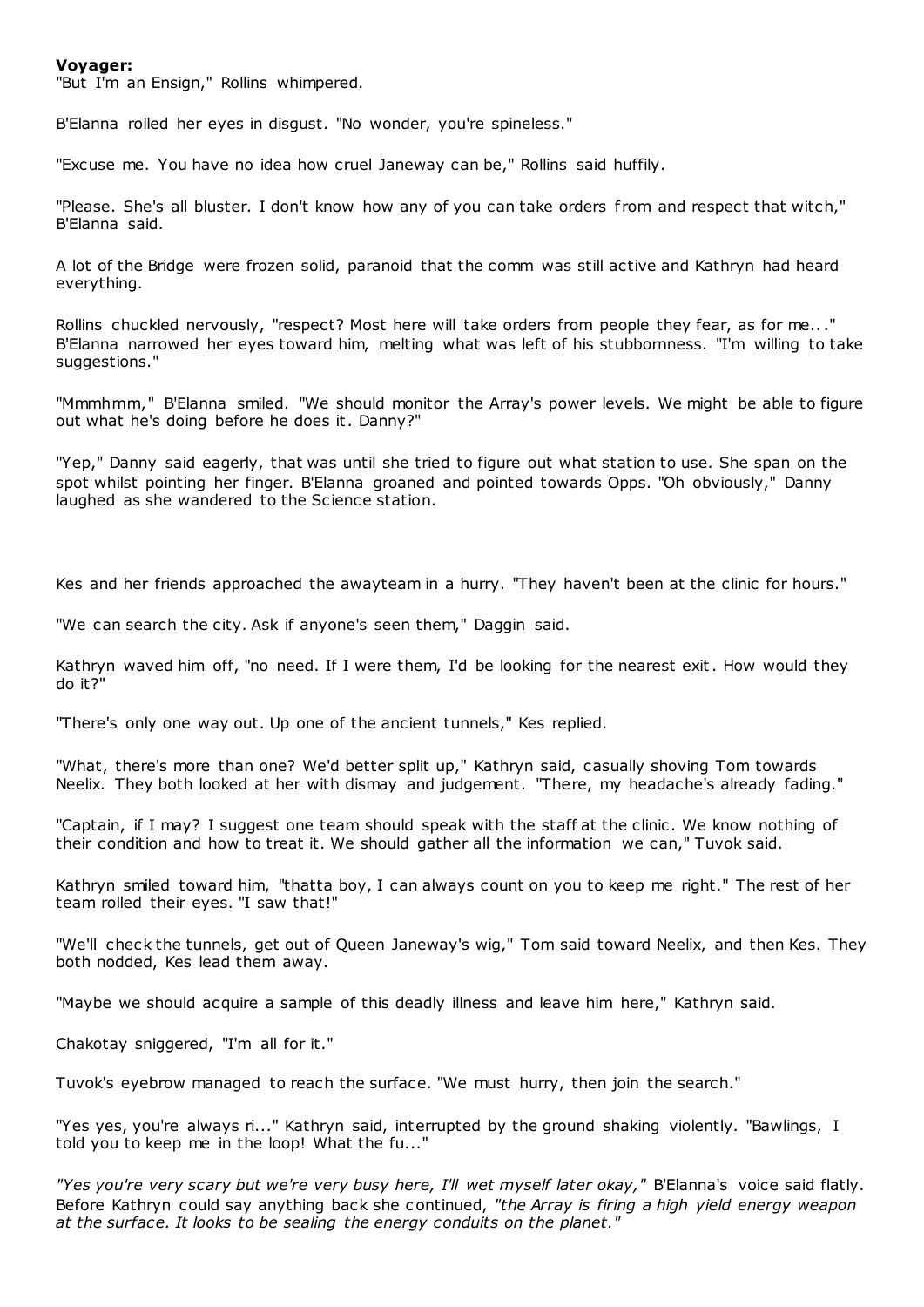## **Voyager:**

"But I'm an Ensign," Rollins whimpered.

B'Elanna rolled her eyes in disgust. "No wonder, you're spineless."

"Excuse me. You have no idea how cruel Janeway can be," Rollins said huffily.

"Please. She's all bluster. I don't know how any of you can take orders f rom and respect that witch," B'Elanna said.

A lot of the Bridge were frozen solid, paranoid that the comm was still active and Kathryn had heard everything.

Rollins chuckled nervously, "respect? Most here will take orders from people they fear, as for me..." B'Elanna narrowed her eyes toward him, melting what was left of his stubbornness. "I'm willing to take suggestions."

"Mmmhmm," B'Elanna smiled. "We should monitor the Array's power levels. We might be able to figure out what he's doing before he does it. Danny?"

"Yep," Danny said eagerly, that was until she tried to figure out what station to use. She span on the spot whilst pointing her finger. B'Elanna groaned and pointed towards Opps. "Oh obviously," Danny laughed as she wandered to the Science station.

Kes and her friends approached the awayteam in a hurry. "They haven't been at the clinic for hours."

"We can search the city. Ask if anyone's seen them," Daggin said.

Kathryn waved him off, "no need. If I were them, I'd be looking for the nearest exit. How would they do it?"

"There's only one way out. Up one of the ancient tunnels," Kes replied.

"What, there's more than one? We'd better split up," Kathryn said, casually shoving Tom towards Neelix. They both looked at her with dismay and judgement. "There, my headache's already fading."

"Captain, if I may? I suggest one team should speak with the staff at the clinic . We know nothing of their condition and how to treat it. We should gather all the information we can," Tuvok said.

Kathryn smiled toward him, "thatta boy, I can always count on you to keep me right." The rest of her team rolled their eyes. "I saw that!"

"We'll check the tunnels, get out of Queen Janeway's wig," Tom said toward Neelix, and then Kes. They both nodded, Kes lead them away.

"Maybe we should acquire a sample of this deadly illness and leave him here," Kathryn said.

Chakotay sniggered, "I'm all for it."

Tuvok's eyebrow managed to reach the surface. "We must hurry, then join the search."

"Yes yes, you're always ri..." Kathryn said, interrupted by the ground shaking violently. "Bawlings, I told you to keep me in the loop! What the fu..."

*"Yes you're very scary but we're very busy here, I'll wet myself later okay,"* B'Elanna's voice said flatly. Before Kathryn could say anything back she c ontinued, *"the Array is firing a high yield energy weapon at the surface. It looks to be sealing the energy conduits on the planet."*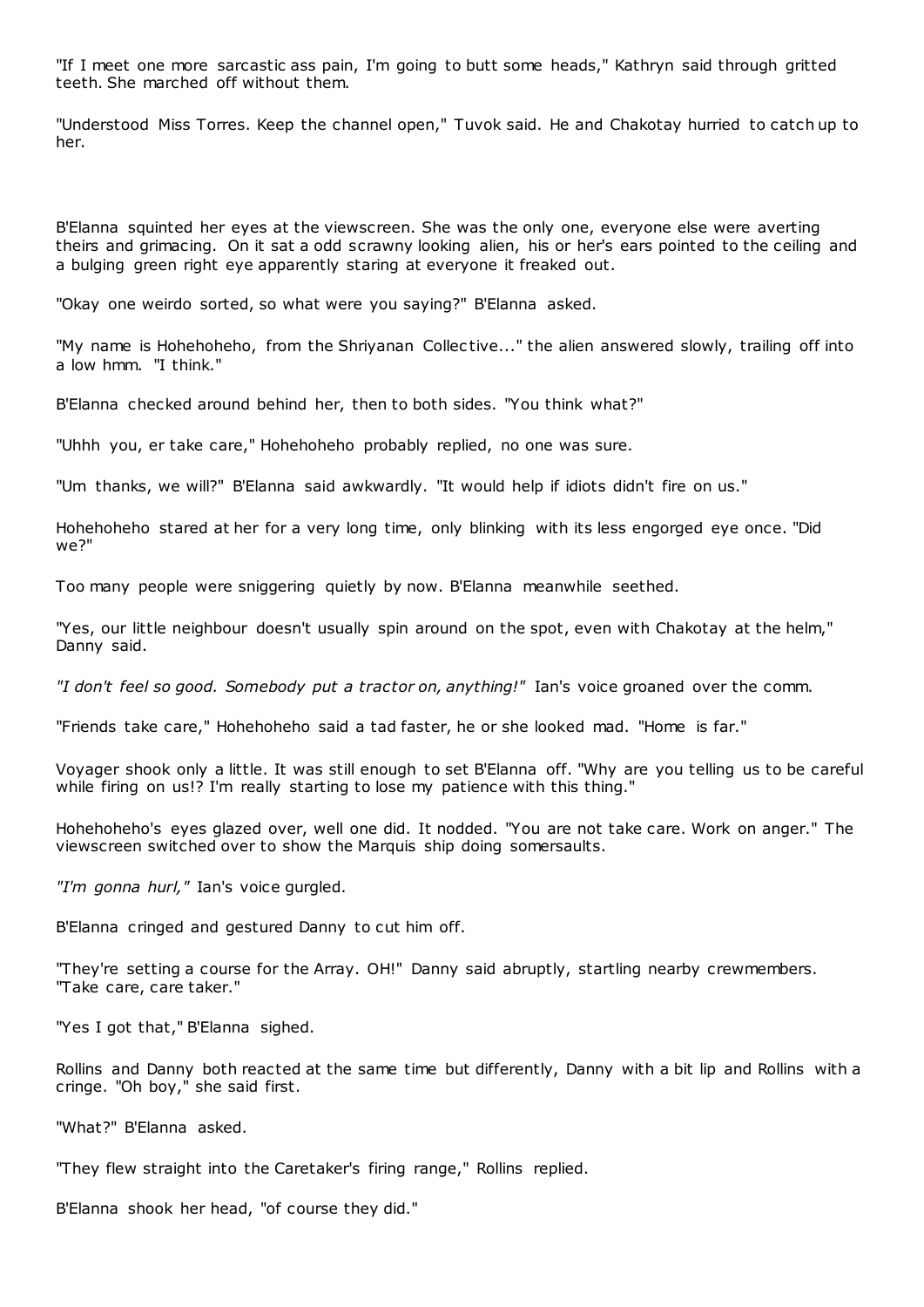"If I meet one more sarcastic ass pain, I'm going to butt some heads," Kathryn said through gritted teeth. She marched off without them.

"Understood Miss Torres. Keep the channel open," Tuvok said. He and Chakotay hurried to catch up to her.

B'Elanna squinted her eyes at the viewscreen. She was the only one, everyone else were averting theirs and grimacing. On it sat a odd scrawny looking alien, his or her's ears pointed to the ceiling and a bulging green right eye apparently staring at everyone it freaked out.

"Okay one weirdo sorted, so what were you saying?" B'Elanna asked.

"My name is Hohehoheho, from the Shriyanan Collec tive..." the alien answered slowly, trailing off into a low hmm. "I think."

B'Elanna checked around behind her, then to both sides. "You think what?"

"Uhhh you, er take care," Hohehoheho probably replied, no one was sure.

"Um thanks, we will?" B'Elanna said awkwardly. "It would help if idiots didn't fire on us."

Hohehoheho stared at her for a very long time, only blinking with its less engorged eye once. "Did we?"

Too many people were sniggering quietly by now. B'Elanna meanwhile seethed.

"Yes, our little neighbour doesn't usually spin around on the spot, even with Chakotay at the helm," Danny said.

*"I don't feel so good. Somebody put a tractor on, anything!"* Ian's voice groaned over the comm.

"Friends take care," Hohehoheho said a tad faster, he or she looked mad. "Home is far."

Voyager shook only a little. It was still enough to set B'Elanna off. "Why are you telling us to be careful while firing on us!? I'm really starting to lose my patience with this thing."

Hohehoheho's eyes glazed over, well one did. It nodded. "You are not take care. Work on anger." The viewscreen switched over to show the Marquis ship doing somersaults.

*"I'm gonna hurl,"* Ian's voice gurgled.

B'Elanna cringed and gestured Danny to cut him off.

"They're setting a course for the Array. OH!" Danny said abruptly, startling nearby crewmembers. "Take care, care taker."

"Yes I got that," B'Elanna sighed.

Rollins and Danny both reacted at the same time but differently, Danny with a bit lip and Rollins with a cringe. "Oh boy," she said first.

"What?" B'Elanna asked.

"They flew straight into the Caretaker's firing range," Rollins replied.

B'Elanna shook her head, "of course they did."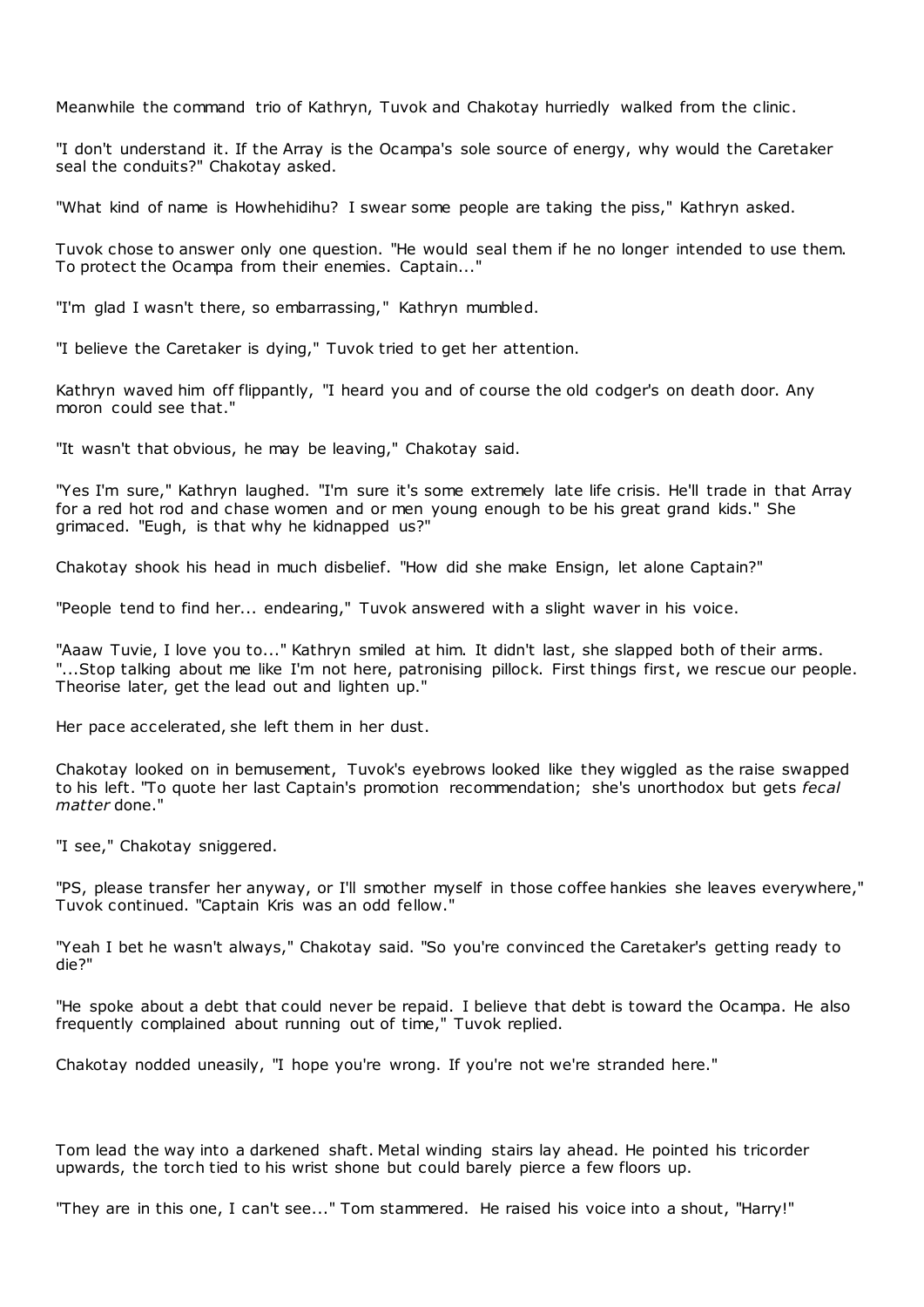Meanwhile the command trio of Kathryn, Tuvok and Chakotay hurriedly walked from the clinic .

"I don't understand it. If the Array is the Ocampa's sole source of energy, why would the Caretaker seal the conduits?" Chakotay asked.

"What kind of name is Howhehidihu? I swear some people are taking the piss," Kathryn asked.

Tuvok chose to answer only one question. "He would seal them if he no longer intended to use them. To protect the Ocampa from their enemies. Captain..."

"I'm glad I wasn't there, so embarrassing," Kathryn mumbled.

"I believe the Caretaker is dying," Tuvok tried to get her attention.

Kathryn waved him off flippantly, "I heard you and of course the old codger's on death door. Any moron could see that."

"It wasn't that obvious, he may be leaving," Chakotay said.

"Yes I'm sure," Kathryn laughed. "I'm sure it's some extremely late life crisis. He'll trade in that Array for a red hot rod and chase women and or men young enough to be his great grand kids." She grimaced. "Eugh, is that why he kidnapped us?"

Chakotay shook his head in much disbelief. "How did she make Ensign, let alone Captain?"

"People tend to find her... endearing," Tuvok answered with a slight waver in his voice.

"Aaaw Tuvie, I love you to..." Kathryn smiled at him. It didn't last, she slapped both of their arms. "...Stop talking about me like I'm not here, patronising pillock. First things first, we rescue our people. Theorise later, get the lead out and lighten up."

Her pace accelerated, she left them in her dust.

Chakotay looked on in bemusement, Tuvok's eyebrows looked like they wiggled as the raise swapped to his left. "To quote her last Captain's promotion recommendation; she's unorthodox but gets *fecal matter* done."

"I see," Chakotay sniggered.

"PS, please transfer her anyway, or I'll smother myself in those coffee hankies she leaves everywhere," Tuvok continued. "Captain Kris was an odd fellow."

"Yeah I bet he wasn't always," Chakotay said. "So you're convinced the Caretaker's getting ready to die?"

"He spoke about a debt that could never be repaid. I believe that debt is toward the Ocampa. He also frequently complained about running out of time," Tuvok replied.

Chakotay nodded uneasily, "I hope you're wrong. If you're not we're stranded here."

Tom lead the way into a darkened shaft. Metal winding stairs lay ahead. He pointed his tricorder upwards, the torch tied to his wrist shone but could barely pierce a few floors up.

"They are in this one, I can't see..." Tom stammered. He raised his voice into a shout, "Harry!"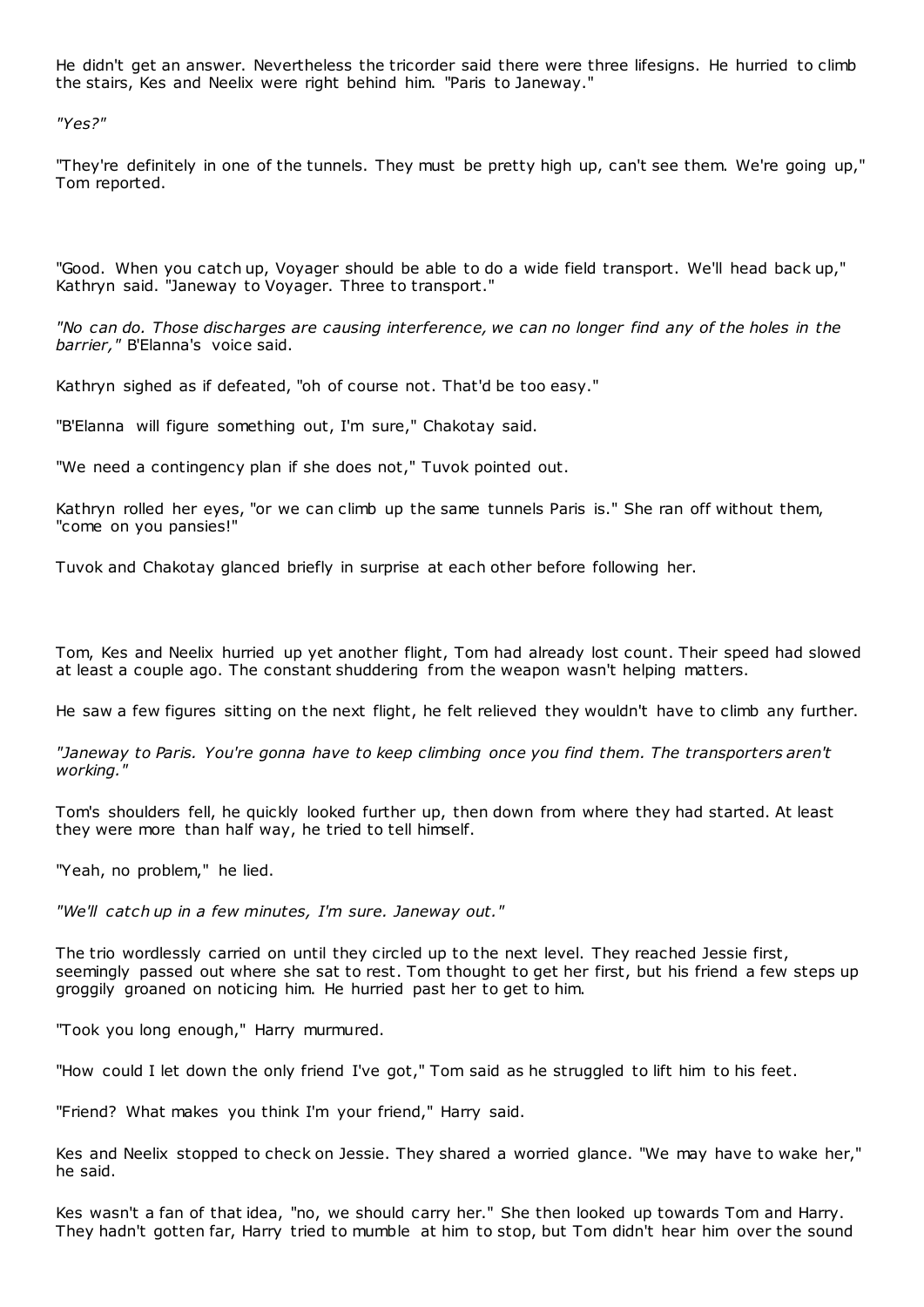He didn't get an answer. Nevertheless the tricorder said there were three lifesigns. He hurried to climb the stairs, Kes and Neelix were right behind him. "Paris to Janeway."

*"Yes?"*

"They're definitely in one of the tunnels. They must be pretty high up, can't see them. We're going up," Tom reported.

"Good. When you catch up, Voyager should be able to do a wide field transport. We'll head back up," Kathryn said. "Janeway to Voyager. Three to transport."

*"No can do. Those discharges are causing interference, we can no longer find any of the holes in the barrier,"* B'Elanna's voice said.

Kathryn sighed as if defeated, "oh of course not. That'd be too easy."

"B'Elanna will figure something out, I'm sure," Chakotay said.

"We need a contingency plan if she does not," Tuvok pointed out.

Kathryn rolled her eyes, "or we can climb up the same tunnels Paris is." She ran off without them, "come on you pansies!"

Tuvok and Chakotay glanced briefly in surprise at each other before following her.

Tom, Kes and Neelix hurried up yet another flight, Tom had already lost count. Their speed had slowed at least a couple ago. The constant shuddering from the weapon wasn't helping matters.

He saw a few figures sitting on the next flight, he felt relieved they wouldn't have to climb any further.

*"Janeway to Paris. You're gonna have to keep climbing once you find them. The transporters aren't working."*

Tom's shoulders fell, he quickly looked further up, then down from where they had started. At least they were more than half way, he tried to tell himself.

"Yeah, no problem," he lied.

*"We'll catch up in a few minutes, I'm sure. Janeway out."*

The trio wordlessly carried on until they circled up to the next level. They reached Jessie first, seemingly passed out where she sat to rest. Tom thought to get her first, but his friend a few steps up groggily groaned on noticing him. He hurried past her to get to him.

"Took you long enough," Harry murmured.

"How could I let down the only friend I've got," Tom said as he struggled to lift him to his feet.

"Friend? What makes you think I'm your friend," Harry said.

Kes and Neelix stopped to check on Jessie. They shared a worried glance. "We may have to wake her," he said.

Kes wasn't a fan of that idea, "no, we should carry her." She then looked up towards Tom and Harry. They hadn't gotten far, Harry tried to mumble at him to stop, but Tom didn't hear him over the sound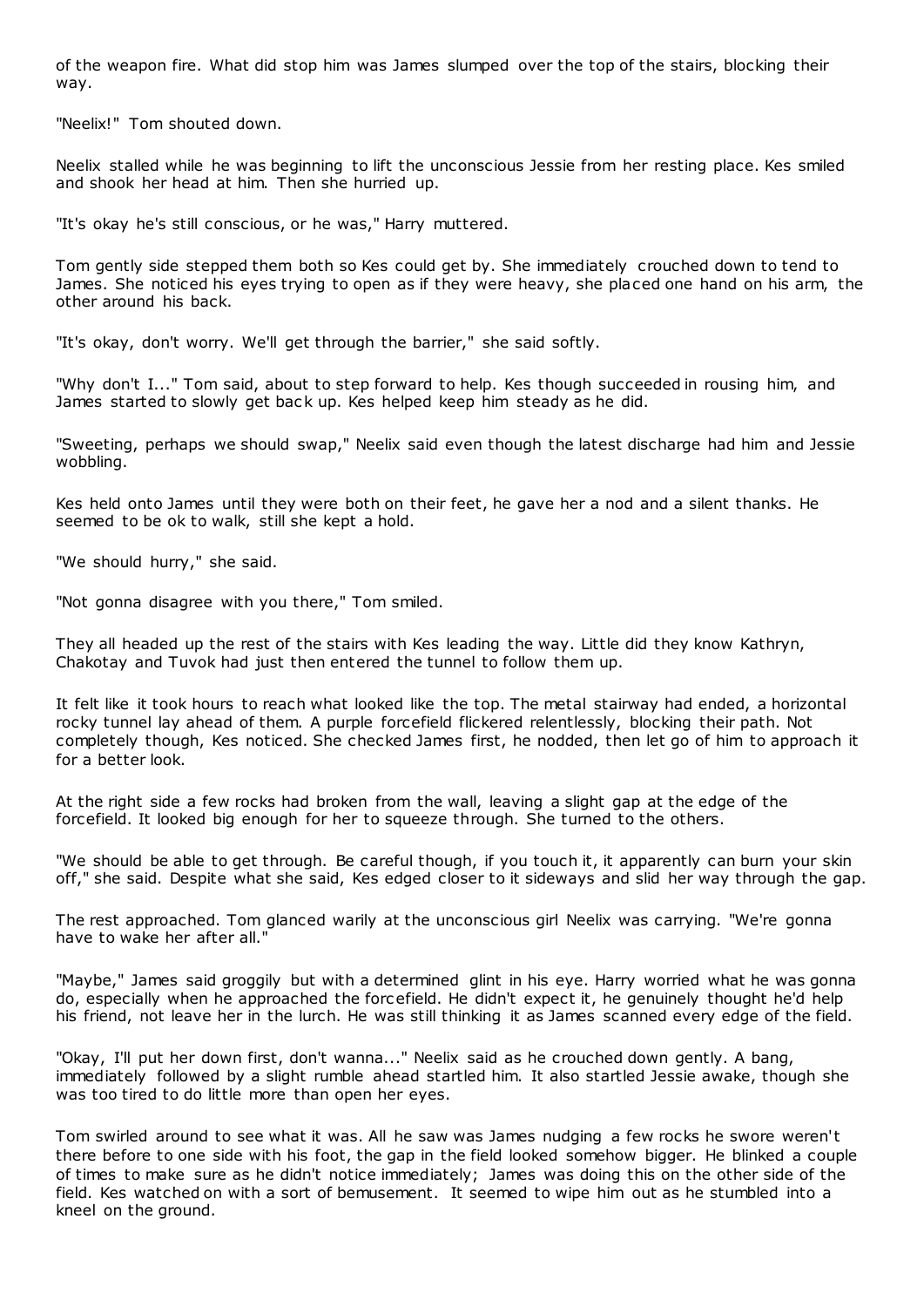of the weapon fire. What did stop him was James slumped over the top of the stairs, blocking their way.

"Neelix!" Tom shouted down.

Neelix stalled while he was beginning to lift the unconscious Jessie from her resting place. Kes smiled and shook her head at him. Then she hurried up.

"It's okay he's still conscious, or he was," Harry muttered.

Tom gently side stepped them both so Kes could get by. She immediately crouched down to tend to James. She noticed his eyes trying to open as if they were heavy, she placed one hand on his arm, the other around his back.

"It's okay, don't worry. We'll get through the barrier," she said softly.

"Why don't I..." Tom said, about to step forward to help. Kes though succeeded in rousing him, and James started to slowly get back up. Kes helped keep him steady as he did.

"Sweeting, perhaps we should swap," Neelix said even though the latest discharge had him and Jessie wobbling.

Kes held onto James until they were both on their feet, he gave her a nod and a silent thanks. He seemed to be ok to walk, still she kept a hold.

"We should hurry," she said.

"Not gonna disagree with you there," Tom smiled.

They all headed up the rest of the stairs with Kes leading the way. Little did they know Kathryn, Chakotay and Tuvok had just then entered the tunnel to follow them up.

It felt like it took hours to reach what looked like the top. The metal stairway had ended, a horizontal rocky tunnel lay ahead of them. A purple forcefield flickered relentlessly, blocking their path. Not completely though, Kes noticed. She checked James first, he nodded, then let go of him to approach it for a better look.

At the right side a few rocks had broken from the wall, leaving a slight gap at the edge of the forcefield. It looked big enough for her to squeeze through. She turned to the others.

"We should be able to get through. Be careful though, if you touch it, it apparently can burn your skin off," she said. Despite what she said, Kes edged closer to it sideways and slid her way through the gap.

The rest approached. Tom glanced warily at the unconscious girl Neelix was carrying. "We're gonna have to wake her after all."

"Maybe," James said groggily but with a determined glint in his eye. Harry worried what he was gonna do, especially when he approached the forc efield. He didn't expect it, he genuinely thought he'd help his friend, not leave her in the lurch. He was still thinking it as James scanned every edge of the field.

"Okay, I'll put her down first, don't wanna..." Neelix said as he crouched down gently. A bang, immediately followed by a slight rumble ahead startled him. It also startled Jessie awake, though she was too tired to do little more than open her eyes.

Tom swirled around to see what it was. All he saw was James nudging a few rocks he swore weren't there before to one side with his foot, the gap in the field looked somehow bigger. He blinked a couple of times to make sure as he didn't notice immediately; James was doing this on the other side of the field. Kes watched on with a sort of bemusement. It seemed to wipe him out as he stumbled into a kneel on the ground.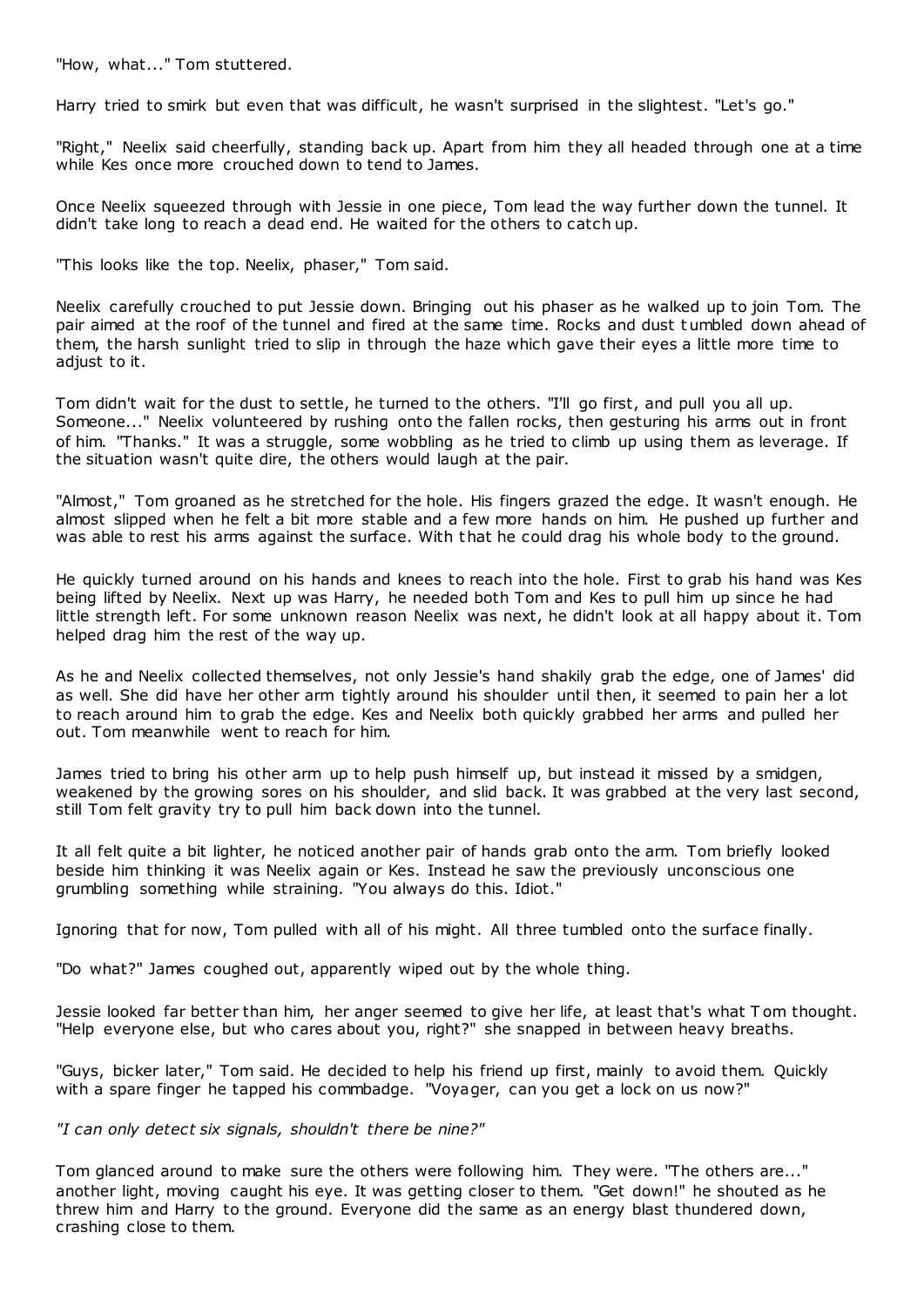"How, what..." Tom stuttered.

Harry tried to smirk but even that was difficult, he wasn't surprised in the slightest. "Let's go."

"Right," Neelix said cheerfully, standing back up. Apart from him they all headed through one at a time while Kes once more crouched down to tend to James.

Once Neelix squeezed through with Jessie in one piece, Tom lead the way further down the tunnel. It didn't take long to reach a dead end. He waited for the others to catch up.

"This looks like the top. Neelix, phaser," Tom said.

Neelix carefully crouched to put Jessie down. Bringing out his phaser as he walked up to join Tom. The pair aimed at the roof of the tunnel and fired at the same time. Rocks and dust t umbled down ahead of them, the harsh sunlight tried to slip in through the haze which gave their eyes a little more time to adjust to it.

Tom didn't wait for the dust to settle, he turned to the others. "I'll go first, and pull you all up. Someone..." Neelix volunteered by rushing onto the fallen rocks, then gesturing his arms out in front of him. "Thanks." It was a struggle, some wobbling as he tried to climb up using them as leverage. If the situation wasn't quite dire, the others would laugh at the pair.

"Almost," Tom groaned as he stretched for the hole. His fingers grazed the edge. It wasn't enough. He almost slipped when he felt a bit more stable and a few more hands on him. He pushed up further and was able to rest his arms against the surface. With that he could drag his whole body to the ground.

He quickly turned around on his hands and knees to reach into the hole. First to grab his hand was Kes being lifted by Neelix. Next up was Harry, he needed both Tom and Kes to pull him up since he had little strength left. For some unknown reason Neelix was next, he didn't look at all happy about it. Tom helped drag him the rest of the way up.

As he and Neelix collected themselves, not only Jessie's hand shakily grab the edge, one of James' did as well. She did have her other arm tightly around his shoulder until then, it seemed to pain her a lot to reach around him to grab the edge. Kes and Neelix both quickly grabbed her arms and pulled her out. Tom meanwhile went to reach for him.

James tried to bring his other arm up to help push himself up, but instead it missed by a smidgen, weakened by the growing sores on his shoulder, and slid back. It was grabbed at the very last second, still Tom felt gravity try to pull him back down into the tunnel.

It all felt quite a bit lighter, he noticed another pair of hands grab onto the arm. Tom briefly looked beside him thinking it was Neelix again or Kes. Instead he saw the previously unconscious one grumbling something while straining. "You always do this. Idiot."

Ignoring that for now, Tom pulled with all of his might. All three tumbled onto the surface finally.

"Do what?" James coughed out, apparently wiped out by the whole thing.

Jessie looked far better than him, her anger seemed to give her life, at least that's what T om thought. "Help everyone else, but who cares about you, right?" she snapped in between heavy breaths.

"Guys, bicker later," Tom said. He decided to help his friend up first, mainly to avoid them. Quickly with a spare finger he tapped his commbadge. "Voyager, can you get a lock on us now?"

*"I can only detect six signals, shouldn't there be nine?"*

Tom glanced around to make sure the others were following him. They were. "The others are..." another light, moving caught his eye. It was getting closer to them. "Get down!" he shouted as he threw him and Harry to the ground. Everyone did the same as an energy blast thundered down, crashing close to them.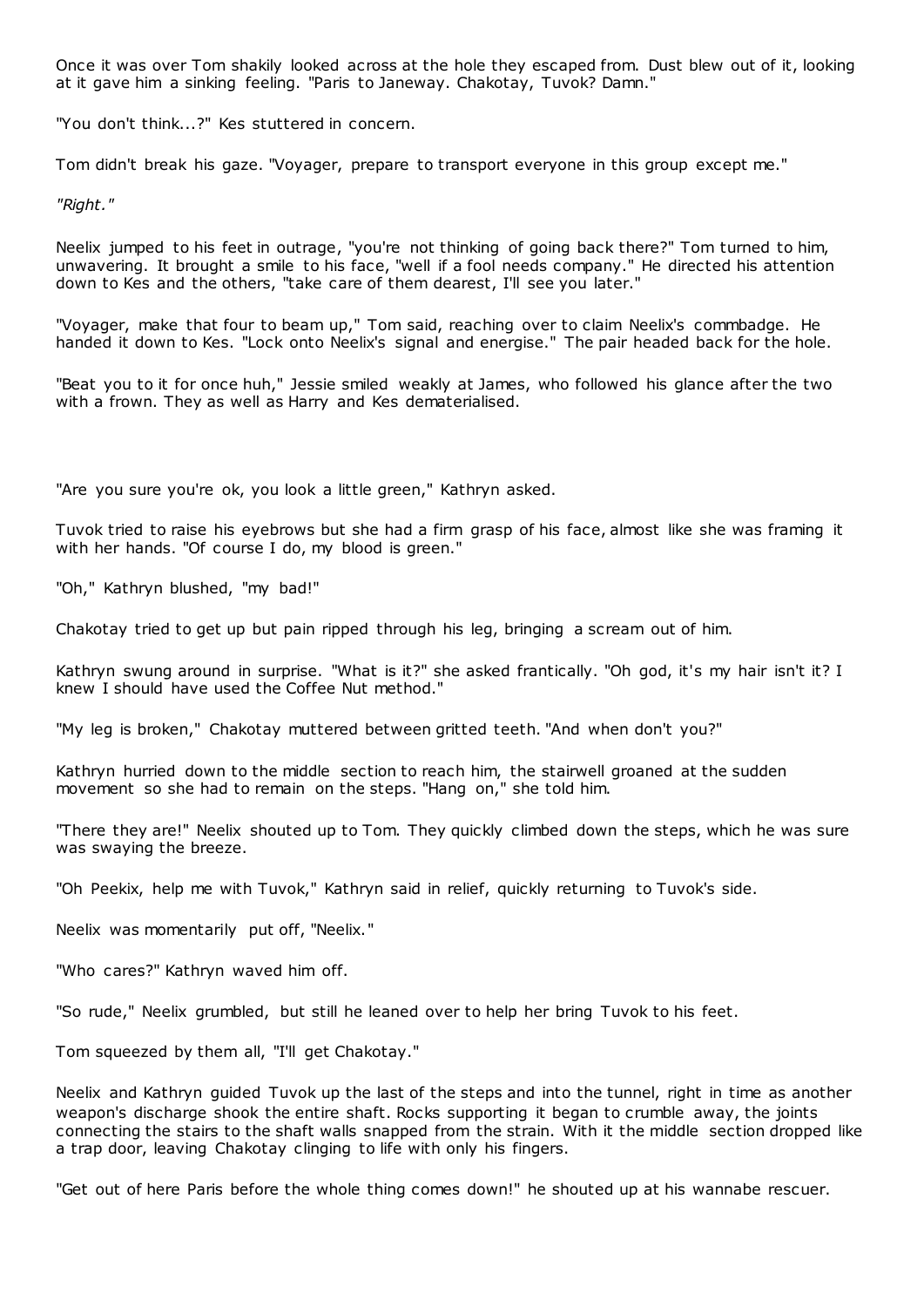Once it was over Tom shakily looked across at the hole they escaped from. Dust blew out of it, looking at it gave him a sinking feeling. "Paris to Janeway. Chakotay, Tuvok? Damn."

"You don't think...?" Kes stuttered in concern.

Tom didn't break his gaze. "Voyager, prepare to transport everyone in this group except me."

*"Right."*

Neelix jumped to his feet in outrage, "you're not thinking of going back there?" Tom turned to him, unwavering. It brought a smile to his face, "well if a fool needs company." He directed his attention down to Kes and the others, "take care of them dearest, I'll see you later."

"Voyager, make that four to beam up," Tom said, reaching over to claim Neelix's commbadge. He handed it down to Kes. "Lock onto Neelix's signal and energise." The pair headed back for the hole.

"Beat you to it for once huh," Jessie smiled weakly at James, who followed his glance after the two with a frown. They as well as Harry and Kes dematerialised.

"Are you sure you're ok, you look a little green," Kathryn asked.

Tuvok tried to raise his eyebrows but she had a firm grasp of his face, almost like she was framing it with her hands. "Of course I do, my blood is green."

"Oh," Kathryn blushed, "my bad!"

Chakotay tried to get up but pain ripped through his leg, bringing a scream out of him.

Kathryn swung around in surprise. "What is it?" she asked frantically. "Oh god, it's my hair isn't it? I knew I should have used the Coffee Nut method."

"My leg is broken," Chakotay muttered between gritted teeth. "And when don't you?"

Kathryn hurried down to the middle section to reach him, the stairwell groaned at the sudden movement so she had to remain on the steps. "Hang on," she told him.

"There they are!" Neelix shouted up to Tom. They quickly climbed down the steps, which he was sure was swaying the breeze.

"Oh Peekix, help me with Tuvok," Kathryn said in relief, quickly returning to Tuvok's side.

Neelix was momentarily put off, "Neelix."

"Who cares?" Kathryn waved him off.

"So rude," Neelix grumbled, but still he leaned over to help her bring Tuvok to his feet.

Tom squeezed by them all, "I'll get Chakotay."

Neelix and Kathryn guided Tuvok up the last of the steps and into the tunnel, right in time as another weapon's discharge shook the entire shaft. Rocks supporting it began to crumble away, the joints connecting the stairs to the shaft walls snapped from the strain. With it the middle section dropped like a trap door, leaving Chakotay clinging to life with only his fingers.

"Get out of here Paris before the whole thing comes down!" he shouted up at his wannabe rescuer.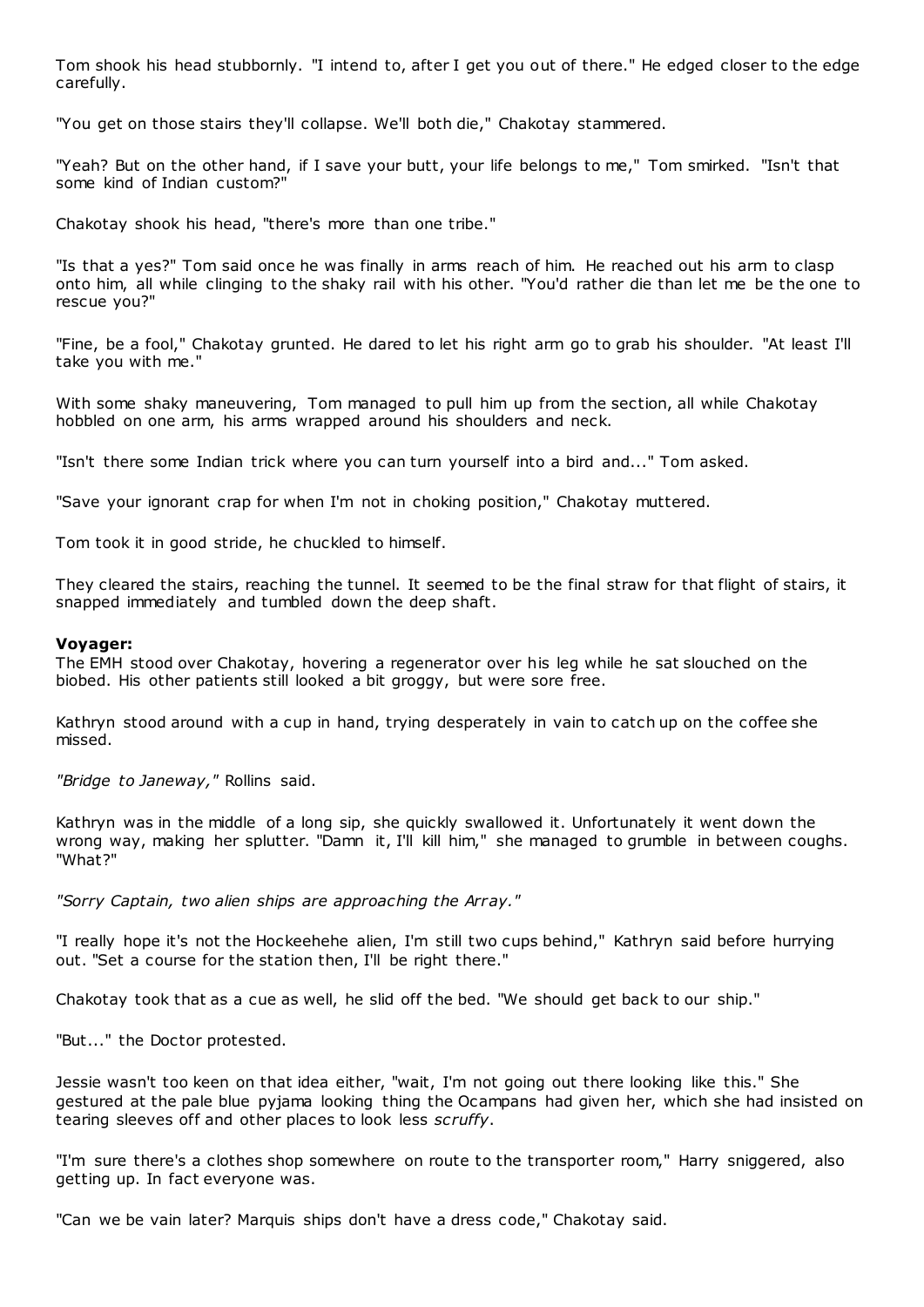Tom shook his head stubbornly. "I intend to, after I get you out of there." He edged closer to the edge carefully.

"You get on those stairs they'll collapse. We'll both die," Chakotay stammered.

"Yeah? But on the other hand, if I save your butt, your life belongs to me," Tom smirked. "Isn't that some kind of Indian custom?"

Chakotay shook his head, "there's more than one tribe."

"Is that a yes?" Tom said once he was finally in arms reach of him. He reached out his arm to clasp onto him, all while clinging to the shaky rail with his other. "You'd rather die than let me be the one to rescue you?"

"Fine, be a fool," Chakotay grunted. He dared to let his right arm go to grab his shoulder. "At least I'll take you with me."

With some shaky maneuvering, Tom managed to pull him up from the section, all while Chakotay hobbled on one arm, his arms wrapped around his shoulders and neck.

"Isn't there some Indian trick where you can turn yourself into a bird and..." Tom asked.

"Save your ignorant crap for when I'm not in choking position," Chakotay muttered.

Tom took it in good stride, he chuckled to himself.

They cleared the stairs, reaching the tunnel. It seemed to be the final straw for that flight of stairs, it snapped immediately and tumbled down the deep shaft.

## **Voyager:**

The EMH stood over Chakotay, hovering a regenerator over his leg while he sat slouched on the biobed. His other patients still looked a bit groggy, but were sore free.

Kathryn stood around with a cup in hand, trying desperately in vain to catch up on the coffee she missed.

*"Bridge to Janeway,"* Rollins said.

Kathryn was in the middle of a long sip, she quickly swallowed it. Unfortunately it went down the wrong way, making her splutter. "Damn it, I'll kill him," she managed to grumble in between coughs. "What?"

*"Sorry Captain, two alien ships are approaching the Array."*

"I really hope it's not the Hockeehehe alien, I'm still two cups behind," Kathryn said before hurrying out. "Set a course for the station then, I'll be right there."

Chakotay took that as a cue as well, he slid off the bed. "We should get back to our ship."

"But..." the Doctor protested.

Jessie wasn't too keen on that idea either, "wait, I'm not going out there looking like this." She gestured at the pale blue pyjama looking thing the Ocampans had given her, which she had insisted on tearing sleeves off and other places to look less *scruffy*.

"I'm sure there's a clothes shop somewhere on route to the transporter room," Harry sniggered, also getting up. In fact everyone was.

"Can we be vain later? Marquis ships don't have a dress code," Chakotay said.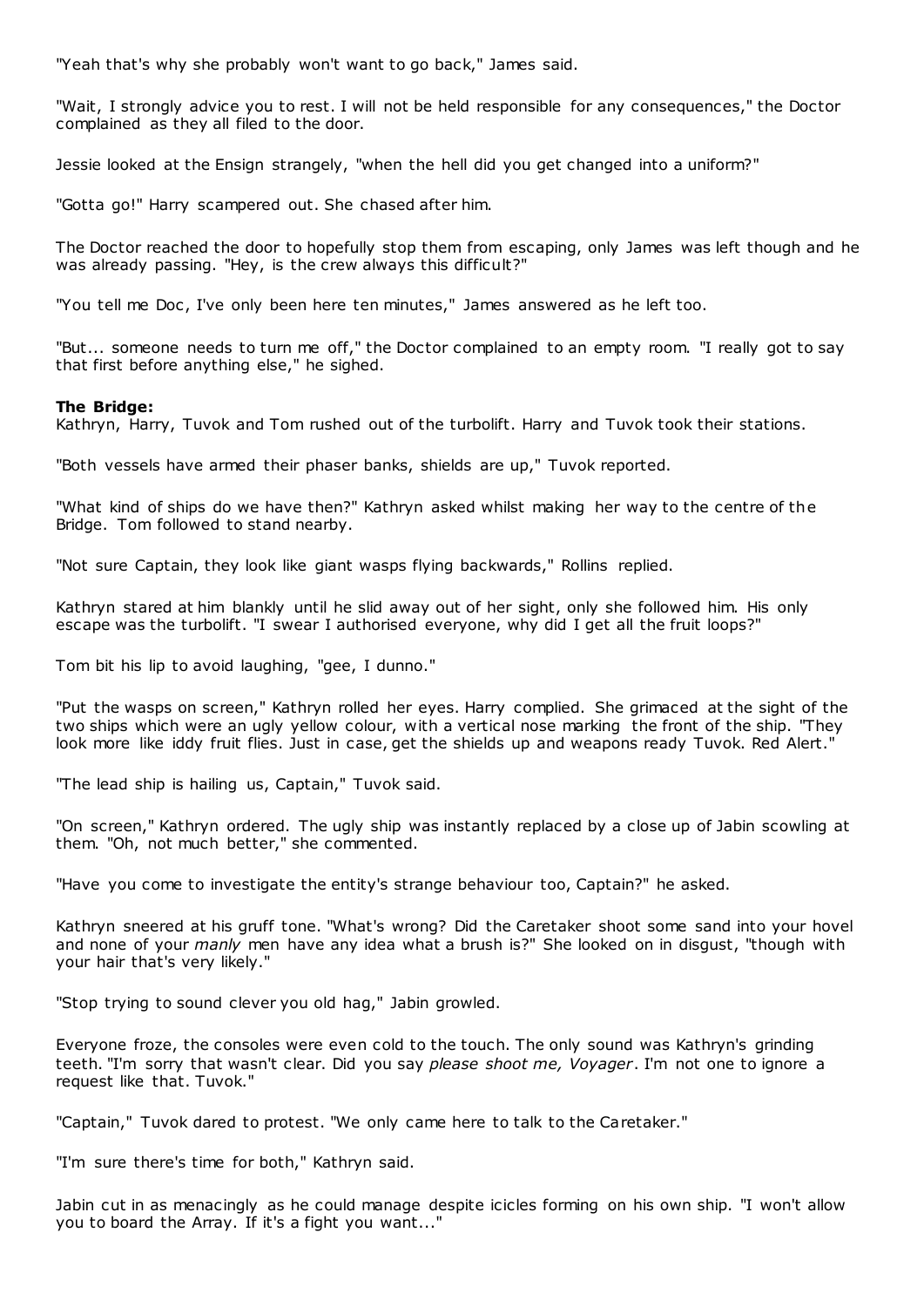"Yeah that's why she probably won't want to go back," James said.

"Wait, I strongly advice you to rest. I will not be held responsible for any consequences," the Doctor complained as they all filed to the door.

Jessie looked at the Ensign strangely, "when the hell did you get changed into a uniform?"

"Gotta go!" Harry scampered out. She chased after him.

The Doctor reached the door to hopefully stop them from escaping, only James was left though and he was already passing. "Hey, is the crew always this difficult?"

"You tell me Doc, I've only been here ten minutes," James answered as he left too.

"But... someone needs to turn me off," the Doctor complained to an empty room. "I really got to say that first before anything else," he sighed.

## **The Bridge:**

Kathryn, Harry, Tuvok and Tom rushed out of the turbolift. Harry and Tuvok took their stations.

"Both vessels have armed their phaser banks, shields are up," Tuvok reported.

"What kind of ships do we have then?" Kathryn asked whilst making her way to the centre of the Bridge. Tom followed to stand nearby.

"Not sure Captain, they look like giant wasps flying backwards," Rollins replied.

Kathryn stared at him blankly until he slid away out of her sight, only she followed him. His only escape was the turbolift. "I swear I authorised everyone, why did I get all the fruit loops?"

Tom bit his lip to avoid laughing, "gee, I dunno."

"Put the wasps on screen," Kathryn rolled her eyes. Harry complied. She grimaced at the sight of the two ships which were an ugly yellow colour, with a vertical nose marking the front of the ship. "They look more like iddy fruit flies. Just in case, get the shields up and weapons ready Tuvok. Red Alert."

"The lead ship is hailing us, Captain," Tuvok said.

"On screen," Kathryn ordered. The ugly ship was instantly replaced by a close up of Jabin scowling at them. "Oh, not much better," she commented.

"Have you come to investigate the entity's strange behaviour too, Captain?" he asked.

Kathryn sneered at his gruff tone. "What's wrong? Did the Caretaker shoot some sand into your hovel and none of your *manly* men have any idea what a brush is?" She looked on in disgust, "though with your hair that's very likely."

"Stop trying to sound clever you old hag," Jabin growled.

Everyone froze, the consoles were even cold to the touch. The only sound was Kathryn's grinding teeth. "I'm sorry that wasn't clear. Did you say *please shoot me, Voyager*. I'm not one to ignore a request like that. Tuvok."

"Captain," Tuvok dared to protest. "We only came here to talk to the Caretaker."

"I'm sure there's time for both," Kathryn said.

Jabin cut in as menacingly as he could manage despite icicles forming on his own ship. "I won't allow you to board the Array. If it's a fight you want..."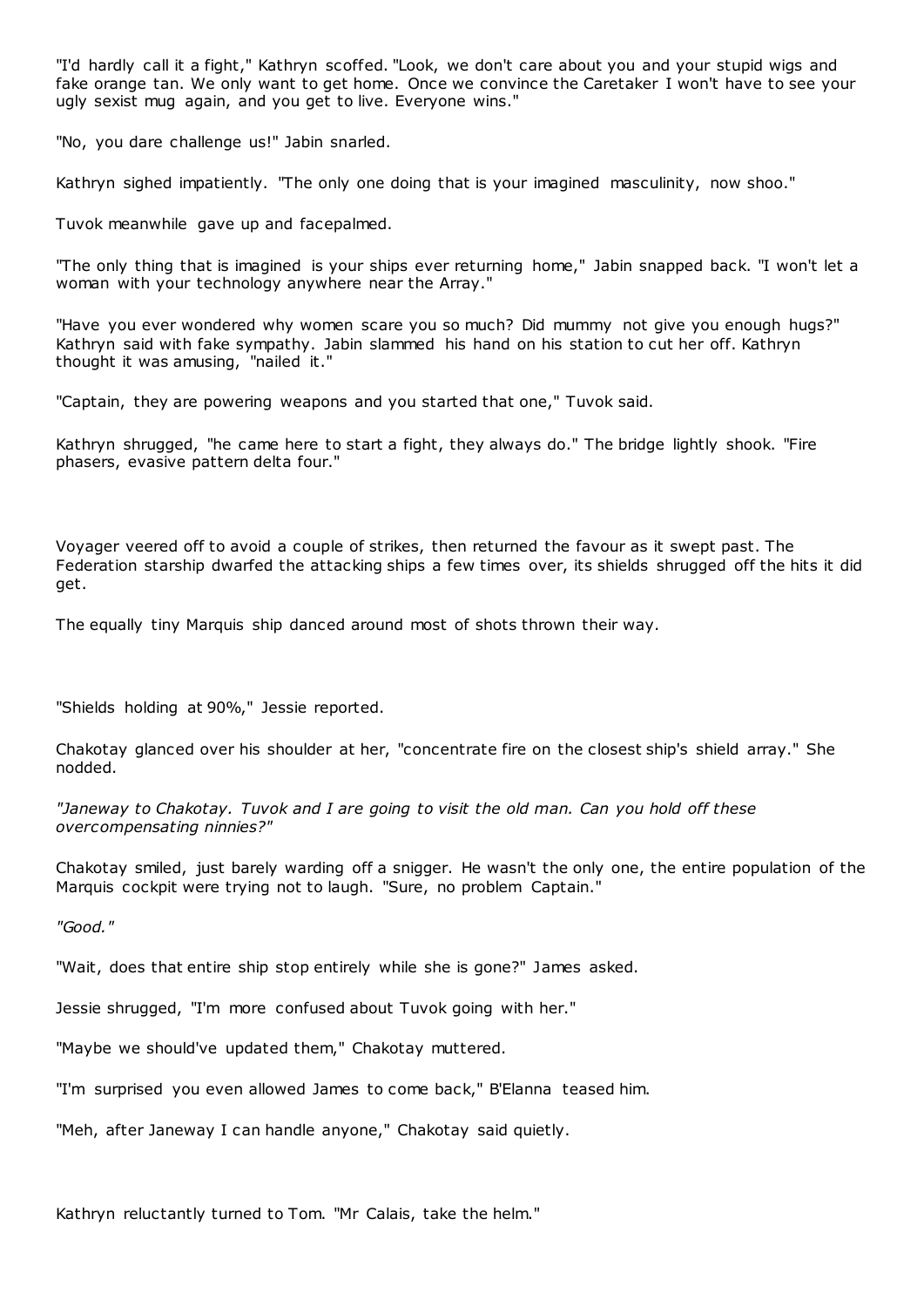"I'd hardly call it a fight," Kathryn scoffed. "Look, we don't care about you and your stupid wigs and fake orange tan. We only want to get home. Once we convince the Caretaker I won't have to see your ugly sexist mug again, and you get to live. Everyone wins."

"No, you dare challenge us!" Jabin snarled.

Kathryn sighed impatiently. "The only one doing that is your imagined masculinity, now shoo."

Tuvok meanwhile gave up and facepalmed.

"The only thing that is imagined is your ships ever returning home," Jabin snapped back. "I won't let a woman with your technology anywhere near the Array."

"Have you ever wondered why women scare you so much? Did mummy not give you enough hugs?" Kathryn said with fake sympathy. Jabin slammed his hand on his station to cut her off. Kathryn thought it was amusing, "nailed it."

"Captain, they are powering weapons and you started that one," Tuvok said.

Kathryn shrugged, "he came here to start a fight, they always do." The bridge lightly shook. "Fire phasers, evasive pattern delta four."

Voyager veered off to avoid a couple of strikes, then returned the favour as it swept past. The Federation starship dwarfed the attacking ships a few times over, its shields shrugged off the hits it did get.

The equally tiny Marquis ship danced around most of shots thrown their way.

"Shields holding at 90%," Jessie reported.

Chakotay glanced over his shoulder at her, "concentrate fire on the closest ship's shield array." She nodded.

*"Janeway to Chakotay. Tuvok and I are going to visit the old man. Can you hold off these overcompensating ninnies?"*

Chakotay smiled, just barely warding off a snigger. He wasn't the only one, the entire population of the Marquis cockpit were trying not to laugh. "Sure, no problem Captain."

*"Good."*

"Wait, does that entire ship stop entirely while she is gone?" James asked.

Jessie shrugged, "I'm more confused about Tuvok going with her."

"Maybe we should've updated them," Chakotay muttered.

"I'm surprised you even allowed James to come back," B'Elanna teased him.

"Meh, after Janeway I can handle anyone," Chakotay said quietly.

Kathryn reluctantly turned to Tom. "Mr Calais, take the helm."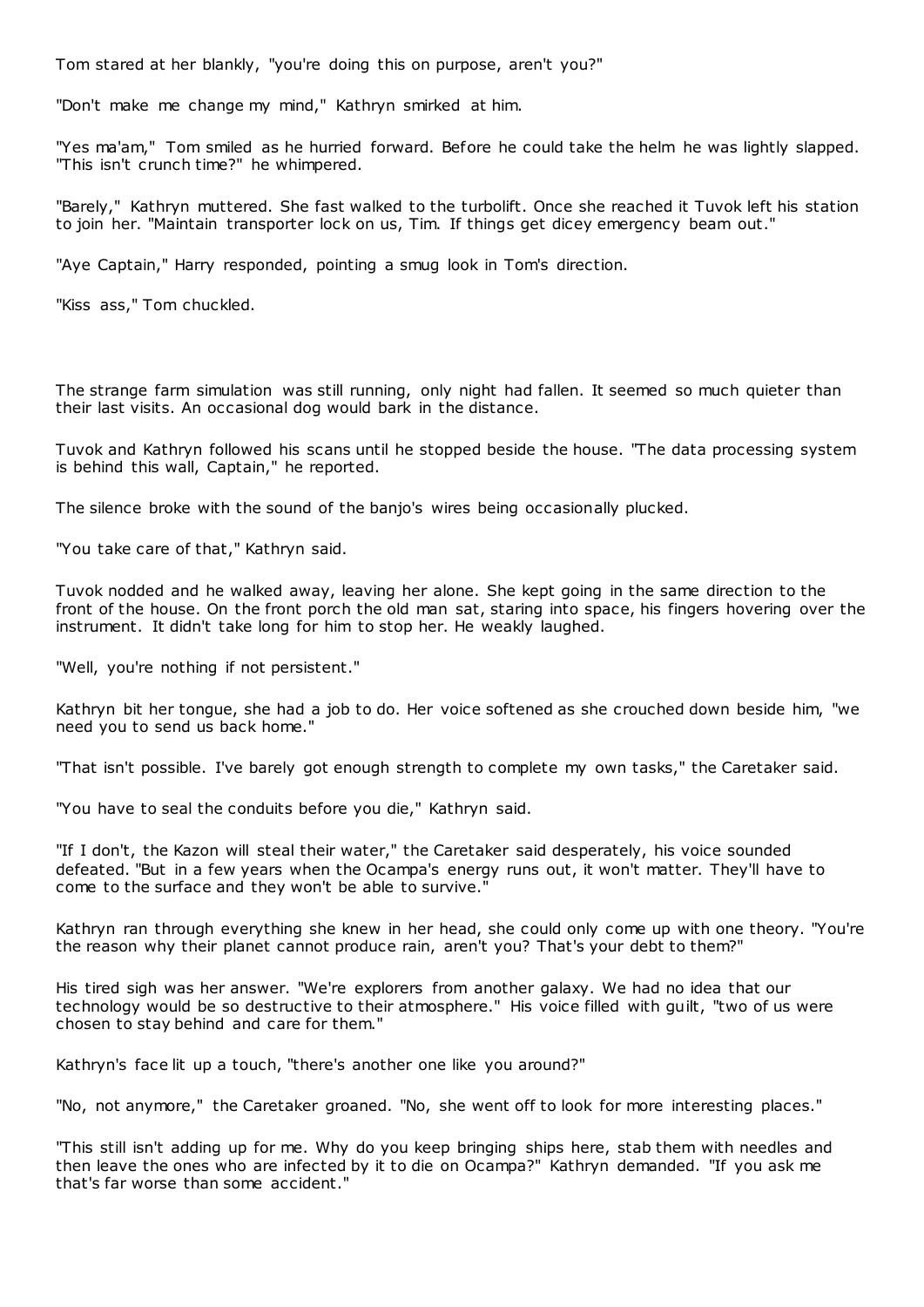Tom stared at her blankly, "you're doing this on purpose, aren't you?"

"Don't make me change my mind," Kathryn smirked at him.

"Yes ma'am," Tom smiled as he hurried forward. Before he could take the helm he was lightly slapped. "This isn't crunch time?" he whimpered.

"Barely," Kathryn muttered. She fast walked to the turbolift. Once she reached it Tuvok left his station to join her. "Maintain transporter lock on us, Tim. If things get dicey emergency beam out."

"Aye Captain," Harry responded, pointing a smug look in Tom's direction.

"Kiss ass," Tom chuckled.

The strange farm simulation was still running, only night had fallen. It seemed so much quieter than their last visits. An occasional dog would bark in the distance.

Tuvok and Kathryn followed his scans until he stopped beside the house. "The data processing system is behind this wall, Captain," he reported.

The silence broke with the sound of the banjo's wires being occasionally plucked.

"You take care of that," Kathryn said.

Tuvok nodded and he walked away, leaving her alone. She kept going in the same direction to the front of the house. On the front porch the old man sat, staring into space, his fingers hovering over the instrument. It didn't take long for him to stop her. He weakly laughed.

"Well, you're nothing if not persistent."

Kathryn bit her tongue, she had a job to do. Her voice softened as she crouched down beside him, "we need you to send us back home."

"That isn't possible. I've barely got enough strength to complete my own tasks," the Caretaker said.

"You have to seal the conduits before you die," Kathryn said.

"If I don't, the Kazon will steal their water," the Caretaker said desperately, his voice sounded defeated. "But in a few years when the Ocampa's energy runs out, it won't matter. They'll have to come to the surface and they won't be able to survive."

Kathryn ran through everything she knew in her head, she could only come up with one theory. "You're the reason why their planet cannot produce rain, aren't you? That's your debt to them?"

His tired sigh was her answer. "We're explorers from another galaxy. We had no idea that our technology would be so destructive to their atmosphere." His voice filled with guilt, "two of us were chosen to stay behind and care for them."

Kathryn's face lit up a touch, "there's another one like you around?"

"No, not anymore," the Caretaker groaned. "No, she went off to look for more interesting places."

"This still isn't adding up for me. Why do you keep bringing ships here, stab them with needles and then leave the ones who are infected by it to die on Ocampa?" Kathryn demanded. "If you ask me that's far worse than some accident."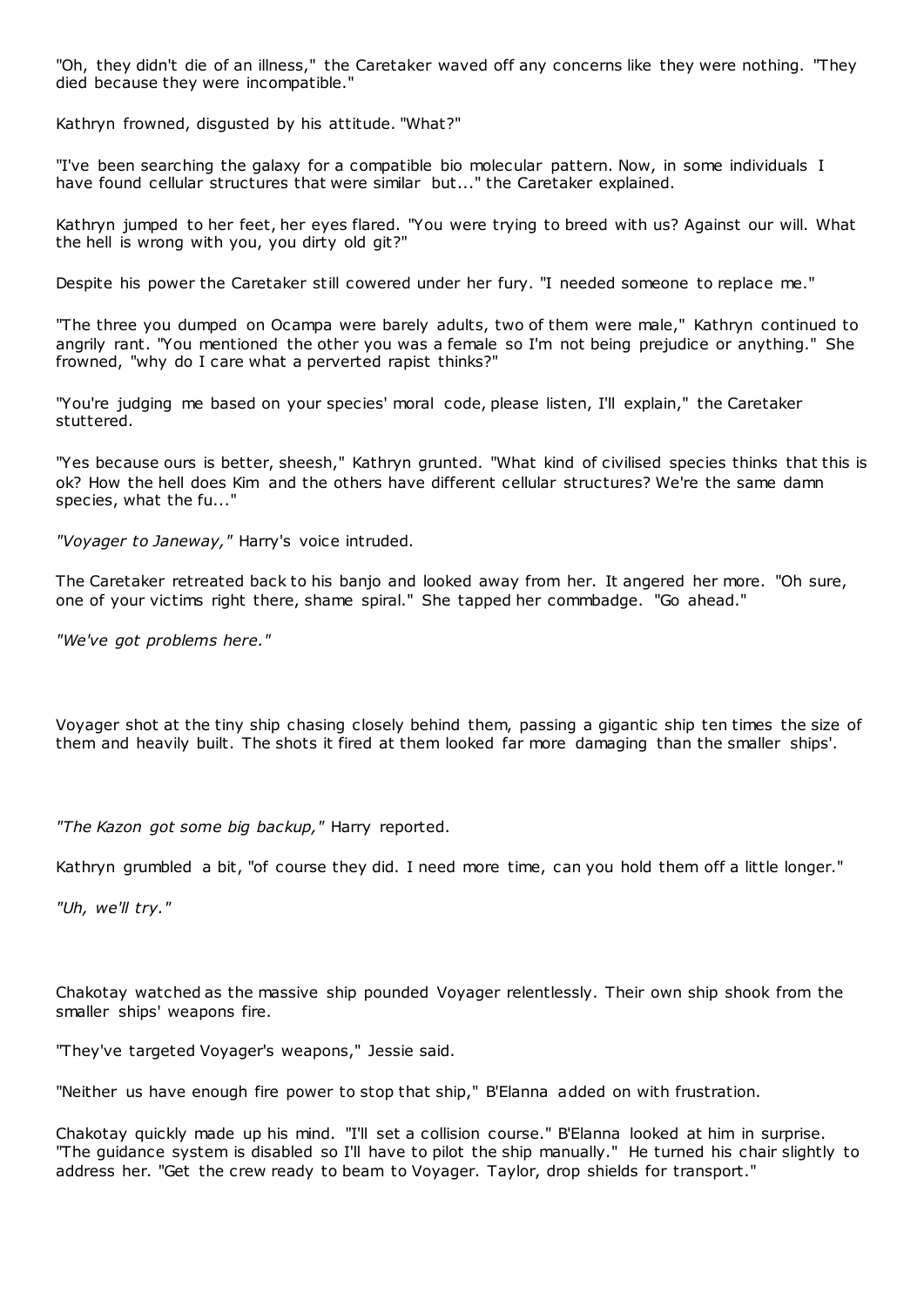"Oh, they didn't die of an illness," the Caretaker waved off any concerns like they were nothing. "They died because they were incompatible."

Kathryn frowned, disgusted by his attitude. "What?"

"I've been searching the galaxy for a compatible bio molecular pattern. Now, in some individuals I have found cellular structures that were similar but..." the Caretaker explained.

Kathryn jumped to her feet, her eyes flared. "You were trying to breed with us? Against our will. What the hell is wrong with you, you dirty old git?"

Despite his power the Caretaker still cowered under her fury. "I needed someone to replace me."

"The three you dumped on Ocampa were barely adults, two of them were male," Kathryn continued to angrily rant. "You mentioned the other you was a female so I'm not being prejudice or anything." She frowned, "why do I care what a perverted rapist thinks?"

"You're judging me based on your species' moral code, please listen, I'll explain," the Caretaker stuttered.

"Yes because ours is better, sheesh," Kathryn grunted. "What kind of civilised species thinks that this is ok? How the hell does Kim and the others have different cellular structures? We're the same damn species, what the fu..."

*"Voyager to Janeway,"* Harry's voice intruded.

The Caretaker retreated back to his banjo and looked away from her. It angered her more. "Oh sure, one of your victims right there, shame spiral." She tapped her commbadge. "Go ahead."

*"We've got problems here."*

Voyager shot at the tiny ship chasing closely behind them, passing a gigantic ship ten times the size of them and heavily built. The shots it fired at them looked far more damaging than the smaller ships'.

*"The Kazon got some big backup,"* Harry reported.

Kathryn grumbled a bit, "of course they did. I need more time, can you hold them off a little longer."

*"Uh, we'll try."*

Chakotay watched as the massive ship pounded Voyager relentlessly. Their own ship shook from the smaller ships' weapons fire.

"They've targeted Voyager's weapons," Jessie said.

"Neither us have enough fire power to stop that ship," B'Elanna added on with frustration.

Chakotay quickly made up his mind. "I'll set a collision course." B'Elanna looked at him in surprise. "The guidance system is disabled so I'll have to pilot the ship manually." He turned his chair slightly to address her. "Get the crew ready to beam to Voyager. Taylor, drop shields for transport."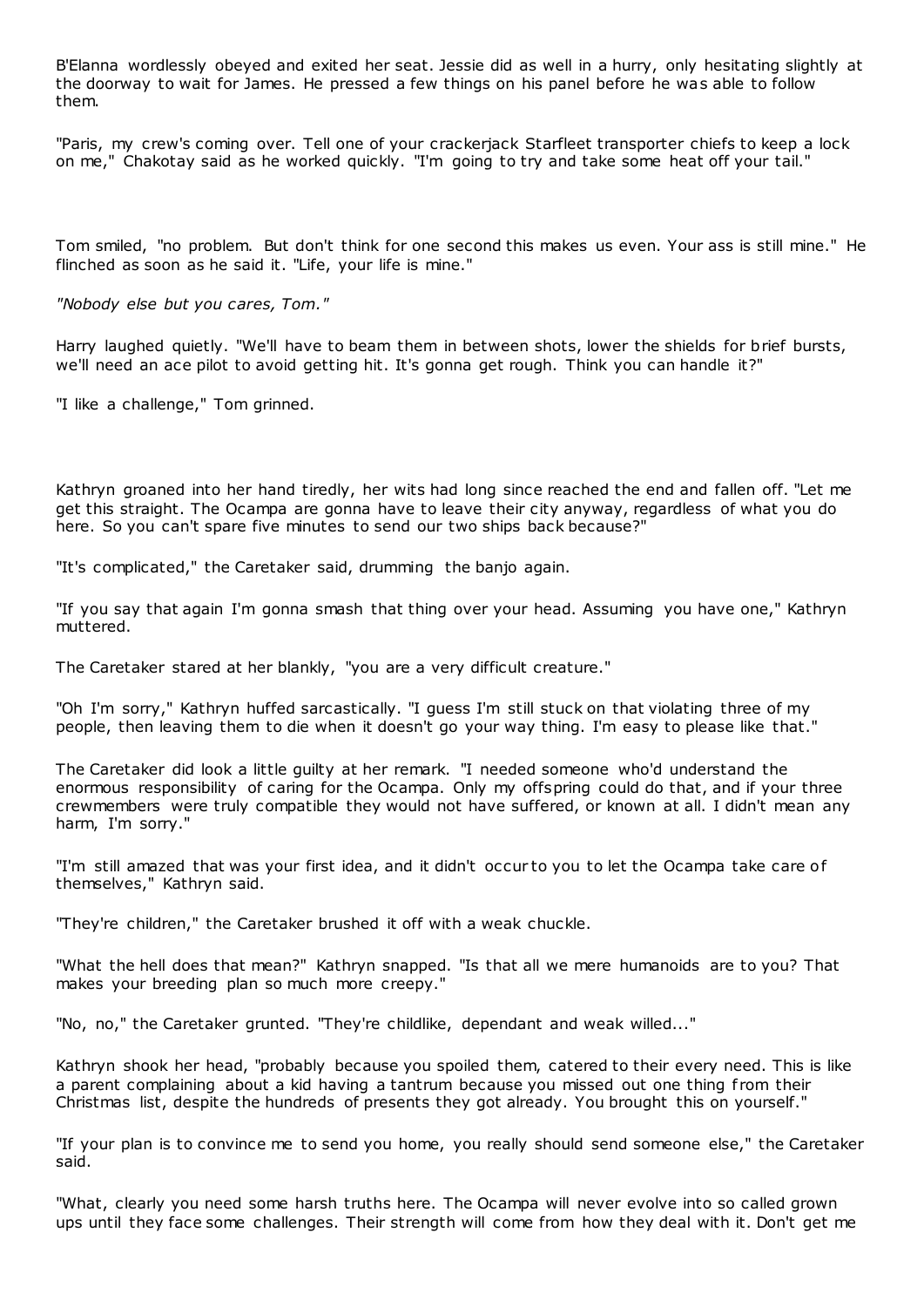B'Elanna wordlessly obeyed and exited her seat. Jessie did as well in a hurry, only hesitating slightly at the doorway to wait for James. He pressed a few things on his panel before he was able to follow them.

"Paris, my crew's coming over. Tell one of your crackerjack Starfleet transporter chiefs to keep a lock on me," Chakotay said as he worked quickly. "I'm going to try and take some heat off your tail."

Tom smiled, "no problem. But don't think for one second this makes us even. Your ass is still mine." He flinched as soon as he said it. "Life, your life is mine."

*"Nobody else but you cares, Tom."*

Harry laughed quietly. "We'll have to beam them in between shots, lower the shields for brief bursts, we'll need an ace pilot to avoid getting hit. It's gonna get rough. Think you can handle it?"

"I like a challenge," Tom grinned.

Kathryn groaned into her hand tiredly, her wits had long since reached the end and fallen off. "Let me get this straight. The Ocampa are gonna have to leave their city anyway, regardless of what you do here. So you can't spare five minutes to send our two ships back because?"

"It's complicated," the Caretaker said, drumming the banjo again.

"If you say that again I'm gonna smash that thing over your head. Assuming you have one," Kathryn muttered.

The Caretaker stared at her blankly, "you are a very difficult creature."

"Oh I'm sorry," Kathryn huffed sarcastically. "I guess I'm still stuck on that violating three of my people, then leaving them to die when it doesn't go your way thing. I'm easy to please like that."

The Caretaker did look a little guilty at her remark. "I needed someone who'd understand the enormous responsibility of caring for the Ocampa. Only my offspring could do that, and if your three crewmembers were truly compatible they would not have suffered, or known at all. I didn't mean any harm, I'm sorry."

"I'm still amazed that was your first idea, and it didn't occur to you to let the Ocampa take care of themselves," Kathryn said.

"They're children," the Caretaker brushed it off with a weak chuckle.

"What the hell does that mean?" Kathryn snapped. "Is that all we mere humanoids are to you? That makes your breeding plan so much more creepy."

"No, no," the Caretaker grunted. "They're childlike, dependant and weak willed..."

Kathryn shook her head, "probably because you spoiled them, catered to their every need. This is like a parent complaining about a kid having a tantrum because you missed out one thing from their Christmas list, despite the hundreds of presents they got already. You brought this on yourself."

"If your plan is to convince me to send you home, you really should send someone else," the Caretaker said.

"What, clearly you need some harsh truths here. The Ocampa will never evolve into so called grown ups until they face some challenges. Their strength will come from how they deal with it. Don't get me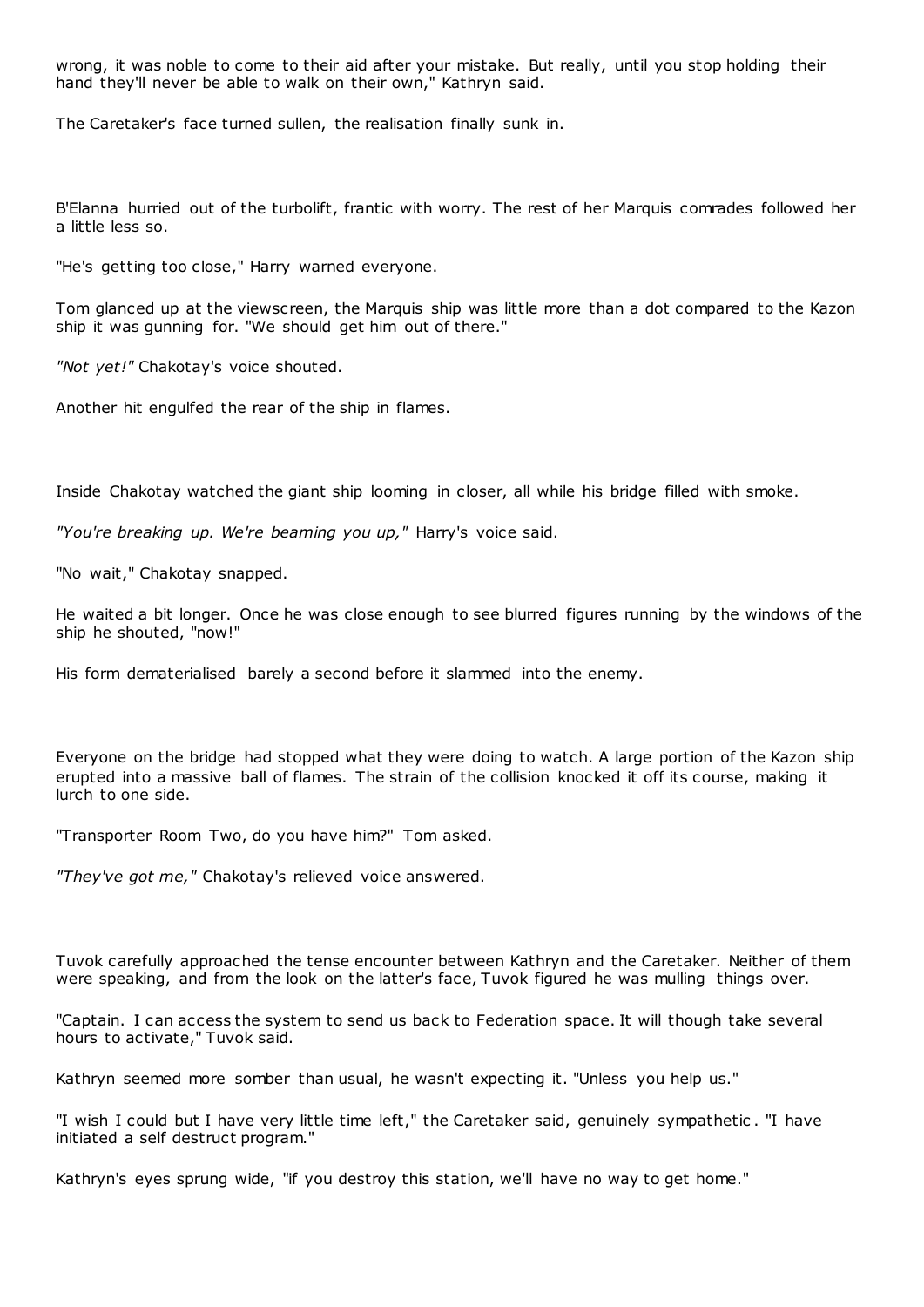wrong, it was noble to come to their aid after your mistake. But really, until you stop holding their hand they'll never be able to walk on their own," Kathryn said.

The Caretaker's face turned sullen, the realisation finally sunk in.

B'Elanna hurried out of the turbolift, frantic with worry. The rest of her Marquis comrades followed her a little less so.

"He's getting too close," Harry warned everyone.

Tom glanced up at the viewscreen, the Marquis ship was little more than a dot compared to the Kazon ship it was gunning for. "We should get him out of there."

*"Not yet!"* Chakotay's voice shouted.

Another hit engulfed the rear of the ship in flames.

Inside Chakotay watched the giant ship looming in closer, all while his bridge filled with smoke.

*"You're breaking up. We're beaming you up,"* Harry's voice said.

"No wait," Chakotay snapped.

He waited a bit longer. Once he was close enough to see blurred figures running by the windows of the ship he shouted, "now!"

His form dematerialised barely a second before it slammed into the enemy.

Everyone on the bridge had stopped what they were doing to watch. A large portion of the Kazon ship erupted into a massive ball of flames. The strain of the collision knocked it off its course, making it lurch to one side.

"Transporter Room Two, do you have him?" Tom asked.

*"They've got me,"* Chakotay's relieved voice answered.

Tuvok carefully approached the tense encounter between Kathryn and the Caretaker. Neither of them were speaking, and from the look on the latter's face, Tuvok figured he was mulling things over.

"Captain. I can access the system to send us back to Federation space. It will though take several hours to activate," Tuvok said.

Kathryn seemed more somber than usual, he wasn't expecting it. "Unless you help us."

"I wish I could but I have very little time left," the Caretaker said, genuinely sympathetic . "I have initiated a self destruct program."

Kathryn's eyes sprung wide, "if you destroy this station, we'll have no way to get home."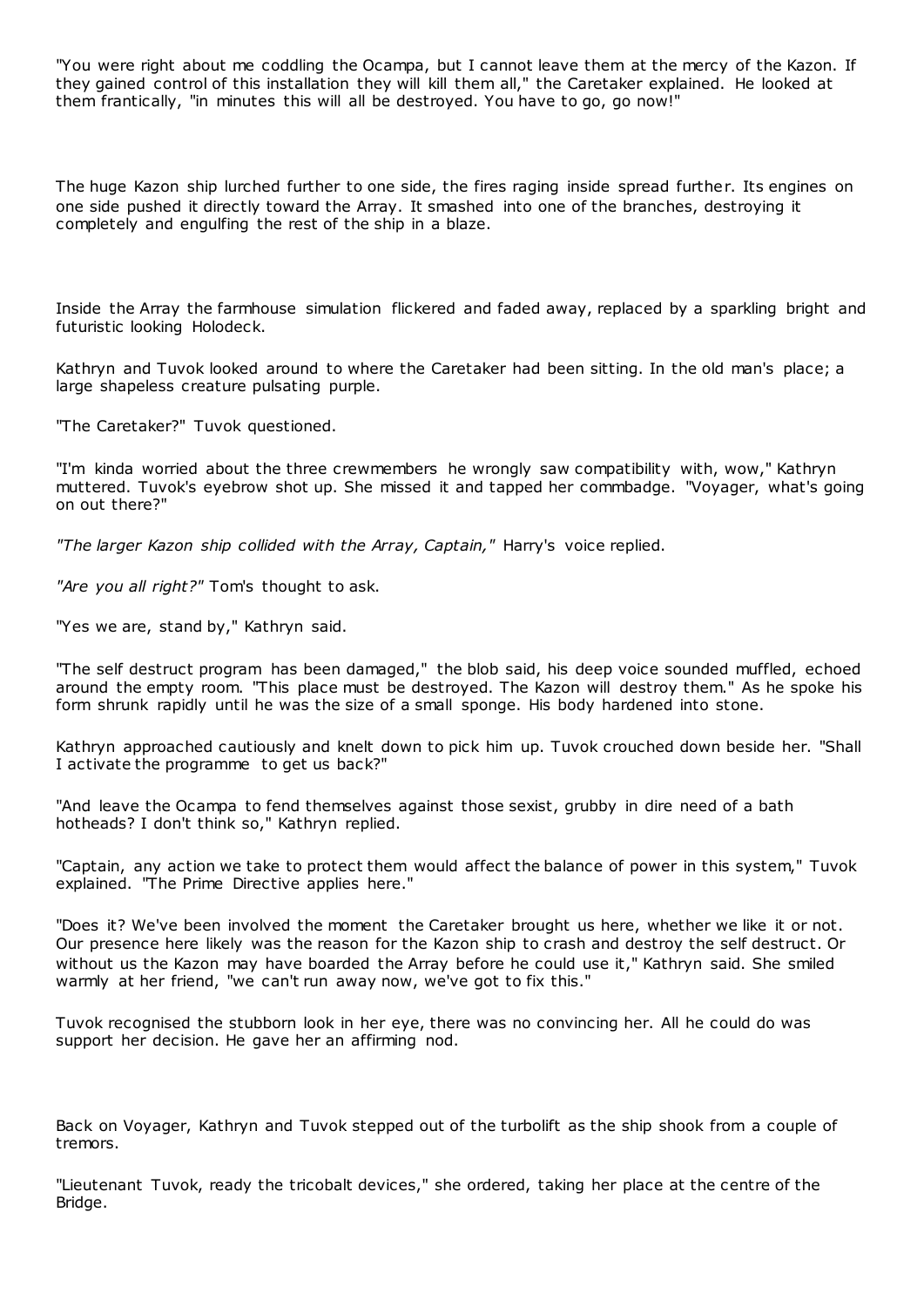"You were right about me coddling the Ocampa, but I cannot leave them at the mercy of the Kazon. If they gained control of this installation they will kill them all," the Caretaker explained. He looked at them frantically, "in minutes this will all be destroyed. You have to go, go now!"

The huge Kazon ship lurched further to one side, the fires raging inside spread further. Its engines on one side pushed it directly toward the Array. It smashed into one of the branches, destroying it completely and engulfing the rest of the ship in a blaze.

Inside the Array the farmhouse simulation flickered and faded away, replaced by a sparkling bright and futuristic looking Holodeck.

Kathryn and Tuvok looked around to where the Caretaker had been sitting. In the old man's place; a large shapeless creature pulsating purple.

"The Caretaker?" Tuvok questioned.

"I'm kinda worried about the three crewmembers he wrongly saw compatibility with, wow," Kathryn muttered. Tuvok's eyebrow shot up. She missed it and tapped her commbadge. "Voyager, what's going on out there?"

*"The larger Kazon ship collided with the Array, Captain,"* Harry's voice replied.

*"Are you all right?"* Tom's thought to ask.

"Yes we are, stand by," Kathryn said.

"The self destruct program has been damaged," the blob said, his deep voice sounded muffled, echoed around the empty room. "This place must be destroyed. The Kazon will destroy them." As he spoke his form shrunk rapidly until he was the size of a small sponge. His body hardened into stone.

Kathryn approached cautiously and knelt down to pick him up. Tuvok crouched down beside her. "Shall I activate the programme to get us back?"

"And leave the Ocampa to fend themselves against those sexist, grubby in dire need of a bath hotheads? I don't think so," Kathryn replied.

"Captain, any action we take to protect them would affect the balance of power in this system," Tuvok explained. "The Prime Directive applies here."

"Does it? We've been involved the moment the Caretaker brought us here, whether we like it or not. Our presence here likely was the reason for the Kazon ship to crash and destroy the self destruct. Or without us the Kazon may have boarded the Array before he could use it," Kathryn said. She smiled warmly at her friend, "we can't run away now, we've got to fix this."

Tuvok recognised the stubborn look in her eye, there was no convincing her. All he could do was support her decision. He gave her an affirming nod.

Back on Voyager, Kathryn and Tuvok stepped out of the turbolift as the ship shook from a couple of tremors.

"Lieutenant Tuvok, ready the tricobalt devices," she ordered, taking her place at the centre of the Bridge.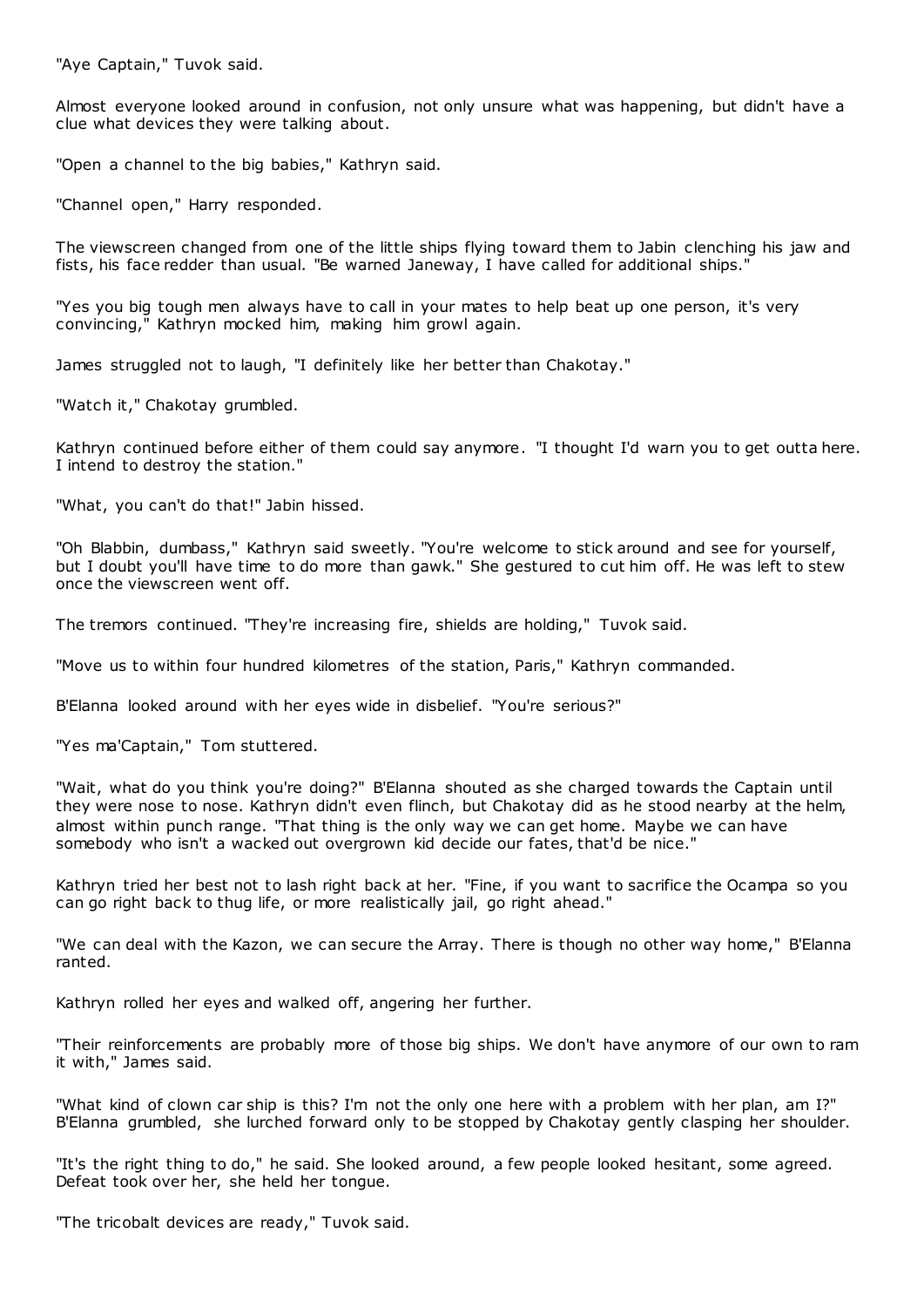"Aye Captain," Tuvok said.

Almost everyone looked around in confusion, not only unsure what was happening, but didn't have a clue what devices they were talking about.

"Open a channel to the big babies," Kathryn said.

"Channel open," Harry responded.

The viewscreen changed from one of the little ships flying toward them to Jabin clenching his jaw and fists, his face redder than usual. "Be warned Janeway, I have called for additional ships."

"Yes you big tough men always have to call in your mates to help beat up one person, it's very convincing," Kathryn mocked him, making him growl again.

James struggled not to laugh, "I definitely like her better than Chakotay."

"Watch it," Chakotay grumbled.

Kathryn continued before either of them could say anymore. "I thought I'd warn you to get outta here. I intend to destroy the station."

"What, you can't do that!" Jabin hissed.

"Oh Blabbin, dumbass," Kathryn said sweetly. "You're welcome to stick around and see for yourself, but I doubt you'll have time to do more than gawk." She gestured to cut him off. He was left to stew once the viewscreen went off.

The tremors continued. "They're increasing fire, shields are holding," Tuvok said.

"Move us to within four hundred kilometres of the station, Paris," Kathryn commanded.

B'Elanna looked around with her eyes wide in disbelief. "You're serious?"

"Yes ma'Captain," Tom stuttered.

"Wait, what do you think you're doing?" B'Elanna shouted as she charged towards the Captain until they were nose to nose. Kathryn didn't even flinch, but Chakotay did as he stood nearby at the helm, almost within punch range. "That thing is the only way we can get home. Maybe we can have somebody who isn't a wacked out overgrown kid decide our fates, that'd be nice."

Kathryn tried her best not to lash right back at her. "Fine, if you want to sacrifice the Ocampa so you can go right back to thug life, or more realistically jail, go right ahead."

"We can deal with the Kazon, we can secure the Array. There is though no other way home," B'Elanna ranted.

Kathryn rolled her eyes and walked off, angering her further.

"Their reinforcements are probably more of those big ships. We don't have anymore of our own to ram it with," James said.

"What kind of clown car ship is this? I'm not the only one here with a problem with her plan, am I?" B'Elanna grumbled, she lurched forward only to be stopped by Chakotay gently clasping her shoulder.

"It's the right thing to do," he said. She looked around, a few people looked hesitant, some agreed. Defeat took over her, she held her tongue.

"The tricobalt devices are ready," Tuvok said.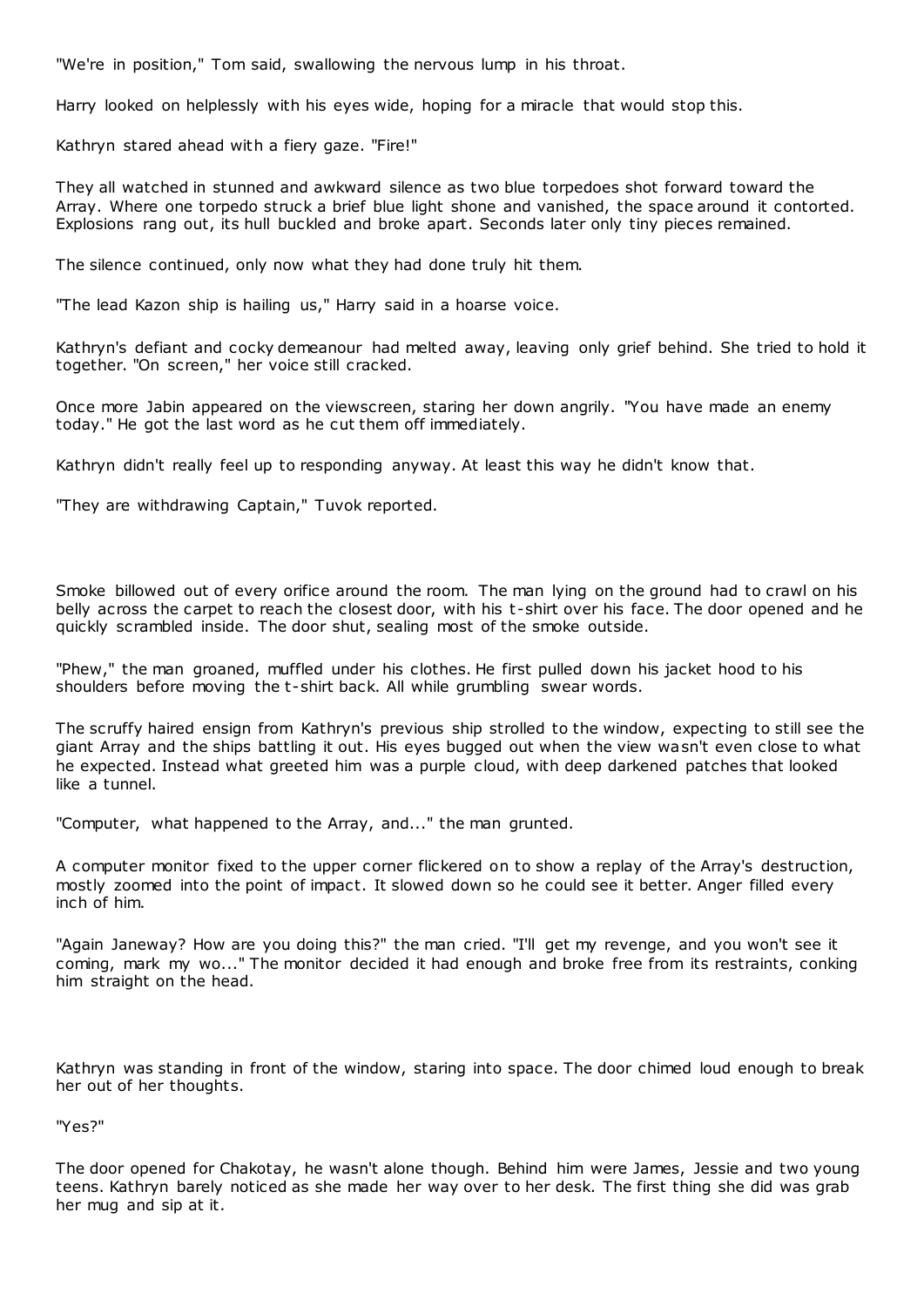"We're in position," Tom said, swallowing the nervous lump in his throat.

Harry looked on helplessly with his eyes wide, hoping for a miracle that would stop this.

Kathryn stared ahead with a fiery gaze. "Fire!"

They all watched in stunned and awkward silence as two blue torpedoes shot forward toward the Array. Where one torpedo struck a brief blue light shone and vanished, the space around it contorted. Explosions rang out, its hull buckled and broke apart. Seconds later only tiny pieces remained.

The silence continued, only now what they had done truly hit them.

"The lead Kazon ship is hailing us," Harry said in a hoarse voice.

Kathryn's defiant and cocky demeanour had melted away, leaving only grief behind. She tried to hold it together. "On screen," her voice still cracked.

Once more Jabin appeared on the viewscreen, staring her down angrily. "You have made an enemy today." He got the last word as he cut them off immediately.

Kathryn didn't really feel up to responding anyway. At least this way he didn't know that.

"They are withdrawing Captain," Tuvok reported.

Smoke billowed out of every orifice around the room. The man lying on the ground had to crawl on his belly across the carpet to reach the closest door, with his t-shirt over his face. The door opened and he quickly scrambled inside. The door shut, sealing most of the smoke outside.

"Phew," the man groaned, muffled under his clothes. He first pulled down his jacket hood to his shoulders before moving the t-shirt back. All while grumbling swear words.

The scruffy haired ensign from Kathryn's previous ship strolled to the window, expecting to still see the giant Array and the ships battling it out. His eyes bugged out when the view wasn't even close to what he expected. Instead what greeted him was a purple cloud, with deep darkened patches that looked like a tunnel.

"Computer, what happened to the Array, and..." the man grunted.

A computer monitor fixed to the upper corner flickered on to show a replay of the Array's destruction, mostly zoomed into the point of impact. It slowed down so he could see it better. Anger filled every inch of him.

"Again Janeway? How are you doing this?" the man cried. "I'll get my revenge, and you won't see it coming, mark my wo..." The monitor decided it had enough and broke free from its restraints, conking him straight on the head.

Kathryn was standing in front of the window, staring into space. The door chimed loud enough to break her out of her thoughts.

"Yes?"

The door opened for Chakotay, he wasn't alone though. Behind him were James, Jessie and two young teens. Kathryn barely noticed as she made her way over to her desk. The first thing she did was grab her mug and sip at it.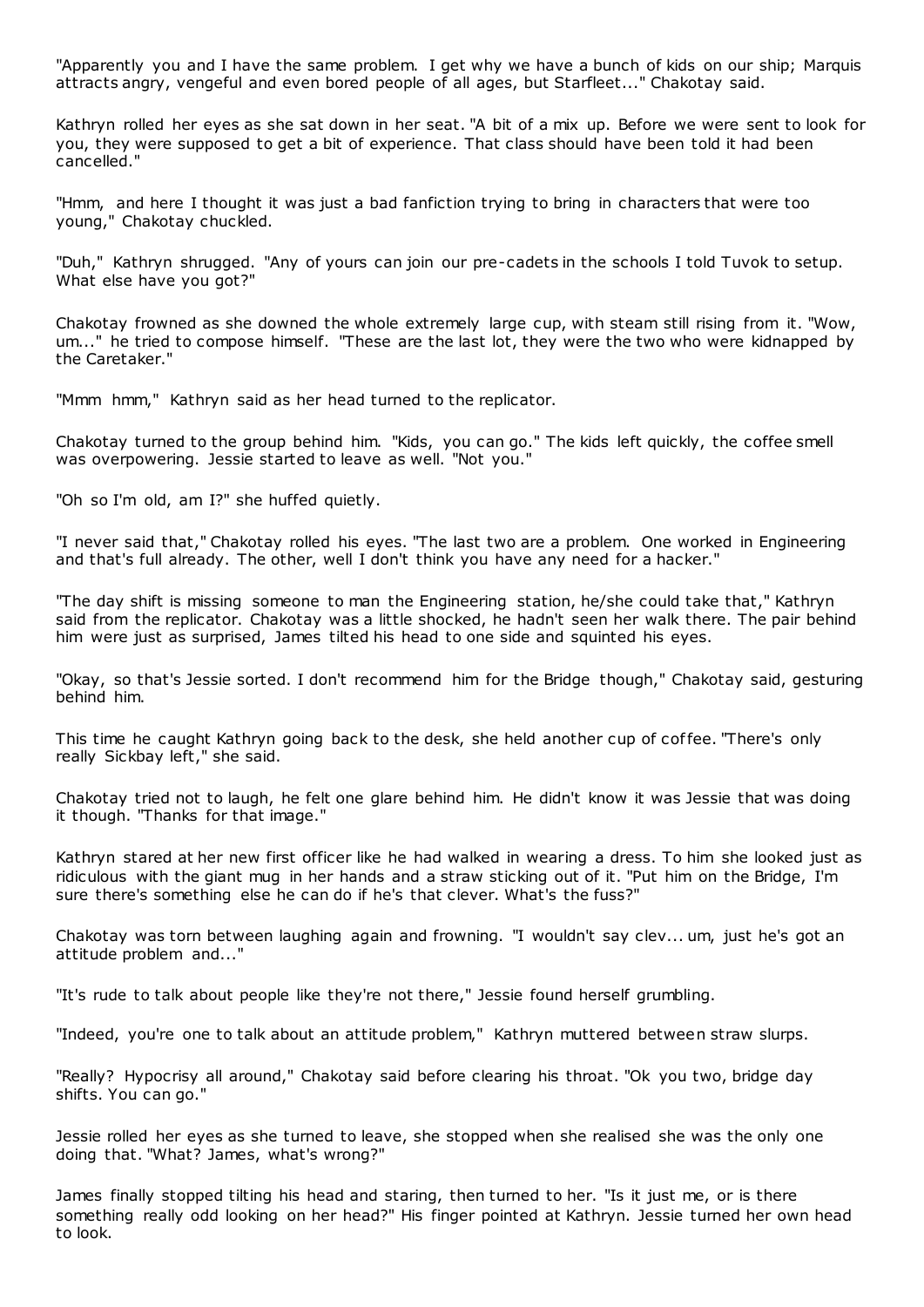"Apparently you and I have the same problem. I get why we have a bunch of kids on our ship; Marquis attracts angry, vengeful and even bored people of all ages, but Starfleet..." Chakotay said.

Kathryn rolled her eyes as she sat down in her seat. "A bit of a mix up. Before we were sent to look for you, they were supposed to get a bit of experience. That class should have been told it had been cancelled."

"Hmm, and here I thought it was just a bad fanfiction trying to bring in characters that were too young," Chakotay chuckled.

"Duh," Kathryn shrugged. "Any of yours can join our pre-cadets in the schools I told Tuvok to setup. What else have you got?"

Chakotay frowned as she downed the whole extremely large cup, with steam still rising from it. "Wow, um..." he tried to compose himself. "These are the last lot, they were the two who were kidnapped by the Caretaker."

"Mmm hmm," Kathryn said as her head turned to the replicator.

Chakotay turned to the group behind him. "Kids, you can go." The kids left quickly, the coffee smell was overpowering. Jessie started to leave as well. "Not you."

"Oh so I'm old, am I?" she huffed quietly.

"I never said that," Chakotay rolled his eyes. "The last two are a problem. One worked in Engineering and that's full already. The other, well I don't think you have any need for a hacker."

"The day shift is missing someone to man the Engineering station, he/she could take that," Kathryn said from the replicator. Chakotay was a little shocked, he hadn't seen her walk there. The pair behind him were just as surprised, James tilted his head to one side and squinted his eyes.

"Okay, so that's Jessie sorted. I don't recommend him for the Bridge though," Chakotay said, gesturing behind him.

This time he caught Kathryn going back to the desk, she held another cup of coffee. "There's only really Sickbay left," she said.

Chakotay tried not to laugh, he felt one glare behind him. He didn't know it was Jessie that was doing it though. "Thanks for that image."

Kathryn stared at her new first officer like he had walked in wearing a dress. To him she looked just as ridiculous with the giant mug in her hands and a straw sticking out of it. "Put him on the Bridge, I'm sure there's something else he can do if he's that clever. What's the fuss?"

Chakotay was torn between laughing again and frowning. "I wouldn't say clev... um, just he's got an attitude problem and..."

"It's rude to talk about people like they're not there," Jessie found herself grumbling.

"Indeed, you're one to talk about an attitude problem," Kathryn muttered between straw slurps.

"Really? Hypocrisy all around," Chakotay said before clearing his throat. "Ok you two, bridge day shifts. You can go."

Jessie rolled her eyes as she turned to leave, she stopped when she realised she was the only one doing that. "What? James, what's wrong?"

James finally stopped tilting his head and staring, then turned to her. "Is it just me, or is there something really odd looking on her head?" His finger pointed at Kathryn. Jessie turned her own head to look.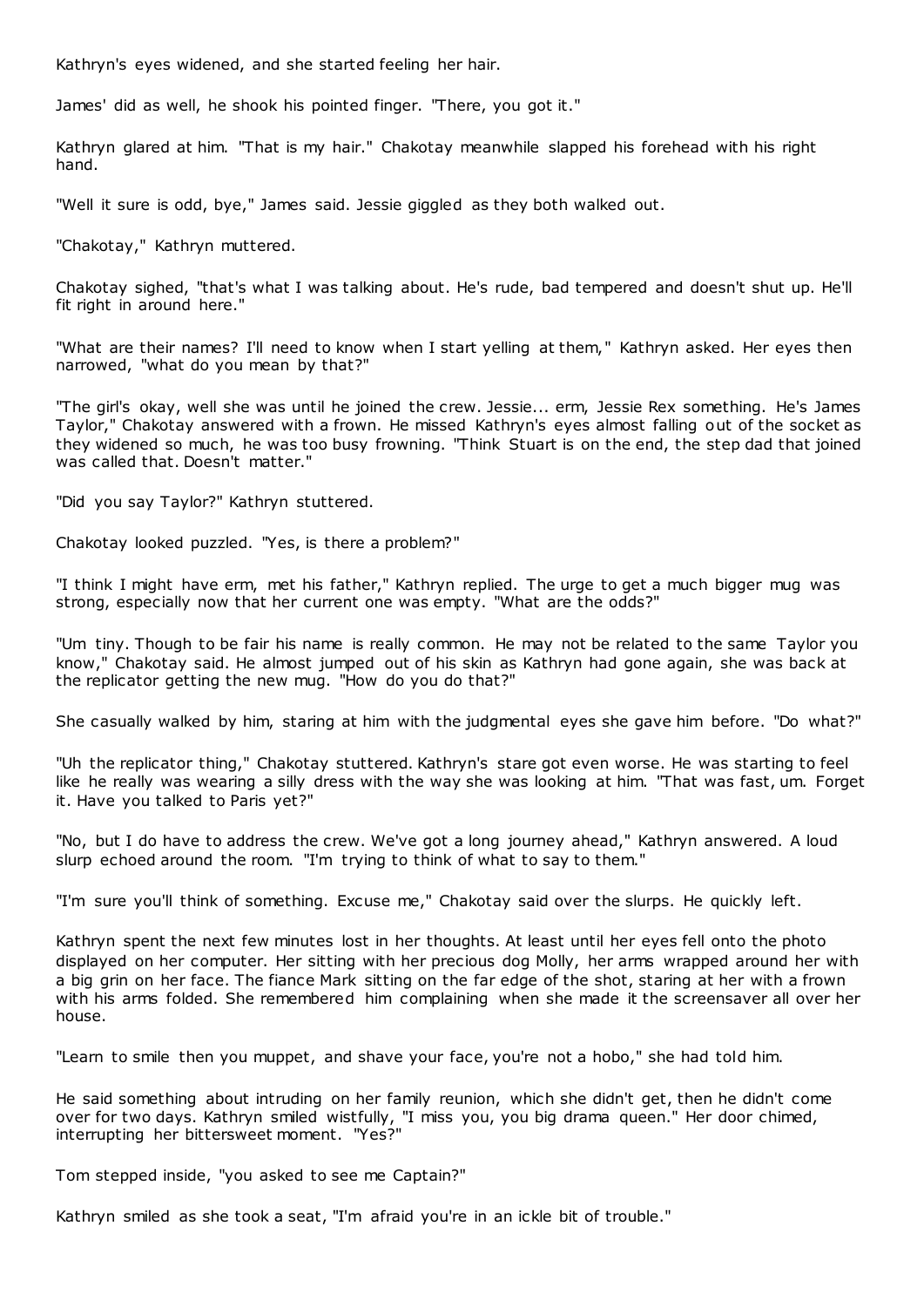Kathryn's eyes widened, and she started feeling her hair.

James' did as well, he shook his pointed finger. "There, you got it."

Kathryn glared at him. "That is my hair." Chakotay meanwhile slapped his forehead with his right hand.

"Well it sure is odd, bye," James said. Jessie giggled as they both walked out.

"Chakotay," Kathryn muttered.

Chakotay sighed, "that's what I was talking about. He's rude, bad tempered and doesn't shut up. He'll fit right in around here."

"What are their names? I'll need to know when I start yelling at them," Kathryn asked. Her eyes then narrowed, "what do you mean by that?"

"The girl's okay, well she was until he joined the crew. Jessie... erm, Jessie Rex something. He's James Taylor," Chakotay answered with a frown. He missed Kathryn's eyes almost falling out of the socket as they widened so much, he was too busy frowning. "Think Stuart is on the end, the step dad that joined was called that. Doesn't matter."

"Did you say Taylor?" Kathryn stuttered.

Chakotay looked puzzled. "Yes, is there a problem?"

"I think I might have erm, met his father," Kathryn replied. The urge to get a much bigger mug was strong, especially now that her current one was empty. "What are the odds?"

"Um tiny. Though to be fair his name is really common. He may not be related to the same Taylor you know," Chakotay said. He almost jumped out of his skin as Kathryn had gone again, she was back at the replicator getting the new mug. "How do you do that?"

She casually walked by him, staring at him with the judgmental eyes she gave him before. "Do what?"

"Uh the replicator thing," Chakotay stuttered. Kathryn's stare got even worse. He was starting to feel like he really was wearing a silly dress with the way she was looking at him. "That was fast, um. Forget it. Have you talked to Paris yet?"

"No, but I do have to address the crew. We've got a long journey ahead," Kathryn answered. A loud slurp echoed around the room. "I'm trying to think of what to say to them."

"I'm sure you'll think of something. Excuse me," Chakotay said over the slurps. He quickly left.

Kathryn spent the next few minutes lost in her thoughts. At least until her eyes fell onto the photo displayed on her computer. Her sitting with her precious dog Molly, her arms wrapped around her with a big grin on her face. The fiance Mark sitting on the far edge of the shot, staring at her with a frown with his arms folded. She remembered him complaining when she made it the screensaver all over her house.

"Learn to smile then you muppet, and shave your face, you're not a hobo," she had told him.

He said something about intruding on her family reunion, which she didn't get, then he didn't come over for two days. Kathryn smiled wistfully, "I miss you, you big drama queen." Her door chimed, interrupting her bittersweet moment. "Yes?"

Tom stepped inside, "you asked to see me Captain?"

Kathryn smiled as she took a seat, "I'm afraid you're in an ickle bit of trouble."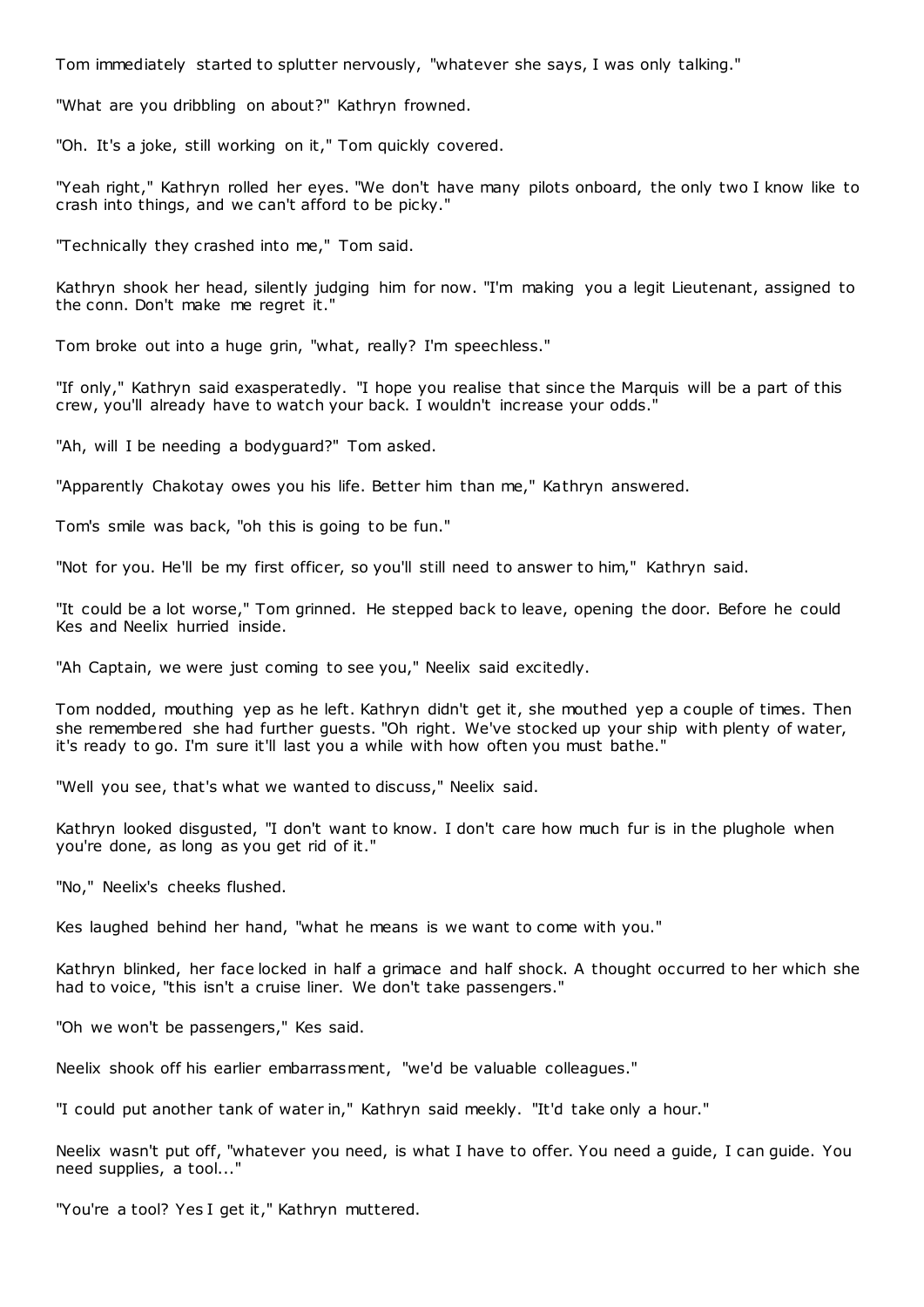Tom immediately started to splutter nervously, "whatever she says, I was only talking."

"What are you dribbling on about?" Kathryn frowned.

"Oh. It's a joke, still working on it," Tom quickly covered.

"Yeah right," Kathryn rolled her eyes. "We don't have many pilots onboard, the only two I know like to crash into things, and we can't afford to be picky."

"Technically they crashed into me," Tom said.

Kathryn shook her head, silently judging him for now. "I'm making you a legit Lieutenant, assigned to the conn. Don't make me regret it."

Tom broke out into a huge grin, "what, really? I'm speechless."

"If only," Kathryn said exasperatedly. "I hope you realise that since the Marquis will be a part of this crew, you'll already have to watch your back. I wouldn't increase your odds."

"Ah, will I be needing a bodyguard?" Tom asked.

"Apparently Chakotay owes you his life. Better him than me," Kathryn answered.

Tom's smile was back, "oh this is going to be fun."

"Not for you. He'll be my first officer, so you'll still need to answer to him," Kathryn said.

"It could be a lot worse," Tom grinned. He stepped back to leave, opening the door. Before he could Kes and Neelix hurried inside.

"Ah Captain, we were just coming to see you," Neelix said excitedly.

Tom nodded, mouthing yep as he left. Kathryn didn't get it, she mouthed yep a couple of times. Then she remembered she had further guests. "Oh right. We've stocked up your ship with plenty of water, it's ready to go. I'm sure it'll last you a while with how often you must bathe."

"Well you see, that's what we wanted to discuss," Neelix said.

Kathryn looked disgusted, "I don't want to know. I don't care how much fur is in the plughole when you're done, as long as you get rid of it."

"No," Neelix's cheeks flushed.

Kes laughed behind her hand, "what he means is we want to come with you."

Kathryn blinked, her face locked in half a grimace and half shock. A thought occurred to her which she had to voice, "this isn't a cruise liner. We don't take passengers."

"Oh we won't be passengers," Kes said.

Neelix shook off his earlier embarrassment, "we'd be valuable colleagues."

"I could put another tank of water in," Kathryn said meekly. "It'd take only a hour."

Neelix wasn't put off, "whatever you need, is what I have to offer. You need a guide, I can guide. You need supplies, a tool..."

"You're a tool? Yes I get it," Kathryn muttered.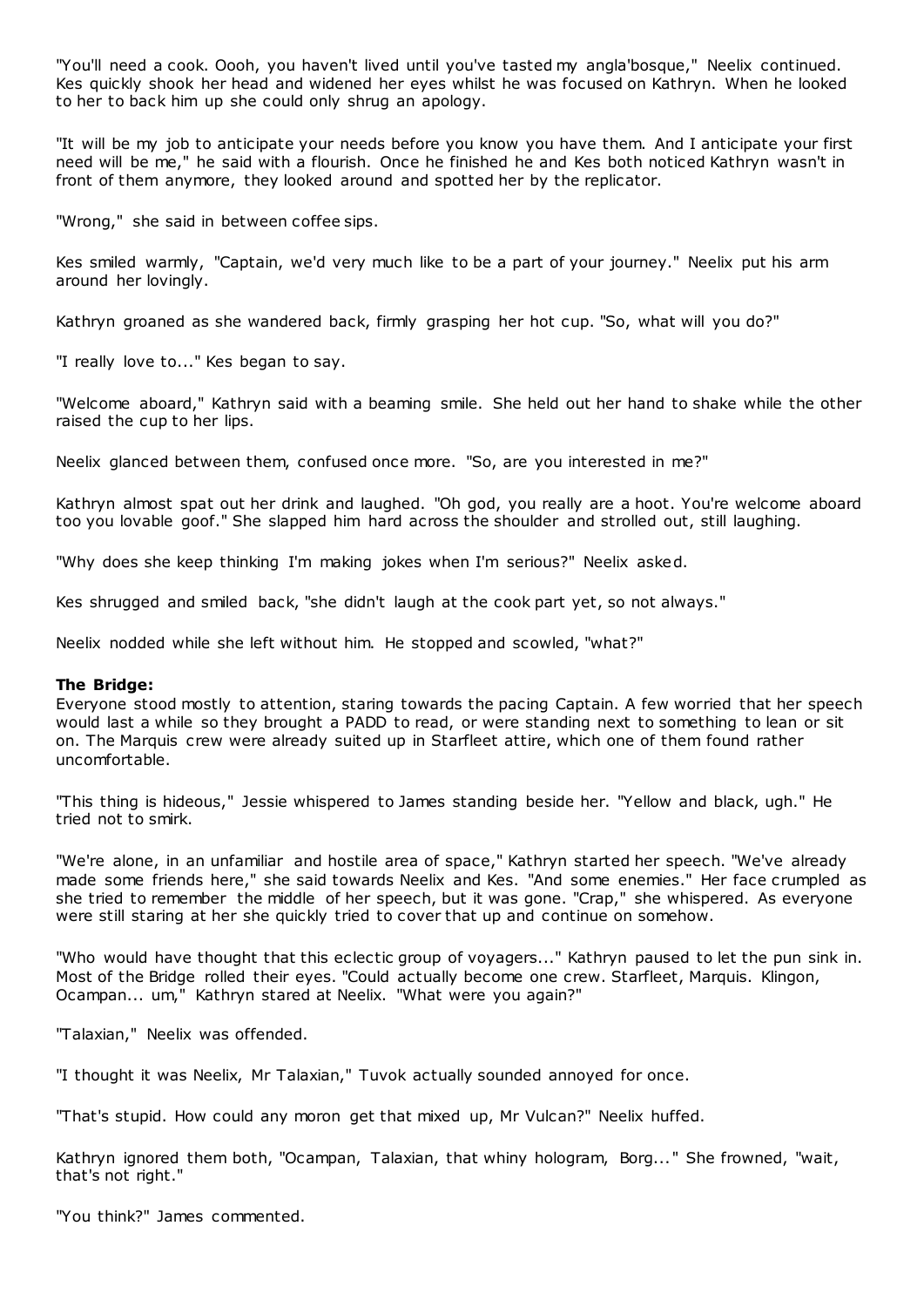"You'll need a cook. Oooh, you haven't lived until you've tasted my angla'bosque," Neelix continued. Kes quickly shook her head and widened her eyes whilst he was focused on Kathryn. When he looked to her to back him up she could only shrug an apology.

"It will be my job to anticipate your needs before you know you have them. And I anticipate your first need will be me," he said with a flourish. Once he finished he and Kes both noticed Kathryn wasn't in front of them anymore, they looked around and spotted her by the replicator.

"Wrong," she said in between coffee sips.

Kes smiled warmly, "Captain, we'd very much like to be a part of your journey." Neelix put his arm around her lovingly.

Kathryn groaned as she wandered back, firmly grasping her hot cup. "So, what will you do?"

"I really love to..." Kes began to say.

"Welcome aboard," Kathryn said with a beaming smile. She held out her hand to shake while the other raised the cup to her lips.

Neelix glanced between them, confused once more. "So, are you interested in me?"

Kathryn almost spat out her drink and laughed. "Oh god, you really are a hoot. You're welcome aboard too you lovable goof." She slapped him hard across the shoulder and strolled out, still laughing.

"Why does she keep thinking I'm making jokes when I'm serious?" Neelix asked.

Kes shrugged and smiled back, "she didn't laugh at the cook part yet, so not always."

Neelix nodded while she left without him. He stopped and scowled, "what?"

## **The Bridge:**

Everyone stood mostly to attention, staring towards the pacing Captain. A few worried that her speech would last a while so they brought a PADD to read, or were standing next to something to lean or sit on. The Marquis crew were already suited up in Starfleet attire, which one of them found rather uncomfortable.

"This thing is hideous," Jessie whispered to James standing beside her. "Yellow and black, ugh." He tried not to smirk.

"We're alone, in an unfamiliar and hostile area of space," Kathryn started her speech. "We've already made some friends here," she said towards Neelix and Kes. "And some enemies." Her face crumpled as she tried to remember the middle of her speech, but it was gone. "Crap," she whispered. As everyone were still staring at her she quickly tried to cover that up and continue on somehow.

"Who would have thought that this eclectic group of voyagers..." Kathryn paused to let the pun sink in. Most of the Bridge rolled their eyes. "Could actually become one crew. Starfleet, Marquis. Klingon, Ocampan... um," Kathryn stared at Neelix. "What were you again?"

"Talaxian," Neelix was offended.

"I thought it was Neelix, Mr Talaxian," Tuvok actually sounded annoyed for once.

"That's stupid. How could any moron get that mixed up, Mr Vulcan?" Neelix huffed.

Kathryn ignored them both, "Ocampan, Talaxian, that whiny hologram, Borg... " She frowned, "wait, that's not right."

"You think?" James commented.